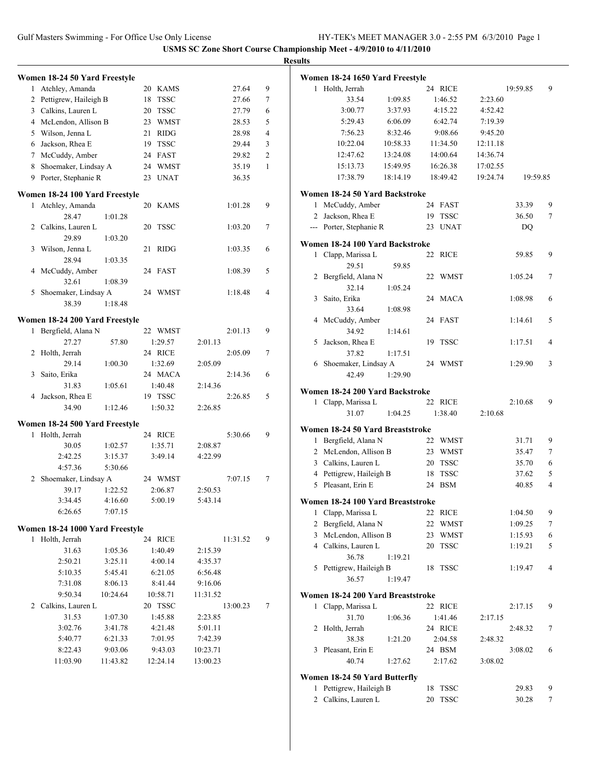|   |                                 |          |                    |          |              | <b>Results</b> |
|---|---------------------------------|----------|--------------------|----------|--------------|----------------|
|   | Women 18-24 50 Yard Freestyle   |          |                    |          |              | W٥             |
|   | 1 Atchley, Amanda               |          | 20 KAMS            |          | 27.64        | 9              |
|   | 2 Pettigrew, Haileigh B         |          | 18 TSSC            |          | 27.66        | 7              |
|   | 3 Calkins, Lauren L             |          | 20 TSSC            |          | 27.79        | 6              |
|   | 4 McLendon, Allison B           |          | 23 WMST            |          | 28.53        | 5              |
|   | 5 Wilson, Jenna L               |          | 21 RIDG            |          | 28.98        | 4              |
|   | 6 Jackson, Rhea E               |          | 19 TSSC            |          | 29.44        | 3              |
|   | 7 McCuddy, Amber                |          | 24 FAST            |          | 29.82        | $\overline{c}$ |
| 8 | Shoemaker, Lindsay A            |          | 24 WMST            |          | 35.19        | $\mathbf{1}$   |
|   | 9 Porter, Stephanie R           |          | 23 UNAT            |          | 36.35        |                |
|   | Women 18-24 100 Yard Freestyle  |          |                    |          |              | W٥             |
|   | 1 Atchley, Amanda               |          | 20 KAMS            |          | 1:01.28      | 9              |
|   | 28.47                           | 1:01.28  |                    |          |              |                |
|   | 2 Calkins, Lauren L             |          | 20 TSSC            |          | 1:03.20      | 7              |
|   | 29.89                           | 1:03.20  |                    |          |              |                |
| 3 | Wilson, Jenna L                 |          | 21 RIDG            |          | 1:03.35      | W<br>6         |
|   | 28.94                           | 1:03.35  |                    |          |              |                |
| 4 | McCuddy, Amber                  |          | 24 FAST            |          | 1:08.39      | 5              |
|   | 32.61                           | 1:08.39  |                    |          |              |                |
| 5 | Shoemaker, Lindsay A            |          | 24 WMST            |          | 1:18.48<br>4 |                |
|   | 38.39                           | 1:18.48  |                    |          |              |                |
|   |                                 |          |                    |          |              |                |
|   | Women 18-24 200 Yard Freestyle  |          |                    |          |              |                |
| 1 | Bergfield, Alana N              |          | 22 WMST            |          | 2:01.13      | 9              |
|   | 27.27                           | 57.80    | 1:29.57            | 2:01.13  |              |                |
| 2 | Holth, Jerrah                   |          | 24 RICE            |          | 2:05.09      | 7              |
|   | 29.14                           | 1:00.30  | 1:32.69            | 2:05.09  |              |                |
| 3 | Saito, Erika                    |          | 24 MACA            |          | 2:14.36      | 6              |
|   | 31.83                           | 1:05.61  | 1:40.48<br>19 TSSC | 2:14.36  | 2:26.85      | Wα<br>5        |
|   | 4 Jackson, Rhea E<br>34.90      | 1:12.46  | 1:50.32            | 2:26.85  |              |                |
|   |                                 |          |                    |          |              |                |
|   | Women 18-24 500 Yard Freestyle  |          |                    |          |              | W٥             |
|   | 1 Holth, Jerrah                 |          | 24 RICE            |          | 5:30.66      | 9              |
|   | 30.05                           | 1:02.57  | 1:35.71            | 2:08.87  |              |                |
|   | 2:42.25                         | 3:15.37  | 3:49.14            | 4:22.99  |              |                |
|   | 4:57.36                         | 5:30.66  |                    |          |              |                |
|   | 2 Shoemaker, Lindsay A          |          | 24 WMST            |          | 7:07.15      | 7              |
|   | 39.17 1:22.52                   |          | 2:06.87            | 2:50.53  |              |                |
|   | 3:34.45                         | 4:16.60  | 5:00.19            | 5:43.14  |              | Wα             |
|   | 6:26.65                         | 7:07.15  |                    |          |              |                |
|   | Women 18-24 1000 Yard Freestyle |          |                    |          |              |                |
|   | 1 Holth, Jerrah                 |          | 24 RICE            |          | 11:31.52     | 9              |
|   | 31.63                           | 1:05.36  | 1:40.49            | 2:15.39  |              |                |
|   | 2:50.21                         | 3:25.11  | 4:00.14            | 4:35.37  |              |                |
|   | 5:10.35                         | 5:45.41  | 6:21.05            | 6:56.48  |              |                |
|   | 7:31.08                         | 8:06.13  | 8:41.44            | 9:16.06  |              |                |
|   | 9:50.34                         | 10:24.64 | 10:58.71           | 11:31.52 |              | W٥             |
|   | 2 Calkins, Lauren L             |          | 20 TSSC            |          | 13:00.23     | 7              |
|   | 31.53                           | 1:07.30  | 1:45.88            | 2:23.85  |              |                |
|   | 3:02.76                         | 3:41.78  | 4:21.48            | 5:01.11  |              |                |
|   | 5:40.77                         | 6:21.33  | 7:01.95            | 7:42.39  |              |                |
|   | 8:22.43                         | 9:03.06  | 9:43.03            | 10:23.71 |              |                |
|   | 11:03.90                        | 11:43.82 | 12:24.14           | 13:00.23 |              |                |
|   |                                 |          |                    |          |              |                |
|   |                                 |          |                    |          |              | W٥             |

|              | Women 18-24 1650 Yard Freestyle   |          |    |             |          |          |   |
|--------------|-----------------------------------|----------|----|-------------|----------|----------|---|
| 1            | Holth, Jerrah                     |          |    | 24 RICE     |          | 19:59.85 | 9 |
|              | 33.54                             | 1:09.85  |    | 1:46.52     | 2:23.60  |          |   |
|              | 3:00.77                           | 3:37.93  |    | 4:15.22     | 4:52.42  |          |   |
|              | 5:29.43                           | 6:06.09  |    | 6:42.74     | 7:19.39  |          |   |
|              | 7:56.23                           | 8:32.46  |    | 9:08.66     | 9:45.20  |          |   |
|              | 10:22.04                          | 10:58.33 |    | 11:34.50    | 12:11.18 |          |   |
|              |                                   |          |    |             |          |          |   |
|              | 12:47.62                          | 13:24.08 |    | 14:00.64    | 14:36.74 |          |   |
|              | 15:13.73                          | 15:49.95 |    | 16:26.38    | 17:02.55 |          |   |
|              | 17:38.79                          | 18:14.19 |    | 18:49.42    | 19:24.74 | 19:59.85 |   |
|              | Women 18-24 50 Yard Backstroke    |          |    |             |          |          |   |
| 1            | McCuddy, Amber                    |          |    | 24 FAST     |          | 33.39    | 9 |
| 2            | Jackson, Rhea E                   |          | 19 | TSSC        |          | 36.50    | 7 |
|              | --- Porter, Stephanie R           |          | 23 | <b>UNAT</b> |          | DQ       |   |
|              | Women 18-24 100 Yard Backstroke   |          |    |             |          |          |   |
| 1            | Clapp, Marissa L                  |          | 22 | <b>RICE</b> |          | 59.85    | 9 |
|              | 29.51                             | 59.85    |    |             |          |          |   |
| 2            | Bergfield, Alana N                |          | 22 | WMST        |          | 1:05.24  | 7 |
|              |                                   |          |    |             |          |          |   |
|              | 32.14                             | 1:05.24  |    |             |          |          |   |
| 3            | Saito, Erika                      |          | 24 | <b>MACA</b> |          | 1:08.98  | 6 |
|              | 33.64                             | 1:08.98  |    |             |          |          |   |
| 4            | McCuddy, Amber                    |          | 24 | FAST        |          | 1:14.61  | 5 |
|              | 34.92                             | 1:14.61  |    |             |          |          |   |
| 5            | Jackson, Rhea E                   |          | 19 | <b>TSSC</b> |          | 1:17.51  | 4 |
|              | 37.82                             | 1:17.51  |    |             |          |          |   |
|              | 6 Shoemaker, Lindsay A            |          |    | 24 WMST     |          | 1:29.90  | 3 |
|              | 42.49                             | 1:29.90  |    |             |          |          |   |
|              | Women 18-24 200 Yard Backstroke   |          |    |             |          |          |   |
| 1            | Clapp, Marissa L                  |          |    | 22 RICE     |          | 2:10.68  | 9 |
|              | 31.07                             | 1:04.25  |    | 1:38.40     | 2:10.68  |          |   |
|              |                                   |          |    |             |          |          |   |
|              | Women 18-24 50 Yard Breaststroke  |          |    |             |          |          |   |
| $\mathbf{1}$ | Bergfield, Alana N                |          | 22 | WMST        |          | 31.71    | 9 |
|              | 2 McLendon, Allison B             |          | 23 | WMST        |          | 35.47    | 7 |
|              | 3 Calkins, Lauren L               |          | 20 | <b>TSSC</b> |          | 35.70    | 6 |
|              | 4 Pettigrew, Haileigh B           |          | 18 | <b>TSSC</b> |          | 37.62    | 5 |
| 5            | Pleasant, Erin E                  |          | 24 | <b>BSM</b>  |          | 40.85    | 4 |
|              | Women 18-24 100 Yard Breaststroke |          |    |             |          |          |   |
| 1            | Clapp, Marissa L                  |          | 22 | RICE        |          | 1:04.50  | 9 |
| 2            | Bergfield, Alana N                |          | 22 | <b>WMST</b> |          | 1:09.25  | 7 |
| 3            | McLendon, Allison B               |          | 23 | WMST        |          | 1:15.93  | 6 |
|              | 4 Calkins, Lauren L               |          | 20 | <b>TSSC</b> |          | 1:19.21  | 5 |
|              | 36.78                             |          |    |             |          |          |   |
|              | Pettigrew, Haileigh B             | 1:19.21  |    | <b>TSSC</b> |          |          | 4 |
| 5            | 36.57                             | 1:19.47  | 18 |             |          | 1:19.47  |   |
|              |                                   |          |    |             |          |          |   |
|              | Women 18-24 200 Yard Breaststroke |          |    |             |          |          |   |
| 1            | Clapp, Marissa L                  |          |    | 22 RICE     |          | 2:17.15  | 9 |
|              | 31.70                             | 1:06.36  |    | 1:41.46     | 2:17.15  |          |   |
| 2            | Holth, Jerrah                     |          |    | 24 RICE     |          | 2:48.32  | 7 |
|              | 38.38                             | 1:21.20  |    | 2:04.58     | 2:48.32  |          |   |
| 3            | Pleasant, Erin E                  |          |    | 24 BSM      |          | 3:08.02  | 6 |
|              | 40.74                             | 1:27.62  |    | 2:17.62     | 3:08.02  |          |   |
|              |                                   |          |    |             |          |          |   |
|              | Women 18-24 50 Yard Butterfly     |          | 18 |             |          |          | 9 |
| 1            | Pettigrew, Haileigh B             |          |    | <b>TSSC</b> |          | 29.83    |   |
| 2            | Calkins, Lauren L                 |          | 20 | TSSC        |          | 30.28    | 7 |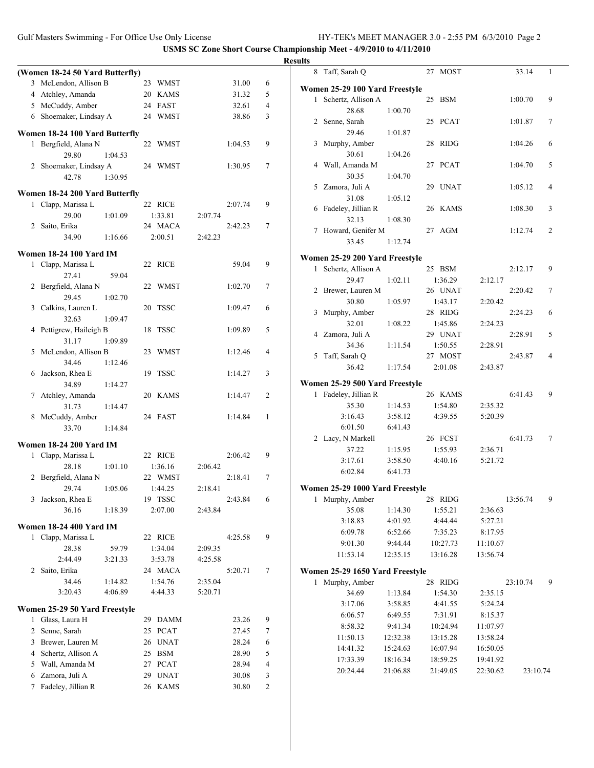Gulf Masters Swimming - For Office Use Only License HY-TEK's MEET MANAGER 3.0 - 2:55 PM 6/3/2010 Page 2

|                                                      |         |         |         |         |                | <b>Results</b> |                                 |                    |                     |                      |          |    |
|------------------------------------------------------|---------|---------|---------|---------|----------------|----------------|---------------------------------|--------------------|---------------------|----------------------|----------|----|
| (Women 18-24 50 Yard Butterfly)                      |         |         |         |         |                |                | 8 Taff, Sarah Q                 |                    | 27 MOST             |                      | 33.14    | -1 |
| 3 McLendon, Allison B                                |         | 23 WMST |         | 31.00   | 6              |                | Women 25-29 100 Yard Freestyle  |                    |                     |                      |          |    |
| 4 Atchley, Amanda                                    |         | 20 KAMS |         | 31.32   | 5              |                | 1 Schertz, Allison A            |                    | 25 BSM              |                      | 1:00.70  | 9  |
| 5 McCuddy, Amber                                     |         | 24 FAST |         | 32.61   | 4              |                | 28.68                           | 1:00.70            |                     |                      |          |    |
| 6 Shoemaker, Lindsay A                               |         | 24 WMST |         | 38.86   | 3              |                | 2 Senne, Sarah                  |                    | 25 PCAT             |                      | 1:01.87  | 7  |
| Women 18-24 100 Yard Butterfly                       |         |         |         |         |                |                | 29.46                           | 1:01.87            |                     |                      |          |    |
| 1 Bergfield, Alana N                                 |         | 22 WMST |         | 1:04.53 | 9              |                | 3 Murphy, Amber                 |                    | 28 RIDG             |                      | 1:04.26  | 6  |
| 29.80                                                | 1:04.53 |         |         |         |                |                | 30.61                           | 1:04.26            |                     |                      |          |    |
| 2 Shoemaker, Lindsay A                               |         | 24 WMST |         | 1:30.95 | $\tau$         |                | 4 Wall, Amanda M                |                    | 27 PCAT             |                      | 1:04.70  | 5  |
| 42.78                                                | 1:30.95 |         |         |         |                |                | 30.35                           | 1:04.70            |                     |                      |          |    |
| Women 18-24 200 Yard Butterfly                       |         |         |         |         |                |                | 5 Zamora, Juli A                |                    | 29 UNAT             |                      | 1:05.12  | 4  |
| 1 Clapp, Marissa L                                   |         | 22 RICE |         | 2:07.74 | 9              |                | 31.08                           | 1:05.12            |                     |                      |          |    |
| 29.00                                                | 1:01.09 | 1:33.81 | 2:07.74 |         |                |                | 6 Fadeley, Jillian R            |                    | 26 KAMS             |                      | 1:08.30  | 3  |
| 2 Saito, Erika                                       |         | 24 MACA |         | 2:42.23 | $\tau$         |                | 32.13                           | 1:08.30            |                     |                      |          |    |
| 34.90                                                | 1:16.66 | 2:00.51 | 2:42.23 |         |                |                | 7 Howard, Genifer M             |                    | 27 AGM              |                      | 1:12.74  | 2  |
|                                                      |         |         |         |         |                |                | 33.45                           | 1:12.74            |                     |                      |          |    |
| <b>Women 18-24 100 Yard IM</b><br>1 Clapp, Marissa L |         |         |         | 59.04   | 9              |                | Women 25-29 200 Yard Freestyle  |                    |                     |                      |          |    |
| 27.41                                                | 59.04   | 22 RICE |         |         |                |                | 1 Schertz, Allison A            |                    | 25 BSM              |                      | 2:12.17  | 9  |
| 2 Bergfield, Alana N                                 |         | 22 WMST |         | 1:02.70 | $\tau$         |                | 29.47                           | 1:02.11            | 1:36.29             | 2:12.17              |          |    |
| 29.45                                                | 1:02.70 |         |         |         |                |                | 2 Brewer, Lauren M              |                    | 26 UNAT             |                      | 2:20.42  | 7  |
| 3 Calkins, Lauren L                                  |         | 20 TSSC |         | 1:09.47 | 6              |                | 30.80                           | 1:05.97            | 1:43.17             | 2:20.42              |          |    |
| 32.63                                                | 1:09.47 |         |         |         |                |                | 3 Murphy, Amber                 |                    | 28 RIDG             |                      | 2:24.23  | 6  |
| 4 Pettigrew, Haileigh B                              |         | 18 TSSC |         | 1:09.89 | 5              |                | 32.01                           | 1:08.22            | 1:45.86             | 2:24.23              |          |    |
| 31.17                                                | 1:09.89 |         |         |         |                |                | 4 Zamora, Juli A<br>34.36       |                    | 29 UNAT             |                      | 2:28.91  | 5  |
| 5 McLendon, Allison B                                |         | 23 WMST |         | 1:12.46 | 4              |                | 5 Taff, Sarah Q                 | 1:11.54            | 1:50.55<br>27 MOST  | 2:28.91              | 2:43.87  | 4  |
| 34.46                                                | 1:12.46 |         |         |         |                |                | 36.42                           | 1:17.54            | 2:01.08             | 2:43.87              |          |    |
| 6 Jackson, Rhea E                                    |         | 19 TSSC |         | 1:14.27 | 3              |                |                                 |                    |                     |                      |          |    |
| 34.89                                                | 1:14.27 |         |         |         |                |                | Women 25-29 500 Yard Freestyle  |                    |                     |                      |          |    |
| 7 Atchley, Amanda                                    |         | 20 KAMS |         | 1:14.47 | 2              |                | 1 Fadeley, Jillian R            |                    | 26 KAMS             |                      | 6:41.43  | 9  |
| 31.73                                                | 1:14.47 |         |         |         |                |                | 35.30                           | 1:14.53            | 1:54.80             | 2:35.32              |          |    |
| 8 McCuddy, Amber                                     |         | 24 FAST |         | 1:14.84 | -1             |                | 3:16.43                         | 3:58.12            | 4:39.55             | 5:20.39              |          |    |
| 33.70                                                | 1:14.84 |         |         |         |                |                | 6:01.50<br>2 Lacy, N Markell    | 6:41.43            | 26 FCST             |                      | 6:41.73  | 7  |
| <b>Women 18-24 200 Yard IM</b>                       |         |         |         |         |                |                | 37.22                           | 1:15.95            | 1:55.93             | 2:36.71              |          |    |
| 1 Clapp, Marissa L                                   |         | 22 RICE |         | 2:06.42 | 9              |                | 3:17.61                         | 3:58.50            | 4:40.16             | 5:21.72              |          |    |
| 28.18                                                | 1:01.10 | 1:36.16 | 2:06.42 |         |                |                | 6:02.84                         | 6:41.73            |                     |                      |          |    |
| 2 Bergfield, Alana N                                 |         | 22 WMST |         | 2:18.41 | $\tau$         |                |                                 |                    |                     |                      |          |    |
| 29.74                                                | 1:05.06 | 1:44.25 | 2:18.41 |         |                |                | Women 25-29 1000 Yard Freestyle |                    |                     |                      |          |    |
| 3 Jackson, Rhea E                                    |         | 19 TSSC |         | 2:43.84 | 6              |                | 1 Murphy, Amber                 |                    | 28 RIDG             |                      | 13:56.74 | 9  |
| 36.16                                                | 1:18.39 | 2:07.00 | 2:43.84 |         |                |                | 35.08<br>3:18.83                | 1:14.30<br>4:01.92 | 1:55.21<br>4:44.44  | 2:36.63<br>5:27.21   |          |    |
| Women 18-24 400 Yard IM                              |         |         |         |         |                |                | 6:09.78                         | 6:52.66            | 7:35.23             | 8:17.95              |          |    |
| 1 Clapp, Marissa L                                   |         | 22 RICE |         | 4:25.58 | 9              |                | 9:01.30                         | 9:44.44            | 10:27.73            | 11:10.67             |          |    |
| 28.38                                                | 59.79   | 1:34.04 | 2:09.35 |         |                |                | 11:53.14                        | 12:35.15           | 13:16.28            | 13:56.74             |          |    |
| 2:44.49                                              | 3:21.33 | 3:53.78 | 4:25.58 |         |                |                |                                 |                    |                     |                      |          |    |
| 2 Saito, Erika                                       |         | 24 MACA |         | 5:20.71 | 7              |                | Women 25-29 1650 Yard Freestyle |                    |                     |                      |          |    |
| 34.46                                                | 1:14.82 | 1:54.76 | 2:35.04 |         |                |                | 1 Murphy, Amber                 |                    | 28 RIDG             |                      | 23:10.74 | 9  |
| 3:20.43                                              | 4:06.89 | 4:44.33 | 5:20.71 |         |                |                | 34.69                           | 1:13.84            | 1:54.30             | 2:35.15              |          |    |
| Women 25-29 50 Yard Freestyle                        |         |         |         |         |                |                | 3:17.06                         | 3:58.85            | 4:41.55             | 5:24.24              |          |    |
| 1 Glass, Laura H                                     |         | 29 DAMM |         | 23.26   | 9              |                | 6:06.57<br>8:58.32              | 6:49.55<br>9:41.34 | 7:31.91<br>10:24.94 | 8:15.37              |          |    |
| 2 Senne, Sarah                                       |         | 25 PCAT |         | 27.45   | $\tau$         |                | 11:50.13                        | 12:32.38           | 13:15.28            | 11:07.97<br>13:58.24 |          |    |
| 3 Brewer, Lauren M                                   |         | 26 UNAT |         | 28.24   | 6              |                | 14:41.32                        | 15:24.63           | 16:07.94            | 16:50.05             |          |    |
| 4 Schertz, Allison A                                 |         | 25 BSM  |         | 28.90   | 5              |                | 17:33.39                        | 18:16.34           | 18:59.25            | 19:41.92             |          |    |
| 5 Wall, Amanda M                                     |         | 27 PCAT |         | 28.94   | 4              |                | 20:24.44                        | 21:06.88           | 21:49.05            | 22:30.62             | 23:10.74 |    |
| 6 Zamora, Juli A                                     |         | 29 UNAT |         | 30.08   | 3              |                |                                 |                    |                     |                      |          |    |
| 7 Fadeley, Jillian R                                 |         | 26 KAMS |         | 30.80   | $\overline{c}$ |                |                                 |                    |                     |                      |          |    |
|                                                      |         |         |         |         |                |                |                                 |                    |                     |                      |          |    |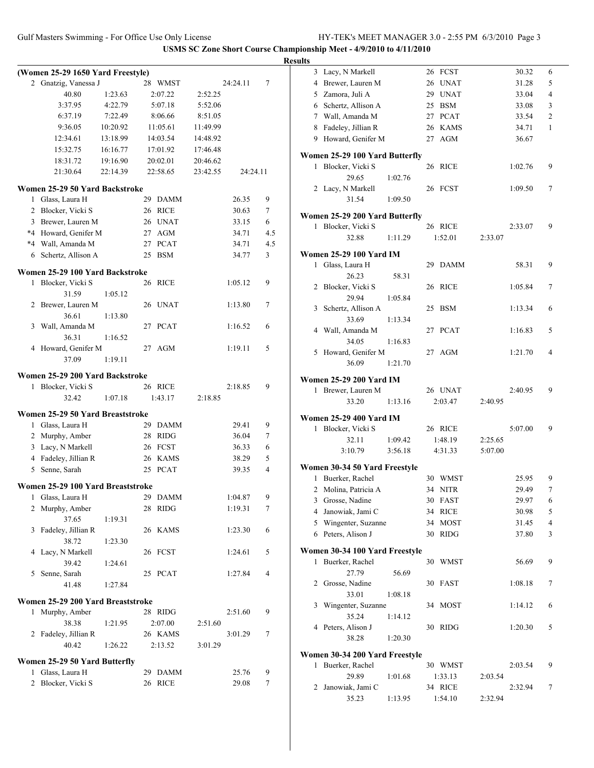|              | (Women 25-29 1650 Yard Freestyle) |          |    |                        |          |                    |        |
|--------------|-----------------------------------|----------|----|------------------------|----------|--------------------|--------|
|              | 2 Gnatzig, Vanessa J              |          |    | 28 WMST                |          | 24:24.11           | 7      |
|              | 40.80                             | 1:23.63  |    | 2:07.22                | 2:52.25  |                    |        |
|              | 3:37.95                           | 4:22.79  |    | 5:07.18                | 5:52.06  |                    |        |
|              | 6:37.19                           | 7:22.49  |    | 8:06.66                | 8:51.05  |                    |        |
|              | 9:36.05                           | 10:20.92 |    | 11:05.61               | 11:49.99 |                    |        |
|              | 12:34.61                          | 13:18.99 |    | 14:03.54               | 14:48.92 |                    |        |
|              | 15:32.75                          | 16:16.77 |    | 17:01.92               | 17:46.48 |                    |        |
|              | 18:31.72                          | 19:16.90 |    | 20:02.01               | 20:46.62 |                    |        |
|              | 21:30.64                          | 22:14.39 |    | 22:58.65               | 23:42.55 | 24:24.11           |        |
|              | Women 25-29 50 Yard Backstroke    |          |    |                        |          |                    |        |
|              | 1 Glass, Laura H                  |          |    | 29 DAMM                |          | 26.35              | 9      |
|              | 2 Blocker, Vicki S                |          |    | 26 RICE                |          | 30.63              | $\tau$ |
|              | 3 Brewer, Lauren M                |          |    | 26 UNAT                |          | 33.15              | 6      |
|              | *4 Howard, Genifer M              |          |    | 27 AGM                 |          | 34.71              | 4.5    |
|              | *4 Wall, Amanda M                 |          |    | 27 PCAT                |          | 34.71              | 4.5    |
| 6            | Schertz, Allison A                |          |    | 25 BSM                 |          | 34.77              | 3      |
|              | Women 25-29 100 Yard Backstroke   |          |    |                        |          |                    |        |
| 1            | Blocker, Vicki S                  |          |    | 26 RICE                |          | 1:05.12            | 9      |
|              | 31.59                             | 1:05.12  |    |                        |          |                    |        |
|              | 2 Brewer, Lauren M                |          |    | 26 UNAT                |          | 1:13.80            | 7      |
|              | 36.61                             | 1:13.80  |    |                        |          |                    |        |
|              | 3 Wall, Amanda M                  |          |    | 27 PCAT                |          | 1:16.52            | 6      |
|              | 36.31                             | 1:16.52  |    |                        |          |                    |        |
| 4            | Howard, Genifer M                 |          | 27 | AGM                    |          | 1:19.11            | 5      |
|              | 37.09                             | 1:19.11  |    |                        |          |                    |        |
|              | Women 25-29 200 Yard Backstroke   |          |    |                        |          |                    |        |
| $\mathbf{1}$ | Blocker, Vicki S                  |          |    | 26 RICE                |          | 2:18.85            | 9      |
|              | 32.42                             | 1:07.18  |    | 1:43.17                | 2:18.85  |                    |        |
|              | Women 25-29 50 Yard Breaststroke  |          |    |                        |          |                    |        |
| 1            | Glass, Laura H                    |          |    | 29 DAMM                |          | 29.41              | 9      |
|              | 2 Murphy, Amber                   |          |    | 28 RIDG                |          | 36.04              | 7      |
|              | 3 Lacy, N Markell                 |          |    | 26 FCST                |          | 36.33              | 6      |
|              | 4 Fadeley, Jillian R              |          |    | 26 KAMS                |          | 38.29              | 5      |
|              | 5 Senne, Sarah                    |          |    | 25 PCAT                |          | 39.35              | 4      |
|              | Women 25-29 100 Yard Breaststroke |          |    |                        |          |                    |        |
|              |                                   |          |    |                        |          |                    |        |
| 1<br>2       | Glass, Laura H<br>Murphy, Amber   |          | 28 | 29 DAMM<br><b>RIDG</b> |          | 1:04.87<br>1:19.31 | 9<br>7 |
|              |                                   |          |    |                        |          |                    |        |
|              | 37.65                             | 1:19.31  |    | 26 KAMS                |          | 1:23.30            |        |
| 3            | Fadeley, Jillian R                |          |    |                        |          |                    | 6      |
|              | 38.72                             | 1:23.30  |    |                        |          |                    |        |
| 4            | Lacy, N Markell                   |          |    | 26 FCST                |          | 1:24.61            | 5      |
|              | 39.42                             | 1:24.61  |    |                        |          |                    |        |
| 5            | Senne, Sarah<br>41.48             | 1:27.84  |    | 25 PCAT                |          | 1:27.84            | 4      |
|              |                                   |          |    |                        |          |                    |        |
|              | Women 25-29 200 Yard Breaststroke |          |    |                        |          |                    |        |
| 1            | Murphy, Amber                     |          |    | 28 RIDG                |          | 2:51.60            | 9      |
|              | 38.38                             | 1:21.95  |    | 2:07.00                | 2:51.60  |                    |        |
|              | 2 Fadeley, Jillian R              |          |    | 26 KAMS                |          | 3:01.29            | 7      |
|              | 40.42                             | 1:26.22  |    | 2:13.52                | 3:01.29  |                    |        |
|              | Women 25-29 50 Yard Butterfly     |          |    |                        |          |                    |        |
| 1            | Glass, Laura H                    |          | 29 | <b>DAMM</b>            |          | 25.76              | 9      |
| 2            | Blocker, Vicki S                  |          | 26 | <b>RICE</b>            |          | 29.08              | 7      |

| <b>Results</b> |                                |         |         |         |         |                |
|----------------|--------------------------------|---------|---------|---------|---------|----------------|
|                | 3 Lacy, N Markell              |         | 26 FCST |         | 30.32   | 6              |
|                | 4 Brewer, Lauren M             |         | 26 UNAT |         | 31.28   | 5              |
|                | 5 Zamora, Juli A               |         | 29 UNAT |         | 33.04   | 4              |
|                | 6 Schertz, Allison A           |         | 25 BSM  |         | 33.08   | 3              |
|                | 7 Wall, Amanda M               |         | 27 PCAT |         | 33.54   | 2              |
|                | 8 Fadeley, Jillian R           |         | 26 KAMS |         | 34.71   | 1              |
|                | 9 Howard, Genifer M            |         | 27 AGM  |         | 36.67   |                |
|                | Women 25-29 100 Yard Butterfly |         |         |         |         |                |
| 1              | Blocker, Vicki S               |         | 26 RICE |         | 1:02.76 | 9              |
|                | 29.65                          | 1:02.76 |         |         |         |                |
|                | 2 Lacy, N Markell              |         | 26 FCST |         | 1:09.50 | 7              |
|                | 31.54                          | 1:09.50 |         |         |         |                |
|                | Women 25-29 200 Yard Butterfly |         |         |         |         |                |
|                | 1 Blocker, Vicki S             |         | 26 RICE |         | 2:33.07 | 9              |
|                | 32.88                          | 1:11.29 | 1:52.01 | 2:33.07 |         |                |
|                |                                |         |         |         |         |                |
|                | <b>Women 25-29 100 Yard IM</b> |         |         |         |         |                |
| $\mathbf{1}$   | Glass, Laura H                 |         | 29 DAMM |         | 58.31   | 9              |
|                | 26.23                          | 58.31   |         |         |         |                |
|                | 2 Blocker, Vicki S<br>29.94    | 1:05.84 | 26 RICE |         | 1:05.84 | 7              |
|                | 3 Schertz, Allison A           |         | 25 BSM  |         | 1:13.34 | 6              |
|                | 33.69                          | 1:13.34 |         |         |         |                |
|                | 4 Wall, Amanda M               |         | 27 PCAT |         | 1:16.83 | 5              |
|                | 34.05                          | 1:16.83 |         |         |         |                |
|                | 5 Howard, Genifer M            |         | 27 AGM  |         | 1:21.70 | $\overline{4}$ |
|                | 36.09                          | 1:21.70 |         |         |         |                |
|                | <b>Women 25-29 200 Yard IM</b> |         |         |         |         |                |
|                | 1 Brewer, Lauren M             |         | 26 UNAT |         | 2:40.95 | 9              |
|                | 33.20                          | 1:13.16 | 2:03.47 | 2:40.95 |         |                |
|                |                                |         |         |         |         |                |
|                | <b>Women 25-29 400 Yard IM</b> |         |         |         |         |                |
| $\mathbf{1}$   | Blocker, Vicki S               |         | 26 RICE |         | 5:07.00 | 9              |
|                | 32.11<br>3:10.79               | 1:09.42 | 1:48.19 | 2:25.65 |         |                |
|                |                                | 3:56.18 | 4:31.33 | 5:07.00 |         |                |
|                | Women 30-34 50 Yard Freestyle  |         |         |         |         |                |
|                | 1 Buerker, Rachel              |         | 30 WMST |         | 25.95   | 9              |
|                | 2 Molina, Patricia A           |         | 34 NITR |         | 29.49   | $\tau$         |
|                | 3 Grosse, Nadine               |         | 30 FAST |         | 29.97   | 6              |
|                | 4 Janowiak, Jami C             |         | 34 RICE |         | 30.98   | 5              |
|                | 5 Wingenter, Suzanne           |         | 34 MOST |         | 31.45   | 4              |
|                | 6 Peters, Alison J             |         | 30 RIDG |         | 37.80   | 3              |
|                | Women 30-34 100 Yard Freestyle |         |         |         |         |                |
| 1              | Buerker, Rachel                |         | 30 WMST |         | 56.69   | 9              |
|                | 27.79                          | 56.69   |         |         |         |                |
|                | 2 Grosse, Nadine               |         | 30 FAST |         | 1:08.18 | 7              |
|                | 33.01                          | 1:08.18 |         |         |         |                |
| 3              | Wingenter, Suzanne             |         | 34 MOST |         | 1:14.12 | 6              |
|                | 35.24                          | 1:14.12 |         |         |         |                |
|                | 4 Peters, Alison J             |         | 30 RIDG |         | 1:20.30 | 5              |
|                | 38.28                          | 1:20.30 |         |         |         |                |
|                | Women 30-34 200 Yard Freestyle |         |         |         |         |                |
| 1              | Buerker, Rachel                |         | 30 WMST |         | 2:03.54 | 9              |
|                | 29.89                          | 1:01.68 | 1:33.13 | 2:03.54 |         |                |
| 2              | Janowiak, Jami C               |         | 34 RICE |         | 2:32.94 | 7              |
|                | 35.23                          | 1:13.95 | 1:54.10 | 2:32.94 |         |                |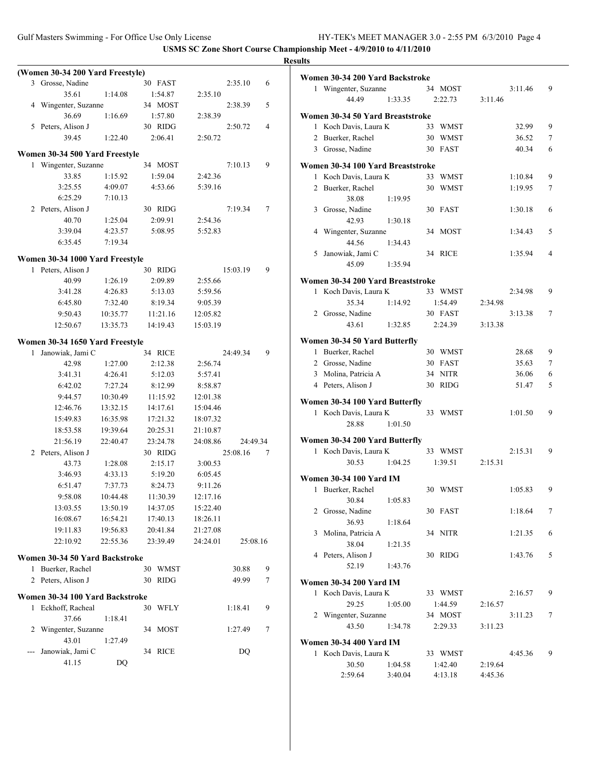|     |                                  |          |            |          |          |                | <b>Results</b> |
|-----|----------------------------------|----------|------------|----------|----------|----------------|----------------|
|     | (Women 30-34 200 Yard Freestyle) |          |            |          |          |                | Wo             |
|     | 3 Grosse, Nadine                 |          | 30 FAST    |          | 2:35.10  | 6              |                |
|     | 35.61                            | 1:14.08  | 1:54.87    | 2:35.10  |          |                |                |
|     | 4 Wingenter, Suzanne             |          | 34 MOST    |          | 2:38.39  | 5              |                |
|     | 36.69                            | 1:16.69  | 1:57.80    | 2:38.39  |          |                | Wo             |
|     | 5 Peters, Alison J               |          | 30 RIDG    |          | 2:50.72  | $\overline{4}$ |                |
|     | 39.45                            | 1:22.40  | 2:06.41    | 2:50.72  |          |                |                |
|     | Women 30-34 500 Yard Freestyle   |          |            |          |          |                |                |
|     | 1 Wingenter, Suzanne             |          | 34 MOST    |          | 7:10.13  | 9              | Wo             |
|     | 33.85                            | 1:15.92  | 1:59.04    | 2:42.36  |          |                |                |
|     | 3:25.55                          | 4:09.07  | 4:53.66    | 5:39.16  |          |                |                |
|     | 6:25.29                          | 7:10.13  |            |          |          |                |                |
|     | 2 Peters, Alison J               |          | 30 RIDG    |          | 7:19.34  | 7              |                |
|     | 40.70                            | 1:25.04  | 2:09.91    | 2:54.36  |          |                |                |
|     | 3:39.04                          | 4:23.57  | 5:08.95    | 5:52.83  |          |                |                |
|     | 6:35.45                          | 7:19.34  |            |          |          |                |                |
|     | Women 30-34 1000 Yard Freestyle  |          |            |          |          |                |                |
|     | 1 Peters, Alison J               |          | 30 RIDG    |          | 15:03.19 | 9              |                |
|     | 40.99                            | 1:26.19  | 2:09.89    | 2:55.66  |          |                | $\mathbf{W_0}$ |
|     | 3:41.28                          | 4:26.83  | 5:13.03    | 5:59.56  |          |                |                |
|     | 6:45.80                          | 7:32.40  | 8:19.34    | 9:05.39  |          |                |                |
|     | 9:50.43                          | 10:35.77 | 11:21.16   | 12:05.82 |          |                |                |
|     | 12:50.67                         | 13:35.73 | 14:19.43   | 15:03.19 |          |                |                |
|     | Women 30-34 1650 Yard Freestyle  |          |            |          |          |                | W <sub>0</sub> |
|     | 1 Janowiak, Jami C               |          | 34 RICE    |          | 24:49.34 | 9              |                |
|     | 42.98                            | 1:27.00  | 2:12.38    | 2:56.74  |          |                |                |
|     | 3:41.31                          | 4:26.41  | 5:12.03    | 5:57.41  |          |                |                |
|     | 6:42.02                          | 7:27.24  | 8:12.99    | 8:58.87  |          |                |                |
|     | 9:44.57                          | 10:30.49 | 11:15.92   | 12:01.38 |          |                | W <sub>0</sub> |
|     | 12:46.76                         | 13:32.15 | 14:17.61   | 15:04.46 |          |                |                |
|     | 15:49.83                         | 16:35.98 | 17:21.32   | 18:07.32 |          |                |                |
|     | 18:53.58                         | 19:39.64 | 20:25.31   | 21:10.87 |          |                |                |
|     | 21:56.19                         | 22:40.47 | 23:24.78   | 24:08.86 | 24:49.34 |                | W <sub>0</sub> |
|     | 2 Peters, Alison J               |          | 30 RIDG    |          | 25:08.16 | 7              |                |
|     | 43.73                            | 1:28.08  | 2:15.17    | 3:00.53  |          |                |                |
|     | 3:46.93                          | 4:33.13  | 5:19.20    | 6:05.45  |          |                | Wo             |
|     | 6:51.47                          | 7:37.73  | 8:24.73    | 9:11.26  |          |                |                |
|     | 9:58.08                          | 10:44.48 | 11:30.39   | 12:17.16 |          |                |                |
|     | 13:03.55                         | 13:50.19 | 14:37.05   | 15:22.40 |          |                |                |
|     | 16:08.67                         | 16:54.21 | 17:40.13   | 18:26.11 |          |                |                |
|     | 19:11.83                         | 19:56.83 | 20:41.84   | 21:27.08 |          |                |                |
|     | 22:10.92                         | 22:55.36 | 23:39.49   | 24:24.01 | 25:08.16 |                |                |
|     | Women 30-34 50 Yard Backstroke   |          |            |          |          |                |                |
| 1   | Buerker, Rachel                  |          | 30<br>WMST |          | 30.88    | 9              |                |
| 2   | Peters, Alison J                 |          | 30 RIDG    |          | 49.99    | 7              | Wo             |
|     | Women 30-34 100 Yard Backstroke  |          |            |          |          |                |                |
|     | 1 Eckhoff, Racheal               |          | 30 WFLY    |          | 1:18.41  | 9              |                |
|     | 37.66                            | 1:18.41  |            |          |          |                |                |
| 2   | Wingenter, Suzanne               |          | 34 MOST    |          | 1:27.49  | 7              |                |
|     | 43.01                            | 1:27.49  |            |          |          |                | Wo             |
| --- | Janowiak, Jami C<br>41.15        |          | 34 RICE    |          | DQ       |                |                |
|     |                                  | DQ       |            |          |          |                |                |

|                | Women 30-34 200 Yard Backstroke   |         |    |             |         |         |   |
|----------------|-----------------------------------|---------|----|-------------|---------|---------|---|
|                | 1 Wingenter, Suzanne              |         |    | 34 MOST     |         | 3:11.46 | 9 |
|                | 44.49                             | 1:33.35 |    | 2:22.73     | 3:11.46 |         |   |
|                | Women 30-34 50 Yard Breaststroke  |         |    |             |         |         |   |
|                | 1 Koch Davis, Laura K             |         | 33 | WMST        |         | 32.99   | 9 |
|                | 2 Buerker, Rachel                 |         |    | 30 WMST     |         | 36.52   | 7 |
|                | 3 Grosse, Nadine                  |         | 30 | FAST        |         | 40.34   | 6 |
|                |                                   |         |    |             |         |         |   |
|                | Women 30-34 100 Yard Breaststroke |         |    |             |         |         |   |
| 1              | Koch Davis, Laura K               |         |    | 33 WMST     |         | 1:10.84 | 9 |
|                | 2 Buerker, Rachel                 |         |    | 30 WMST     |         | 1:19.95 | 7 |
|                | 38.08                             | 1:19.95 |    |             |         |         |   |
|                | 3 Grosse, Nadine                  |         | 30 | FAST        |         | 1:30.18 | 6 |
|                | 42.93                             | 1:30.18 |    |             |         |         |   |
| 4              | Wingenter, Suzanne                |         |    | 34 MOST     |         | 1:34.43 | 5 |
|                | 44.56                             | 1:34.43 |    |             |         |         |   |
| 5              | Janowiak, Jami C                  |         |    | 34 RICE     |         | 1:35.94 | 4 |
|                | 45.09                             | 1:35.94 |    |             |         |         |   |
|                | Women 30-34 200 Yard Breaststroke |         |    |             |         |         |   |
| 1              | Koch Davis, Laura K               |         |    | 33 WMST     |         | 2:34.98 | 9 |
|                | 35.34                             | 1:14.92 |    | 1:54.49     | 2:34.98 |         |   |
|                | 2 Grosse, Nadine                  |         |    | 30 FAST     |         | 3:13.38 | 7 |
|                | 43.61                             | 1:32.85 |    | 2:24.39     | 3:13.38 |         |   |
|                | Women 30-34 50 Yard Butterfly     |         |    |             |         |         |   |
|                | 1 Buerker, Rachel                 |         |    | 30 WMST     |         | 28.68   | 9 |
|                | 2 Grosse, Nadine                  |         |    | 30 FAST     |         | 35.63   | 7 |
|                | 3 Molina, Patricia A              |         | 34 | <b>NITR</b> |         | 36.06   | 6 |
|                | 4 Peters, Alison J                |         | 30 | <b>RIDG</b> |         | 51.47   | 5 |
|                |                                   |         |    |             |         |         |   |
|                | Women 30-34 100 Yard Butterfly    |         |    |             |         |         |   |
|                | 1 Koch Davis, Laura K             |         | 33 | WMST        |         | 1:01.50 | 9 |
|                | 28.88                             | 1:01.50 |    |             |         |         |   |
|                | Women 30-34 200 Yard Butterfly    |         |    |             |         |         |   |
|                | 1 Koch Davis, Laura K             |         |    | 33 WMST     |         | 2:15.31 | 9 |
|                | 30.53                             | 1:04.25 |    | 1:39.51     | 2:15.31 |         |   |
|                | <b>Women 30-34 100 Yard IM</b>    |         |    |             |         |         |   |
| 1              | Buerker, Rachel                   |         |    | 30 WMST     |         | 1:05.83 | 9 |
|                | 30.84                             | 1:05.83 |    |             |         |         |   |
|                | 2 Grosse, Nadine                  |         |    | 30 FAST     |         | 1:18.64 | 7 |
|                | 36.93                             | 1:18.64 |    |             |         |         |   |
| 3              | Molina, Patricia A                |         |    | 34 NITR     |         | 1:21.35 | 6 |
|                | 38.04                             | 1:21.35 |    |             |         |         |   |
|                | 4 Peters, Alison J                |         |    | 30 RIDG     |         | 1:43.76 | 5 |
|                | 52.19                             | 1:43.76 |    |             |         |         |   |
|                | <b>Women 30-34 200 Yard IM</b>    |         |    |             |         |         |   |
|                | 1 Koch Davis, Laura K             |         |    | 33 WMST     |         | 2:16.57 | 9 |
|                | 29.25                             | 1:05.00 |    | 1:44.59     | 2:16.57 |         |   |
| $\overline{c}$ | Wingenter, Suzanne                |         |    | 34 MOST     |         | 3:11.23 | 7 |
|                | 43.50                             | 1:34.78 |    | 2:29.33     | 3:11.23 |         |   |
|                |                                   |         |    |             |         |         |   |
|                | <b>Women 30-34 400 Yard IM</b>    |         |    |             |         |         |   |
|                | 1 Koch Davis, Laura K             |         |    | 33 WMST     |         | 4:45.36 | 9 |
|                | 30.50                             | 1:04.58 |    | 1:42.40     | 2:19.64 |         |   |
|                | 2:59.64                           | 3:40.04 |    | 4:13.18     | 4:45.36 |         |   |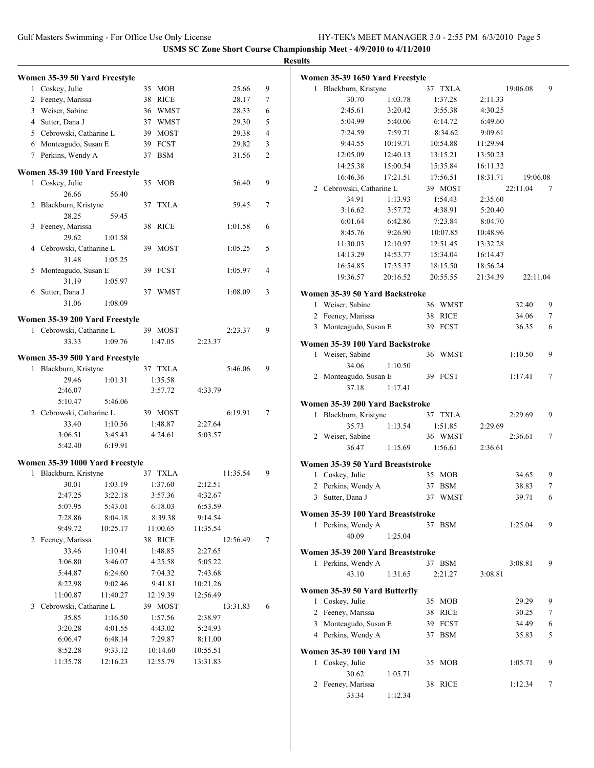|   |                                                            |          |          |          |                | <b>Results</b>                    |          |          |          |          |                |
|---|------------------------------------------------------------|----------|----------|----------|----------------|-----------------------------------|----------|----------|----------|----------|----------------|
|   | Women 35-39 50 Yard Freestyle                              |          |          |          |                | Women 35-39 1650 Yard Freestyle   |          |          |          |          |                |
|   | 1 Coskey, Julie                                            |          | 35 MOB   | 25.66    | 9              | 1 Blackburn, Kristyne             |          | 37 TXLA  |          | 19:06.08 | 9              |
|   | 2 Feeney, Marissa                                          |          | 38 RICE  | 28.17    | $\tau$         | 30.70                             | 1:03.78  | 1:37.28  | 2:11.33  |          |                |
|   | 3 Weiser, Sabine                                           |          | 36 WMST  | 28.33    | 6              | 2:45.61                           | 3:20.42  | 3:55.38  | 4:30.25  |          |                |
| 4 | Sutter, Dana J                                             |          | 37 WMST  | 29.30    | 5              | 5:04.99                           | 5:40.06  | 6:14.72  | 6:49.60  |          |                |
|   | 5 Cebrowski, Catharine L                                   |          | 39 MOST  | 29.38    | $\overline{4}$ | 7:24.59                           | 7:59.71  | 8:34.62  | 9:09.61  |          |                |
|   | 6 Monteagudo, Susan E                                      |          | 39 FCST  | 29.82    | 3              | 9:44.55                           | 10:19.71 | 10:54.88 | 11:29.94 |          |                |
|   | 7 Perkins, Wendy A                                         |          | 37 BSM   | 31.56    | 2              | 12:05.09                          | 12:40.13 | 13:15.21 | 13:50.23 |          |                |
|   |                                                            |          |          |          |                | 14:25.38                          | 15:00.54 | 15:35.84 | 16:11.32 |          |                |
|   | Women 35-39 100 Yard Freestyle<br>1 Coskey, Julie          |          | 35 MOB   | 56.40    | 9              | 16:46.36                          | 17:21.51 | 17:56.51 | 18:31.71 | 19:06.08 |                |
|   | 26.66                                                      | 56.40    |          |          |                | 2 Cebrowski, Catharine L          |          | 39 MOST  |          | 22:11.04 | 7              |
|   | 2 Blackburn, Kristyne                                      |          | 37 TXLA  | 59.45    | 7              | 34.91                             | 1:13.93  | 1:54.43  | 2:35.60  |          |                |
|   | 28.25                                                      | 59.45    |          |          |                | 3:16.62                           | 3:57.72  | 4:38.91  | 5:20.40  |          |                |
|   | 3 Feeney, Marissa                                          |          | 38 RICE  | 1:01.58  | 6              | 6:01.64                           | 6:42.86  | 7:23.84  | 8:04.70  |          |                |
|   | 29.62                                                      | 1:01.58  |          |          |                | 8:45.76                           | 9:26.90  | 10:07.85 | 10:48.96 |          |                |
|   | 4 Cebrowski, Catharine L                                   |          | 39 MOST  | 1:05.25  | 5              | 11:30.03                          | 12:10.97 | 12:51.45 | 13:32.28 |          |                |
|   | 31.48                                                      | 1:05.25  |          |          |                | 14:13.29                          | 14:53.77 | 15:34.04 | 16:14.47 |          |                |
|   | 5 Monteagudo, Susan E                                      |          | 39 FCST  | 1:05.97  | 4              | 16:54.85                          | 17:35.37 | 18:15.50 | 18:56.24 |          |                |
|   | 31.19                                                      | 1:05.97  |          |          |                | 19:36.57                          | 20:16.52 | 20:55.55 | 21:34.39 | 22:11.04 |                |
|   | 6 Sutter, Dana J                                           |          | 37 WMST  | 1:08.09  | 3              | Women 35-39 50 Yard Backstroke    |          |          |          |          |                |
|   | 31.06                                                      | 1:08.09  |          |          |                | 1 Weiser, Sabine                  |          | 36 WMST  |          | 32.40    | 9              |
|   |                                                            |          |          |          |                | 2 Feeney, Marissa                 |          | 38 RICE  |          | 34.06    | $\tau$         |
|   | Women 35-39 200 Yard Freestyle<br>1 Cebrowski, Catharine L |          | 39 MOST  | 2:23.37  | 9              | 3 Monteagudo, Susan E             |          | 39 FCST  |          | 36.35    | 6              |
|   | 33.33                                                      | 1:09.76  | 1:47.05  | 2:23.37  |                |                                   |          |          |          |          |                |
|   |                                                            |          |          |          |                | Women 35-39 100 Yard Backstroke   |          |          |          |          |                |
|   | Women 35-39 500 Yard Freestyle                             |          |          |          |                | 1 Weiser, Sabine                  |          | 36 WMST  |          | 1:10.50  | 9              |
|   | 1 Blackburn, Kristyne                                      |          | 37 TXLA  | 5:46.06  | 9              | 34.06                             | 1:10.50  | 39 FCST  |          |          | $\tau$         |
|   | 29.46                                                      | 1:01.31  | 1:35.58  |          |                | 2 Monteagudo, Susan E<br>37.18    | 1:17.41  |          |          | 1:17.41  |                |
|   | 2:46.07                                                    |          | 3:57.72  | 4:33.79  |                |                                   |          |          |          |          |                |
|   | 5:10.47                                                    | 5:46.06  |          |          |                | Women 35-39 200 Yard Backstroke   |          |          |          |          |                |
|   | 2 Cebrowski, Catharine L                                   |          | 39 MOST  | 6:19.91  | $\tau$         | 1 Blackburn, Kristyne             |          | 37 TXLA  |          | 2:29.69  | 9              |
|   | 33.40                                                      | 1:10.56  | 1:48.87  | 2:27.64  |                | 35.73                             | 1:13.54  | 1:51.85  | 2:29.69  |          |                |
|   | 3:06.51                                                    | 3:45.43  | 4:24.61  | 5:03.57  |                | 2 Weiser, Sabine                  |          | 36 WMST  |          | 2:36.61  | $\overline{7}$ |
|   | 5:42.40                                                    | 6:19.91  |          |          |                | 36.47                             | 1:15.69  | 1:56.61  | 2:36.61  |          |                |
|   | Women 35-39 1000 Yard Freestyle                            |          |          |          |                | Women 35-39 50 Yard Breaststroke  |          |          |          |          |                |
|   | Blackburn, Kristyne                                        |          | 37 TXLA  | 11:35.54 | 9              | 1 Coskey, Julie                   |          | 35 MOB   |          | 34.65    | 9              |
|   | 30.01                                                      | 1:03.19  | 1:37.60  | 2:12.51  |                | 2 Perkins, Wendy A                |          | 37 BSM   |          | 38.83    | $\tau$         |
|   | 2:47.25                                                    | 3:22.18  | 3:57.36  | 4:32.67  |                | 3 Sutter, Dana J                  |          | 37 WMST  |          | 39.71    | 6              |
|   | 5:07.95                                                    | 5:43.01  | 6:18.03  | 6:53.59  |                |                                   |          |          |          |          |                |
|   | 7:28.86                                                    | 8:04.18  | 8:39.38  | 9:14.54  |                | Women 35-39 100 Yard Breaststroke |          |          |          |          |                |
|   | 9:49.72                                                    | 10:25.17 | 11:00.65 | 11:35.54 |                | 1 Perkins, Wendy A                |          | 37 BSM   |          | 1:25.04  | 9              |
|   | 2 Feeney, Marissa                                          |          | 38 RICE  | 12:56.49 | 7              | 40.09                             | 1:25.04  |          |          |          |                |
|   | 33.46                                                      | 1:10.41  | 1:48.85  | 2:27.65  |                | Women 35-39 200 Yard Breaststroke |          |          |          |          |                |
|   | 3:06.80                                                    | 3:46.07  | 4:25.58  | 5:05.22  |                | 1 Perkins, Wendy A                |          | 37 BSM   |          | 3:08.81  | 9              |
|   | 5:44.87                                                    | 6:24.60  | 7:04.32  | 7:43.68  |                | 43.10                             | 1:31.65  | 2:21.27  | 3:08.81  |          |                |
|   | 8:22.98                                                    | 9:02.46  | 9:41.81  | 10:21.26 |                | Women 35-39 50 Yard Butterfly     |          |          |          |          |                |
|   | 11:00.87                                                   | 11:40.27 | 12:19.39 | 12:56.49 |                | 1 Coskey, Julie                   |          | 35 MOB   |          | 29.29    | 9              |
|   | 3 Cebrowski, Catharine L                                   |          | 39 MOST  | 13:31.83 | 6              | 2 Feeney, Marissa                 |          | 38 RICE  |          | 30.25    | 7              |
|   | 35.85                                                      | 1:16.50  | 1:57.56  | 2:38.97  |                | 3 Monteagudo, Susan E             |          | 39 FCST  |          | 34.49    | 6              |
|   | 3:20.28                                                    | 4:01.55  | 4:43.02  | 5:24.93  |                | 4 Perkins, Wendy A                |          | 37 BSM   |          | 35.83    | 5              |
|   | 6:06.47                                                    | 6:48.14  | 7:29.87  | 8:11.00  |                |                                   |          |          |          |          |                |
|   | 8:52.28                                                    | 9:33.12  | 10:14.60 | 10:55.51 |                | Women 35-39 100 Yard IM           |          |          |          |          |                |
|   | 11:35.78                                                   | 12:16.23 | 12:55.79 | 13:31.83 |                | 1 Coskey, Julie                   |          | 35 MOB   |          | 1:05.71  | 9              |
|   |                                                            |          |          |          |                | 30.62                             | 1:05.71  |          |          |          |                |
|   |                                                            |          |          |          |                | 2 Feeney, Marissa                 |          | 38 RICE  |          | 1:12.34  | $\tau$         |
|   |                                                            |          |          |          |                | 33.34                             | 1:12.34  |          |          |          |                |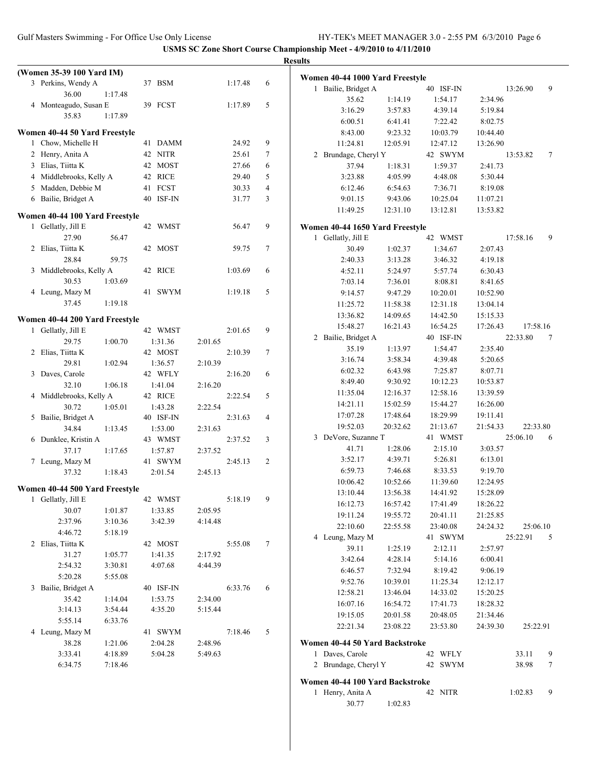|                                |         |           |         |         |                | <b>Results</b>                  |                      |                      |                      |          |        |
|--------------------------------|---------|-----------|---------|---------|----------------|---------------------------------|----------------------|----------------------|----------------------|----------|--------|
| (Women 35-39 100 Yard IM)      |         |           |         |         |                | Women 40-44 1000 Yard Freestyle |                      |                      |                      |          |        |
| 3 Perkins, Wendy A             |         | 37 BSM    |         | 1:17.48 | 6              | 1 Bailie, Bridget A             |                      | 40 ISF-IN            |                      | 13:26.90 | 9      |
| 36.00                          | 1:17.48 |           |         |         |                | 35.62                           | 1:14.19              | 1:54.17              | 2:34.96              |          |        |
| 4 Monteagudo, Susan E          |         | 39 FCST   |         | 1:17.89 | 5              | 3:16.29                         | 3:57.83              | 4:39.14              | 5:19.84              |          |        |
| 35.83                          | 1:17.89 |           |         |         |                | 6:00.51                         | 6:41.41              | 7:22.42              | 8:02.75              |          |        |
| Women 40-44 50 Yard Freestyle  |         |           |         |         |                | 8:43.00                         | 9:23.32              | 10:03.79             | 10:44.40             |          |        |
| 1 Chow, Michelle H             |         | 41 DAMM   |         | 24.92   | 9              | 11:24.81                        | 12:05.91             | 12:47.12             | 13:26.90             |          |        |
| 2 Henry, Anita A               |         | 42 NITR   |         | 25.61   | 7              | 2 Brundage, Cheryl Y            |                      | 42 SWYM              |                      | 13:53.82 | 7      |
| 3 Elias, Tiitta K              |         | 42 MOST   |         | 27.66   | 6              | 37.94                           | 1:18.31              | 1:59.37              | 2:41.73              |          |        |
| 4 Middlebrooks, Kelly A        |         | 42 RICE   |         | 29.40   | 5              | 3:23.88                         | 4:05.99              | 4:48.08              | 5:30.44              |          |        |
| 5 Madden, Debbie M             |         | 41 FCST   |         | 30.33   | $\overline{4}$ | 6:12.46                         | 6:54.63              | 7:36.71              | 8:19.08              |          |        |
| 6 Bailie, Bridget A            |         | 40 ISF-IN |         | 31.77   | 3              | 9:01.15                         | 9:43.06              | 10:25.04             | 11:07.21             |          |        |
| Women 40-44 100 Yard Freestyle |         |           |         |         |                | 11:49.25                        | 12:31.10             | 13:12.81             | 13:53.82             |          |        |
| 1 Gellatly, Jill E             |         | 42 WMST   |         | 56.47   | 9              | Women 40-44 1650 Yard Freestyle |                      |                      |                      |          |        |
| 27.90                          | 56.47   |           |         |         |                | 1 Gellatly, Jill E              |                      | 42 WMST              |                      | 17:58.16 | 9      |
| 2 Elias, Tiitta K              |         | 42 MOST   |         | 59.75   | $\tau$         | 30.49                           | 1:02.37              | 1:34.67              | 2:07.43              |          |        |
| 28.84                          | 59.75   |           |         |         |                | 2:40.33                         | 3:13.28              | 3:46.32              | 4:19.18              |          |        |
| 3 Middlebrooks, Kelly A        |         | 42 RICE   |         | 1:03.69 | 6              | 4:52.11                         | 5:24.97              | 5:57.74              | 6:30.43              |          |        |
| 30.53                          | 1:03.69 |           |         |         |                | 7:03.14                         | 7:36.01              | 8:08.81              | 8:41.65              |          |        |
| 4 Leung, Mazy M                |         | 41 SWYM   |         | 1:19.18 | 5              | 9:14.57                         | 9:47.29              | 10:20.01             | 10:52.90             |          |        |
| 37.45                          | 1:19.18 |           |         |         |                | 11:25.72                        | 11:58.38             | 12:31.18             | 13:04.14             |          |        |
| Women 40-44 200 Yard Freestyle |         |           |         |         |                | 13:36.82                        | 14:09.65             | 14:42.50             | 15:15.33             |          |        |
| 1 Gellatly, Jill E             |         | 42 WMST   |         | 2:01.65 | 9              | 15:48.27                        | 16:21.43             | 16:54.25             | 17:26.43             | 17:58.16 |        |
| 29.75                          | 1:00.70 | 1:31.36   | 2:01.65 |         |                | 2 Bailie, Bridget A             |                      | 40 ISF-IN            |                      | 22:33.80 | 7      |
| 2 Elias, Tiitta K              |         | 42 MOST   |         | 2:10.39 | $\tau$         | 35.19                           | 1:13.97              | 1:54.47              | 2:35.40              |          |        |
| 29.81                          | 1:02.94 | 1:36.57   | 2:10.39 |         |                | 3:16.74                         | 3:58.34              | 4:39.48              | 5:20.65              |          |        |
| 3 Daves, Carole                |         | 42 WFLY   |         | 2:16.20 | 6              | 6:02.32                         | 6:43.98              | 7:25.87              | 8:07.71              |          |        |
| 32.10                          | 1:06.18 | 1:41.04   | 2:16.20 |         |                | 8:49.40                         | 9:30.92              | 10:12.23             | 10:53.87             |          |        |
| 4 Middlebrooks, Kelly A        |         | 42 RICE   |         | 2:22.54 | 5              | 11:35.04                        | 12:16.37             | 12:58.16             | 13:39.59             |          |        |
| 30.72                          | 1:05.01 | 1:43.28   | 2:22.54 |         |                | 14:21.11                        | 15:02.59             | 15:44.27             | 16:26.00             |          |        |
| 5 Bailie, Bridget A            |         | 40 ISF-IN |         | 2:31.63 | $\overline{4}$ | 17:07.28                        | 17:48.64             | 18:29.99             | 19:11.41             |          |        |
| 34.84                          | 1:13.45 | 1:53.00   | 2:31.63 |         |                | 19:52.03                        | 20:32.62             | 21:13.67             | 21:54.33             | 22:33.80 |        |
| 6 Dunklee, Kristin A           |         | 43 WMST   |         | 2:37.52 | 3              | 3 DeVore, Suzanne T             |                      | 41 WMST              |                      | 25:06.10 | 6      |
| 37.17                          | 1:17.65 | 1:57.87   | 2:37.52 |         |                | 41.71                           | 1:28.06              | 2:15.10              | 3:03.57              |          |        |
| 7 Leung, Mazy M                |         | 41 SWYM   |         | 2:45.13 | $\overline{c}$ | 3:52.17                         | 4:39.71              | 5:26.81              | 6:13.01              |          |        |
| 37.32                          | 1:18.43 | 2:01.54   | 2:45.13 |         |                | 6:59.73                         | 7:46.68              | 8:33.53              | 9:19.70              |          |        |
| Women 40-44 500 Yard Freestyle |         |           |         |         |                | 10:06.42                        | 10:52.66             | 11:39.60             | 12:24.95             |          |        |
| 1 Gellatly, Jill E             |         | 42 WMST   |         | 5:18.19 | 9              | 13:10.44<br>16:12.73            | 13:56.38<br>16:57.42 | 14:41.92<br>17:41.49 | 15:28.09<br>18:26.22 |          |        |
| 30.07                          | 1:01.87 | 1:33.85   | 2:05.95 |         |                | 19:11.24                        | 19:55.72             | 20:41.11             | 21:25.85             |          |        |
| 2:37.96                        | 3:10.36 | 3:42.39   | 4:14.48 |         |                | 22:10.60                        | 22:55.58             | 23:40.08             | 24:24.32             | 25:06.10 |        |
| 4:46.72                        | 5:18.19 |           |         |         |                | 4 Leung, Mazy M                 |                      | 41 SWYM              |                      | 25:22.91 | 5      |
| 2 Elias, Tiitta K              |         | 42 MOST   |         | 5:55.08 | $\tau$         | 39.11                           | 1:25.19              | 2:12.11              | 2:57.97              |          |        |
| 31.27                          | 1:05.77 | 1:41.35   | 2:17.92 |         |                | 3:42.64                         | 4:28.14              | 5:14.16              | 6:00.41              |          |        |
| 2:54.32                        | 3:30.81 | 4:07.68   | 4:44.39 |         |                | 6:46.57                         | 7:32.94              | 8:19.42              | 9:06.19              |          |        |
| 5:20.28                        | 5:55.08 |           |         |         |                | 9:52.76                         | 10:39.01             | 11:25.34             | 12:12.17             |          |        |
| 3 Bailie, Bridget A            |         | 40 ISF-IN |         | 6:33.76 | 6              | 12:58.21                        | 13:46.04             | 14:33.02             | 15:20.25             |          |        |
| 35.42                          | 1:14.04 | 1:53.75   | 2:34.00 |         |                | 16:07.16                        | 16:54.72             | 17:41.73             | 18:28.32             |          |        |
| 3:14.13                        | 3:54.44 | 4:35.20   | 5:15.44 |         |                | 19:15.05                        | 20:01.58             | 20:48.05             | 21:34.46             |          |        |
| 5:55.14                        | 6:33.76 |           |         |         |                | 22:21.34                        | 23:08.22             | 23:53.80             | 24:39.30             | 25:22.91 |        |
| 4 Leung, Mazy M                |         | 41 SWYM   |         | 7:18.46 | 5              |                                 |                      |                      |                      |          |        |
| 38.28                          | 1:21.06 | 2:04.28   | 2:48.96 |         |                | Women 40-44 50 Yard Backstroke  |                      |                      |                      |          |        |
| 3:33.41                        | 4:18.89 | 5:04.28   | 5:49.63 |         |                | 1 Daves, Carole                 |                      | 42 WFLY              |                      | 33.11    | 9      |
| 6:34.75                        | 7:18.46 |           |         |         |                | 2 Brundage, Cheryl Y            |                      | 42 SWYM              |                      | 38.98    | $\tau$ |
|                                |         |           |         |         |                | Women 40-44 100 Yard Backstroke |                      |                      |                      |          |        |
|                                |         |           |         |         |                | 1 Henry, Anita A                |                      | 42 NITR              |                      | 1:02.83  | 9      |
|                                |         |           |         |         |                | 30.77                           | 1:02.83              |                      |                      |          |        |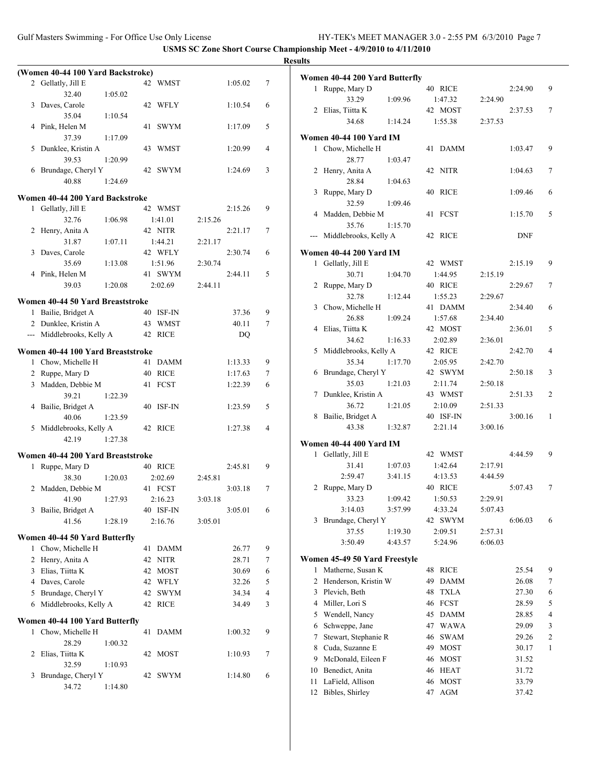|   |                                   |         |    |             |         |         |   | <b>Results</b> |
|---|-----------------------------------|---------|----|-------------|---------|---------|---|----------------|
|   | (Women 40-44 100 Yard Backstroke) |         |    |             |         |         |   | Wo             |
|   | 2 Gellatly, Jill E                |         |    | 42 WMST     |         | 1:05.02 | 7 |                |
|   | 32.40                             | 1:05.02 |    |             |         |         |   |                |
|   | 3 Daves, Carole                   |         |    | 42 WFLY     |         | 1:10.54 | 6 |                |
|   | 35.04                             | 1:10.54 |    |             |         |         |   |                |
|   | 4 Pink, Helen M                   |         | 41 | <b>SWYM</b> |         | 1:17.09 | 5 |                |
|   | 37.39                             | 1:17.09 |    |             |         |         |   | Wo             |
| 5 | Dunklee, Kristin A                |         | 43 | WMST        |         | 1:20.99 | 4 |                |
|   | 39.53                             | 1:20.99 |    |             |         |         |   |                |
|   | 6 Brundage, Cheryl Y              |         |    | 42 SWYM     |         | 1:24.69 | 3 |                |
|   | 40.88                             | 1:24.69 |    |             |         |         |   |                |
|   | Women 40-44 200 Yard Backstroke   |         |    |             |         |         |   |                |
|   | 1 Gellatly, Jill E                |         |    | 42 WMST     |         | 2:15.26 | 9 |                |
|   | 32.76                             | 1:06.98 |    | 1:41.01     | 2:15.26 |         |   |                |
|   | 2 Henry, Anita A                  |         |    | 42 NITR     |         | 2:21.17 | 7 |                |
|   | 31.87                             | 1:07.11 |    | 1:44.21     | 2:21.17 |         |   |                |
| 3 | Daves, Carole                     |         |    | 42 WFLY     |         | 2:30.74 | 6 | Wo             |
|   | 35.69                             | 1:13.08 |    | 1:51.96     | 2:30.74 |         |   |                |
|   | 4 Pink, Helen M                   |         |    | 41 SWYM     |         | 2:44.11 | 5 |                |
|   | 39.03                             | 1:20.08 |    | 2:02.69     | 2:44.11 |         |   |                |
|   |                                   |         |    |             |         |         |   |                |
|   | Women 40-44 50 Yard Breaststroke  |         |    |             |         |         |   |                |
|   | 1 Bailie, Bridget A               |         |    | 40 ISF-IN   |         | 37.36   | 9 |                |
|   | 2 Dunklee, Kristin A              |         |    | 43 WMST     |         | 40.11   | 7 |                |
|   | --- Middlebrooks, Kelly A         |         |    | 42 RICE     |         | DQ      |   |                |
|   | Women 40-44 100 Yard Breaststroke |         |    |             |         |         |   |                |
|   | 1 Chow, Michelle H                |         |    | 41 DAMM     |         | 1:13.33 | 9 |                |
|   | 2 Ruppe, Mary D                   |         |    | 40 RICE     |         | 1:17.63 | 7 |                |
|   | 3 Madden, Debbie M                |         |    | 41 FCST     |         | 1:22.39 | 6 |                |
|   | 39.21                             | 1:22.39 |    |             |         |         |   |                |
|   | 4 Bailie, Bridget A               |         |    | 40 ISF-IN   |         | 1:23.59 | 5 |                |
|   | 40.06                             | 1:23.59 |    |             |         |         |   |                |
| 5 | Middlebrooks, Kelly A             |         |    | 42 RICE     |         | 1:27.38 | 4 |                |
|   | 42.19                             | 1:27.38 |    |             |         |         |   | Wo             |
|   | Women 40-44 200 Yard Breaststroke |         |    |             |         |         |   |                |
|   | 1 Ruppe, Mary D                   |         |    | 40 RICE     |         | 2:45.81 | 9 |                |
|   | 38.30                             | 1:20.03 |    | 2:02.69     | 2:45.81 |         |   |                |
| 2 | Madden, Debbie M                  |         |    | 41 FCST     |         | 3:03.18 | 7 |                |
|   | 41.90                             | 1:27.93 |    | 2:16.23     | 3:03.18 |         |   |                |
| 3 | Bailie, Bridget A                 |         |    | 40 ISF-IN   |         | 3:05.01 | 6 |                |
|   | 41.56                             | 1:28.19 |    | 2:16.76     | 3:05.01 |         |   |                |
|   |                                   |         |    |             |         |         |   |                |
|   | Women 40-44 50 Yard Butterfly     |         |    |             |         |         |   |                |
|   | 1 Chow, Michelle H                |         |    | 41 DAMM     |         | 26.77   | 9 |                |
|   | 2 Henry, Anita A                  |         |    | 42 NITR     |         | 28.71   | 7 | Wо             |
|   | 3 Elias, Tiitta K                 |         |    | 42 MOST     |         | 30.69   | 6 |                |
|   | 4 Daves, Carole                   |         |    | 42 WFLY     |         | 32.26   | 5 |                |
|   | 5 Brundage, Cheryl Y              |         | 42 | <b>SWYM</b> |         | 34.34   | 4 |                |
|   | 6 Middlebrooks, Kelly A           |         |    | 42 RICE     |         | 34.49   | 3 |                |
|   | Women 40-44 100 Yard Butterfly    |         |    |             |         |         |   |                |
|   | 1 Chow, Michelle H                |         | 41 | DAMM        |         | 1:00.32 | 9 |                |
|   | 28.29                             | 1:00.32 |    |             |         |         |   |                |
|   | 2 Elias, Tiitta K                 |         |    | 42 MOST     |         | 1:10.93 | 7 |                |
|   | 32.59                             | 1:10.93 |    |             |         |         |   |                |
|   | 3 Brundage, Cheryl Y              |         |    | 42 SWYM     |         | 1:14.80 | 6 |                |
|   | 34.72                             | 1:14.80 |    |             |         |         |   |                |

|              | Women 40-44 200 Yard Butterfly                     |         |          |                     |         |                |        |
|--------------|----------------------------------------------------|---------|----------|---------------------|---------|----------------|--------|
| 1            | Ruppe, Mary D                                      |         |          | 40 RICE             |         | 2:24.90        | 9      |
|              | 33.29                                              | 1:09.96 |          | 1:47.32             | 2:24.90 |                |        |
|              | 2 Elias, Tiitta K                                  |         |          | 42 MOST             |         | 2:37.53        | 7      |
|              | 34.68                                              | 1:14.24 |          | 1:55.38             | 2:37.53 |                |        |
|              | Women 40-44 100 Yard IM                            |         |          |                     |         |                |        |
| $\mathbf{1}$ | Chow, Michelle H                                   |         |          | 41 DAMM             |         | 1:03.47        | 9      |
|              | 28.77                                              | 1:03.47 |          |                     |         |                |        |
| 2            | Henry, Anita A                                     |         | 42       | NITR                |         | 1:04.63        | 7      |
|              | 28.84                                              | 1:04.63 |          |                     |         |                |        |
| 3            | Ruppe, Mary D                                      |         |          | 40 RICE             |         | 1:09.46        | 6      |
|              | 32.59                                              | 1:09.46 |          |                     |         |                |        |
| 4            | Madden, Debbie M                                   |         | 41       | <b>FCST</b>         |         | 1:15.70        | 5      |
|              | 35.76                                              | 1:15.70 |          |                     |         |                |        |
|              | Middlebrooks, Kelly A                              |         |          | 42 RICE             |         | <b>DNF</b>     |        |
|              |                                                    |         |          |                     |         |                |        |
| 1            | Women 40-44 200 Yard IM<br>Gellatly, Jill E        |         |          | 42 WMST             |         | 2:15.19        | 9      |
|              | 30.71                                              | 1:04.70 |          | 1:44.95             | 2:15.19 |                |        |
|              | 2 Ruppe, Mary D                                    |         |          | 40 RICE             |         | 2:29.67        | 7      |
|              | 32.78                                              | 1:12.44 |          | 1:55.23             | 2:29.67 |                |        |
|              | 3 Chow, Michelle H                                 |         |          | 41 DAMM             |         | 2:34.40        | 6      |
|              | 26.88                                              | 1:09.24 |          | 1:57.68             | 2:34.40 |                |        |
| 4            | Elias, Tiitta K                                    |         |          | 42 MOST             |         | 2:36.01        | 5      |
|              | 34.62                                              | 1:16.33 |          | 2:02.89             | 2:36.01 |                |        |
|              | 5 Middlebrooks, Kelly A                            |         |          | 42 RICE             |         | 2:42.70        | 4      |
|              | 35.34                                              | 1:17.70 |          | 2:05.95             | 2:42.70 |                |        |
| 6            | Brundage, Cheryl Y                                 |         |          | 42 SWYM             |         | 2:50.18        | 3      |
|              | 35.03                                              | 1:21.03 |          | 2:11.74             | 2:50.18 |                |        |
|              | 7 Dunklee, Kristin A                               |         |          | 43 WMST             |         | 2:51.33        | 2      |
|              | 36.72                                              | 1:21.05 |          | 2:10.09             | 2:51.33 |                |        |
| 8            | Bailie, Bridget A                                  |         |          | 40 ISF-IN           |         | 3:00.16        | 1      |
|              | 43.38                                              | 1:32.87 |          | 2:21.14             | 3:00.16 |                |        |
|              | Women 40-44 400 Yard IM                            |         |          |                     |         |                |        |
| 1            | Gellatly, Jill E                                   |         |          | 42 WMST             |         | 4:44.59        | 9      |
|              | 31.41                                              | 1:07.03 |          | 1:42.64             | 2:17.91 |                |        |
|              | 2:59.47                                            | 3:41.15 |          | 4:13.53             | 4:44.59 |                |        |
| 2            | Ruppe, Mary D                                      |         |          | 40 RICE             |         | 5:07.43        | 7      |
|              | 33.23                                              | 1:09.42 |          | 1:50.53             | 2:29.91 |                |        |
|              | 3:14.03                                            | 3:57.99 |          | 4:33.24             | 5:07.43 |                |        |
| 3            | Brundage, Cheryl Y                                 |         | 42       | <b>SWYM</b>         |         | 6:06.03        | 6      |
|              | 37.55                                              | 1:19.30 |          | 2:09.51             | 2:57.31 |                |        |
|              | 3:50.49                                            | 4:43.57 |          | 5:24.96             | 6:06.03 |                |        |
|              |                                                    |         |          |                     |         |                |        |
| 1            | Women 45-49 50 Yard Freestyle<br>Matherne, Susan K |         |          |                     |         |                |        |
| 2            | Henderson, Kristin W                               |         | 48<br>49 | RICE<br><b>DAMM</b> |         | 25.54<br>26.08 | 9<br>7 |
| 3            | Plevich, Beth                                      |         | 48       | <b>TXLA</b>         |         | 27.30          | 6      |
| 4            | Miller, Lori S                                     |         | 46       | <b>FCST</b>         |         | 28.59          | 5      |
| 5            | Wendell, Nancy                                     |         | 45       | DAMM                |         | 28.85          | 4      |
| 6            | Schweppe, Jane                                     |         | 47       | <b>WAWA</b>         |         | 29.09          | 3      |
| 7            | Stewart, Stephanie R                               |         | 46       | <b>SWAM</b>         |         | 29.26          | 2      |
| 8            | Cuda, Suzanne E                                    |         | 49       | MOST                |         | 30.17          | 1      |
| 9            | McDonald, Eileen F                                 |         | 46       | MOST                |         | 31.52          |        |
| 10           | Benedict, Anita                                    |         | 46       | HEAT                |         | 31.72          |        |
| 11           | LaField, Allison                                   |         | 46       | MOST                |         | 33.79          |        |
| 12           | Bibles, Shirley                                    |         | 47       | AGM                 |         | 37.42          |        |
|              |                                                    |         |          |                     |         |                |        |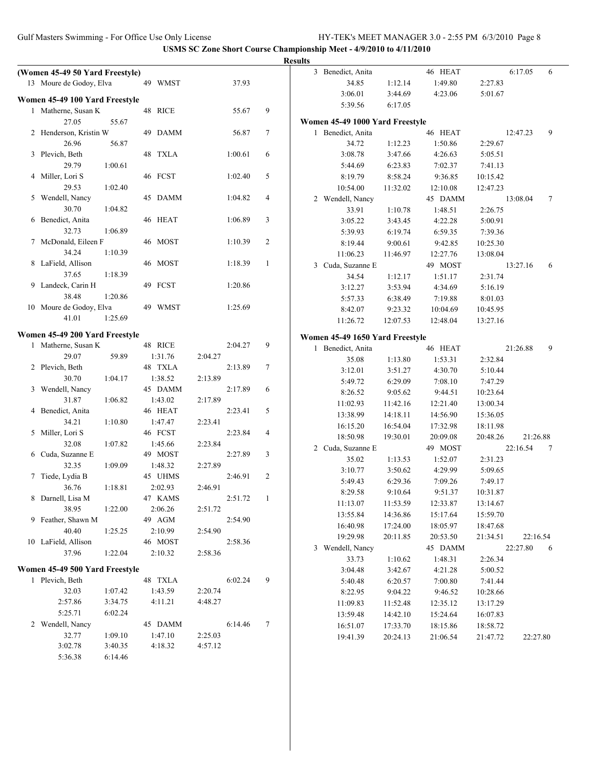|                                                       |         |         |         |         |        | <b>Results</b> |                                 |                      |                      |                      |          |   |
|-------------------------------------------------------|---------|---------|---------|---------|--------|----------------|---------------------------------|----------------------|----------------------|----------------------|----------|---|
| (Women 45-49 50 Yard Freestyle)                       |         |         |         |         |        |                | 3 Benedict, Anita               |                      | 46 HEAT              |                      | 6:17.05  | 6 |
| 13 Moure de Godoy, Elva                               |         | 49 WMST |         | 37.93   |        |                | 34.85                           | 1:12.14              | 1:49.80              | 2:27.83              |          |   |
|                                                       |         |         |         |         |        |                | 3:06.01                         | 3:44.69              | 4:23.06              | 5:01.67              |          |   |
| Women 45-49 100 Yard Freestyle<br>1 Matherne, Susan K |         | 48 RICE |         |         | 9      |                | 5:39.56                         | 6:17.05              |                      |                      |          |   |
| 27.05                                                 | 55.67   |         |         | 55.67   |        |                | Women 45-49 1000 Yard Freestyle |                      |                      |                      |          |   |
| 2 Henderson, Kristin W                                |         | 49 DAMM |         | 56.87   | $\tau$ |                | 1 Benedict, Anita               |                      | 46 HEAT              |                      | 12:47.23 | 9 |
| 26.96                                                 | 56.87   |         |         |         |        |                | 34.72                           | 1:12.23              | 1:50.86              | 2:29.67              |          |   |
| 3 Plevich, Beth                                       |         | 48 TXLA |         | 1:00.61 | 6      |                | 3:08.78                         | 3:47.66              | 4:26.63              | 5:05.51              |          |   |
| 29.79                                                 | 1:00.61 |         |         |         |        |                | 5:44.69                         | 6:23.83              | 7:02.37              | 7:41.13              |          |   |
| 4 Miller, Lori S                                      |         | 46 FCST |         | 1:02.40 | 5      |                | 8:19.79                         | 8:58.24              | 9:36.85              | 10:15.42             |          |   |
| 29.53                                                 | 1:02.40 |         |         |         |        |                | 10:54.00                        | 11:32.02             | 12:10.08             | 12:47.23             |          |   |
| 5 Wendell, Nancy                                      |         | 45 DAMM |         | 1:04.82 | 4      |                | 2 Wendell, Nancy                |                      | 45 DAMM              |                      | 13:08.04 | 7 |
| 30.70                                                 | 1:04.82 |         |         |         |        |                | 33.91                           | 1:10.78              | 1:48.51              | 2:26.75              |          |   |
| 6 Benedict, Anita                                     |         | 46 HEAT |         | 1:06.89 | 3      |                | 3:05.22                         | 3:43.45              | 4:22.28              | 5:00.91              |          |   |
| 32.73                                                 | 1:06.89 |         |         |         |        |                | 5:39.93                         | 6:19.74              | 6:59.35              | 7:39.36              |          |   |
| 7 McDonald, Eileen F                                  |         | 46 MOST |         | 1:10.39 | 2      |                | 8:19.44                         | 9:00.61              | 9:42.85              | 10:25.30             |          |   |
| 34.24                                                 | 1:10.39 |         |         |         |        |                | 11:06.23                        | 11:46.97             | 12:27.76             | 13:08.04             |          |   |
| 8 LaField, Allison                                    |         | 46 MOST |         | 1:18.39 | -1     |                | 3 Cuda, Suzanne E               |                      | 49 MOST              |                      | 13:27.16 | 6 |
| 37.65                                                 | 1:18.39 |         |         |         |        |                | 34.54                           | 1:12.17              | 1:51.17              | 2:31.74              |          |   |
| 9 Landeck, Carin H                                    |         | 49 FCST |         | 1:20.86 |        |                | 3:12.27                         | 3:53.94              | 4:34.69              | 5:16.19              |          |   |
| 38.48                                                 | 1:20.86 |         |         |         |        |                | 5:57.33                         | 6:38.49              | 7:19.88              | 8:01.03              |          |   |
| 10 Moure de Godoy, Elva                               |         | 49 WMST |         | 1:25.69 |        |                | 8:42.07                         | 9:23.32              | 10:04.69             | 10:45.95             |          |   |
| 41.01                                                 | 1:25.69 |         |         |         |        |                | 11:26.72                        | 12:07.53             | 12:48.04             | 13:27.16             |          |   |
|                                                       |         |         |         |         |        |                |                                 |                      |                      |                      |          |   |
| Women 45-49 200 Yard Freestyle<br>1 Matherne, Susan K |         | 48 RICE |         | 2:04.27 | 9      |                | Women 45-49 1650 Yard Freestyle |                      |                      |                      |          |   |
| 29.07                                                 | 59.89   | 1:31.76 | 2:04.27 |         |        |                | 1 Benedict, Anita               |                      | 46 HEAT              |                      | 21:26.88 | 9 |
| 2 Plevich, Beth                                       |         | 48 TXLA |         | 2:13.89 | $\tau$ |                | 35.08                           | 1:13.80              | 1:53.31              | 2:32.84              |          |   |
| 30.70                                                 | 1:04.17 | 1:38.52 | 2:13.89 |         |        |                | 3:12.01                         | 3:51.27              | 4:30.70              | 5:10.44              |          |   |
| 3 Wendell, Nancy                                      |         | 45 DAMM |         | 2:17.89 | 6      |                | 5:49.72                         | 6:29.09              | 7:08.10              | 7:47.29              |          |   |
| 31.87                                                 | 1:06.82 | 1:43.02 | 2:17.89 |         |        |                | 8:26.52                         | 9:05.62              | 9:44.51              | 10:23.64             |          |   |
| 4 Benedict, Anita                                     |         | 46 HEAT |         | 2:23.41 | 5      |                | 11:02.93                        | 11:42.16             | 12:21.40             | 13:00.34             |          |   |
| 34.21                                                 | 1:10.80 | 1:47.47 | 2:23.41 |         |        |                | 13:38.99                        | 14:18.11             | 14:56.90             | 15:36.05             |          |   |
| 5 Miller, Lori S                                      |         | 46 FCST |         | 2:23.84 | 4      |                | 16:15.20                        | 16:54.04             | 17:32.98             | 18:11.98             |          |   |
| 32.08                                                 | 1:07.82 | 1:45.66 | 2:23.84 |         |        |                | 18:50.98                        | 19:30.01             | 20:09.08             | 20:48.26             | 21:26.88 |   |
| 6 Cuda, Suzanne E                                     |         | 49 MOST |         | 2:27.89 | 3      |                | 2 Cuda, Suzanne E               |                      | 49 MOST              |                      | 22:16.54 | 7 |
| 32.35                                                 | 1:09.09 | 1:48.32 | 2:27.89 |         |        |                | 35.02                           | 1:13.53              | 1:52.07              | 2:31.23              |          |   |
| 7 Tiede, Lydia B                                      |         | 45 UHMS |         | 2:46.91 | 2      |                | 3:10.77                         | 3:50.62              | 4:29.99              | 5:09.65              |          |   |
| 36.76                                                 | 1:18.81 | 2:02.93 | 2:46.91 |         |        |                | 5:49.43                         | 6:29.36              | 7:09.26              | 7:49.17              |          |   |
| 8 Darnell, Lisa M                                     |         | 47 KAMS |         | 2:51.72 | - 1    |                | 8:29.58                         | 9:10.64              | 9:51.37              | 10:31.87             |          |   |
| 38.95                                                 | 1:22.00 | 2:06.26 | 2:51.72 |         |        |                | 11:13.07                        | 11:53.59             | 12:33.87             | 13:14.67             |          |   |
| 9 Feather, Shawn M                                    |         | 49 AGM  |         | 2:54.90 |        |                | 13:55.84<br>16:40.98            | 14:36.86<br>17:24.00 | 15:17.64<br>18:05.97 | 15:59.70             |          |   |
| 40.40                                                 | 1:25.25 | 2:10.99 | 2:54.90 |         |        |                | 19:29.98                        | 20:11.85             | 20:53.50             | 18:47.68<br>21:34.51 | 22:16.54 |   |
| 10 LaField, Allison                                   |         | 46 MOST |         | 2:58.36 |        |                | 3 Wendell, Nancy                |                      | 45 DAMM              |                      | 22:27.80 | 6 |
| 37.96                                                 | 1:22.04 | 2:10.32 | 2:58.36 |         |        |                | 33.73                           | 1:10.62              | 1:48.31              | 2:26.34              |          |   |
| Women 45-49 500 Yard Freestyle                        |         |         |         |         |        |                | 3:04.48                         | 3:42.67              | 4:21.28              | 5:00.52              |          |   |
| 1 Plevich, Beth                                       |         | 48 TXLA |         | 6:02.24 | 9      |                | 5:40.48                         | 6:20.57              | 7:00.80              | 7:41.44              |          |   |
| 32.03                                                 | 1:07.42 | 1:43.59 | 2:20.74 |         |        |                | 8:22.95                         | 9:04.22              | 9:46.52              | 10:28.66             |          |   |
| 2:57.86                                               | 3:34.75 | 4:11.21 | 4:48.27 |         |        |                | 11:09.83                        | 11:52.48             | 12:35.12             | 13:17.29             |          |   |
| 5:25.71                                               | 6:02.24 |         |         |         |        |                | 13:59.48                        | 14:42.10             | 15:24.64             | 16:07.83             |          |   |
| 2 Wendell, Nancy                                      |         | 45 DAMM |         | 6:14.46 | 7      |                | 16:51.07                        | 17:33.70             | 18:15.86             | 18:58.72             |          |   |
| 32.77                                                 | 1:09.10 | 1:47.10 | 2:25.03 |         |        |                | 19:41.39                        | 20:24.13             | 21:06.54             | 21:47.72             | 22:27.80 |   |
| 3:02.78                                               | 3:40.35 | 4:18.32 | 4:57.12 |         |        |                |                                 |                      |                      |                      |          |   |
| 5:36.38                                               | 6:14.46 |         |         |         |        |                |                                 |                      |                      |                      |          |   |
|                                                       |         |         |         |         |        |                |                                 |                      |                      |                      |          |   |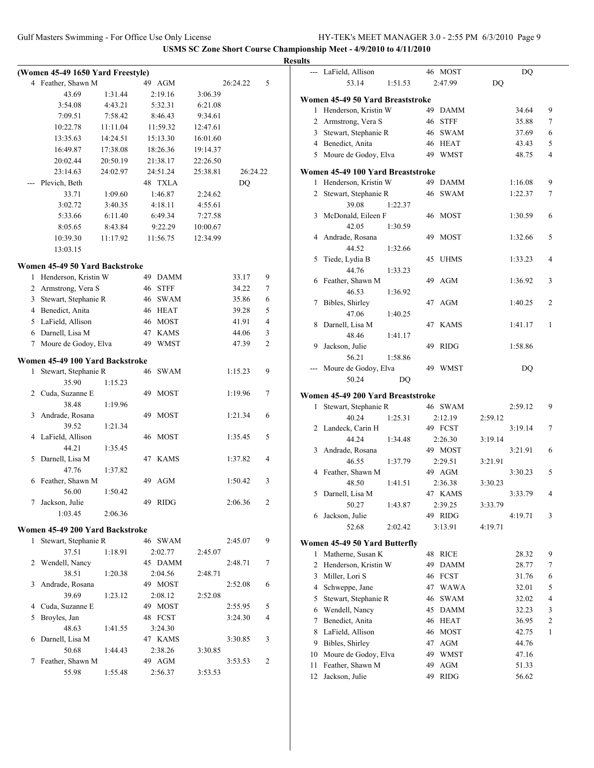|   |                                   |          |    |             |          |           |                | <b>Results</b> |
|---|-----------------------------------|----------|----|-------------|----------|-----------|----------------|----------------|
|   | (Women 45-49 1650 Yard Freestyle) |          |    |             |          |           |                |                |
|   | 4 Feather, Shawn M                |          |    | 49 AGM      |          | 26:24.22  | 5              |                |
|   | 43.69                             | 1:31.44  |    | 2:19.16     | 3:06.39  |           |                |                |
|   | 3:54.08                           | 4:43.21  |    | 5:32.31     | 6:21.08  |           |                | W <sub>0</sub> |
|   | 7:09.51                           | 7:58.42  |    | 8:46.43     | 9:34.61  |           |                |                |
|   | 10:22.78                          | 11:11.04 |    | 11:59.32    | 12:47.61 |           |                |                |
|   | 13:35.63                          | 14:24.51 |    | 15:13.30    | 16:01.60 |           |                |                |
|   | 16:49.87                          | 17:38.08 |    | 18:26.36    | 19:14.37 |           |                |                |
|   | 20:02.44                          | 20:50.19 |    | 21:38.17    | 22:26.50 |           |                |                |
|   | 23:14.63                          | 24:02.97 |    | 24:51.24    | 25:38.81 | 26:24.22  |                | Wo             |
|   | Plevich, Beth                     |          |    | 48 TXLA     |          | <b>DQ</b> |                |                |
|   | 33.71                             | 1:09.60  |    | 1:46.87     | 2:24.62  |           |                |                |
|   | 3:02.72                           | 3:40.35  |    | 4:18.11     | 4:55.61  |           |                |                |
|   | 5:33.66                           | 6:11.40  |    | 6:49.34     | 7:27.58  |           |                |                |
|   | 8:05.65                           | 8:43.84  |    | 9:22.29     | 10:00.67 |           |                |                |
|   | 10:39.30                          | 11:17.92 |    | 11:56.75    | 12:34.99 |           |                |                |
|   | 13:03.15                          |          |    |             |          |           |                |                |
|   |                                   |          |    |             |          |           |                |                |
|   | Women 45-49 50 Yard Backstroke    |          |    |             |          |           |                |                |
| 1 | Henderson, Kristin W              |          |    | 49 DAMM     |          | 33.17     | 9              |                |
|   | 2 Armstrong, Vera S               |          |    | 46 STFF     |          | 34.22     | 7              |                |
|   | 3 Stewart, Stephanie R            |          |    | 46 SWAM     |          | 35.86     | 6              |                |
|   | 4 Benedict, Anita                 |          |    | 46 HEAT     |          | 39.28     | 5              |                |
|   | 5 LaField, Allison                |          |    | 46 MOST     |          | 41.91     | $\overline{4}$ |                |
|   | 6 Darnell, Lisa M                 |          |    | 47 KAMS     |          | 44.06     | 3              |                |
|   | 7 Moure de Godoy, Elva            |          |    | 49 WMST     |          | 47.39     | $\overline{c}$ |                |
|   | Women 45-49 100 Yard Backstroke   |          |    |             |          |           |                |                |
| 1 | Stewart, Stephanie R              |          |    | 46 SWAM     |          | 1:15.23   | 9              |                |
|   | 35.90                             | 1:15.23  |    |             |          |           |                |                |
|   | 2 Cuda, Suzanne E                 |          | 49 | MOST        |          | 1:19.96   | 7              |                |
|   | 38.48                             | 1:19.96  |    |             |          |           |                | $\mathbf{W_0}$ |
| 3 | Andrade, Rosana                   |          | 49 | <b>MOST</b> |          | 1:21.34   | 6              |                |
|   | 39.52                             | 1:21.34  |    |             |          |           |                |                |
|   | 4 LaField, Allison                |          |    | 46 MOST     |          | 1:35.45   | 5              |                |
|   | 44.21                             | 1:35.45  |    |             |          |           |                |                |
| 5 | Darnell, Lisa M                   |          |    | 47 KAMS     |          | 1:37.82   | 4              |                |
|   | 47.76                             | 1:37.82  |    |             |          |           |                |                |
| 6 | Feather, Shawn M                  |          |    | 49 AGM      |          | 1:50.42   | 3              |                |
|   | 56.00                             | 1:50.42  |    |             |          |           |                |                |
| 7 | Jackson, Julie                    |          |    | 49 RIDG     |          | 2:06.36   | 2              |                |
|   | 1:03.45                           | 2:06.36  |    |             |          |           |                |                |
|   |                                   |          |    |             |          |           |                |                |
|   | Women 45-49 200 Yard Backstroke   |          |    |             |          |           |                |                |
| 1 | Stewart, Stephanie R              |          |    | 46 SWAM     |          | 2:45.07   | 9              | Wo             |
|   | 37.51                             | 1:18.91  |    | 2:02.77     | 2:45.07  |           |                |                |
|   | 2 Wendell, Nancy                  |          |    | 45 DAMM     |          | 2:48.71   | 7              |                |
|   | 38.51                             | 1:20.38  |    | 2:04.56     | 2:48.71  |           |                |                |
| 3 | Andrade, Rosana                   |          |    | 49 MOST     |          | 2:52.08   | 6              |                |
|   | 39.69                             | 1:23.12  |    | 2:08.12     | 2:52.08  |           |                |                |
| 4 | Cuda, Suzanne E                   |          |    | 49 MOST     |          | 2:55.95   | 5              |                |
| 5 | Broyles, Jan                      |          |    | 48 FCST     |          | 3:24.30   | 4              |                |
|   | 48.63                             | 1:41.55  |    | 3:24.30     |          |           |                |                |
| 6 | Darnell, Lisa M                   |          |    | 47 KAMS     |          | 3:30.85   | 3              |                |
|   | 50.68                             | 1:44.43  |    | 2:38.26     | 3:30.85  |           |                |                |
| 7 | Feather, Shawn M                  |          |    | 49 AGM      |          | 3:53.53   | 2              |                |
|   | 55.98                             | 1:55.48  |    | 2:56.37     | 3:53.53  |           |                |                |

|              | --- LaField, Allison              | 46 MOST           | DQ             |                |
|--------------|-----------------------------------|-------------------|----------------|----------------|
|              | 53.14<br>1:51.53                  | 2:47.99           | DQ             |                |
|              | Women 45-49 50 Yard Breaststroke  |                   |                |                |
| $\mathbf{1}$ | Henderson, Kristin W              | 49<br><b>DAMM</b> | 34.64          | 9              |
|              | 2 Armstrong, Vera S               | 46<br><b>STFF</b> | 35.88          | 7              |
| 3            | Stewart, Stephanie R              | <b>SWAM</b><br>46 | 37.69          | 6              |
|              |                                   | 46 HEAT           |                | 5              |
|              | 4 Benedict, Anita                 | 49 WMST           | 43.43<br>48.75 | 4              |
|              | 5 Moure de Godoy, Elva            |                   |                |                |
|              | Women 45-49 100 Yard Breaststroke |                   |                |                |
| 1            | Henderson, Kristin W              | 49 DAMM           | 1:16.08        | 9              |
| 2            | Stewart, Stephanie R              | 46 SWAM           | 1:22.37        | 7              |
|              | 39.08<br>1:22.37                  |                   |                |                |
| 3            | McDonald, Eileen F                | 46 MOST           | 1:30.59        | 6              |
|              | 42.05<br>1:30.59                  |                   |                |                |
| 4            | Andrade, Rosana                   | 49<br><b>MOST</b> | 1:32.66        | 5              |
|              | 44.52<br>1:32.66                  |                   |                |                |
| 5            | Tiede, Lydia B                    | 45<br><b>UHMS</b> | 1:33.23        | 4              |
|              | 44.76<br>1:33.23                  |                   |                |                |
| 6            | Feather, Shawn M                  | 49<br><b>AGM</b>  | 1:36.92        | 3              |
|              | 46.53<br>1:36.92                  |                   |                |                |
| 7            | Bibles, Shirley                   | 47<br>AGM         | 1:40.25        | 2              |
|              | 47.06<br>1:40.25                  |                   |                |                |
| 8            | Darnell, Lisa M                   | 47<br><b>KAMS</b> | 1:41.17        | 1              |
|              | 48.46<br>1:41.17                  |                   |                |                |
| 9            | Jackson, Julie                    | <b>RIDG</b><br>49 | 1:58.86        |                |
|              | 56.21<br>1:58.86                  |                   |                |                |
|              | Moure de Godoy, Elva              | 49<br>WMST        | DQ             |                |
|              | 50.24<br><b>DQ</b>                |                   |                |                |
|              | Women 45-49 200 Yard Breaststroke |                   |                |                |
| $\mathbf{1}$ | Stewart, Stephanie R              | 46 SWAM           | 2:59.12        | 9              |
|              | 40.24<br>1:25.31                  | 2:12.19           | 2:59.12        |                |
| 2            | Landeck, Carin H                  | 49 FCST           | 3:19.14        | 7              |
|              | 44.24<br>1:34.48                  | 2:26.30           | 3:19.14        |                |
| 3            | Andrade, Rosana                   | 49 MOST           | 3:21.91        | 6              |
|              | 46.55<br>1:37.79                  | 2:29.51           | 3:21.91        |                |
| 4            | Feather, Shawn M                  | 49 AGM            | 3:30.23        | 5              |
|              | 48.50<br>1:41.51                  | 2:36.38           | 3:30.23        |                |
| 5            | Darnell, Lisa M                   | 47 KAMS           | 3:33.79        | 4              |
|              | 50.27<br>1:43.87                  | 2:39.25           | 3:33.79        |                |
| 6            | Jackson, Julie                    | 49 RIDG           | 4:19.71        | 3              |
|              | 52.68<br>2:02.42                  | 3:13.91           | 4:19.71        |                |
|              |                                   |                   |                |                |
|              | Women 45-49 50 Yard Butterfly     |                   |                |                |
| 1            | Matherne, Susan K                 | 48<br><b>RICE</b> | 28.32          | 9              |
| 2            | Henderson, Kristin W              | 49<br><b>DAMM</b> | 28.77          | 7              |
| 3            | Miller, Lori S                    | <b>FCST</b><br>46 | 31.76          | 6              |
| 4            | Schweppe, Jane                    | 47<br><b>WAWA</b> | 32.01          | 5              |
| 5            | Stewart, Stephanie R              | 46<br>SWAM        | 32.02          | 4              |
| 6            | Wendell, Nancy                    | <b>DAMM</b><br>45 | 32.23          | 3              |
| 7            | Benedict, Anita                   | <b>HEAT</b><br>46 | 36.95          | $\overline{c}$ |
| 8            | LaField, Allison                  | <b>MOST</b><br>46 | 42.75          | 1              |
| 9            | Bibles, Shirley                   | 47<br>AGM         | 44.76          |                |
| 10           | Moure de Godoy, Elva              | 49<br><b>WMST</b> | 47.16          |                |
| 11           | Feather, Shawn M                  | 49<br>AGM         | 51.33          |                |
| 12           | Jackson, Julie                    | 49<br><b>RIDG</b> | 56.62          |                |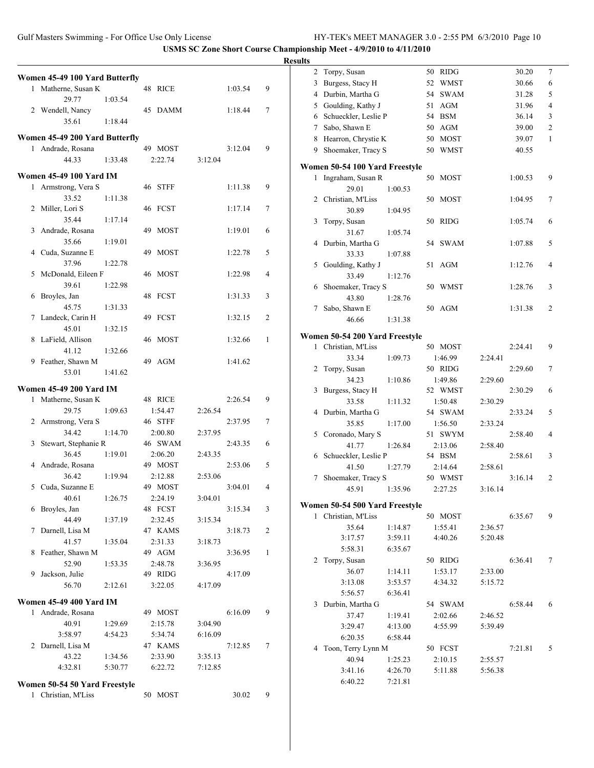Gulf Masters Swimming - For Office Use Only License HY-TEK's MEET MANAGER 3.0 - 2:55 PM 6/3/2010 Page 10

|                                                     |         |         |        | <b>Results</b>                 |         |         |         |                |
|-----------------------------------------------------|---------|---------|--------|--------------------------------|---------|---------|---------|----------------|
| Women 45-49 100 Yard Butterfly                      |         |         |        | 2 Torpy, Susan                 |         | 50 RIDG | 30.20   | $\overline{7}$ |
| 1 Matherne, Susan K                                 | 48 RICE | 1:03.54 | 9      | 3 Burgess, Stacy H             |         | 52 WMST | 30.66   | 6              |
| 29.77<br>1:03.54                                    |         |         |        | 4 Durbin, Martha G             |         | 54 SWAM | 31.28   | 5              |
| 2 Wendell, Nancy                                    | 45 DAMM | 1:18.44 | $\tau$ | 5 Goulding, Kathy J            |         | 51 AGM  | 31.96   | $\overline{4}$ |
| 35.61<br>1:18.44                                    |         |         |        | Schueckler, Leslie P<br>6      |         | 54 BSM  | 36.14   | 3              |
|                                                     |         |         |        | 7 Sabo, Shawn E                |         | 50 AGM  | 39.00   | $\overline{c}$ |
| Women 45-49 200 Yard Butterfly<br>1 Andrade, Rosana | 49 MOST | 3:12.04 | 9      | 8 Hearron, Chrystie K          |         | 50 MOST | 39.07   | 1              |
| 44.33<br>1:33.48                                    | 2:22.74 | 3:12.04 |        | 9 Shoemaker, Tracy S           |         | 50 WMST | 40.55   |                |
|                                                     |         |         |        | Women 50-54 100 Yard Freestyle |         |         |         |                |
| <b>Women 45-49 100 Yard IM</b>                      |         |         |        | 1 Ingraham, Susan R            |         | 50 MOST | 1:00.53 | 9              |
| 1 Armstrong, Vera S                                 | 46 STFF | 1:11.38 | 9      | 29.01                          | 1:00.53 |         |         |                |
| 33.52<br>1:11.38                                    |         |         |        | 2 Christian, M'Liss            |         | 50 MOST | 1:04.95 | 7              |
| 2 Miller, Lori S                                    | 46 FCST | 1:17.14 | 7      | 30.89                          | 1:04.95 |         |         |                |
| 35.44<br>1:17.14                                    |         |         |        | 3 Torpy, Susan                 |         | 50 RIDG | 1:05.74 | 6              |
| 3 Andrade, Rosana                                   | 49 MOST | 1:19.01 | 6      | 31.67                          | 1:05.74 |         |         |                |
| 35.66<br>1:19.01                                    |         |         |        | 4 Durbin, Martha G             |         | 54 SWAM | 1:07.88 | 5              |
| 4 Cuda, Suzanne E                                   | 49 MOST | 1:22.78 | 5      | 33.33                          | 1:07.88 |         |         |                |
| 37.96<br>1:22.78                                    |         |         |        | 5 Goulding, Kathy J            |         | 51 AGM  | 1:12.76 | 4              |
| 5 McDonald, Eileen F                                | 46 MOST | 1:22.98 | 4      | 33.49                          | 1:12.76 |         |         |                |
| 39.61<br>1:22.98                                    |         |         |        | 6 Shoemaker, Tracy S           |         | 50 WMST | 1:28.76 | 3              |
| 6 Broyles, Jan                                      | 48 FCST | 1:31.33 | 3      | 43.80                          | 1:28.76 |         |         |                |
| 45.75<br>1:31.33                                    |         |         |        | 7 Sabo, Shawn E                |         | 50 AGM  | 1:31.38 | $\overline{c}$ |
| 7 Landeck, Carin H                                  | 49 FCST | 1:32.15 | 2      | 46.66                          | 1:31.38 |         |         |                |
| 45.01<br>1:32.15                                    |         |         |        | Women 50-54 200 Yard Freestyle |         |         |         |                |
| 8 LaField, Allison                                  | 46 MOST | 1:32.66 | 1      | 1 Christian, M'Liss            |         | 50 MOST | 2:24.41 | 9              |
| 41.12<br>1:32.66<br>9 Feather, Shawn M              | 49 AGM  | 1:41.62 |        | 33.34                          | 1:09.73 | 1:46.99 | 2:24.41 |                |
| 53.01<br>1:41.62                                    |         |         |        | 2 Torpy, Susan                 |         | 50 RIDG | 2:29.60 | 7              |
|                                                     |         |         |        | 34.23                          | 1:10.86 | 1:49.86 | 2:29.60 |                |
| <b>Women 45-49 200 Yard IM</b>                      |         |         |        | 3 Burgess, Stacy H             |         | 52 WMST | 2:30.29 | 6              |
| 1 Matherne, Susan K                                 | 48 RICE | 2:26.54 | 9      | 33.58                          | 1:11.32 | 1:50.48 | 2:30.29 |                |
| 29.75<br>1:09.63                                    | 1:54.47 | 2:26.54 |        | 4 Durbin, Martha G             |         | 54 SWAM | 2:33.24 | 5              |
| 2 Armstrong, Vera S                                 | 46 STFF | 2:37.95 | $\tau$ | 35.85                          | 1:17.00 | 1:56.50 | 2:33.24 |                |
| 34.42<br>1:14.70                                    | 2:00.80 | 2:37.95 |        | 5 Coronado, Mary S             |         | 51 SWYM | 2:58.40 | 4              |
| 3 Stewart, Stephanie R                              | 46 SWAM | 2:43.35 | 6      | 41.77                          | 1:26.84 | 2:13.06 | 2:58.40 |                |
| 36.45<br>1:19.01                                    | 2:06.20 | 2:43.35 |        | 6 Schueckler, Leslie P         |         | 54 BSM  | 2:58.61 | 3              |
| 4 Andrade, Rosana                                   | 49 MOST | 2:53.06 | 5      | 41.50                          | 1:27.79 | 2:14.64 | 2:58.61 |                |
| 36.42<br>1:19.94                                    | 2:12.88 | 2:53.06 |        | 7 Shoemaker, Tracy S           |         | 50 WMST | 3:16.14 | $\overline{2}$ |
| 5 Cuda, Suzanne E                                   | 49 MOST | 3:04.01 | 4      | 45.91                          | 1:35.96 | 2:27.25 | 3:16.14 |                |
| 40.61<br>1:26.75                                    | 2:24.19 | 3:04.01 |        | Women 50-54 500 Yard Freestyle |         |         |         |                |
| 6 Broyles, Jan                                      | 48 FCST | 3:15.34 | 3      | 1 Christian, M'Liss            |         | 50 MOST | 6:35.67 | 9              |
| 44.49<br>1:37.19                                    | 2:32.45 | 3:15.34 |        | 35.64                          | 1:14.87 | 1:55.41 | 2:36.57 |                |
| 7 Darnell, Lisa M                                   | 47 KAMS | 3:18.73 | 2      | 3:17.57                        | 3:59.11 | 4:40.26 | 5:20.48 |                |
| 41.57<br>1:35.04                                    | 2:31.33 | 3:18.73 |        | 5:58.31                        | 6:35.67 |         |         |                |
| 8 Feather, Shawn M                                  | 49 AGM  | 3:36.95 | -1     | 2 Torpy, Susan                 |         | 50 RIDG | 6:36.41 | 7              |
| 52.90<br>1:53.35                                    | 2:48.78 | 3:36.95 |        | 36.07                          | 1:14.11 | 1:53.17 | 2:33.00 |                |
| 9 Jackson, Julie                                    | 49 RIDG | 4:17.09 |        | 3:13.08                        | 3:53.57 | 4:34.32 | 5:15.72 |                |
| 56.70<br>2:12.61                                    | 3:22.05 | 4:17.09 |        | 5:56.57                        | 6:36.41 |         |         |                |
| <b>Women 45-49 400 Yard IM</b>                      |         |         |        | 3 Durbin, Martha G             |         | 54 SWAM | 6:58.44 | 6              |
| 1 Andrade, Rosana                                   | 49 MOST | 6:16.09 | 9      | 37.47                          | 1:19.41 | 2:02.66 | 2:46.52 |                |
| 40.91<br>1:29.69                                    | 2:15.78 | 3:04.90 |        | 3:29.47                        | 4:13.00 | 4:55.99 | 5:39.49 |                |
| 3:58.97<br>4:54.23                                  | 5:34.74 | 6:16.09 |        | 6:20.35                        | 6:58.44 |         |         |                |
| 2 Darnell, Lisa M                                   | 47 KAMS | 7:12.85 | $\tau$ | 4 Toon, Terry Lynn M           |         | 50 FCST | 7:21.81 | 5              |
| 43.22<br>1:34.56                                    | 2:33.90 | 3:35.13 |        | 40.94                          | 1:25.23 | 2:10.15 | 2:55.57 |                |
| 4:32.81<br>5:30.77                                  | 6:22.72 | 7:12.85 |        | 3:41.16                        | 4:26.70 | 5:11.88 | 5:56.38 |                |
|                                                     |         |         |        | 6:40.22                        | 7:21.81 |         |         |                |
| Women 50-54 50 Yard Freestyle                       |         |         |        |                                |         |         |         |                |
| 1 Christian, M'Liss                                 | 50 MOST | 30.02   | 9      |                                |         |         |         |                |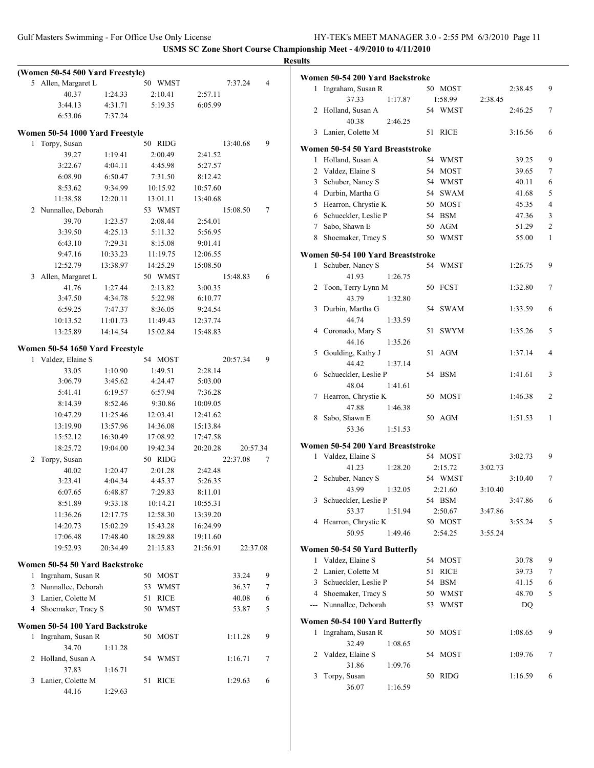Gulf Masters Swimming - For Office Use Only License HY-TEK's MEET MANAGER 3.0 - 2:55 PM 6/3/2010 Page 11

|                                  |          |          |          |                | <b>Results</b>                                              |                          |
|----------------------------------|----------|----------|----------|----------------|-------------------------------------------------------------|--------------------------|
| (Women 50-54 500 Yard Freestyle) |          |          |          |                | Women 50-54 200 Yard Backstroke                             |                          |
| 5 Allen, Margaret L              |          | 50 WMST  | 7:37.24  | $\overline{4}$ | 1 Ingraham, Susan R<br>50 MOST<br>2:38.45                   | 9                        |
| 40.37                            | 1:24.33  | 2:10.41  | 2:57.11  |                | 1:58.99<br>37.33<br>1:17.87<br>2:38.45                      |                          |
| 3:44.13                          | 4:31.71  | 5:19.35  | 6:05.99  |                | 2 Holland, Susan A<br>54 WMST<br>2:46.25                    | 7                        |
| 6:53.06                          | 7:37.24  |          |          |                | 40.38<br>2:46.25                                            |                          |
| Women 50-54 1000 Yard Freestyle  |          |          |          |                | 3 Lanier, Colette M<br>51 RICE<br>3:16.56                   | 6                        |
| 1 Torpy, Susan                   |          | 50 RIDG  | 13:40.68 | 9              |                                                             |                          |
| 39.27                            | 1:19.41  | 2:00.49  | 2:41.52  |                | Women 50-54 50 Yard Breaststroke                            |                          |
| 3:22.67                          | 4:04.11  | 4:45.98  | 5:27.57  |                | 1 Holland, Susan A<br>54 WMST<br>39.25                      | 9                        |
| 6:08.90                          | 6:50.47  | 7:31.50  | 8:12.42  |                | 54 MOST<br>2 Valdez, Elaine S<br>39.65                      | 7                        |
| 8:53.62                          | 9:34.99  | 10:15.92 | 10:57.60 |                | 3 Schuber, Nancy S<br>54 WMST<br>40.11                      | 6                        |
| 11:38.58                         | 12:20.11 | 13:01.11 | 13:40.68 |                | 4 Durbin, Martha G<br>54 SWAM<br>41.68                      | 5                        |
| 2 Nunnallee, Deborah             |          | 53 WMST  | 15:08.50 | 7              | 50 MOST<br>5 Hearron, Chrystie K<br>45.35                   | $\overline{\mathcal{A}}$ |
| 39.70                            | 1:23.57  | 2:08.44  | 2:54.01  |                | 54 BSM<br>6 Schueckler, Leslie P<br>47.36                   | 3                        |
| 3:39.50                          | 4:25.13  | 5:11.32  | 5:56.95  |                | 7 Sabo, Shawn E<br>50 AGM<br>51.29                          | $\overline{2}$           |
| 6:43.10                          | 7:29.31  | 8:15.08  | 9:01.41  |                | 8 Shoemaker, Tracy S<br>50 WMST<br>55.00                    | 1                        |
| 9:47.16                          | 10:33.23 | 11:19.75 | 12:06.55 |                | Women 50-54 100 Yard Breaststroke                           |                          |
| 12:52.79                         | 13:38.97 | 14:25.29 | 15:08.50 |                | 54 WMST<br>1 Schuber, Nancy S<br>1:26.75                    | 9                        |
| 3 Allen, Margaret L              |          | 50 WMST  | 15:48.83 | 6              | 41.93<br>1:26.75                                            |                          |
| 41.76                            | 1:27.44  | 2:13.82  | 3:00.35  |                | 2 Toon, Terry Lynn M<br>50 FCST<br>1:32.80                  | 7                        |
| 3:47.50                          | 4:34.78  | 5:22.98  | 6:10.77  |                | 43.79<br>1:32.80                                            |                          |
| 6:59.25                          | 7:47.37  | 8:36.05  | 9:24.54  |                | 3 Durbin, Martha G<br>54 SWAM<br>1:33.59                    | 6                        |
| 10:13.52                         | 11:01.73 | 11:49.43 | 12:37.74 |                | 44.74<br>1:33.59                                            |                          |
| 13:25.89                         | 14:14.54 | 15:02.84 | 15:48.83 |                | 4 Coronado, Mary S<br>51 SWYM<br>1:35.26                    | 5                        |
| Women 50-54 1650 Yard Freestyle  |          |          |          |                | 44.16<br>1:35.26                                            |                          |
| 1 Valdez, Elaine S               |          | 54 MOST  | 20:57.34 | 9              | 51 AGM<br>5 Goulding, Kathy J<br>1:37.14                    | 4                        |
| 33.05                            | 1:10.90  | 1:49.51  | 2:28.14  |                | 44.42<br>1:37.14                                            |                          |
| 3:06.79                          | 3:45.62  | 4:24.47  | 5:03.00  |                | 6 Schueckler, Leslie P<br>54 BSM<br>1:41.61                 | 3                        |
| 5:41.41                          | 6:19.57  | 6:57.94  | 7:36.28  |                | 48.04<br>1:41.61                                            |                          |
| 8:14.39                          | 8:52.46  | 9:30.86  | 10:09.05 |                | 7 Hearron, Chrystie K<br>50 MOST<br>1:46.38                 | $\overline{2}$           |
| 10:47.29                         | 11:25.46 | 12:03.41 | 12:41.62 |                | 47.88<br>1:46.38                                            |                          |
| 13:19.90                         | 13:57.96 | 14:36.08 | 15:13.84 |                | 8 Sabo, Shawn E<br>50 AGM<br>1:51.53                        |                          |
| 15:52.12                         | 16:30.49 | 17:08.92 | 17:47.58 |                | 53.36<br>1:51.53                                            |                          |
| 18:25.72                         | 19:04.00 | 19:42.34 | 20:20.28 | 20:57.34       | Women 50-54 200 Yard Breaststroke                           |                          |
| 2 Torpy, Susan                   |          | 50 RIDG  | 22:37.08 | 7              | 54 MOST<br>3:02.73<br>1 Valdez, Elaine S                    | 9                        |
| 40.02                            | 1:20.47  | 2:01.28  | 2:42.48  |                | 41.23<br>1:28.20<br>2:15.72<br>3:02.73                      |                          |
| 3:23.41                          | 4:04.34  | 4:45.37  | 5:26.35  |                | 2 Schuber, Nancy S<br>54 WMST<br>3:10.40                    | 7                        |
| 6:07.65                          | 6:48.87  | 7:29.83  | 8:11.01  |                | 43.99<br>3:10.40<br>1:32.05<br>2:21.60                      |                          |
| 8:51.89                          | 9:33.18  | 10:14.21 | 10:55.31 |                | 3 Schueckler, Leslie P<br>54 BSM<br>3:47.86                 |                          |
| 11:36.26                         | 12:17.75 | 12:58.30 | 13:39.20 |                | 53.37<br>1:51.94<br>2:50.67<br>3:47.86                      |                          |
| 14:20.73                         | 15:02.29 | 15:43.28 | 16:24.99 |                | 4 Hearron, Chrystie K<br>50 MOST<br>3:55.24                 |                          |
| 17:06.48                         | 17:48.40 | 18:29.88 | 19:11.60 |                | 50.95<br>1:49.46<br>2:54.25<br>3:55.24                      |                          |
| 19:52.93                         | 20:34.49 | 21:15.83 | 21:56.91 | 22:37.08       | Women 50-54 50 Yard Butterfly                               |                          |
|                                  |          |          |          |                | 1 Valdez, Elaine S<br>54 MOST<br>30.78                      | 9                        |
| Women 50-54 50 Yard Backstroke   |          |          |          |                | 2 Lanier, Colette M<br>51 RICE<br>39.73                     | 7                        |
| 1 Ingraham, Susan R              |          | 50 MOST  | 33.24    | 9              | 3 Schueckler, Leslie P<br>54 BSM<br>41.15                   | 6                        |
| 2 Nunnallee, Deborah             |          | 53 WMST  | 36.37    | 7              | 4 Shoemaker, Tracy S<br>50 WMST<br>48.70                    |                          |
| 3 Lanier, Colette M              |          | 51 RICE  | 40.08    | 6              | --- Nunnallee, Deborah<br>53 WMST<br>$\mathbf{D}\mathbf{Q}$ |                          |
| 4 Shoemaker, Tracy S             |          | 50 WMST  | 53.87    | 5              |                                                             |                          |
| Women 50-54 100 Yard Backstroke  |          |          |          |                | Women 50-54 100 Yard Butterfly                              |                          |
| 1 Ingraham, Susan R              |          | 50 MOST  | 1:11.28  | 9              | 1 Ingraham, Susan R<br>50 MOST<br>1:08.65                   | 9                        |
| 34.70                            | 1:11.28  |          |          |                | 32.49<br>1:08.65                                            |                          |
| 2 Holland, Susan A               |          | 54 WMST  | 1:16.71  | 7              | 2 Valdez, Elaine S<br>54 MOST<br>1:09.76                    |                          |
| 37.83                            | 1:16.71  |          |          |                | 31.86<br>1:09.76                                            |                          |
| 3 Lanier, Colette M              |          | 51 RICE  | 1:29.63  | 6              | 3 Torpy, Susan<br>50 RIDG<br>1:16.59                        |                          |
| 44.16                            | 1:29.63  |          |          |                | 36.07<br>1:16.59                                            |                          |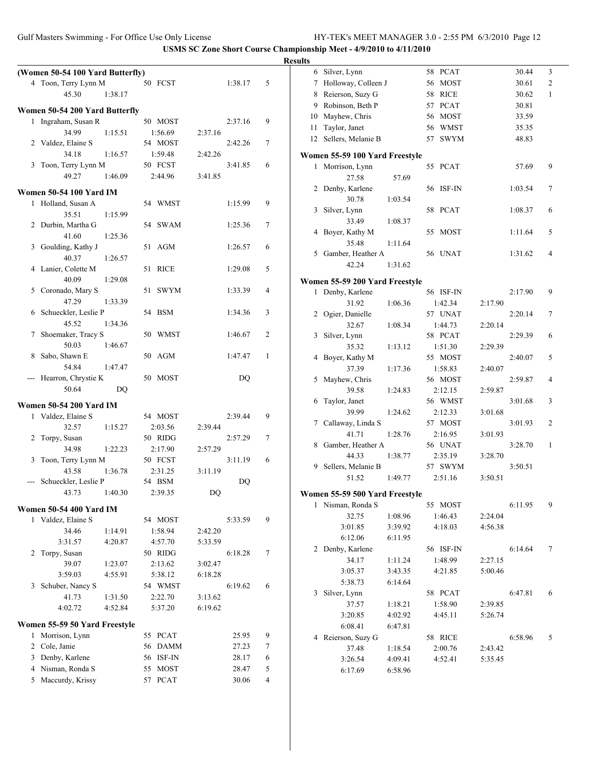|                                  |         |           |         |         |                | <b>Results</b> |                                |         |                    |         |         |                |
|----------------------------------|---------|-----------|---------|---------|----------------|----------------|--------------------------------|---------|--------------------|---------|---------|----------------|
| (Women 50-54 100 Yard Butterfly) |         |           |         |         |                |                | 6 Silver, Lynn                 |         | 58 PCAT            |         | 30.44   | 3              |
| 4 Toon, Terry Lynn M             |         | 50 FCST   |         | 1:38.17 | 5              |                | 7 Holloway, Colleen J          |         | 56 MOST            |         | 30.61   | $\overline{2}$ |
| 45.30                            | 1:38.17 |           |         |         |                |                | 8 Reierson, Suzy G             |         | 58 RICE            |         | 30.62   | 1              |
| Women 50-54 200 Yard Butterfly   |         |           |         |         |                |                | 9 Robinson, Beth P             |         | 57 PCAT            |         | 30.81   |                |
| 1 Ingraham, Susan R              |         | 50 MOST   |         | 2:37.16 | 9              |                | 10 Mayhew, Chris               |         | 56 MOST            |         | 33.59   |                |
| 34.99                            | 1:15.51 | 1:56.69   | 2:37.16 |         |                |                | 11 Taylor, Janet               |         | 56 WMST            |         | 35.35   |                |
| 2 Valdez, Elaine S               |         | 54 MOST   |         | 2:42.26 | $\tau$         |                | 12 Sellers, Melanie B          |         | 57 SWYM            |         | 48.83   |                |
| 34.18                            | 1:16.57 | 1:59.48   | 2:42.26 |         |                |                | Women 55-59 100 Yard Freestyle |         |                    |         |         |                |
| 3 Toon, Terry Lynn M             |         | 50 FCST   |         | 3:41.85 | 6              |                | 1 Morrison, Lynn               |         | 55 PCAT            |         | 57.69   | 9              |
| 49.27                            | 1:46.09 | 2:44.96   | 3:41.85 |         |                |                | 27.58                          | 57.69   |                    |         |         |                |
|                                  |         |           |         |         |                |                | 2 Denby, Karlene               |         | 56 ISF-IN          |         | 1:03.54 | 7              |
| <b>Women 50-54 100 Yard IM</b>   |         |           |         |         |                |                | 30.78                          | 1:03.54 |                    |         |         |                |
| 1 Holland, Susan A               |         | 54 WMST   |         | 1:15.99 | 9              |                | 3 Silver, Lynn                 |         | 58 PCAT            |         | 1:08.37 | 6              |
| 35.51<br>2 Durbin, Martha G      | 1:15.99 | 54 SWAM   |         |         | 7              |                | 33.49                          | 1:08.37 |                    |         |         |                |
| 41.60                            | 1:25.36 |           |         | 1:25.36 |                |                | 4 Boyer, Kathy M               |         | 55 MOST            |         | 1:11.64 | 5              |
| 3 Goulding, Kathy J              |         | 51 AGM    |         | 1:26.57 | 6              |                | 35.48                          | 1:11.64 |                    |         |         |                |
| 40.37                            | 1:26.57 |           |         |         |                |                | 5 Gamber, Heather A            |         | 56 UNAT            |         | 1:31.62 |                |
| 4 Lanier, Colette M              |         | 51 RICE   |         | 1:29.08 | 5              |                | 42.24                          | 1:31.62 |                    |         |         |                |
| 40.09                            | 1:29.08 |           |         |         |                |                |                                |         |                    |         |         |                |
| 5 Coronado, Mary S               |         | 51 SWYM   |         | 1:33.39 | 4              |                | Women 55-59 200 Yard Freestyle |         |                    |         |         |                |
| 47.29                            | 1:33.39 |           |         |         |                |                | 1 Denby, Karlene               |         | 56 ISF-IN          |         | 2:17.90 | 9              |
| 6 Schueckler, Leslie P           |         | 54 BSM    |         | 1:34.36 | 3              |                | 31.92                          | 1:06.36 | 1:42.34<br>57 UNAT | 2:17.90 | 2:20.14 |                |
| 45.52                            | 1:34.36 |           |         |         |                |                | 2 Ogier, Danielle<br>32.67     | 1:08.34 | 1:44.73            | 2:20.14 |         | 7              |
| 7 Shoemaker, Tracy S             |         | 50 WMST   |         | 1:46.67 | 2              |                |                                |         | 58 PCAT            |         | 2:29.39 | 6              |
| 50.03                            | 1:46.67 |           |         |         |                |                | 3 Silver, Lynn<br>35.32        | 1:13.12 | 1:51.30            | 2:29.39 |         |                |
| 8 Sabo, Shawn E                  |         | 50 AGM    |         | 1:47.47 | -1             |                | 4 Boyer, Kathy M               |         | 55 MOST            |         | 2:40.07 | 5              |
| 54.84                            | 1:47.47 |           |         |         |                |                | 37.39                          | 1:17.36 | 1:58.83            | 2:40.07 |         |                |
| --- Hearron, Chrystie K          |         | 50 MOST   |         | DQ      |                |                | 5 Mayhew, Chris                |         | 56 MOST            |         | 2:59.87 |                |
| 50.64                            | DQ      |           |         |         |                |                | 39.58                          | 1:24.83 | 2:12.15            | 2:59.87 |         |                |
|                                  |         |           |         |         |                |                | 6 Taylor, Janet                |         | 56 WMST            |         | 3:01.68 | 3              |
| <b>Women 50-54 200 Yard IM</b>   |         |           |         |         |                |                | 39.99                          | 1:24.62 | 2:12.33            | 3:01.68 |         |                |
| 1 Valdez, Elaine S               |         | 54 MOST   |         | 2:39.44 | 9              |                | 7 Callaway, Linda S            |         | 57 MOST            |         | 3:01.93 | 2              |
| 32.57                            | 1:15.27 | 2:03.56   | 2:39.44 |         |                |                | 41.71                          | 1:28.76 | 2:16.95            | 3:01.93 |         |                |
| 2 Torpy, Susan                   |         | 50 RIDG   |         | 2:57.29 | 7              |                | 8 Gamber, Heather A            |         | 56 UNAT            |         | 3:28.70 | 1              |
| 34.98                            | 1:22.23 | 2:17.90   | 2:57.29 |         |                |                | 44.33                          | 1:38.77 | 2:35.19            | 3:28.70 |         |                |
| 3 Toon, Terry Lynn M             |         | 50 FCST   |         | 3:11.19 | 6              |                | 9 Sellers, Melanie B           |         | 57 SWYM            |         | 3:50.51 |                |
| 43.58                            | 1:36.78 | 2:31.25   | 3:11.19 |         |                |                | 51.52                          | 1:49.77 | 2:51.16            | 3:50.51 |         |                |
| --- Schueckler, Leslie P         |         | 54 BSM    |         | DQ      |                |                |                                |         |                    |         |         |                |
| 43.73                            | 1:40.30 | 2:39.35   | DQ      |         |                |                | Women 55-59 500 Yard Freestyle |         |                    |         |         |                |
| <b>Women 50-54 400 Yard IM</b>   |         |           |         |         |                |                | 1 Nisman, Ronda S              |         | 55 MOST            |         | 6:11.95 | 9              |
| 1 Valdez, Elaine S               |         | 54 MOST   |         | 5:33.59 | 9              |                | 32.75                          | 1:08.96 | 1:46.43            | 2:24.04 |         |                |
| 34.46                            | 1:14.91 | 1:58.94   | 2:42.20 |         |                |                | 3:01.85                        | 3:39.92 | 4:18.03            | 4:56.38 |         |                |
| 3:31.57                          | 4:20.87 | 4:57.70   | 5:33.59 |         |                |                | 6:12.06                        | 6:11.95 |                    |         |         |                |
| 2 Torpy, Susan                   |         | 50 RIDG   |         | 6:18.28 | 7              |                | 2 Denby, Karlene               |         | 56 ISF-IN          |         | 6:14.64 | $\tau$         |
| 39.07                            | 1:23.07 | 2:13.62   | 3:02.47 |         |                |                | 34.17                          | 1:11.24 | 1:48.99            | 2:27.15 |         |                |
| 3:59.03                          | 4:55.91 | 5:38.12   | 6:18.28 |         |                |                | 3:05.37                        | 3:43.35 | 4:21.85            | 5:00.46 |         |                |
| 3 Schuber, Nancy S               |         | 54 WMST   |         | 6:19.62 | 6              |                | 5:38.73                        | 6:14.64 |                    |         |         |                |
| 41.73                            | 1:31.50 | 2:22.70   | 3:13.62 |         |                |                | 3 Silver, Lynn                 |         | 58 PCAT            |         | 6:47.81 | 6              |
| 4:02.72                          | 4:52.84 | 5:37.20   | 6:19.62 |         |                |                | 37.57                          | 1:18.21 | 1:58.90            | 2:39.85 |         |                |
| Women 55-59 50 Yard Freestyle    |         |           |         |         |                |                | 3:20.85                        | 4:02.92 | 4:45.11            | 5:26.74 |         |                |
| 1 Morrison, Lynn                 |         | 55 PCAT   |         | 25.95   | 9              |                | 6:08.41                        | 6:47.81 |                    |         |         |                |
| 2 Cole, Janie                    |         | 56 DAMM   |         | 27.23   | 7              |                | 4 Reierson, Suzy G             |         | 58 RICE            |         | 6:58.96 | 5              |
| 3 Denby, Karlene                 |         | 56 ISF-IN |         | 28.17   | 6              |                | 37.48                          | 1:18.54 | 2:00.76            | 2:43.42 |         |                |
| 4 Nisman, Ronda S                |         |           |         | 28.47   | 5              |                | 3:26.54                        | 4:09.41 | 4:52.41            | 5:35.45 |         |                |
| 5 Maccurdy, Krissy               |         | 55 MOST   |         | 30.06   | $\overline{4}$ |                | 6:17.69                        | 6:58.96 |                    |         |         |                |
|                                  |         | 57 PCAT   |         |         |                |                |                                |         |                    |         |         |                |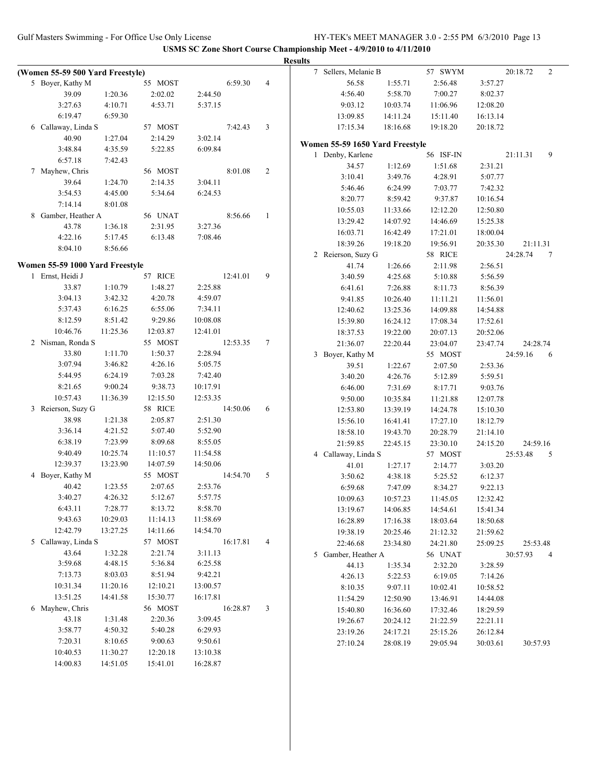| 7 Sellers, Melanie B<br>57 SWYM<br>20:18.72<br>(Women 55-59 500 Yard Freestyle)<br>55 MOST<br>56.58<br>2:56.48<br>5 Boyer, Kathy M<br>6:59.30<br>$\overline{4}$<br>1:55.71<br>3:57.27<br>4:56.40<br>5:58.70<br>7:00.27<br>8:02.37<br>39.09<br>2:02.02<br>1:20.36<br>2:44.50<br>3:27.63<br>4:10.71<br>4:53.71<br>5:37.15<br>9:03.12<br>10:03.74<br>11:06.96<br>12:08.20<br>6:19.47<br>6:59.30<br>13:09.85<br>14:11.24<br>15:11.40<br>16:13.14<br>6 Callaway, Linda S<br>57 MOST<br>7:42.43<br>3<br>17:15.34<br>18:16.68<br>19:18.20<br>20:18.72<br>40.90<br>1:27.04<br>2:14.29<br>3:02.14<br>Women 55-59 1650 Yard Freestyle<br>3:48.84<br>4:35.59<br>5:22.85<br>6:09.84<br>1 Denby, Karlene<br>56 ISF-IN<br>21:11.31<br>6:57.18<br>7:42.43<br>1:51.68<br>34.57<br>1:12.69<br>2:31.21<br>7 Mayhew, Chris<br>56 MOST<br>8:01.08<br>2<br>3:10.41<br>3:49.76<br>4:28.91<br>5:07.77<br>39.64<br>1:24.70<br>2:14.35<br>3:04.11<br>5:46.46<br>6:24.99<br>7:03.77<br>7:42.32<br>3:54.53<br>4:45.00<br>5:34.64<br>6:24.53<br>8:20.77<br>8:59.42<br>9:37.87<br>10:16.54<br>7:14.14<br>8:01.08<br>10:55.03<br>11:33.66<br>12:12.20<br>12:50.80<br>8 Gamber, Heather A<br>56 UNAT<br>8:56.66<br>-1<br>13:29.42<br>14:07.92<br>14:46.69<br>15:25.38<br>43.78<br>1:36.18<br>2:31.95<br>3:27.36<br>16:03.71<br>16:42.49<br>17:21.01<br>18:00.04<br>4:22.16<br>5:17.45<br>6:13.48<br>7:08.46<br>18:39.26<br>19:18.20<br>19:56.91<br>21:11.31<br>20:35.30<br>8:04.10<br>8:56.66<br>58 RICE<br>2 Reierson, Suzy G<br>24:28.74<br>Women 55-59 1000 Yard Freestyle<br>1:26.66<br>41.74<br>2:11.98<br>2:56.51<br>1 Ernst, Heidi J<br>57 RICE<br>12:41.01<br>9<br>3:40.59<br>4:25.68<br>5:10.88<br>5:56.59<br>1:10.79<br>1:48.27<br>2:25.88<br>33.87<br>6:41.61<br>7:26.88<br>8:11.73<br>8:56.39<br>3:04.13<br>4:20.78<br>4:59.07<br>3:42.32<br>9:41.85<br>10:26.40<br>11:11.21<br>11:56.01<br>6:55.06<br>5:37.43<br>6:16.25<br>7:34.11<br>12:40.62<br>13:25.36<br>14:09.88<br>14:54.88<br>8:12.59<br>8:51.42<br>9:29.86<br>10:08.08<br>15:39.80<br>16:24.12<br>17:08.34<br>17:52.61<br>10:46.76<br>11:25.36<br>12:03.87<br>12:41.01<br>19:22.00<br>18:37.53<br>20:07.13<br>20:52.06<br>2 Nisman, Ronda S<br>55 MOST<br>$\tau$<br>12:53.35<br>21:36.07<br>22:20.44<br>23:04.07<br>23:47.74<br>24:28.74<br>2:28.94<br>33.80<br>1:11.70<br>1:50.37<br>3 Boyer, Kathy M<br>55 MOST<br>24:59.16<br>3:07.94<br>3:46.82<br>4:26.16<br>5:05.75<br>39.51<br>1:22.67<br>2:07.50<br>2:53.36<br>5:44.95<br>6:24.19<br>7:03.28<br>7:42.40<br>3:40.20<br>4:26.76<br>5:12.89<br>5:59.51<br>9:00.24<br>9:38.73<br>8:21.65<br>10:17.91<br>6:46.00<br>7:31.69<br>8:17.71<br>9:03.76<br>10:57.43<br>11:36.39<br>12:15.50<br>12:53.35<br>9:50.00<br>10:35.84<br>11:21.88<br>12:07.78<br>3 Reierson, Suzy G<br>58 RICE<br>14:50.06<br>6<br>12:53.80<br>13:39.19<br>14:24.78<br>15:10.30<br>38.98<br>1:21.38<br>2:51.30<br>2:05.87<br>15:56.10<br>16:41.41<br>17:27.10<br>18:12.79<br>3:36.14<br>5:07.40<br>5:52.90<br>4:21.52<br>18:58.10<br>19:43.70<br>20:28.79<br>21:14.10<br>6:38.19<br>7:23.99<br>8:09.68<br>8:55.05<br>21:59.85<br>22:45.15<br>23:30.10<br>24:59.16<br>24:15.20<br>9:40.49<br>10:25.74<br>11:10.57<br>11:54.58<br>4 Callaway, Linda S<br>25:53.48<br>57 MOST<br>12:39.37<br>13:23.90<br>14:07.59<br>14:50.06<br>1:27.17<br>3:03.20<br>41.01<br>2:14.77<br>4 Boyer, Kathy M<br>55 MOST<br>5<br>14:54.70<br>3:50.62<br>4:38.18<br>5:25.52<br>6:12.37<br>2:53.76<br>40.42<br>1:23.55<br>2:07.65<br>6:59.68<br>7:47.09<br>9:22.13<br>8:34.27<br>4:26.32<br>5:12.67<br>3:40.27<br>5:57.75<br>10:57.23<br>10:09.63<br>11:45.05<br>12:32.42<br>7:28.77<br>8:13.72<br>8:58.70<br>6:43.11<br>14:06.85<br>14:54.61<br>13:19.67<br>15:41.34<br>9:43.63<br>10:29.03<br>11:14.13<br>11:58.69<br>16:28.89<br>17:16.38<br>18:03.64<br>18:50.68<br>12:42.79<br>13:27.25<br>14:11.66<br>14:54.70<br>19:38.19<br>20:25.46<br>21:12.32<br>21:59.62<br>57 MOST<br>5 Callaway, Linda S<br>16:17.81<br>$\overline{4}$<br>22:46.68<br>24:21.80<br>25:53.48<br>23:34.80<br>25:09.25<br>3:11.13<br>43.64<br>1:32.28<br>2:21.74<br>5 Gamber, Heather A<br>30:57.93<br>56 UNAT<br>3:59.68<br>5:36.84<br>4:48.15<br>6:25.58<br>3:28.59<br>44.13<br>1:35.34<br>2:32.20<br>7:13.73<br>8:03.03<br>8:51.94<br>9:42.21<br>4:26.13<br>5:22.53<br>6:19.05<br>7:14.26<br>10:31.34<br>11:20.16<br>12:10.21<br>13:00.57<br>8:10.35<br>9:07.11<br>10:02.41<br>10:58.52<br>13:51.25<br>15:30.77<br>14:41.58<br>16:17.81<br>11:54.29<br>12:50.90<br>13:46.91<br>14:44.08<br>56 MOST<br>6 Mayhew, Chris<br>16:28.87<br>3<br>15:40.80<br>16:36.60<br>17:32.46<br>18:29.59<br>1:31.48<br>2:20.36<br>3:09.45<br>43.18<br>19:26.67<br>20:24.12<br>21:22.59<br>22:21.11<br>5:40.28<br>3:58.77<br>4:50.32<br>6:29.93<br>24:17.21<br>23:19.26<br>25:15.26<br>26:12.84<br>7:20.31<br>9:00.63<br>9:50.61<br>8:10.65<br>27:10.24<br>28:08.19<br>29:05.94<br>30:03.61<br>30:57.93<br>10:40.53<br>11:30.27<br>12:20.18<br>13:10.38 |          |          |          |          | <b>Results</b> |  |  |                 |
|----------------------------------------------------------------------------------------------------------------------------------------------------------------------------------------------------------------------------------------------------------------------------------------------------------------------------------------------------------------------------------------------------------------------------------------------------------------------------------------------------------------------------------------------------------------------------------------------------------------------------------------------------------------------------------------------------------------------------------------------------------------------------------------------------------------------------------------------------------------------------------------------------------------------------------------------------------------------------------------------------------------------------------------------------------------------------------------------------------------------------------------------------------------------------------------------------------------------------------------------------------------------------------------------------------------------------------------------------------------------------------------------------------------------------------------------------------------------------------------------------------------------------------------------------------------------------------------------------------------------------------------------------------------------------------------------------------------------------------------------------------------------------------------------------------------------------------------------------------------------------------------------------------------------------------------------------------------------------------------------------------------------------------------------------------------------------------------------------------------------------------------------------------------------------------------------------------------------------------------------------------------------------------------------------------------------------------------------------------------------------------------------------------------------------------------------------------------------------------------------------------------------------------------------------------------------------------------------------------------------------------------------------------------------------------------------------------------------------------------------------------------------------------------------------------------------------------------------------------------------------------------------------------------------------------------------------------------------------------------------------------------------------------------------------------------------------------------------------------------------------------------------------------------------------------------------------------------------------------------------------------------------------------------------------------------------------------------------------------------------------------------------------------------------------------------------------------------------------------------------------------------------------------------------------------------------------------------------------------------------------------------------------------------------------------------------------------------------------------------------------------------------------------------------------------------------------------------------------------------------------------------------------------------------------------------------------------------------------------------------------------------------------------------------------------------------------------------------------------------------------------------------------------------------------------------------------------------------------------------------------------------------------------------------------------------------------------------------------------------------------------------------------------------------------------------------------------------------------------------------------------------------------------------------------------------------------------------------------------------------------------------------------------------------------------------------------------------------------------------------------------------------------------------------------------------------------------------------------------------------------------------------------------------------------------------------------------|----------|----------|----------|----------|----------------|--|--|-----------------|
|                                                                                                                                                                                                                                                                                                                                                                                                                                                                                                                                                                                                                                                                                                                                                                                                                                                                                                                                                                                                                                                                                                                                                                                                                                                                                                                                                                                                                                                                                                                                                                                                                                                                                                                                                                                                                                                                                                                                                                                                                                                                                                                                                                                                                                                                                                                                                                                                                                                                                                                                                                                                                                                                                                                                                                                                                                                                                                                                                                                                                                                                                                                                                                                                                                                                                                                                                                                                                                                                                                                                                                                                                                                                                                                                                                                                                                                                                                                                                                                                                                                                                                                                                                                                                                                                                                                                                                                                                                                                                                                                                                                                                                                                                                                                                                                                                                                                                                                                                          |          |          |          |          |                |  |  | 2               |
|                                                                                                                                                                                                                                                                                                                                                                                                                                                                                                                                                                                                                                                                                                                                                                                                                                                                                                                                                                                                                                                                                                                                                                                                                                                                                                                                                                                                                                                                                                                                                                                                                                                                                                                                                                                                                                                                                                                                                                                                                                                                                                                                                                                                                                                                                                                                                                                                                                                                                                                                                                                                                                                                                                                                                                                                                                                                                                                                                                                                                                                                                                                                                                                                                                                                                                                                                                                                                                                                                                                                                                                                                                                                                                                                                                                                                                                                                                                                                                                                                                                                                                                                                                                                                                                                                                                                                                                                                                                                                                                                                                                                                                                                                                                                                                                                                                                                                                                                                          |          |          |          |          |                |  |  |                 |
|                                                                                                                                                                                                                                                                                                                                                                                                                                                                                                                                                                                                                                                                                                                                                                                                                                                                                                                                                                                                                                                                                                                                                                                                                                                                                                                                                                                                                                                                                                                                                                                                                                                                                                                                                                                                                                                                                                                                                                                                                                                                                                                                                                                                                                                                                                                                                                                                                                                                                                                                                                                                                                                                                                                                                                                                                                                                                                                                                                                                                                                                                                                                                                                                                                                                                                                                                                                                                                                                                                                                                                                                                                                                                                                                                                                                                                                                                                                                                                                                                                                                                                                                                                                                                                                                                                                                                                                                                                                                                                                                                                                                                                                                                                                                                                                                                                                                                                                                                          |          |          |          |          |                |  |  |                 |
|                                                                                                                                                                                                                                                                                                                                                                                                                                                                                                                                                                                                                                                                                                                                                                                                                                                                                                                                                                                                                                                                                                                                                                                                                                                                                                                                                                                                                                                                                                                                                                                                                                                                                                                                                                                                                                                                                                                                                                                                                                                                                                                                                                                                                                                                                                                                                                                                                                                                                                                                                                                                                                                                                                                                                                                                                                                                                                                                                                                                                                                                                                                                                                                                                                                                                                                                                                                                                                                                                                                                                                                                                                                                                                                                                                                                                                                                                                                                                                                                                                                                                                                                                                                                                                                                                                                                                                                                                                                                                                                                                                                                                                                                                                                                                                                                                                                                                                                                                          |          |          |          |          |                |  |  |                 |
|                                                                                                                                                                                                                                                                                                                                                                                                                                                                                                                                                                                                                                                                                                                                                                                                                                                                                                                                                                                                                                                                                                                                                                                                                                                                                                                                                                                                                                                                                                                                                                                                                                                                                                                                                                                                                                                                                                                                                                                                                                                                                                                                                                                                                                                                                                                                                                                                                                                                                                                                                                                                                                                                                                                                                                                                                                                                                                                                                                                                                                                                                                                                                                                                                                                                                                                                                                                                                                                                                                                                                                                                                                                                                                                                                                                                                                                                                                                                                                                                                                                                                                                                                                                                                                                                                                                                                                                                                                                                                                                                                                                                                                                                                                                                                                                                                                                                                                                                                          |          |          |          |          |                |  |  |                 |
|                                                                                                                                                                                                                                                                                                                                                                                                                                                                                                                                                                                                                                                                                                                                                                                                                                                                                                                                                                                                                                                                                                                                                                                                                                                                                                                                                                                                                                                                                                                                                                                                                                                                                                                                                                                                                                                                                                                                                                                                                                                                                                                                                                                                                                                                                                                                                                                                                                                                                                                                                                                                                                                                                                                                                                                                                                                                                                                                                                                                                                                                                                                                                                                                                                                                                                                                                                                                                                                                                                                                                                                                                                                                                                                                                                                                                                                                                                                                                                                                                                                                                                                                                                                                                                                                                                                                                                                                                                                                                                                                                                                                                                                                                                                                                                                                                                                                                                                                                          |          |          |          |          |                |  |  |                 |
|                                                                                                                                                                                                                                                                                                                                                                                                                                                                                                                                                                                                                                                                                                                                                                                                                                                                                                                                                                                                                                                                                                                                                                                                                                                                                                                                                                                                                                                                                                                                                                                                                                                                                                                                                                                                                                                                                                                                                                                                                                                                                                                                                                                                                                                                                                                                                                                                                                                                                                                                                                                                                                                                                                                                                                                                                                                                                                                                                                                                                                                                                                                                                                                                                                                                                                                                                                                                                                                                                                                                                                                                                                                                                                                                                                                                                                                                                                                                                                                                                                                                                                                                                                                                                                                                                                                                                                                                                                                                                                                                                                                                                                                                                                                                                                                                                                                                                                                                                          |          |          |          |          |                |  |  |                 |
|                                                                                                                                                                                                                                                                                                                                                                                                                                                                                                                                                                                                                                                                                                                                                                                                                                                                                                                                                                                                                                                                                                                                                                                                                                                                                                                                                                                                                                                                                                                                                                                                                                                                                                                                                                                                                                                                                                                                                                                                                                                                                                                                                                                                                                                                                                                                                                                                                                                                                                                                                                                                                                                                                                                                                                                                                                                                                                                                                                                                                                                                                                                                                                                                                                                                                                                                                                                                                                                                                                                                                                                                                                                                                                                                                                                                                                                                                                                                                                                                                                                                                                                                                                                                                                                                                                                                                                                                                                                                                                                                                                                                                                                                                                                                                                                                                                                                                                                                                          |          |          |          |          |                |  |  |                 |
|                                                                                                                                                                                                                                                                                                                                                                                                                                                                                                                                                                                                                                                                                                                                                                                                                                                                                                                                                                                                                                                                                                                                                                                                                                                                                                                                                                                                                                                                                                                                                                                                                                                                                                                                                                                                                                                                                                                                                                                                                                                                                                                                                                                                                                                                                                                                                                                                                                                                                                                                                                                                                                                                                                                                                                                                                                                                                                                                                                                                                                                                                                                                                                                                                                                                                                                                                                                                                                                                                                                                                                                                                                                                                                                                                                                                                                                                                                                                                                                                                                                                                                                                                                                                                                                                                                                                                                                                                                                                                                                                                                                                                                                                                                                                                                                                                                                                                                                                                          |          |          |          |          |                |  |  | 9               |
|                                                                                                                                                                                                                                                                                                                                                                                                                                                                                                                                                                                                                                                                                                                                                                                                                                                                                                                                                                                                                                                                                                                                                                                                                                                                                                                                                                                                                                                                                                                                                                                                                                                                                                                                                                                                                                                                                                                                                                                                                                                                                                                                                                                                                                                                                                                                                                                                                                                                                                                                                                                                                                                                                                                                                                                                                                                                                                                                                                                                                                                                                                                                                                                                                                                                                                                                                                                                                                                                                                                                                                                                                                                                                                                                                                                                                                                                                                                                                                                                                                                                                                                                                                                                                                                                                                                                                                                                                                                                                                                                                                                                                                                                                                                                                                                                                                                                                                                                                          |          |          |          |          |                |  |  |                 |
|                                                                                                                                                                                                                                                                                                                                                                                                                                                                                                                                                                                                                                                                                                                                                                                                                                                                                                                                                                                                                                                                                                                                                                                                                                                                                                                                                                                                                                                                                                                                                                                                                                                                                                                                                                                                                                                                                                                                                                                                                                                                                                                                                                                                                                                                                                                                                                                                                                                                                                                                                                                                                                                                                                                                                                                                                                                                                                                                                                                                                                                                                                                                                                                                                                                                                                                                                                                                                                                                                                                                                                                                                                                                                                                                                                                                                                                                                                                                                                                                                                                                                                                                                                                                                                                                                                                                                                                                                                                                                                                                                                                                                                                                                                                                                                                                                                                                                                                                                          |          |          |          |          |                |  |  |                 |
|                                                                                                                                                                                                                                                                                                                                                                                                                                                                                                                                                                                                                                                                                                                                                                                                                                                                                                                                                                                                                                                                                                                                                                                                                                                                                                                                                                                                                                                                                                                                                                                                                                                                                                                                                                                                                                                                                                                                                                                                                                                                                                                                                                                                                                                                                                                                                                                                                                                                                                                                                                                                                                                                                                                                                                                                                                                                                                                                                                                                                                                                                                                                                                                                                                                                                                                                                                                                                                                                                                                                                                                                                                                                                                                                                                                                                                                                                                                                                                                                                                                                                                                                                                                                                                                                                                                                                                                                                                                                                                                                                                                                                                                                                                                                                                                                                                                                                                                                                          |          |          |          |          |                |  |  |                 |
|                                                                                                                                                                                                                                                                                                                                                                                                                                                                                                                                                                                                                                                                                                                                                                                                                                                                                                                                                                                                                                                                                                                                                                                                                                                                                                                                                                                                                                                                                                                                                                                                                                                                                                                                                                                                                                                                                                                                                                                                                                                                                                                                                                                                                                                                                                                                                                                                                                                                                                                                                                                                                                                                                                                                                                                                                                                                                                                                                                                                                                                                                                                                                                                                                                                                                                                                                                                                                                                                                                                                                                                                                                                                                                                                                                                                                                                                                                                                                                                                                                                                                                                                                                                                                                                                                                                                                                                                                                                                                                                                                                                                                                                                                                                                                                                                                                                                                                                                                          |          |          |          |          |                |  |  |                 |
|                                                                                                                                                                                                                                                                                                                                                                                                                                                                                                                                                                                                                                                                                                                                                                                                                                                                                                                                                                                                                                                                                                                                                                                                                                                                                                                                                                                                                                                                                                                                                                                                                                                                                                                                                                                                                                                                                                                                                                                                                                                                                                                                                                                                                                                                                                                                                                                                                                                                                                                                                                                                                                                                                                                                                                                                                                                                                                                                                                                                                                                                                                                                                                                                                                                                                                                                                                                                                                                                                                                                                                                                                                                                                                                                                                                                                                                                                                                                                                                                                                                                                                                                                                                                                                                                                                                                                                                                                                                                                                                                                                                                                                                                                                                                                                                                                                                                                                                                                          |          |          |          |          |                |  |  |                 |
|                                                                                                                                                                                                                                                                                                                                                                                                                                                                                                                                                                                                                                                                                                                                                                                                                                                                                                                                                                                                                                                                                                                                                                                                                                                                                                                                                                                                                                                                                                                                                                                                                                                                                                                                                                                                                                                                                                                                                                                                                                                                                                                                                                                                                                                                                                                                                                                                                                                                                                                                                                                                                                                                                                                                                                                                                                                                                                                                                                                                                                                                                                                                                                                                                                                                                                                                                                                                                                                                                                                                                                                                                                                                                                                                                                                                                                                                                                                                                                                                                                                                                                                                                                                                                                                                                                                                                                                                                                                                                                                                                                                                                                                                                                                                                                                                                                                                                                                                                          |          |          |          |          |                |  |  |                 |
|                                                                                                                                                                                                                                                                                                                                                                                                                                                                                                                                                                                                                                                                                                                                                                                                                                                                                                                                                                                                                                                                                                                                                                                                                                                                                                                                                                                                                                                                                                                                                                                                                                                                                                                                                                                                                                                                                                                                                                                                                                                                                                                                                                                                                                                                                                                                                                                                                                                                                                                                                                                                                                                                                                                                                                                                                                                                                                                                                                                                                                                                                                                                                                                                                                                                                                                                                                                                                                                                                                                                                                                                                                                                                                                                                                                                                                                                                                                                                                                                                                                                                                                                                                                                                                                                                                                                                                                                                                                                                                                                                                                                                                                                                                                                                                                                                                                                                                                                                          |          |          |          |          |                |  |  |                 |
|                                                                                                                                                                                                                                                                                                                                                                                                                                                                                                                                                                                                                                                                                                                                                                                                                                                                                                                                                                                                                                                                                                                                                                                                                                                                                                                                                                                                                                                                                                                                                                                                                                                                                                                                                                                                                                                                                                                                                                                                                                                                                                                                                                                                                                                                                                                                                                                                                                                                                                                                                                                                                                                                                                                                                                                                                                                                                                                                                                                                                                                                                                                                                                                                                                                                                                                                                                                                                                                                                                                                                                                                                                                                                                                                                                                                                                                                                                                                                                                                                                                                                                                                                                                                                                                                                                                                                                                                                                                                                                                                                                                                                                                                                                                                                                                                                                                                                                                                                          |          |          |          |          |                |  |  |                 |
|                                                                                                                                                                                                                                                                                                                                                                                                                                                                                                                                                                                                                                                                                                                                                                                                                                                                                                                                                                                                                                                                                                                                                                                                                                                                                                                                                                                                                                                                                                                                                                                                                                                                                                                                                                                                                                                                                                                                                                                                                                                                                                                                                                                                                                                                                                                                                                                                                                                                                                                                                                                                                                                                                                                                                                                                                                                                                                                                                                                                                                                                                                                                                                                                                                                                                                                                                                                                                                                                                                                                                                                                                                                                                                                                                                                                                                                                                                                                                                                                                                                                                                                                                                                                                                                                                                                                                                                                                                                                                                                                                                                                                                                                                                                                                                                                                                                                                                                                                          |          |          |          |          |                |  |  | $7\phantom{.0}$ |
|                                                                                                                                                                                                                                                                                                                                                                                                                                                                                                                                                                                                                                                                                                                                                                                                                                                                                                                                                                                                                                                                                                                                                                                                                                                                                                                                                                                                                                                                                                                                                                                                                                                                                                                                                                                                                                                                                                                                                                                                                                                                                                                                                                                                                                                                                                                                                                                                                                                                                                                                                                                                                                                                                                                                                                                                                                                                                                                                                                                                                                                                                                                                                                                                                                                                                                                                                                                                                                                                                                                                                                                                                                                                                                                                                                                                                                                                                                                                                                                                                                                                                                                                                                                                                                                                                                                                                                                                                                                                                                                                                                                                                                                                                                                                                                                                                                                                                                                                                          |          |          |          |          |                |  |  |                 |
|                                                                                                                                                                                                                                                                                                                                                                                                                                                                                                                                                                                                                                                                                                                                                                                                                                                                                                                                                                                                                                                                                                                                                                                                                                                                                                                                                                                                                                                                                                                                                                                                                                                                                                                                                                                                                                                                                                                                                                                                                                                                                                                                                                                                                                                                                                                                                                                                                                                                                                                                                                                                                                                                                                                                                                                                                                                                                                                                                                                                                                                                                                                                                                                                                                                                                                                                                                                                                                                                                                                                                                                                                                                                                                                                                                                                                                                                                                                                                                                                                                                                                                                                                                                                                                                                                                                                                                                                                                                                                                                                                                                                                                                                                                                                                                                                                                                                                                                                                          |          |          |          |          |                |  |  |                 |
|                                                                                                                                                                                                                                                                                                                                                                                                                                                                                                                                                                                                                                                                                                                                                                                                                                                                                                                                                                                                                                                                                                                                                                                                                                                                                                                                                                                                                                                                                                                                                                                                                                                                                                                                                                                                                                                                                                                                                                                                                                                                                                                                                                                                                                                                                                                                                                                                                                                                                                                                                                                                                                                                                                                                                                                                                                                                                                                                                                                                                                                                                                                                                                                                                                                                                                                                                                                                                                                                                                                                                                                                                                                                                                                                                                                                                                                                                                                                                                                                                                                                                                                                                                                                                                                                                                                                                                                                                                                                                                                                                                                                                                                                                                                                                                                                                                                                                                                                                          |          |          |          |          |                |  |  |                 |
|                                                                                                                                                                                                                                                                                                                                                                                                                                                                                                                                                                                                                                                                                                                                                                                                                                                                                                                                                                                                                                                                                                                                                                                                                                                                                                                                                                                                                                                                                                                                                                                                                                                                                                                                                                                                                                                                                                                                                                                                                                                                                                                                                                                                                                                                                                                                                                                                                                                                                                                                                                                                                                                                                                                                                                                                                                                                                                                                                                                                                                                                                                                                                                                                                                                                                                                                                                                                                                                                                                                                                                                                                                                                                                                                                                                                                                                                                                                                                                                                                                                                                                                                                                                                                                                                                                                                                                                                                                                                                                                                                                                                                                                                                                                                                                                                                                                                                                                                                          |          |          |          |          |                |  |  |                 |
|                                                                                                                                                                                                                                                                                                                                                                                                                                                                                                                                                                                                                                                                                                                                                                                                                                                                                                                                                                                                                                                                                                                                                                                                                                                                                                                                                                                                                                                                                                                                                                                                                                                                                                                                                                                                                                                                                                                                                                                                                                                                                                                                                                                                                                                                                                                                                                                                                                                                                                                                                                                                                                                                                                                                                                                                                                                                                                                                                                                                                                                                                                                                                                                                                                                                                                                                                                                                                                                                                                                                                                                                                                                                                                                                                                                                                                                                                                                                                                                                                                                                                                                                                                                                                                                                                                                                                                                                                                                                                                                                                                                                                                                                                                                                                                                                                                                                                                                                                          |          |          |          |          |                |  |  |                 |
|                                                                                                                                                                                                                                                                                                                                                                                                                                                                                                                                                                                                                                                                                                                                                                                                                                                                                                                                                                                                                                                                                                                                                                                                                                                                                                                                                                                                                                                                                                                                                                                                                                                                                                                                                                                                                                                                                                                                                                                                                                                                                                                                                                                                                                                                                                                                                                                                                                                                                                                                                                                                                                                                                                                                                                                                                                                                                                                                                                                                                                                                                                                                                                                                                                                                                                                                                                                                                                                                                                                                                                                                                                                                                                                                                                                                                                                                                                                                                                                                                                                                                                                                                                                                                                                                                                                                                                                                                                                                                                                                                                                                                                                                                                                                                                                                                                                                                                                                                          |          |          |          |          |                |  |  |                 |
|                                                                                                                                                                                                                                                                                                                                                                                                                                                                                                                                                                                                                                                                                                                                                                                                                                                                                                                                                                                                                                                                                                                                                                                                                                                                                                                                                                                                                                                                                                                                                                                                                                                                                                                                                                                                                                                                                                                                                                                                                                                                                                                                                                                                                                                                                                                                                                                                                                                                                                                                                                                                                                                                                                                                                                                                                                                                                                                                                                                                                                                                                                                                                                                                                                                                                                                                                                                                                                                                                                                                                                                                                                                                                                                                                                                                                                                                                                                                                                                                                                                                                                                                                                                                                                                                                                                                                                                                                                                                                                                                                                                                                                                                                                                                                                                                                                                                                                                                                          |          |          |          |          |                |  |  |                 |
|                                                                                                                                                                                                                                                                                                                                                                                                                                                                                                                                                                                                                                                                                                                                                                                                                                                                                                                                                                                                                                                                                                                                                                                                                                                                                                                                                                                                                                                                                                                                                                                                                                                                                                                                                                                                                                                                                                                                                                                                                                                                                                                                                                                                                                                                                                                                                                                                                                                                                                                                                                                                                                                                                                                                                                                                                                                                                                                                                                                                                                                                                                                                                                                                                                                                                                                                                                                                                                                                                                                                                                                                                                                                                                                                                                                                                                                                                                                                                                                                                                                                                                                                                                                                                                                                                                                                                                                                                                                                                                                                                                                                                                                                                                                                                                                                                                                                                                                                                          |          |          |          |          |                |  |  |                 |
|                                                                                                                                                                                                                                                                                                                                                                                                                                                                                                                                                                                                                                                                                                                                                                                                                                                                                                                                                                                                                                                                                                                                                                                                                                                                                                                                                                                                                                                                                                                                                                                                                                                                                                                                                                                                                                                                                                                                                                                                                                                                                                                                                                                                                                                                                                                                                                                                                                                                                                                                                                                                                                                                                                                                                                                                                                                                                                                                                                                                                                                                                                                                                                                                                                                                                                                                                                                                                                                                                                                                                                                                                                                                                                                                                                                                                                                                                                                                                                                                                                                                                                                                                                                                                                                                                                                                                                                                                                                                                                                                                                                                                                                                                                                                                                                                                                                                                                                                                          |          |          |          |          |                |  |  | 6               |
|                                                                                                                                                                                                                                                                                                                                                                                                                                                                                                                                                                                                                                                                                                                                                                                                                                                                                                                                                                                                                                                                                                                                                                                                                                                                                                                                                                                                                                                                                                                                                                                                                                                                                                                                                                                                                                                                                                                                                                                                                                                                                                                                                                                                                                                                                                                                                                                                                                                                                                                                                                                                                                                                                                                                                                                                                                                                                                                                                                                                                                                                                                                                                                                                                                                                                                                                                                                                                                                                                                                                                                                                                                                                                                                                                                                                                                                                                                                                                                                                                                                                                                                                                                                                                                                                                                                                                                                                                                                                                                                                                                                                                                                                                                                                                                                                                                                                                                                                                          |          |          |          |          |                |  |  |                 |
|                                                                                                                                                                                                                                                                                                                                                                                                                                                                                                                                                                                                                                                                                                                                                                                                                                                                                                                                                                                                                                                                                                                                                                                                                                                                                                                                                                                                                                                                                                                                                                                                                                                                                                                                                                                                                                                                                                                                                                                                                                                                                                                                                                                                                                                                                                                                                                                                                                                                                                                                                                                                                                                                                                                                                                                                                                                                                                                                                                                                                                                                                                                                                                                                                                                                                                                                                                                                                                                                                                                                                                                                                                                                                                                                                                                                                                                                                                                                                                                                                                                                                                                                                                                                                                                                                                                                                                                                                                                                                                                                                                                                                                                                                                                                                                                                                                                                                                                                                          |          |          |          |          |                |  |  |                 |
|                                                                                                                                                                                                                                                                                                                                                                                                                                                                                                                                                                                                                                                                                                                                                                                                                                                                                                                                                                                                                                                                                                                                                                                                                                                                                                                                                                                                                                                                                                                                                                                                                                                                                                                                                                                                                                                                                                                                                                                                                                                                                                                                                                                                                                                                                                                                                                                                                                                                                                                                                                                                                                                                                                                                                                                                                                                                                                                                                                                                                                                                                                                                                                                                                                                                                                                                                                                                                                                                                                                                                                                                                                                                                                                                                                                                                                                                                                                                                                                                                                                                                                                                                                                                                                                                                                                                                                                                                                                                                                                                                                                                                                                                                                                                                                                                                                                                                                                                                          |          |          |          |          |                |  |  |                 |
|                                                                                                                                                                                                                                                                                                                                                                                                                                                                                                                                                                                                                                                                                                                                                                                                                                                                                                                                                                                                                                                                                                                                                                                                                                                                                                                                                                                                                                                                                                                                                                                                                                                                                                                                                                                                                                                                                                                                                                                                                                                                                                                                                                                                                                                                                                                                                                                                                                                                                                                                                                                                                                                                                                                                                                                                                                                                                                                                                                                                                                                                                                                                                                                                                                                                                                                                                                                                                                                                                                                                                                                                                                                                                                                                                                                                                                                                                                                                                                                                                                                                                                                                                                                                                                                                                                                                                                                                                                                                                                                                                                                                                                                                                                                                                                                                                                                                                                                                                          |          |          |          |          |                |  |  |                 |
|                                                                                                                                                                                                                                                                                                                                                                                                                                                                                                                                                                                                                                                                                                                                                                                                                                                                                                                                                                                                                                                                                                                                                                                                                                                                                                                                                                                                                                                                                                                                                                                                                                                                                                                                                                                                                                                                                                                                                                                                                                                                                                                                                                                                                                                                                                                                                                                                                                                                                                                                                                                                                                                                                                                                                                                                                                                                                                                                                                                                                                                                                                                                                                                                                                                                                                                                                                                                                                                                                                                                                                                                                                                                                                                                                                                                                                                                                                                                                                                                                                                                                                                                                                                                                                                                                                                                                                                                                                                                                                                                                                                                                                                                                                                                                                                                                                                                                                                                                          |          |          |          |          |                |  |  |                 |
|                                                                                                                                                                                                                                                                                                                                                                                                                                                                                                                                                                                                                                                                                                                                                                                                                                                                                                                                                                                                                                                                                                                                                                                                                                                                                                                                                                                                                                                                                                                                                                                                                                                                                                                                                                                                                                                                                                                                                                                                                                                                                                                                                                                                                                                                                                                                                                                                                                                                                                                                                                                                                                                                                                                                                                                                                                                                                                                                                                                                                                                                                                                                                                                                                                                                                                                                                                                                                                                                                                                                                                                                                                                                                                                                                                                                                                                                                                                                                                                                                                                                                                                                                                                                                                                                                                                                                                                                                                                                                                                                                                                                                                                                                                                                                                                                                                                                                                                                                          |          |          |          |          |                |  |  |                 |
|                                                                                                                                                                                                                                                                                                                                                                                                                                                                                                                                                                                                                                                                                                                                                                                                                                                                                                                                                                                                                                                                                                                                                                                                                                                                                                                                                                                                                                                                                                                                                                                                                                                                                                                                                                                                                                                                                                                                                                                                                                                                                                                                                                                                                                                                                                                                                                                                                                                                                                                                                                                                                                                                                                                                                                                                                                                                                                                                                                                                                                                                                                                                                                                                                                                                                                                                                                                                                                                                                                                                                                                                                                                                                                                                                                                                                                                                                                                                                                                                                                                                                                                                                                                                                                                                                                                                                                                                                                                                                                                                                                                                                                                                                                                                                                                                                                                                                                                                                          |          |          |          |          |                |  |  |                 |
|                                                                                                                                                                                                                                                                                                                                                                                                                                                                                                                                                                                                                                                                                                                                                                                                                                                                                                                                                                                                                                                                                                                                                                                                                                                                                                                                                                                                                                                                                                                                                                                                                                                                                                                                                                                                                                                                                                                                                                                                                                                                                                                                                                                                                                                                                                                                                                                                                                                                                                                                                                                                                                                                                                                                                                                                                                                                                                                                                                                                                                                                                                                                                                                                                                                                                                                                                                                                                                                                                                                                                                                                                                                                                                                                                                                                                                                                                                                                                                                                                                                                                                                                                                                                                                                                                                                                                                                                                                                                                                                                                                                                                                                                                                                                                                                                                                                                                                                                                          |          |          |          |          |                |  |  |                 |
|                                                                                                                                                                                                                                                                                                                                                                                                                                                                                                                                                                                                                                                                                                                                                                                                                                                                                                                                                                                                                                                                                                                                                                                                                                                                                                                                                                                                                                                                                                                                                                                                                                                                                                                                                                                                                                                                                                                                                                                                                                                                                                                                                                                                                                                                                                                                                                                                                                                                                                                                                                                                                                                                                                                                                                                                                                                                                                                                                                                                                                                                                                                                                                                                                                                                                                                                                                                                                                                                                                                                                                                                                                                                                                                                                                                                                                                                                                                                                                                                                                                                                                                                                                                                                                                                                                                                                                                                                                                                                                                                                                                                                                                                                                                                                                                                                                                                                                                                                          |          |          |          |          |                |  |  | 5               |
|                                                                                                                                                                                                                                                                                                                                                                                                                                                                                                                                                                                                                                                                                                                                                                                                                                                                                                                                                                                                                                                                                                                                                                                                                                                                                                                                                                                                                                                                                                                                                                                                                                                                                                                                                                                                                                                                                                                                                                                                                                                                                                                                                                                                                                                                                                                                                                                                                                                                                                                                                                                                                                                                                                                                                                                                                                                                                                                                                                                                                                                                                                                                                                                                                                                                                                                                                                                                                                                                                                                                                                                                                                                                                                                                                                                                                                                                                                                                                                                                                                                                                                                                                                                                                                                                                                                                                                                                                                                                                                                                                                                                                                                                                                                                                                                                                                                                                                                                                          |          |          |          |          |                |  |  |                 |
|                                                                                                                                                                                                                                                                                                                                                                                                                                                                                                                                                                                                                                                                                                                                                                                                                                                                                                                                                                                                                                                                                                                                                                                                                                                                                                                                                                                                                                                                                                                                                                                                                                                                                                                                                                                                                                                                                                                                                                                                                                                                                                                                                                                                                                                                                                                                                                                                                                                                                                                                                                                                                                                                                                                                                                                                                                                                                                                                                                                                                                                                                                                                                                                                                                                                                                                                                                                                                                                                                                                                                                                                                                                                                                                                                                                                                                                                                                                                                                                                                                                                                                                                                                                                                                                                                                                                                                                                                                                                                                                                                                                                                                                                                                                                                                                                                                                                                                                                                          |          |          |          |          |                |  |  |                 |
|                                                                                                                                                                                                                                                                                                                                                                                                                                                                                                                                                                                                                                                                                                                                                                                                                                                                                                                                                                                                                                                                                                                                                                                                                                                                                                                                                                                                                                                                                                                                                                                                                                                                                                                                                                                                                                                                                                                                                                                                                                                                                                                                                                                                                                                                                                                                                                                                                                                                                                                                                                                                                                                                                                                                                                                                                                                                                                                                                                                                                                                                                                                                                                                                                                                                                                                                                                                                                                                                                                                                                                                                                                                                                                                                                                                                                                                                                                                                                                                                                                                                                                                                                                                                                                                                                                                                                                                                                                                                                                                                                                                                                                                                                                                                                                                                                                                                                                                                                          |          |          |          |          |                |  |  |                 |
|                                                                                                                                                                                                                                                                                                                                                                                                                                                                                                                                                                                                                                                                                                                                                                                                                                                                                                                                                                                                                                                                                                                                                                                                                                                                                                                                                                                                                                                                                                                                                                                                                                                                                                                                                                                                                                                                                                                                                                                                                                                                                                                                                                                                                                                                                                                                                                                                                                                                                                                                                                                                                                                                                                                                                                                                                                                                                                                                                                                                                                                                                                                                                                                                                                                                                                                                                                                                                                                                                                                                                                                                                                                                                                                                                                                                                                                                                                                                                                                                                                                                                                                                                                                                                                                                                                                                                                                                                                                                                                                                                                                                                                                                                                                                                                                                                                                                                                                                                          |          |          |          |          |                |  |  |                 |
|                                                                                                                                                                                                                                                                                                                                                                                                                                                                                                                                                                                                                                                                                                                                                                                                                                                                                                                                                                                                                                                                                                                                                                                                                                                                                                                                                                                                                                                                                                                                                                                                                                                                                                                                                                                                                                                                                                                                                                                                                                                                                                                                                                                                                                                                                                                                                                                                                                                                                                                                                                                                                                                                                                                                                                                                                                                                                                                                                                                                                                                                                                                                                                                                                                                                                                                                                                                                                                                                                                                                                                                                                                                                                                                                                                                                                                                                                                                                                                                                                                                                                                                                                                                                                                                                                                                                                                                                                                                                                                                                                                                                                                                                                                                                                                                                                                                                                                                                                          |          |          |          |          |                |  |  |                 |
|                                                                                                                                                                                                                                                                                                                                                                                                                                                                                                                                                                                                                                                                                                                                                                                                                                                                                                                                                                                                                                                                                                                                                                                                                                                                                                                                                                                                                                                                                                                                                                                                                                                                                                                                                                                                                                                                                                                                                                                                                                                                                                                                                                                                                                                                                                                                                                                                                                                                                                                                                                                                                                                                                                                                                                                                                                                                                                                                                                                                                                                                                                                                                                                                                                                                                                                                                                                                                                                                                                                                                                                                                                                                                                                                                                                                                                                                                                                                                                                                                                                                                                                                                                                                                                                                                                                                                                                                                                                                                                                                                                                                                                                                                                                                                                                                                                                                                                                                                          |          |          |          |          |                |  |  |                 |
|                                                                                                                                                                                                                                                                                                                                                                                                                                                                                                                                                                                                                                                                                                                                                                                                                                                                                                                                                                                                                                                                                                                                                                                                                                                                                                                                                                                                                                                                                                                                                                                                                                                                                                                                                                                                                                                                                                                                                                                                                                                                                                                                                                                                                                                                                                                                                                                                                                                                                                                                                                                                                                                                                                                                                                                                                                                                                                                                                                                                                                                                                                                                                                                                                                                                                                                                                                                                                                                                                                                                                                                                                                                                                                                                                                                                                                                                                                                                                                                                                                                                                                                                                                                                                                                                                                                                                                                                                                                                                                                                                                                                                                                                                                                                                                                                                                                                                                                                                          |          |          |          |          |                |  |  |                 |
|                                                                                                                                                                                                                                                                                                                                                                                                                                                                                                                                                                                                                                                                                                                                                                                                                                                                                                                                                                                                                                                                                                                                                                                                                                                                                                                                                                                                                                                                                                                                                                                                                                                                                                                                                                                                                                                                                                                                                                                                                                                                                                                                                                                                                                                                                                                                                                                                                                                                                                                                                                                                                                                                                                                                                                                                                                                                                                                                                                                                                                                                                                                                                                                                                                                                                                                                                                                                                                                                                                                                                                                                                                                                                                                                                                                                                                                                                                                                                                                                                                                                                                                                                                                                                                                                                                                                                                                                                                                                                                                                                                                                                                                                                                                                                                                                                                                                                                                                                          |          |          |          |          |                |  |  |                 |
|                                                                                                                                                                                                                                                                                                                                                                                                                                                                                                                                                                                                                                                                                                                                                                                                                                                                                                                                                                                                                                                                                                                                                                                                                                                                                                                                                                                                                                                                                                                                                                                                                                                                                                                                                                                                                                                                                                                                                                                                                                                                                                                                                                                                                                                                                                                                                                                                                                                                                                                                                                                                                                                                                                                                                                                                                                                                                                                                                                                                                                                                                                                                                                                                                                                                                                                                                                                                                                                                                                                                                                                                                                                                                                                                                                                                                                                                                                                                                                                                                                                                                                                                                                                                                                                                                                                                                                                                                                                                                                                                                                                                                                                                                                                                                                                                                                                                                                                                                          |          |          |          |          |                |  |  | 4               |
|                                                                                                                                                                                                                                                                                                                                                                                                                                                                                                                                                                                                                                                                                                                                                                                                                                                                                                                                                                                                                                                                                                                                                                                                                                                                                                                                                                                                                                                                                                                                                                                                                                                                                                                                                                                                                                                                                                                                                                                                                                                                                                                                                                                                                                                                                                                                                                                                                                                                                                                                                                                                                                                                                                                                                                                                                                                                                                                                                                                                                                                                                                                                                                                                                                                                                                                                                                                                                                                                                                                                                                                                                                                                                                                                                                                                                                                                                                                                                                                                                                                                                                                                                                                                                                                                                                                                                                                                                                                                                                                                                                                                                                                                                                                                                                                                                                                                                                                                                          |          |          |          |          |                |  |  |                 |
|                                                                                                                                                                                                                                                                                                                                                                                                                                                                                                                                                                                                                                                                                                                                                                                                                                                                                                                                                                                                                                                                                                                                                                                                                                                                                                                                                                                                                                                                                                                                                                                                                                                                                                                                                                                                                                                                                                                                                                                                                                                                                                                                                                                                                                                                                                                                                                                                                                                                                                                                                                                                                                                                                                                                                                                                                                                                                                                                                                                                                                                                                                                                                                                                                                                                                                                                                                                                                                                                                                                                                                                                                                                                                                                                                                                                                                                                                                                                                                                                                                                                                                                                                                                                                                                                                                                                                                                                                                                                                                                                                                                                                                                                                                                                                                                                                                                                                                                                                          |          |          |          |          |                |  |  |                 |
|                                                                                                                                                                                                                                                                                                                                                                                                                                                                                                                                                                                                                                                                                                                                                                                                                                                                                                                                                                                                                                                                                                                                                                                                                                                                                                                                                                                                                                                                                                                                                                                                                                                                                                                                                                                                                                                                                                                                                                                                                                                                                                                                                                                                                                                                                                                                                                                                                                                                                                                                                                                                                                                                                                                                                                                                                                                                                                                                                                                                                                                                                                                                                                                                                                                                                                                                                                                                                                                                                                                                                                                                                                                                                                                                                                                                                                                                                                                                                                                                                                                                                                                                                                                                                                                                                                                                                                                                                                                                                                                                                                                                                                                                                                                                                                                                                                                                                                                                                          |          |          |          |          |                |  |  |                 |
|                                                                                                                                                                                                                                                                                                                                                                                                                                                                                                                                                                                                                                                                                                                                                                                                                                                                                                                                                                                                                                                                                                                                                                                                                                                                                                                                                                                                                                                                                                                                                                                                                                                                                                                                                                                                                                                                                                                                                                                                                                                                                                                                                                                                                                                                                                                                                                                                                                                                                                                                                                                                                                                                                                                                                                                                                                                                                                                                                                                                                                                                                                                                                                                                                                                                                                                                                                                                                                                                                                                                                                                                                                                                                                                                                                                                                                                                                                                                                                                                                                                                                                                                                                                                                                                                                                                                                                                                                                                                                                                                                                                                                                                                                                                                                                                                                                                                                                                                                          |          |          |          |          |                |  |  |                 |
|                                                                                                                                                                                                                                                                                                                                                                                                                                                                                                                                                                                                                                                                                                                                                                                                                                                                                                                                                                                                                                                                                                                                                                                                                                                                                                                                                                                                                                                                                                                                                                                                                                                                                                                                                                                                                                                                                                                                                                                                                                                                                                                                                                                                                                                                                                                                                                                                                                                                                                                                                                                                                                                                                                                                                                                                                                                                                                                                                                                                                                                                                                                                                                                                                                                                                                                                                                                                                                                                                                                                                                                                                                                                                                                                                                                                                                                                                                                                                                                                                                                                                                                                                                                                                                                                                                                                                                                                                                                                                                                                                                                                                                                                                                                                                                                                                                                                                                                                                          |          |          |          |          |                |  |  |                 |
|                                                                                                                                                                                                                                                                                                                                                                                                                                                                                                                                                                                                                                                                                                                                                                                                                                                                                                                                                                                                                                                                                                                                                                                                                                                                                                                                                                                                                                                                                                                                                                                                                                                                                                                                                                                                                                                                                                                                                                                                                                                                                                                                                                                                                                                                                                                                                                                                                                                                                                                                                                                                                                                                                                                                                                                                                                                                                                                                                                                                                                                                                                                                                                                                                                                                                                                                                                                                                                                                                                                                                                                                                                                                                                                                                                                                                                                                                                                                                                                                                                                                                                                                                                                                                                                                                                                                                                                                                                                                                                                                                                                                                                                                                                                                                                                                                                                                                                                                                          |          |          |          |          |                |  |  |                 |
|                                                                                                                                                                                                                                                                                                                                                                                                                                                                                                                                                                                                                                                                                                                                                                                                                                                                                                                                                                                                                                                                                                                                                                                                                                                                                                                                                                                                                                                                                                                                                                                                                                                                                                                                                                                                                                                                                                                                                                                                                                                                                                                                                                                                                                                                                                                                                                                                                                                                                                                                                                                                                                                                                                                                                                                                                                                                                                                                                                                                                                                                                                                                                                                                                                                                                                                                                                                                                                                                                                                                                                                                                                                                                                                                                                                                                                                                                                                                                                                                                                                                                                                                                                                                                                                                                                                                                                                                                                                                                                                                                                                                                                                                                                                                                                                                                                                                                                                                                          |          |          |          |          |                |  |  |                 |
|                                                                                                                                                                                                                                                                                                                                                                                                                                                                                                                                                                                                                                                                                                                                                                                                                                                                                                                                                                                                                                                                                                                                                                                                                                                                                                                                                                                                                                                                                                                                                                                                                                                                                                                                                                                                                                                                                                                                                                                                                                                                                                                                                                                                                                                                                                                                                                                                                                                                                                                                                                                                                                                                                                                                                                                                                                                                                                                                                                                                                                                                                                                                                                                                                                                                                                                                                                                                                                                                                                                                                                                                                                                                                                                                                                                                                                                                                                                                                                                                                                                                                                                                                                                                                                                                                                                                                                                                                                                                                                                                                                                                                                                                                                                                                                                                                                                                                                                                                          |          |          |          |          |                |  |  |                 |
|                                                                                                                                                                                                                                                                                                                                                                                                                                                                                                                                                                                                                                                                                                                                                                                                                                                                                                                                                                                                                                                                                                                                                                                                                                                                                                                                                                                                                                                                                                                                                                                                                                                                                                                                                                                                                                                                                                                                                                                                                                                                                                                                                                                                                                                                                                                                                                                                                                                                                                                                                                                                                                                                                                                                                                                                                                                                                                                                                                                                                                                                                                                                                                                                                                                                                                                                                                                                                                                                                                                                                                                                                                                                                                                                                                                                                                                                                                                                                                                                                                                                                                                                                                                                                                                                                                                                                                                                                                                                                                                                                                                                                                                                                                                                                                                                                                                                                                                                                          |          |          |          |          |                |  |  |                 |
|                                                                                                                                                                                                                                                                                                                                                                                                                                                                                                                                                                                                                                                                                                                                                                                                                                                                                                                                                                                                                                                                                                                                                                                                                                                                                                                                                                                                                                                                                                                                                                                                                                                                                                                                                                                                                                                                                                                                                                                                                                                                                                                                                                                                                                                                                                                                                                                                                                                                                                                                                                                                                                                                                                                                                                                                                                                                                                                                                                                                                                                                                                                                                                                                                                                                                                                                                                                                                                                                                                                                                                                                                                                                                                                                                                                                                                                                                                                                                                                                                                                                                                                                                                                                                                                                                                                                                                                                                                                                                                                                                                                                                                                                                                                                                                                                                                                                                                                                                          | 14:00.83 | 14:51.05 | 15:41.01 | 16:28.87 |                |  |  |                 |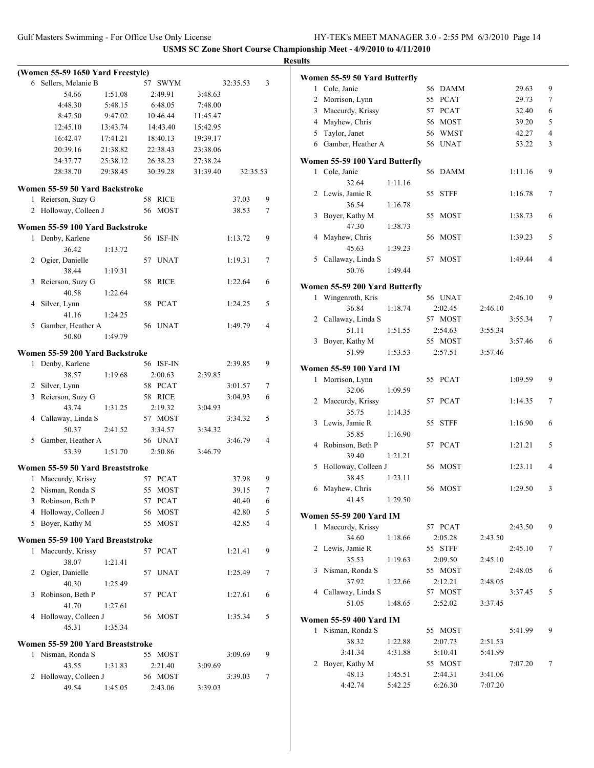|                                                     |                      |                      |                      |          |                | <b>Results</b>                                                                     |                |
|-----------------------------------------------------|----------------------|----------------------|----------------------|----------|----------------|------------------------------------------------------------------------------------|----------------|
| (Women 55-59 1650 Yard Freestyle)                   |                      |                      |                      |          |                | Women 55-59 50 Yard Butterfly                                                      |                |
| 6 Sellers, Melanie B                                |                      | 57 SWYM              |                      | 32:35.53 | 3              | 1 Cole, Janie<br>56 DAMM<br>29.63                                                  | 9              |
| 54.66                                               | 1:51.08              | 2:49.91              | 3:48.63              |          |                | 55 PCAT<br>29.73<br>2 Morrison, Lynn                                               | $\tau$         |
| 4:48.30                                             | 5:48.15              | 6:48.05              | 7:48.00              |          |                | 3 Maccurdy, Krissy<br>57 PCAT<br>32.40                                             | 6              |
| 8:47.50                                             | 9:47.02              | 10:46.44             | 11:45.47             |          |                | 4 Mayhew, Chris<br>56 MOST<br>39.20                                                | 5              |
| 12:45.10                                            | 13:43.74             | 14:43.40             | 15:42.95             |          |                | 56 WMST<br>42.27<br>5<br>Taylor, Janet                                             | $\overline{4}$ |
| 16:42.47                                            | 17:41.21             | 18:40.13             | 19:39.17             |          |                | 6 Gamber, Heather A<br>56 UNAT<br>53.22                                            | 3              |
| 20:39.16<br>24:37.77                                | 21:38.82<br>25:38.12 | 22:38.43<br>26:38.23 | 23:38.06<br>27:38.24 |          |                |                                                                                    |                |
| 28:38.70                                            | 29:38.45             | 30:39.28             | 31:39.40             | 32:35.53 |                | Women 55-59 100 Yard Butterfly<br>1 Cole, Janie<br>56 DAMM<br>1:11.16              | 9              |
|                                                     |                      |                      |                      |          |                | 32.64<br>1:11.16                                                                   |                |
| Women 55-59 50 Yard Backstroke                      |                      |                      |                      |          |                | 2 Lewis, Jamie R<br>55 STFF<br>1:16.78                                             | 7              |
| 1 Reierson, Suzy G                                  |                      | 58 RICE              |                      | 37.03    | 9              | 36.54<br>1:16.78                                                                   |                |
| 2 Holloway, Colleen J                               |                      | 56 MOST              |                      | 38.53    | $\tau$         | 3 Boyer, Kathy M<br>1:38.73<br>55 MOST                                             | 6              |
| Women 55-59 100 Yard Backstroke                     |                      |                      |                      |          |                | 47.30<br>1:38.73                                                                   |                |
| 1 Denby, Karlene                                    |                      | 56 ISF-IN            |                      | 1:13.72  | 9              | 4 Mayhew, Chris<br>56 MOST<br>1:39.23                                              | 5              |
| 36.42                                               | 1:13.72              |                      |                      |          |                | 45.63<br>1:39.23                                                                   |                |
| 2 Ogier, Danielle                                   |                      | 57 UNAT              |                      | 1:19.31  | 7              | 5 Callaway, Linda S<br>57 MOST<br>1:49.44                                          | 4              |
| 38.44                                               | 1:19.31              |                      |                      |          |                | 50.76<br>1:49.44                                                                   |                |
| 3 Reierson, Suzy G<br>40.58                         | 1:22.64              | 58 RICE              |                      | 1:22.64  | 6              | Women 55-59 200 Yard Butterfly                                                     |                |
| 4 Silver, Lynn                                      |                      | 58 PCAT              |                      | 1:24.25  | 5              | 2:46.10<br>1 Wingenroth, Kris<br>56 UNAT                                           | 9              |
| 41.16                                               | 1:24.25              |                      |                      |          |                | 36.84<br>2:02.45<br>1:18.74<br>2:46.10                                             |                |
| 5 Gamber, Heather A                                 |                      | 56 UNAT              |                      | 1:49.79  | $\overline{4}$ | 2 Callaway, Linda S<br>57 MOST<br>3:55.34                                          | 7              |
| 50.80                                               | 1:49.79              |                      |                      |          |                | 51.11<br>3:55.34<br>1:51.55<br>2:54.63                                             |                |
|                                                     |                      |                      |                      |          |                | 3 Boyer, Kathy M<br>55 MOST<br>3:57.46                                             | 6              |
| Women 55-59 200 Yard Backstroke<br>1 Denby, Karlene |                      | 56 ISF-IN            |                      | 2:39.85  | 9              | 51.99<br>1:53.53<br>3:57.46<br>2:57.51                                             |                |
| 38.57                                               | 1:19.68              | 2:00.63              | 2:39.85              |          |                | <b>Women 55-59 100 Yard IM</b>                                                     |                |
| 2 Silver, Lynn                                      |                      | 58 PCAT              |                      | 3:01.57  | 7              | 1 Morrison, Lynn<br>55 PCAT<br>1:09.59                                             | 9              |
| 3 Reierson, Suzy G                                  |                      | 58 RICE              |                      | 3:04.93  | 6              | 32.06<br>1:09.59                                                                   |                |
| 43.74                                               | 1:31.25              | 2:19.32              | 3:04.93              |          |                | 2 Maccurdy, Krissy<br>57 PCAT<br>1:14.35                                           | 7              |
| 4 Callaway, Linda S                                 |                      | 57 MOST              |                      | 3:34.32  | 5              | 35.75<br>1:14.35<br>3 Lewis, Jamie R<br>55 STFF<br>1:16.90                         | 6              |
| 50.37                                               | 2:41.52              | 3:34.57              | 3:34.32              |          |                | 35.85<br>1:16.90                                                                   |                |
| 5 Gamber, Heather A                                 |                      | 56 UNAT              |                      | 3:46.79  | $\overline{4}$ | 4 Robinson, Beth P<br>57 PCAT<br>1:21.21                                           | 5              |
| 53.39                                               | 1:51.70              | 2:50.86              | 3:46.79              |          |                | 39.40<br>1:21.21                                                                   |                |
| Women 55-59 50 Yard Breaststroke                    |                      |                      |                      |          |                | 5 Holloway, Colleen J<br>56 MOST<br>1:23.11                                        | 4              |
| 1 Maccurdy, Krissy                                  |                      | 57 PCAT              |                      | 37.98    | 9              | 38.45<br>1:23.11                                                                   |                |
| 2 Nisman, Ronda S                                   |                      | 55 MOST              |                      | 39.15    | $\tau$         | 6 Mayhew, Chris<br>56 MOST<br>1:29.50                                              |                |
| 3 Robinson, Beth P                                  |                      | 57 PCAT              |                      | 40.40    | 6              | 41.45<br>1:29.50                                                                   |                |
| 4 Holloway, Colleen J                               |                      | 56 MOST              |                      | 42.80    | 5              | Women 55-59 200 Yard IM                                                            |                |
| 5 Boyer, Kathy M                                    |                      | 55 MOST              |                      | 42.85    | 4              | 1 Maccurdy, Krissy<br>57 PCAT<br>2:43.50                                           | 9              |
| Women 55-59 100 Yard Breaststroke                   |                      |                      |                      |          |                | 34.60<br>1:18.66<br>2:05.28<br>2:43.50                                             |                |
| 1 Maccurdy, Krissy                                  |                      | 57 PCAT              |                      | 1:21.41  | 9              | 55 STFF<br>2:45.10<br>2 Lewis, Jamie R                                             | 7              |
| 38.07                                               | 1:21.41              |                      |                      |          |                | 35.53<br>1:19.63<br>2:09.50<br>2:45.10                                             |                |
| 2 Ogier, Danielle                                   |                      | 57 UNAT              |                      | 1:25.49  | 7              | 3 Nisman, Ronda S<br>2:48.05<br>55 MOST                                            | 6              |
| 40.30                                               | 1:25.49              |                      |                      |          |                | 37.92<br>1:22.66<br>2:12.21<br>2:48.05                                             |                |
| 3 Robinson, Beth P                                  |                      | 57 PCAT              |                      | 1:27.61  | 6              | 4 Callaway, Linda S<br>57 MOST<br>3:37.45<br>51.05                                 | 5              |
| 41.70                                               | 1:27.61              |                      |                      |          |                | 1:48.65<br>2:52.02<br>3:37.45                                                      |                |
| 4 Holloway, Colleen J<br>45.31                      |                      | 56 MOST              |                      | 1:35.34  | 5              | <b>Women 55-59 400 Yard IM</b>                                                     |                |
|                                                     | 1:35.34              |                      |                      |          |                | 1 Nisman, Ronda S<br>55 MOST<br>5:41.99                                            | 9              |
| Women 55-59 200 Yard Breaststroke                   |                      |                      |                      |          |                | 38.32<br>1:22.88<br>2:07.73<br>2:51.53                                             |                |
| 1 Nisman, Ronda S                                   |                      | 55 MOST              |                      | 3:09.69  | 9              | 3:41.34<br>5:41.99<br>4:31.88<br>5:10.41                                           |                |
| 43.55                                               | 1:31.83              | 2:21.40              | 3:09.69              |          |                | 2 Boyer, Kathy M<br>55 MOST<br>7:07.20                                             | 7              |
| 2 Holloway, Colleen J                               |                      | 56 MOST              |                      | 3:39.03  | 7              | 48.13<br>2:44.31<br>3:41.06<br>1:45.51<br>7:07.20<br>4:42.74<br>5:42.25<br>6:26.30 |                |
| 49.54                                               | 1:45.05              | 2:43.06              | 3:39.03              |          |                |                                                                                    |                |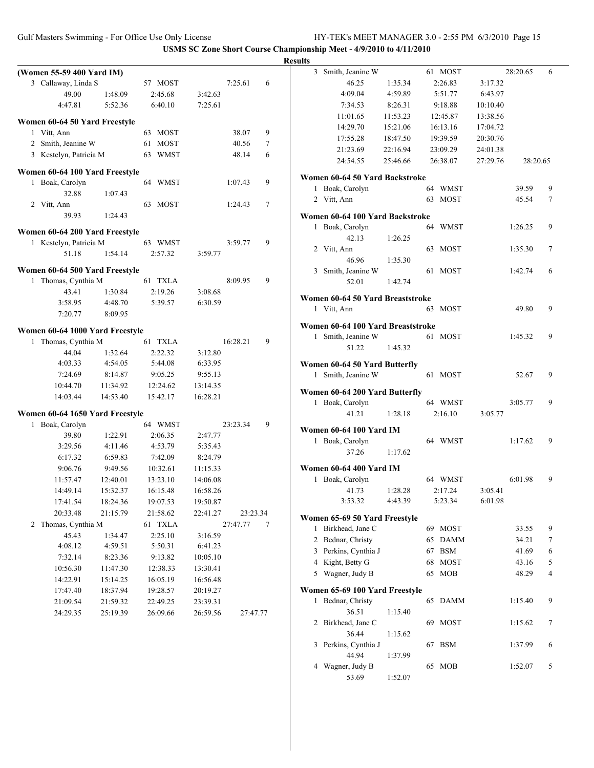|              | (Women 55-59 400 Yard IM)                           |                    |                   |                    |               |
|--------------|-----------------------------------------------------|--------------------|-------------------|--------------------|---------------|
|              | 3 Callaway, Linda S                                 |                    | 57 MOST           |                    | 7:25.61<br>6  |
|              | 49.00                                               | 1:48.09            | 2:45.68           | 3:42.63            |               |
|              | 4:47.81                                             | 5:52.36            | 6:40.10           | 7:25.61            |               |
|              | Women 60-64 50 Yard Freestyle                       |                    |                   |                    |               |
| 1            | Vitt, Ann                                           |                    | <b>MOST</b><br>63 |                    | 9<br>38.07    |
|              | 2 Smith, Jeanine W                                  |                    | <b>MOST</b><br>61 |                    | 40.56<br>7    |
|              | 3 Kestelyn, Patricia M                              |                    | <b>WMST</b><br>63 |                    | 48.14<br>6    |
|              | Women 60-64 100 Yard Freestyle                      |                    |                   |                    |               |
| 1            | Boak, Carolyn                                       |                    | WMST<br>64        |                    | 1:07.43<br>9  |
|              | 32.88                                               | 1:07.43            |                   |                    |               |
|              | 2 Vitt, Ann                                         |                    | 63<br><b>MOST</b> |                    | 1:24.43<br>7  |
|              | 39.93                                               | 1:24.43            |                   |                    |               |
|              | Women 60-64 200 Yard Freestyle                      |                    |                   |                    |               |
|              | 1 Kestelyn, Patricia M                              |                    | 63 WMST           |                    | 3:59.77<br>9  |
|              | 51.18                                               | 1:54.14            | 2:57.32           | 3:59.77            |               |
|              |                                                     |                    |                   |                    |               |
| 1            | Women 60-64 500 Yard Freestyle<br>Thomas, Cynthia M |                    | 61 TXLA           |                    | 8:09.95<br>9  |
|              | 43.41                                               |                    | 2:19.26           |                    |               |
|              | 3:58.95                                             | 1:30.84<br>4:48.70 | 5:39.57           | 3:08.68<br>6:30.59 |               |
|              | 7:20.77                                             | 8:09.95            |                   |                    |               |
|              |                                                     |                    |                   |                    |               |
|              | Women 60-64 1000 Yard Freestyle                     |                    |                   |                    |               |
| 1            | Thomas, Cynthia M                                   |                    | 61 TXLA           |                    | 16:28.21<br>9 |
|              | 44.04                                               | 1:32.64            | 2:22.32           | 3:12.80            |               |
|              | 4:03.33                                             | 4:54.05            | 5:44.08           | 6:33.95            |               |
|              | 7:24.69                                             | 8:14.87            | 9:05.25           | 9:55.13            |               |
|              | 10:44.70                                            | 11:34.92           | 12:24.62          | 13:14.35           |               |
|              | 14:03.44                                            | 14:53.40           | 15:42.17          | 16:28.21           |               |
|              | Women 60-64 1650 Yard Freestyle                     |                    |                   |                    |               |
| $\mathbf{1}$ | Boak, Carolyn                                       |                    | 64 WMST           |                    | 9<br>23:23.34 |
|              | 39.80                                               | 1:22.91            | 2:06.35           | 2:47.77            |               |
|              | 3:29.56                                             | 4:11.46            | 4:53.79           | 5:35.43            |               |
|              | 6:17.32                                             | 6:59.83            | 7:42.09           | 8:24.79            |               |
|              | 9:06.76                                             | 9:49.56            | 10:32.61          | 11:15.33           |               |
|              | 11:57.47                                            | 12:40.01           | 13:23.10          | 14:06.08           |               |
|              | 14:49.14                                            | 15:32.37           | 16:15.48          | 16:58.26           |               |
|              | 17:41.54                                            | 18:24.36           | 19:07.53          | 19:50.87           |               |
|              | 20:33.48                                            | 21:15.79           | 21:58.62          | 22:41.27           | 23:23.34      |
| 2            | Thomas, Cynthia M                                   |                    | 61 TXLA           |                    | 27:47.77<br>7 |
|              | 45.43                                               | 1:34.47            | 2:25.10           | 3:16.59            |               |
|              | 4:08.12                                             | 4:59.51            | 5:50.31           | 6:41.23            |               |
|              | 7:32.14                                             | 8:23.36            | 9:13.82           | 10:05.10           |               |
|              | 10:56.30                                            | 11:47.30           | 12:38.33          | 13:30.41           |               |
|              | 14:22.91                                            | 15:14.25           | 16:05.19          | 16:56.48           |               |
|              | 17:47.40                                            | 18:37.94           | 19:28.57          | 20:19.27           |               |
|              | 21:09.54                                            | 21:59.32           | 22:49.25          | 23:39.31           |               |
|              | 24:29.35                                            | 25:19.39           | 26:09.66          | 26:59.56           | 27:47.77      |

| <b>Results</b> |                                   |          |    |             |          |          |   |
|----------------|-----------------------------------|----------|----|-------------|----------|----------|---|
| 3              | Smith, Jeanine W                  |          |    | 61 MOST     |          | 28:20.65 | 6 |
|                | 46.25                             | 1:35.34  |    | 2:26.83     | 3:17.32  |          |   |
|                | 4:09.04                           | 4:59.89  |    | 5:51.77     | 6:43.97  |          |   |
|                | 7:34.53                           | 8:26.31  |    | 9:18.88     | 10:10.40 |          |   |
|                | 11:01.65                          | 11:53.23 |    | 12:45.87    | 13:38.56 |          |   |
|                | 14:29.70                          | 15:21.06 |    | 16:13.16    | 17:04.72 |          |   |
|                | 17:55.28                          | 18:47.50 |    | 19:39.59    | 20:30.76 |          |   |
|                | 21:23.69                          | 22:16.94 |    | 23:09.29    | 24:01.38 |          |   |
|                | 24:54.55                          | 25:46.66 |    | 26:38.07    | 27:29.76 | 28:20.65 |   |
|                |                                   |          |    |             |          |          |   |
|                | Women 60-64 50 Yard Backstroke    |          |    |             |          |          |   |
|                | 1 Boak, Carolyn                   |          |    | 64 WMST     |          | 39.59    | 9 |
|                | 2 Vitt, Ann                       |          |    | 63 MOST     |          | 45.54    | 7 |
|                | Women 60-64 100 Yard Backstroke   |          |    |             |          |          |   |
|                | 1 Boak, Carolyn                   |          |    | 64 WMST     |          | 1:26.25  | 9 |
|                | 42.13                             | 1:26.25  |    |             |          |          |   |
|                | 2 Vitt, Ann                       |          |    | 63 MOST     |          | 1:35.30  | 7 |
|                | 46.96                             | 1:35.30  |    |             |          |          |   |
|                | 3 Smith, Jeanine W                |          |    | 61 MOST     |          | 1:42.74  | 6 |
|                | 52.01                             | 1:42.74  |    |             |          |          |   |
|                |                                   |          |    |             |          |          |   |
|                | Women 60-64 50 Yard Breaststroke  |          |    |             |          |          |   |
|                | 1 Vitt, Ann                       |          |    | 63 MOST     |          | 49.80    | 9 |
|                | Women 60-64 100 Yard Breaststroke |          |    |             |          |          |   |
|                | 1 Smith, Jeanine W                |          |    | 61 MOST     |          | 1:45.32  | 9 |
|                | 51.22                             | 1:45.32  |    |             |          |          |   |
|                |                                   |          |    |             |          |          |   |
|                | Women 60-64 50 Yard Butterfly     |          |    |             |          |          |   |
|                | 1 Smith, Jeanine W                |          |    | 61 MOST     |          | 52.67    | 9 |
|                | Women 60-64 200 Yard Butterfly    |          |    |             |          |          |   |
|                | 1 Boak, Carolyn                   |          |    | 64 WMST     |          | 3:05.77  | 9 |
|                | 41.21                             | 1:28.18  |    | 2:16.10     | 3:05.77  |          |   |
|                |                                   |          |    |             |          |          |   |
|                | Women 60-64 100 Yard IM           |          |    |             |          |          |   |
|                | 1 Boak, Carolyn                   |          |    | 64 WMST     |          | 1:17.62  | 9 |
|                | 37.26                             | 1:17.62  |    |             |          |          |   |
|                | Women 60-64 400 Yard IM           |          |    |             |          |          |   |
|                | 1 Boak, Carolyn                   |          |    | 64 WMST     |          | 6:01.98  | 9 |
|                | 41.73 1:28.28                     |          |    | 2:17.24     | 3:05.41  |          |   |
|                | 3:53.32                           | 4:43.39  |    | 5:23.34     | 6:01.98  |          |   |
|                |                                   |          |    |             |          |          |   |
|                | Women 65-69 50 Yard Freestyle     |          |    |             |          |          |   |
| 1              | Birkhead, Jane C                  |          |    | 69 MOST     |          | 33.55    | 9 |
|                | 2 Bednar, Christy                 |          |    | 65 DAMM     |          | 34.21    | 7 |
|                | 3 Perkins, Cynthia J              |          |    | 67 BSM      |          | 41.69    | 6 |
|                | 4 Kight, Betty G                  |          |    | 68 MOST     |          | 43.16    | 5 |
|                | 5 Wagner, Judy B                  |          | 65 | <b>MOB</b>  |          | 48.29    | 4 |
|                | Women 65-69 100 Yard Freestyle    |          |    |             |          |          |   |
| 1              | Bednar, Christy                   |          | 65 | <b>DAMM</b> |          | 1:15.40  | 9 |
|                | 36.51                             | 1:15.40  |    |             |          |          |   |
|                | 2 Birkhead, Jane C                |          | 69 | <b>MOST</b> |          | 1:15.62  | 7 |
|                | 36.44                             | 1:15.62  |    |             |          |          |   |
|                | 3 Perkins, Cynthia J              |          | 67 | <b>BSM</b>  |          | 1:37.99  | 6 |
|                | 44.94                             | 1:37.99  |    |             |          |          |   |
|                | 4 Wagner, Judy B                  |          | 65 | <b>MOB</b>  |          | 1:52.07  | 5 |
|                | 53.69                             | 1:52.07  |    |             |          |          |   |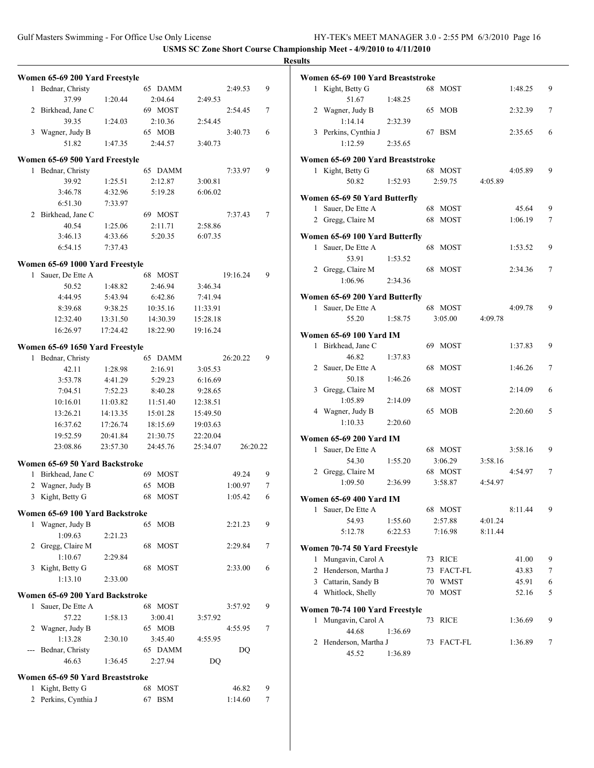## **Results**

|                  |                                                                                                                                                                                                                                                                                                                                                                                                                                             |                                                                                                                                                                                                          |                                                                                                                                                                                                                                                                                                                                                                                                                                                                                                                                                                                             |                                                                                                                                        | 9                                                                                                                                                 |
|------------------|---------------------------------------------------------------------------------------------------------------------------------------------------------------------------------------------------------------------------------------------------------------------------------------------------------------------------------------------------------------------------------------------------------------------------------------------|----------------------------------------------------------------------------------------------------------------------------------------------------------------------------------------------------------|---------------------------------------------------------------------------------------------------------------------------------------------------------------------------------------------------------------------------------------------------------------------------------------------------------------------------------------------------------------------------------------------------------------------------------------------------------------------------------------------------------------------------------------------------------------------------------------------|----------------------------------------------------------------------------------------------------------------------------------------|---------------------------------------------------------------------------------------------------------------------------------------------------|
|                  |                                                                                                                                                                                                                                                                                                                                                                                                                                             |                                                                                                                                                                                                          |                                                                                                                                                                                                                                                                                                                                                                                                                                                                                                                                                                                             |                                                                                                                                        |                                                                                                                                                   |
|                  |                                                                                                                                                                                                                                                                                                                                                                                                                                             |                                                                                                                                                                                                          |                                                                                                                                                                                                                                                                                                                                                                                                                                                                                                                                                                                             |                                                                                                                                        | 7                                                                                                                                                 |
|                  |                                                                                                                                                                                                                                                                                                                                                                                                                                             |                                                                                                                                                                                                          |                                                                                                                                                                                                                                                                                                                                                                                                                                                                                                                                                                                             |                                                                                                                                        |                                                                                                                                                   |
|                  |                                                                                                                                                                                                                                                                                                                                                                                                                                             |                                                                                                                                                                                                          |                                                                                                                                                                                                                                                                                                                                                                                                                                                                                                                                                                                             |                                                                                                                                        | 6                                                                                                                                                 |
|                  |                                                                                                                                                                                                                                                                                                                                                                                                                                             |                                                                                                                                                                                                          |                                                                                                                                                                                                                                                                                                                                                                                                                                                                                                                                                                                             |                                                                                                                                        |                                                                                                                                                   |
|                  |                                                                                                                                                                                                                                                                                                                                                                                                                                             |                                                                                                                                                                                                          |                                                                                                                                                                                                                                                                                                                                                                                                                                                                                                                                                                                             |                                                                                                                                        |                                                                                                                                                   |
|                  |                                                                                                                                                                                                                                                                                                                                                                                                                                             |                                                                                                                                                                                                          |                                                                                                                                                                                                                                                                                                                                                                                                                                                                                                                                                                                             |                                                                                                                                        |                                                                                                                                                   |
| Bednar, Christy  |                                                                                                                                                                                                                                                                                                                                                                                                                                             | 65 DAMM                                                                                                                                                                                                  |                                                                                                                                                                                                                                                                                                                                                                                                                                                                                                                                                                                             | 7:33.97                                                                                                                                | 9                                                                                                                                                 |
| 39.92            | 1:25.51                                                                                                                                                                                                                                                                                                                                                                                                                                     | 2:12.87                                                                                                                                                                                                  | 3:00.81                                                                                                                                                                                                                                                                                                                                                                                                                                                                                                                                                                                     |                                                                                                                                        |                                                                                                                                                   |
| 3:46.78          | 4:32.96                                                                                                                                                                                                                                                                                                                                                                                                                                     | 5:19.28                                                                                                                                                                                                  | 6:06.02                                                                                                                                                                                                                                                                                                                                                                                                                                                                                                                                                                                     |                                                                                                                                        |                                                                                                                                                   |
| 6:51.30          | 7:33.97                                                                                                                                                                                                                                                                                                                                                                                                                                     |                                                                                                                                                                                                          |                                                                                                                                                                                                                                                                                                                                                                                                                                                                                                                                                                                             |                                                                                                                                        |                                                                                                                                                   |
|                  |                                                                                                                                                                                                                                                                                                                                                                                                                                             | 69 MOST                                                                                                                                                                                                  |                                                                                                                                                                                                                                                                                                                                                                                                                                                                                                                                                                                             | 7:37.43                                                                                                                                | 7                                                                                                                                                 |
|                  |                                                                                                                                                                                                                                                                                                                                                                                                                                             |                                                                                                                                                                                                          |                                                                                                                                                                                                                                                                                                                                                                                                                                                                                                                                                                                             |                                                                                                                                        |                                                                                                                                                   |
|                  |                                                                                                                                                                                                                                                                                                                                                                                                                                             |                                                                                                                                                                                                          |                                                                                                                                                                                                                                                                                                                                                                                                                                                                                                                                                                                             |                                                                                                                                        |                                                                                                                                                   |
|                  |                                                                                                                                                                                                                                                                                                                                                                                                                                             |                                                                                                                                                                                                          |                                                                                                                                                                                                                                                                                                                                                                                                                                                                                                                                                                                             |                                                                                                                                        |                                                                                                                                                   |
|                  |                                                                                                                                                                                                                                                                                                                                                                                                                                             |                                                                                                                                                                                                          |                                                                                                                                                                                                                                                                                                                                                                                                                                                                                                                                                                                             |                                                                                                                                        |                                                                                                                                                   |
|                  |                                                                                                                                                                                                                                                                                                                                                                                                                                             |                                                                                                                                                                                                          |                                                                                                                                                                                                                                                                                                                                                                                                                                                                                                                                                                                             |                                                                                                                                        |                                                                                                                                                   |
| Sauer, De Ette A |                                                                                                                                                                                                                                                                                                                                                                                                                                             | 68 MOST                                                                                                                                                                                                  |                                                                                                                                                                                                                                                                                                                                                                                                                                                                                                                                                                                             | 19:16.24                                                                                                                               | 9                                                                                                                                                 |
| 50.52            | 1:48.82                                                                                                                                                                                                                                                                                                                                                                                                                                     | 2:46.94                                                                                                                                                                                                  | 3:46.34                                                                                                                                                                                                                                                                                                                                                                                                                                                                                                                                                                                     |                                                                                                                                        |                                                                                                                                                   |
| 4:44.95          | 5:43.94                                                                                                                                                                                                                                                                                                                                                                                                                                     | 6:42.86                                                                                                                                                                                                  | 7:41.94                                                                                                                                                                                                                                                                                                                                                                                                                                                                                                                                                                                     |                                                                                                                                        |                                                                                                                                                   |
| 8:39.68          | 9:38.25                                                                                                                                                                                                                                                                                                                                                                                                                                     | 10:35.16                                                                                                                                                                                                 | 11:33.91                                                                                                                                                                                                                                                                                                                                                                                                                                                                                                                                                                                    |                                                                                                                                        |                                                                                                                                                   |
| 12:32.40         | 13:31.50                                                                                                                                                                                                                                                                                                                                                                                                                                    | 14:30.39                                                                                                                                                                                                 | 15:28.18                                                                                                                                                                                                                                                                                                                                                                                                                                                                                                                                                                                    |                                                                                                                                        |                                                                                                                                                   |
|                  |                                                                                                                                                                                                                                                                                                                                                                                                                                             |                                                                                                                                                                                                          |                                                                                                                                                                                                                                                                                                                                                                                                                                                                                                                                                                                             |                                                                                                                                        |                                                                                                                                                   |
|                  |                                                                                                                                                                                                                                                                                                                                                                                                                                             |                                                                                                                                                                                                          |                                                                                                                                                                                                                                                                                                                                                                                                                                                                                                                                                                                             |                                                                                                                                        |                                                                                                                                                   |
|                  |                                                                                                                                                                                                                                                                                                                                                                                                                                             |                                                                                                                                                                                                          |                                                                                                                                                                                                                                                                                                                                                                                                                                                                                                                                                                                             |                                                                                                                                        |                                                                                                                                                   |
| Bednar, Christy  |                                                                                                                                                                                                                                                                                                                                                                                                                                             | 65 DAMM                                                                                                                                                                                                  |                                                                                                                                                                                                                                                                                                                                                                                                                                                                                                                                                                                             |                                                                                                                                        | 9                                                                                                                                                 |
| 42.11            | 1:28.98                                                                                                                                                                                                                                                                                                                                                                                                                                     | 2:16.91                                                                                                                                                                                                  | 3:05.53                                                                                                                                                                                                                                                                                                                                                                                                                                                                                                                                                                                     |                                                                                                                                        |                                                                                                                                                   |
| 3:53.78          | 4:41.29                                                                                                                                                                                                                                                                                                                                                                                                                                     | 5:29.23                                                                                                                                                                                                  | 6:16.69                                                                                                                                                                                                                                                                                                                                                                                                                                                                                                                                                                                     |                                                                                                                                        |                                                                                                                                                   |
| 7:04.51          | 7:52.23                                                                                                                                                                                                                                                                                                                                                                                                                                     | 8:40.28                                                                                                                                                                                                  | 9:28.65                                                                                                                                                                                                                                                                                                                                                                                                                                                                                                                                                                                     |                                                                                                                                        |                                                                                                                                                   |
| 10:16.01         | 11:03.82                                                                                                                                                                                                                                                                                                                                                                                                                                    | 11:51.40                                                                                                                                                                                                 | 12:38.51                                                                                                                                                                                                                                                                                                                                                                                                                                                                                                                                                                                    |                                                                                                                                        |                                                                                                                                                   |
|                  | 14:13.35                                                                                                                                                                                                                                                                                                                                                                                                                                    | 15:01.28                                                                                                                                                                                                 | 15:49.50                                                                                                                                                                                                                                                                                                                                                                                                                                                                                                                                                                                    |                                                                                                                                        |                                                                                                                                                   |
|                  |                                                                                                                                                                                                                                                                                                                                                                                                                                             |                                                                                                                                                                                                          |                                                                                                                                                                                                                                                                                                                                                                                                                                                                                                                                                                                             |                                                                                                                                        |                                                                                                                                                   |
|                  |                                                                                                                                                                                                                                                                                                                                                                                                                                             |                                                                                                                                                                                                          |                                                                                                                                                                                                                                                                                                                                                                                                                                                                                                                                                                                             |                                                                                                                                        |                                                                                                                                                   |
|                  |                                                                                                                                                                                                                                                                                                                                                                                                                                             |                                                                                                                                                                                                          |                                                                                                                                                                                                                                                                                                                                                                                                                                                                                                                                                                                             |                                                                                                                                        |                                                                                                                                                   |
|                  |                                                                                                                                                                                                                                                                                                                                                                                                                                             |                                                                                                                                                                                                          |                                                                                                                                                                                                                                                                                                                                                                                                                                                                                                                                                                                             |                                                                                                                                        |                                                                                                                                                   |
|                  |                                                                                                                                                                                                                                                                                                                                                                                                                                             |                                                                                                                                                                                                          |                                                                                                                                                                                                                                                                                                                                                                                                                                                                                                                                                                                             |                                                                                                                                        |                                                                                                                                                   |
|                  |                                                                                                                                                                                                                                                                                                                                                                                                                                             |                                                                                                                                                                                                          |                                                                                                                                                                                                                                                                                                                                                                                                                                                                                                                                                                                             |                                                                                                                                        | 9                                                                                                                                                 |
|                  |                                                                                                                                                                                                                                                                                                                                                                                                                                             |                                                                                                                                                                                                          |                                                                                                                                                                                                                                                                                                                                                                                                                                                                                                                                                                                             |                                                                                                                                        | 7                                                                                                                                                 |
|                  |                                                                                                                                                                                                                                                                                                                                                                                                                                             |                                                                                                                                                                                                          |                                                                                                                                                                                                                                                                                                                                                                                                                                                                                                                                                                                             |                                                                                                                                        | 6                                                                                                                                                 |
|                  |                                                                                                                                                                                                                                                                                                                                                                                                                                             |                                                                                                                                                                                                          |                                                                                                                                                                                                                                                                                                                                                                                                                                                                                                                                                                                             |                                                                                                                                        |                                                                                                                                                   |
|                  |                                                                                                                                                                                                                                                                                                                                                                                                                                             |                                                                                                                                                                                                          |                                                                                                                                                                                                                                                                                                                                                                                                                                                                                                                                                                                             |                                                                                                                                        | 9                                                                                                                                                 |
|                  |                                                                                                                                                                                                                                                                                                                                                                                                                                             |                                                                                                                                                                                                          |                                                                                                                                                                                                                                                                                                                                                                                                                                                                                                                                                                                             |                                                                                                                                        |                                                                                                                                                   |
|                  |                                                                                                                                                                                                                                                                                                                                                                                                                                             |                                                                                                                                                                                                          |                                                                                                                                                                                                                                                                                                                                                                                                                                                                                                                                                                                             |                                                                                                                                        | 7                                                                                                                                                 |
|                  |                                                                                                                                                                                                                                                                                                                                                                                                                                             |                                                                                                                                                                                                          |                                                                                                                                                                                                                                                                                                                                                                                                                                                                                                                                                                                             |                                                                                                                                        |                                                                                                                                                   |
|                  |                                                                                                                                                                                                                                                                                                                                                                                                                                             |                                                                                                                                                                                                          |                                                                                                                                                                                                                                                                                                                                                                                                                                                                                                                                                                                             |                                                                                                                                        |                                                                                                                                                   |
|                  |                                                                                                                                                                                                                                                                                                                                                                                                                                             |                                                                                                                                                                                                          |                                                                                                                                                                                                                                                                                                                                                                                                                                                                                                                                                                                             |                                                                                                                                        | 6                                                                                                                                                 |
|                  |                                                                                                                                                                                                                                                                                                                                                                                                                                             |                                                                                                                                                                                                          |                                                                                                                                                                                                                                                                                                                                                                                                                                                                                                                                                                                             |                                                                                                                                        |                                                                                                                                                   |
|                  |                                                                                                                                                                                                                                                                                                                                                                                                                                             |                                                                                                                                                                                                          |                                                                                                                                                                                                                                                                                                                                                                                                                                                                                                                                                                                             |                                                                                                                                        |                                                                                                                                                   |
|                  |                                                                                                                                                                                                                                                                                                                                                                                                                                             |                                                                                                                                                                                                          |                                                                                                                                                                                                                                                                                                                                                                                                                                                                                                                                                                                             |                                                                                                                                        | 9                                                                                                                                                 |
|                  |                                                                                                                                                                                                                                                                                                                                                                                                                                             |                                                                                                                                                                                                          |                                                                                                                                                                                                                                                                                                                                                                                                                                                                                                                                                                                             |                                                                                                                                        |                                                                                                                                                   |
|                  |                                                                                                                                                                                                                                                                                                                                                                                                                                             |                                                                                                                                                                                                          |                                                                                                                                                                                                                                                                                                                                                                                                                                                                                                                                                                                             |                                                                                                                                        | 7                                                                                                                                                 |
|                  |                                                                                                                                                                                                                                                                                                                                                                                                                                             |                                                                                                                                                                                                          |                                                                                                                                                                                                                                                                                                                                                                                                                                                                                                                                                                                             |                                                                                                                                        |                                                                                                                                                   |
|                  |                                                                                                                                                                                                                                                                                                                                                                                                                                             |                                                                                                                                                                                                          |                                                                                                                                                                                                                                                                                                                                                                                                                                                                                                                                                                                             |                                                                                                                                        |                                                                                                                                                   |
|                  |                                                                                                                                                                                                                                                                                                                                                                                                                                             |                                                                                                                                                                                                          |                                                                                                                                                                                                                                                                                                                                                                                                                                                                                                                                                                                             |                                                                                                                                        |                                                                                                                                                   |
|                  |                                                                                                                                                                                                                                                                                                                                                                                                                                             |                                                                                                                                                                                                          |                                                                                                                                                                                                                                                                                                                                                                                                                                                                                                                                                                                             |                                                                                                                                        |                                                                                                                                                   |
|                  |                                                                                                                                                                                                                                                                                                                                                                                                                                             |                                                                                                                                                                                                          |                                                                                                                                                                                                                                                                                                                                                                                                                                                                                                                                                                                             |                                                                                                                                        |                                                                                                                                                   |
| Kight, Betty G   |                                                                                                                                                                                                                                                                                                                                                                                                                                             | 68<br>MOST                                                                                                                                                                                               |                                                                                                                                                                                                                                                                                                                                                                                                                                                                                                                                                                                             | 46.82                                                                                                                                  | 9                                                                                                                                                 |
|                  |                                                                                                                                                                                                                                                                                                                                                                                                                                             | 67<br><b>BSM</b>                                                                                                                                                                                         |                                                                                                                                                                                                                                                                                                                                                                                                                                                                                                                                                                                             | 1:14.60                                                                                                                                | 7                                                                                                                                                 |
|                  |                                                                                                                                                                                                                                                                                                                                                                                                                                             |                                                                                                                                                                                                          |                                                                                                                                                                                                                                                                                                                                                                                                                                                                                                                                                                                             |                                                                                                                                        |                                                                                                                                                   |
|                  | Bednar, Christy<br>37.99<br>Birkhead, Jane C<br>39.35<br>Wagner, Judy B<br>51.82<br>Birkhead, Jane C<br>40.54<br>3:46.13<br>6:54.15<br>16:26.97<br>13:26.21<br>16:37.62<br>19:52.59<br>23:08.86<br>Birkhead, Jane C<br>Wagner, Judy B<br>Kight, Betty G<br>1 Wagner, Judy B<br>1:09.63<br>2 Gregg, Claire M<br>1:10.67<br>Kight, Betty G<br>1:13.10<br>Sauer, De Ette A<br>57.22<br>2 Wagner, Judy B<br>1:13.28<br>Bednar, Christy<br>46.63 | 1:20.44<br>1:24.03<br>1:47.35<br>1:25.06<br>4:33.66<br>7:37.43<br>17:24.42<br>17:26.74<br>20:41.84<br>23:57.30<br>2:21.23<br>2:29.84<br>2:33.00<br>1:58.13<br>2:30.10<br>1:36.45<br>2 Perkins, Cynthia J | Women 65-69 200 Yard Freestyle<br>65 DAMM<br>2:04.64<br>69 MOST<br>2:10.36<br>65 MOB<br>2:44.57<br>Women 65-69 500 Yard Freestyle<br>2:11.71<br>5:20.35<br>Women 65-69 1000 Yard Freestyle<br>18:22.90<br>Women 65-69 1650 Yard Freestyle<br>18:15.69<br>21:30.75<br>24:45.76<br>Women 65-69 50 Yard Backstroke<br>69<br>MOST<br>65<br><b>MOB</b><br>68 MOST<br>Women 65-69 100 Yard Backstroke<br>65 MOB<br><b>MOST</b><br>68<br><b>MOST</b><br>68<br>Women 65-69 200 Yard Backstroke<br>68 MOST<br>3:00.41<br>65 MOB<br>3:45.40<br>65 DAMM<br>2:27.94<br>Women 65-69 50 Yard Breaststroke | 2:49.53<br>2:54.45<br>3:40.73<br>2:58.86<br>6:07.35<br>19:16.24<br>19:03.63<br>22:20.04<br>25:34.07<br>3:57.92<br>4:55.95<br><b>DQ</b> | 2:49.53<br>2:54.45<br>3:40.73<br>26:20.22<br>26:20.22<br>49.24<br>1:00.97<br>1:05.42<br>2:21.23<br>2:29.84<br>2:33.00<br>3:57.92<br>4:55.95<br>DQ |

|              | Women 65-69 100 Yard Breaststroke |         |    |                |         |         |   |
|--------------|-----------------------------------|---------|----|----------------|---------|---------|---|
|              | 1 Kight, Betty G<br>51.67         | 1:48.25 |    | 68 MOST        |         | 1:48.25 | 9 |
|              | 2 Wagner, Judy B<br>1:14.14       | 2:32.39 | 65 | MOB            |         | 2:32.39 | 7 |
|              | 3 Perkins, Cynthia J<br>1:12.59   | 2:35.65 | 67 | <b>BSM</b>     |         | 2:35.65 | 6 |
|              | Women 65-69 200 Yard Breaststroke |         |    |                |         |         |   |
|              | 1 Kight, Betty G                  |         |    | 68 MOST        |         | 4:05.89 | 9 |
|              | 50.82                             | 1:52.93 |    | 2:59.75        | 4:05.89 |         |   |
|              | Women 65-69 50 Yard Butterfly     |         |    |                |         |         |   |
| 1            | Sauer, De Ette A                  |         |    | 68 MOST        |         | 45.64   | 9 |
|              | 2 Gregg, Claire M                 |         | 68 | <b>MOST</b>    |         | 1:06.19 | 7 |
|              | Women 65-69 100 Yard Butterfly    |         |    |                |         |         |   |
| 1            | Sauer, De Ette A                  |         | 68 | MOST           |         | 1:53.52 | 9 |
|              | 53.91                             | 1:53.52 |    |                |         |         |   |
|              | 2 Gregg, Claire M                 |         | 68 | MOST           |         | 2:34.36 | 7 |
|              | 1:06.96                           | 2:34.36 |    |                |         |         |   |
|              | Women 65-69 200 Yard Butterfly    |         |    |                |         |         |   |
| 1            | Sauer, De Ette A                  |         |    | 68 MOST        |         | 4:09.78 | 9 |
|              | 55.20                             | 1:58.75 |    | 3:05.00        | 4:09.78 |         |   |
|              | <b>Women 65-69 100 Yard IM</b>    |         |    |                |         |         |   |
|              | 1 Birkhead, Jane C                |         |    | 69 MOST        |         | 1:37.83 | 9 |
|              | 46.82                             | 1:37.83 |    |                |         |         |   |
|              | 2 Sauer, De Ette A                |         | 68 | <b>MOST</b>    |         | 1:46.26 | 7 |
|              | 50.18                             | 1:46.26 |    |                |         |         |   |
| 3            | Gregg, Claire M                   |         | 68 | <b>MOST</b>    |         | 2:14.09 | 6 |
|              | 1:05.89                           | 2:14.09 |    |                |         |         |   |
| 4            | Wagner, Judy B                    |         | 65 | <b>MOB</b>     |         | 2:20.60 | 5 |
|              | 1:10.33                           | 2:20.60 |    |                |         |         |   |
|              | Women 65-69 200 Yard IM           |         |    |                |         |         |   |
| $\mathbf{1}$ | Sauer, De Ette A                  |         |    | 68 MOST        |         | 3:58.16 | 9 |
|              | 54.30                             | 1:55.20 |    | 3:06.29        | 3:58.16 |         |   |
|              | 2 Gregg, Claire M                 |         |    | 68 MOST        |         | 4:54.97 | 7 |
|              | 1:09.50                           | 2:36.99 |    | 3:58.87        | 4:54.97 |         |   |
|              | <b>Women 65-69 400 Yard IM</b>    |         |    |                |         |         |   |
|              | 1 Sauer, De Ette A                |         |    | 68 MOST        |         | 8:11.44 | 9 |
|              | 54.93                             | 1:55.60 |    | 2:57.88        | 4:01.24 |         |   |
|              | 5:12.78                           | 6:22.53 |    | 7:16.98        | 8:11.44 |         |   |
|              | Women 70-74 50 Yard Freestyle     |         |    |                |         |         |   |
| 1            | Mungavin, Carol A                 |         | 73 | <b>RICE</b>    |         | 41.00   | 9 |
|              | 2 Henderson, Martha J             |         | 73 | <b>FACT-FL</b> |         | 43.83   | 7 |
|              | 3 Cattarin, Sandy B               |         | 70 | <b>WMST</b>    |         | 45.91   | 6 |
|              | 4 Whitlock, Shelly                |         | 70 | <b>MOST</b>    |         | 52.16   | 5 |
|              | Women 70-74 100 Yard Freestyle    |         |    |                |         |         |   |
| 1            | Mungavin, Carol A                 |         | 73 | <b>RICE</b>    |         | 1:36.69 | 9 |
|              | 44.68                             | 1:36.69 |    |                |         |         |   |
| 2            | Henderson, Martha J               |         | 73 | <b>FACT-FL</b> |         | 1:36.89 | 7 |
|              | 45.52                             | 1:36.89 |    |                |         |         |   |
|              |                                   |         |    |                |         |         |   |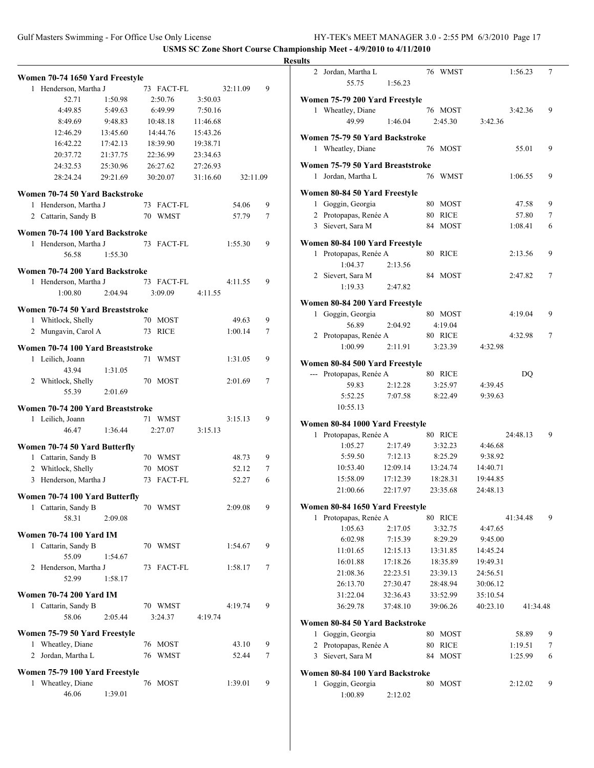|   | Women 70-74 1650 Yard Freestyle   |          |    |                |          |          |   |
|---|-----------------------------------|----------|----|----------------|----------|----------|---|
| 1 | Henderson, Martha J               |          |    | 73 FACT-FL     |          | 32:11.09 | 9 |
|   | 52.71                             | 1:50.98  |    | 2:50.76        | 3:50.03  |          |   |
|   | 4:49.85                           | 5:49.63  |    | 6:49.99        | 7:50.16  |          |   |
|   | 8:49.69                           | 9:48.83  |    | 10:48.18       | 11:46.68 |          |   |
|   | 12:46.29                          | 13:45.60 |    | 14:44.76       | 15:43.26 |          |   |
|   | 16:42.22                          | 17:42.13 |    | 18:39.90       | 19:38.71 |          |   |
|   | 20:37.72                          | 21:37.75 |    | 22:36.99       | 23:34.63 |          |   |
|   | 24:32.53                          | 25:30.96 |    | 26:27.62       | 27:26.93 |          |   |
|   | 28:24.24                          | 29:21.69 |    | 30:20.07       | 31:16.60 | 32:11.09 |   |
|   |                                   |          |    |                |          |          |   |
|   | Women 70-74 50 Yard Backstroke    |          |    |                |          |          |   |
|   | 1 Henderson, Martha J             |          | 73 | FACT-FL        |          | 54.06    | 9 |
|   | 2 Cattarin, Sandy B               |          |    | 70 WMST        |          | 57.79    | 7 |
|   | Women 70-74 100 Yard Backstroke   |          |    |                |          |          |   |
| 1 | Henderson, Martha J               |          |    | 73 FACT-FL     |          | 1:55.30  | 9 |
|   | 56.58                             | 1:55.30  |    |                |          |          |   |
|   | Women 70-74 200 Yard Backstroke   |          |    |                |          |          |   |
| 1 | Henderson, Martha J               |          |    | 73 FACT-FL     |          | 4:11.55  | 9 |
|   | 1:00.80                           | 2:04.94  |    | 3:09.09        | 4:11.55  |          |   |
|   |                                   |          |    |                |          |          |   |
|   | Women 70-74 50 Yard Breaststroke  |          |    |                |          |          |   |
|   | 1 Whitlock, Shelly                |          | 70 | <b>MOST</b>    |          | 49.63    | 9 |
| 2 | Mungavin, Carol A                 |          | 73 | <b>RICE</b>    |          | 1:00.14  | 7 |
|   | Women 70-74 100 Yard Breaststroke |          |    |                |          |          |   |
| 1 | Leilich, Joann                    |          | 71 | <b>WMST</b>    |          | 1:31.05  | 9 |
|   | 43.94                             | 1:31.05  |    |                |          |          |   |
|   | 2 Whitlock, Shelly                |          | 70 | MOST           |          | 2:01.69  | 7 |
|   | 55.39                             | 2:01.69  |    |                |          |          |   |
|   |                                   |          |    |                |          |          |   |
|   | Women 70-74 200 Yard Breaststroke |          |    |                |          |          |   |
|   | 1 Leilich, Joann                  |          |    | 71 WMST        |          | 3:15.13  | 9 |
|   | 46.47                             | 1:36.44  |    | 2:27.07        | 3:15.13  |          |   |
|   | Women 70-74 50 Yard Butterfly     |          |    |                |          |          |   |
|   | 1 Cattarin, Sandy B               |          |    | 70 WMST        |          | 48.73    | 9 |
|   | 2 Whitlock, Shelly                |          |    | 70 MOST        |          | 52.12    | 7 |
| 3 | Henderson, Martha J               |          | 73 | <b>FACT-FL</b> |          | 52.27    | 6 |
|   |                                   |          |    |                |          |          |   |
|   | Women 70-74 100 Yard Butterfly    |          |    |                |          |          |   |
|   | 1 Cattarin, Sandy B               |          |    | 70 WMST        |          | 2:09.08  | 9 |
|   | 58.31                             | 2:09.08  |    |                |          |          |   |
|   | <b>Women 70-74 100 Yard IM</b>    |          |    |                |          |          |   |
| 1 | Cattarin, Sandy B                 |          |    | 70 WMST        |          | 1:54.67  | 9 |
|   | 55.09                             | 1:54.67  |    |                |          |          |   |
|   | 2 Henderson, Martha J             |          | 73 | FACT-FL        |          | 1:58.17  | 7 |
|   | 52.99                             | 1:58.17  |    |                |          |          |   |
|   | <b>Women 70-74 200 Yard IM</b>    |          |    |                |          |          |   |
|   | 1 Cattarin, Sandy B               |          |    | 70 WMST        |          | 4:19.74  | 9 |
|   | 58.06                             | 2:05.44  |    | 3:24.37        | 4:19.74  |          |   |
|   |                                   |          |    |                |          |          |   |
|   | Women 75-79 50 Yard Freestyle     |          |    |                |          |          |   |
| 1 | Wheatley, Diane                   |          | 76 | MOST           |          | 43.10    | 9 |
| 2 | Jordan, Martha L                  |          |    | 76 WMST        |          | 52.44    | 7 |
|   | Women 75-79 100 Yard Freestyle    |          |    |                |          |          |   |
| 1 | Wheatley, Diane                   |          | 76 | MOST           |          | 1:39.01  | 9 |
|   | 46.06                             | 1:39.01  |    |                |          |          |   |
|   |                                   |          |    |                |          |          |   |

| <b>Results</b>                                         |          |                    |          |                  |        |
|--------------------------------------------------------|----------|--------------------|----------|------------------|--------|
| 2 Jordan, Martha L<br>55.75                            | 1:56.23  | 76 WMST            |          | 1:56.23          | 7      |
| Women 75-79 200 Yard Freestyle                         |          |                    |          |                  |        |
| 1 Wheatley, Diane                                      |          | 76 MOST            |          | 3:42.36          | 9      |
| 49.99                                                  | 1:46.04  | 2:45.30            | 3:42.36  |                  |        |
| Women 75-79 50 Yard Backstroke                         |          |                    |          |                  |        |
| 1 Wheatley, Diane                                      |          | 76 MOST            |          | 55.01            | 9      |
|                                                        |          |                    |          |                  |        |
| Women 75-79 50 Yard Breaststroke<br>1 Jordan, Martha L |          | 76 WMST            |          | 1:06.55          | 9      |
|                                                        |          |                    |          |                  |        |
| Women 80-84 50 Yard Freestyle                          |          |                    |          |                  |        |
| 1 Goggin, Georgia                                      |          | 80 MOST            |          | 47.58            | 9      |
| 2 Protopapas, Renée A<br>3 Sievert, Sara M             |          | 80 RICE<br>84 MOST |          | 57.80<br>1:08.41 | 7<br>6 |
|                                                        |          |                    |          |                  |        |
| Women 80-84 100 Yard Freestyle                         |          |                    |          |                  |        |
| 1 Protopapas, Renée A                                  |          | 80 RICE            |          | 2:13.56          | 9      |
| 1:04.37                                                | 2:13.56  |                    |          |                  |        |
| 2 Sievert, Sara M                                      |          | 84 MOST            |          | 2:47.82          | 7      |
| 1:19.33                                                | 2:47.82  |                    |          |                  |        |
| Women 80-84 200 Yard Freestyle                         |          |                    |          |                  |        |
| 1 Goggin, Georgia                                      |          | 80 MOST            |          | 4:19.04          | 9      |
| 56.89                                                  | 2:04.92  | 4:19.04            |          |                  |        |
| 2 Protopapas, Renée A                                  |          | 80 RICE            |          | 4:32.98          | 7      |
| 1:00.99                                                | 2:11.91  | 3:23.39            | 4:32.98  |                  |        |
| Women 80-84 500 Yard Freestyle                         |          |                    |          |                  |        |
| --- Protopapas, Renée A                                |          | 80 RICE            |          | DQ               |        |
| 59.83                                                  | 2:12.28  | 3:25.97            | 4:39.45  |                  |        |
| 5:52.25                                                | 7:07.58  | 8:22.49            | 9:39.63  |                  |        |
| 10:55.13                                               |          |                    |          |                  |        |
| Women 80-84 1000 Yard Freestyle                        |          |                    |          |                  |        |
| Protopapas, Renée A<br>1                               |          | 80 RICE            |          | 24:48.13         | 9      |
| 1:05.27                                                | 2:17.49  | 3:32.23            | 4:46.68  |                  |        |
| 5:59.50                                                | 7:12.13  | 8:25.29            | 9:38.92  |                  |        |
| 10:53.40                                               | 12:09.14 | 13:24.74           | 14:40.71 |                  |        |
| 15:58.09                                               | 17:12.39 | 18:28.31           | 19:44.85 |                  |        |
| 21:00.66                                               | 22:17.97 | 23:35.68           | 24:48.13 |                  |        |
| Women 80-84 1650 Yard Freestyle                        |          |                    |          |                  |        |
| Protopapas, Renée A<br>1                               |          | 80 RICE            |          | 41:34.48         | 9      |
| 1:05.63                                                | 2:17.05  | 3:32.75            | 4:47.65  |                  |        |
| 6:02.98                                                | 7:15.39  | 8:29.29            | 9:45.00  |                  |        |
| 11:01.65                                               | 12:15.13 | 13:31.85           | 14:45.24 |                  |        |
| 16:01.88                                               | 17:18.26 | 18:35.89           | 19:49.31 |                  |        |
| 21:08.36                                               | 22:23.51 | 23:39.13           | 24:56.51 |                  |        |
| 26:13.70                                               | 27:30.47 | 28:48.94           | 30:06.12 |                  |        |
| 31:22.04                                               | 32:36.43 | 33:52.99           | 35:10.54 |                  |        |
| 36:29.78                                               | 37:48.10 | 39:06.26           | 40:23.10 | 41:34.48         |        |
| Women 80-84 50 Yard Backstroke                         |          |                    |          |                  |        |
| Goggin, Georgia<br>1                                   |          | 80 MOST            |          | 58.89            | 9      |
| 2 Protopapas, Renée A                                  |          | 80 RICE            |          | 1:19.51          | 7      |
| 3 Sievert, Sara M                                      |          | 84 MOST            |          | 1:25.99          | 6      |
| Women 80-84 100 Yard Backstroke                        |          |                    |          |                  |        |
| 1 Goggin, Georgia                                      |          | 80 MOST            |          | 2:12.02          | 9      |
| 1:00.89                                                | 2:12.02  |                    |          |                  |        |
|                                                        |          |                    |          |                  |        |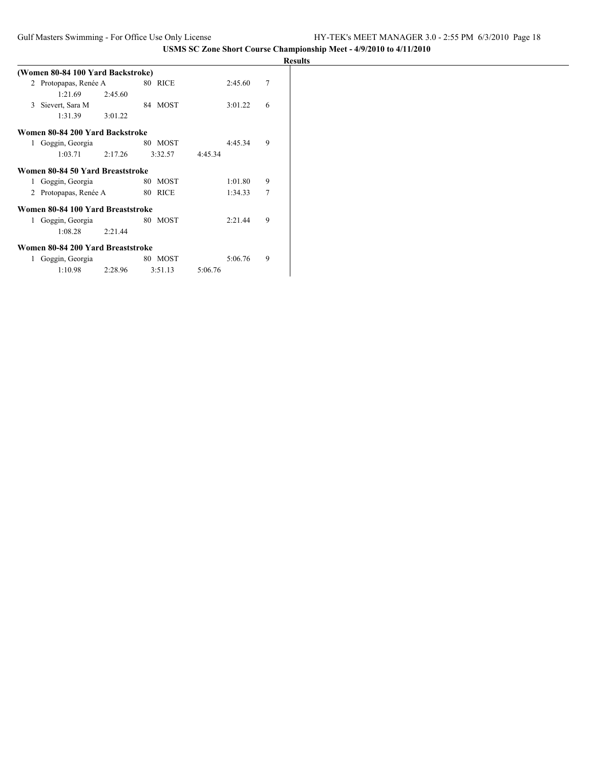|   |                                   |         |         |         |         |                | <b>Results</b> |
|---|-----------------------------------|---------|---------|---------|---------|----------------|----------------|
|   | (Women 80-84 100 Yard Backstroke) |         |         |         |         |                |                |
|   | 2 Protopapas, Renée A             |         | 80 RICE |         | 2:45.60 | $\overline{7}$ |                |
|   | 1:21.69                           | 2:45.60 |         |         |         |                |                |
| 3 | Sievert, Sara M                   |         | 84 MOST |         | 3:01.22 | 6              |                |
|   | 1:31.39                           | 3:01.22 |         |         |         |                |                |
|   | Women 80-84 200 Yard Backstroke   |         |         |         |         |                |                |
| 1 | Goggin, Georgia                   |         | 80 MOST |         | 4:45.34 | 9              |                |
|   | 1:03.71                           | 2:17.26 | 3:32.57 | 4:45.34 |         |                |                |
|   | Women 80-84 50 Yard Breaststroke  |         |         |         |         |                |                |
| 1 | Goggin, Georgia                   |         | 80 MOST |         | 1:01.80 | 9              |                |
| 2 | Protopapas, Renée A               |         | 80 RICE |         | 1:34.33 | $\overline{7}$ |                |
|   | Women 80-84 100 Yard Breaststroke |         |         |         |         |                |                |
| 1 | Goggin, Georgia                   |         | 80 MOST |         | 2:21.44 | 9              |                |
|   | 1:08.28                           | 2:21.44 |         |         |         |                |                |
|   | Women 80-84 200 Yard Breaststroke |         |         |         |         |                |                |
| 1 | Goggin, Georgia                   |         | 80 MOST |         | 5:06.76 | 9              |                |
|   | 1:10.98                           | 2:28.96 | 3:51.13 | 5:06.76 |         |                |                |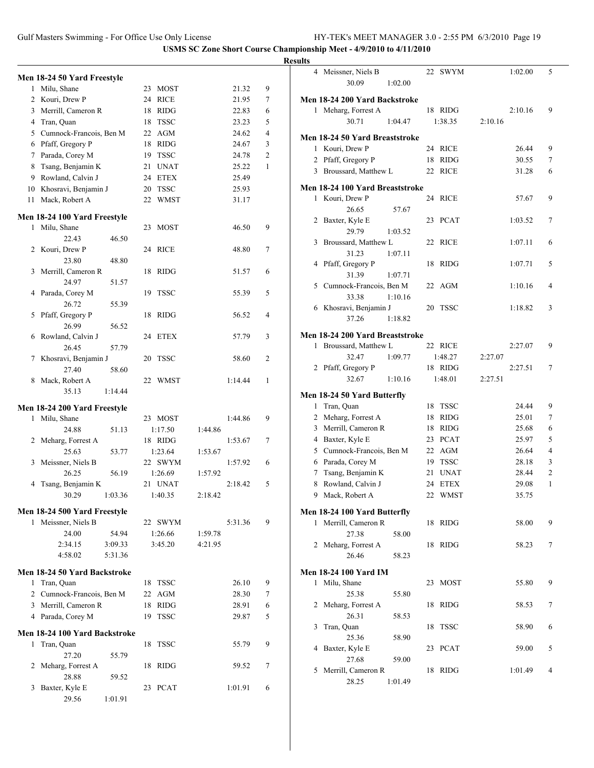# **Results**

|    | Men 18-24 50 Yard Freestyle   |         |    |             |         |         |                |
|----|-------------------------------|---------|----|-------------|---------|---------|----------------|
| 1  | Milu, Shane                   |         | 23 | <b>MOST</b> |         | 21.32   | 9              |
| 2  | Kouri, Drew P                 |         | 24 | <b>RICE</b> |         | 21.95   | 7              |
| 3  | Merrill, Cameron R            |         | 18 | <b>RIDG</b> |         | 22.83   | 6              |
| 4  | Tran, Quan                    |         | 18 | <b>TSSC</b> |         | 23.23   | 5              |
|    | 5 Cumnock-Francois, Ben M     |         | 22 | AGM         |         | 24.62   | 4              |
| 6  | Pfaff, Gregory P              |         | 18 | <b>RIDG</b> |         | 24.67   | 3              |
| 7  | Parada, Corey M               |         | 19 | <b>TSSC</b> |         | 24.78   | $\overline{c}$ |
| 8  | Tsang, Benjamin K             |         | 21 | <b>UNAT</b> |         | 25.22   | 1              |
| 9  | Rowland, Calvin J             |         | 24 | <b>ETEX</b> |         | 25.49   |                |
|    |                               |         |    |             |         | 25.93   |                |
|    | 10 Khosravi, Benjamin J       |         | 20 | <b>TSSC</b> |         |         |                |
| 11 | Mack, Robert A                |         | 22 | <b>WMST</b> |         | 31.17   |                |
|    | Men 18-24 100 Yard Freestyle  |         |    |             |         |         |                |
| 1  | Milu, Shane                   |         | 23 | <b>MOST</b> |         | 46.50   | 9              |
|    | 22.43                         | 46.50   |    |             |         |         |                |
| 2  | Kouri, Drew P                 |         | 24 | <b>RICE</b> |         | 48.80   | 7              |
|    | 23.80                         | 48.80   |    |             |         |         |                |
| 3  | Merrill, Cameron R            |         | 18 | <b>RIDG</b> |         | 51.57   | 6              |
|    | 24.97                         | 51.57   |    |             |         |         |                |
| 4  | Parada, Corey M               |         | 19 | <b>TSSC</b> |         | 55.39   | 5              |
|    | 26.72                         | 55.39   |    |             |         |         |                |
| 5  | Pfaff, Gregory P              |         | 18 | <b>RIDG</b> |         | 56.52   | 4              |
|    | 26.99                         | 56.52   |    |             |         |         |                |
| 6  | Rowland, Calvin J             |         | 24 | <b>ETEX</b> |         | 57.79   | 3              |
|    | 26.45                         | 57.79   |    |             |         |         |                |
| 7  | Khosravi, Benjamin J          |         | 20 | <b>TSSC</b> |         | 58.60   | 2              |
|    | 27.40                         | 58.60   |    |             |         |         |                |
| 8  | Mack, Robert A                |         | 22 | WMST        |         | 1:14.44 | 1              |
|    | 35.13                         | 1:14.44 |    |             |         |         |                |
|    | Men 18-24 200 Yard Freestyle  |         |    |             |         |         |                |
| 1  | Milu, Shane                   |         |    | 23 MOST     |         | 1:44.86 | 9              |
|    | 24.88                         | 51.13   |    | 1:17.50     | 1:44.86 |         |                |
| 2  | Meharg, Forrest A             |         |    | 18 RIDG     |         | 1:53.67 | 7              |
|    | 25.63                         | 53.77   |    | 1:23.64     | 1:53.67 |         |                |
| 3  | Meissner, Niels B             |         |    | 22 SWYM     |         | 1:57.92 | 6              |
|    | 26.25                         | 56.19   |    | 1:26.69     | 1:57.92 |         |                |
| 4  | Tsang, Benjamin K             |         |    | 21 UNAT     |         | 2:18.42 | 5              |
|    | 30.29                         | 1:03.36 |    | 1:40.35     | 2:18.42 |         |                |
|    |                               |         |    |             |         |         |                |
|    | Men 18-24 500 Yard Freestyle  |         |    |             |         |         |                |
| 1  | Meissner, Niels B             |         |    | 22 SWYM     |         | 5:31.36 | 9              |
|    | 24.00                         | 54.94   |    | 1:26.66     | 1:59.78 |         |                |
|    | 2:34.15                       | 3:09.33 |    | 3:45.20     | 4:21.95 |         |                |
|    | 4:58.02                       | 5:31.36 |    |             |         |         |                |
|    | Men 18-24 50 Yard Backstroke  |         |    |             |         |         |                |
|    | 1 Tran, Quan                  |         | 18 | <b>TSSC</b> |         | 26.10   | 9              |
|    | 2 Cumnock-Francois, Ben M     |         | 22 | AGM         |         | 28.30   | 7              |
|    | 3 Merrill, Cameron R          |         | 18 | <b>RIDG</b> |         | 28.91   | 6              |
|    |                               |         |    |             |         |         |                |
|    | 4 Parada, Corey M             |         | 19 | <b>TSSC</b> |         | 29.87   | 5              |
|    | Men 18-24 100 Yard Backstroke |         |    |             |         |         |                |
| 1  | Tran, Quan                    |         | 18 | <b>TSSC</b> |         | 55.79   | 9              |
|    | 27.20                         | 55.79   |    |             |         |         |                |
| 2  | Meharg, Forrest A             |         | 18 | <b>RIDG</b> |         | 59.52   | 7              |
|    | 28.88                         | 59.52   |    |             |         |         |                |
| 3  | Baxter, Kyle E                |         | 23 | <b>PCAT</b> |         | 1:01.91 | 6              |
|    | 29.56                         | 1:01.91 |    |             |         |         |                |

|              | 4 Meissner, Niels B             |         | 22 | SWYM        |         | 1:02.00 | 5              |
|--------------|---------------------------------|---------|----|-------------|---------|---------|----------------|
|              | 30.09                           | 1:02.00 |    |             |         |         |                |
|              | Men 18-24 200 Yard Backstroke   |         |    |             |         |         |                |
|              | 1 Meharg, Forrest A             |         |    | 18 RIDG     |         | 2:10.16 | 9              |
|              | 30.71                           | 1:04.47 |    | 1:38.35     | 2:10.16 |         |                |
|              |                                 |         |    |             |         |         |                |
|              | Men 18-24 50 Yard Breaststroke  |         |    |             |         |         |                |
|              | 1 Kouri, Drew P                 |         |    | 24 RICE     |         | 26.44   | 9              |
|              | 2 Pfaff, Gregory P              |         | 18 | <b>RIDG</b> |         | 30.55   | 7              |
|              | 3 Broussard, Matthew L          |         | 22 | <b>RICE</b> |         | 31.28   | 6              |
|              | Men 18-24 100 Yard Breaststroke |         |    |             |         |         |                |
| 1            | Kouri, Drew P                   |         | 24 | <b>RICE</b> |         | 57.67   | 9              |
|              | 26.65                           | 57.67   |    |             |         |         |                |
| 2            | Baxter, Kyle E                  |         | 23 | <b>PCAT</b> |         | 1:03.52 | 7              |
|              | 29.79                           | 1:03.52 |    |             |         |         |                |
| 3            | Broussard, Matthew L            |         | 22 | <b>RICE</b> |         | 1:07.11 | 6              |
|              | 31.23                           | 1:07.11 |    |             |         |         |                |
| 4            | Pfaff, Gregory P                |         | 18 | <b>RIDG</b> |         | 1:07.71 | 5              |
|              | 31.39                           | 1:07.71 |    |             |         |         |                |
| 5            | Cumnock-Francois, Ben M         |         |    | 22 AGM      |         | 1:10.16 | 4              |
|              | 33.38                           | 1:10.16 |    |             |         |         |                |
|              | 6 Khosravi, Benjamin J          |         | 20 | <b>TSSC</b> |         | 1:18.82 | 3              |
|              | 37.26                           | 1:18.82 |    |             |         |         |                |
|              |                                 |         |    |             |         |         |                |
|              | Men 18-24 200 Yard Breaststroke |         |    |             |         |         |                |
| 1            | Broussard, Matthew L            |         |    | 22 RICE     |         | 2:27.07 | 9              |
|              | 32.47                           | 1:09.77 |    | 1:48.27     | 2:27.07 |         |                |
|              | 2 Pfaff, Gregory P              |         |    | 18 RIDG     |         | 2:27.51 | 7              |
|              | 32.67                           | 1:10.16 |    | 1:48.01     | 2:27.51 |         |                |
|              | Men 18-24 50 Yard Butterfly     |         |    |             |         |         |                |
| 1            | Tran, Quan                      |         | 18 | <b>TSSC</b> |         | 24.44   | 9              |
|              | 2 Meharg, Forrest A             |         | 18 | <b>RIDG</b> |         | 25.01   | 7              |
| 3            | Merrill, Cameron R              |         | 18 | <b>RIDG</b> |         | 25.68   | 6              |
|              | 4 Baxter, Kyle E                |         | 23 | <b>PCAT</b> |         | 25.97   | 5              |
| 5            | Cumnock-Francois, Ben M         |         | 22 | AGM         |         | 26.64   | $\overline{4}$ |
|              | 6 Parada, Corey M               |         | 19 | <b>TSSC</b> |         | 28.18   | 3              |
| 7            | Tsang, Benjamin K               |         | 21 | <b>UNAT</b> |         | 28.44   | $\overline{c}$ |
| 8            | Rowland, Calvin J               |         | 24 | <b>ETEX</b> |         | 29.08   | 1              |
| 9            | Mack, Robert A                  |         | 22 | <b>WMST</b> |         | 35.75   |                |
|              |                                 |         |    |             |         |         |                |
|              | Men 18-24 100 Yard Butterfly    |         |    |             |         |         |                |
| 1            | Merrill, Cameron R              |         |    | 18 RIDG     |         | 58.00   | 9              |
|              | 27.38                           | 58.00   |    |             |         |         |                |
| 2            | Meharg, Forrest A               |         | 18 | <b>RIDG</b> |         | 58.23   | 7              |
|              | 26.46                           | 58.23   |    |             |         |         |                |
|              | <b>Men 18-24 100 Yard IM</b>    |         |    |             |         |         |                |
| $\mathbf{1}$ | Milu, Shane                     |         |    | 23 MOST     |         | 55.80   | 9              |
|              | 25.38                           | 55.80   |    |             |         |         |                |
| 2            | Meharg, Forrest A               |         | 18 | <b>RIDG</b> |         | 58.53   | 7              |
|              | 26.31                           | 58.53   |    |             |         |         |                |
| 3            | Tran, Quan                      |         | 18 | <b>TSSC</b> |         | 58.90   | 6              |
|              | 25.36                           | 58.90   |    |             |         |         |                |
| 4            | Baxter, Kyle E                  |         | 23 | PCAT        |         | 59.00   | 5              |
|              | 27.68                           | 59.00   |    |             |         |         |                |
| 5            |                                 |         |    |             |         |         |                |
|              | Merrill, Cameron R              |         | 18 | RIDG        |         | 1:01.49 | $\overline{4}$ |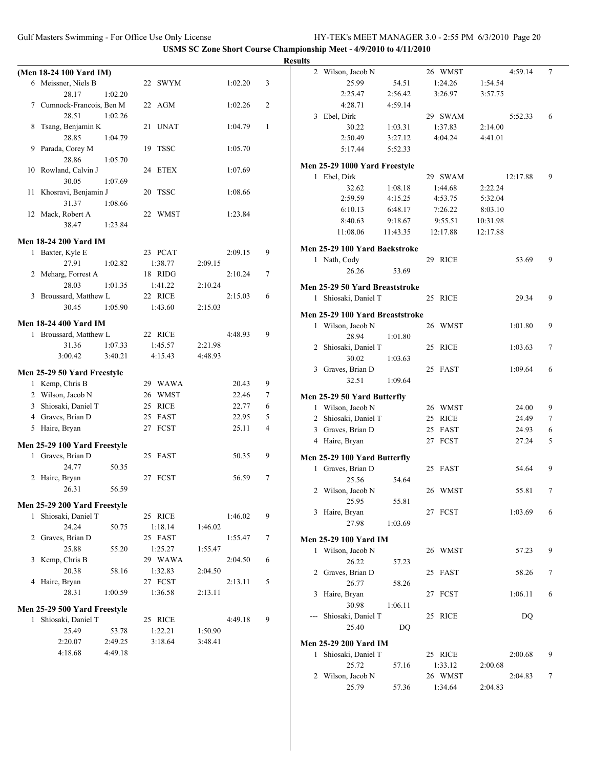|                                     |                    |                |        | <b>Results</b>                                                            |  |
|-------------------------------------|--------------------|----------------|--------|---------------------------------------------------------------------------|--|
| (Men 18-24 100 Yard IM)             |                    |                |        | 2 Wilson, Jacob N<br>26 WMST<br>4:59.14<br>7                              |  |
| 6 Meissner, Niels B                 | 22 SWYM            | 1:02.20        | 3      | 25.99<br>54.51<br>1:24.26<br>1:54.54                                      |  |
| 28.17<br>1:02.20                    |                    |                |        | 3:26.97<br>2:25.47<br>2:56.42<br>3:57.75                                  |  |
| 7 Cumnock-Francois, Ben M           | 22 AGM             | 1:02.26        | 2      | 4:28.71<br>4:59.14                                                        |  |
| 28.51<br>1:02.26                    |                    |                |        | 3 Ebel, Dirk<br>29 SWAM<br>5:52.33<br>6                                   |  |
| 8 Tsang, Benjamin K                 | 21 UNAT            | 1:04.79        | 1      | 1:03.31<br>1:37.83<br>2:14.00<br>30.22                                    |  |
| 28.85<br>1:04.79                    |                    |                |        | 2:50.49<br>3:27.12<br>4:04.24<br>4:41.01                                  |  |
| 9 Parada, Corey M                   | 19 TSSC            | 1:05.70        |        | 5:52.33<br>5:17.44                                                        |  |
| 28.86<br>1:05.70                    |                    |                |        |                                                                           |  |
| 10 Rowland, Calvin J                | 24 ETEX            | 1:07.69        |        | Men 25-29 1000 Yard Freestyle<br>1 Ebel, Dirk<br>29 SWAM<br>9<br>12:17.88 |  |
| 30.05<br>1:07.69                    |                    |                |        | 1:08.18<br>32.62<br>1:44.68<br>2:22.24                                    |  |
| 11 Khosravi, Benjamin J             | 20 TSSC            | 1:08.66        |        | 2:59.59<br>4:15.25<br>4:53.75<br>5:32.04                                  |  |
| 31.37<br>1:08.66                    |                    |                |        | 6:48.17<br>7:26.22<br>6:10.13<br>8:03.10                                  |  |
| 12 Mack, Robert A                   | 22 WMST            | 1:23.84        |        | 8:40.63<br>9:18.67<br>9:55.51<br>10:31.98                                 |  |
| 38.47<br>1:23.84                    |                    |                |        | 11:08.06<br>11:43.35<br>12:17.88<br>12:17.88                              |  |
| <b>Men 18-24 200 Yard IM</b>        |                    |                |        |                                                                           |  |
| 1 Baxter, Kyle E                    | 23 PCAT            | 2:09.15        | 9      | Men 25-29 100 Yard Backstroke                                             |  |
| 27.91<br>1:02.82                    | 1:38.77            | 2:09.15        |        | 1 Nath, Cody<br>29 RICE<br>9<br>53.69                                     |  |
| 2 Meharg, Forrest A                 | 18 RIDG            | 2:10.24        | 7      | 26.26<br>53.69                                                            |  |
| 28.03<br>1:01.35                    | 1:41.22            | 2:10.24        |        | Men 25-29 50 Yard Breaststroke                                            |  |
| 3 Broussard, Matthew L              | 22 RICE            | 2:15.03        | 6      | 1 Shiosaki, Daniel T<br>25 RICE<br>9<br>29.34                             |  |
| 30.45<br>1:05.90                    | 1:43.60            | 2:15.03        |        |                                                                           |  |
| <b>Men 18-24 400 Yard IM</b>        |                    |                |        | Men 25-29 100 Yard Breaststroke                                           |  |
| 1 Broussard, Matthew L              | 22 RICE            | 4:48.93        | 9      | 26 WMST<br>9<br>1 Wilson, Jacob N<br>1:01.80<br>28.94                     |  |
| 1:07.33<br>31.36                    | 1:45.57            | 2:21.98        |        | 1:01.80<br>2 Shiosaki, Daniel T<br>25 RICE<br>$\tau$<br>1:03.63           |  |
| 3:00.42<br>3:40.21                  | 4:15.43            | 4:48.93        |        | 30.02<br>1:03.63                                                          |  |
|                                     |                    |                |        | 3 Graves, Brian D<br>25 FAST<br>1:09.64<br>6                              |  |
| Men 25-29 50 Yard Freestyle         |                    |                |        | 32.51<br>1:09.64                                                          |  |
| 1 Kemp, Chris B                     | 29 WAWA            | 20.43          | 9      |                                                                           |  |
| 2 Wilson, Jacob N                   | 26 WMST<br>25 RICE | 22.46          | 7      | Men 25-29 50 Yard Butterfly                                               |  |
| 3 Shiosaki, Daniel T                |                    | 22.77          | 6      | 1 Wilson, Jacob N<br>26 WMST<br>9<br>24.00                                |  |
| 4 Graves, Brian D<br>5 Haire, Bryan | 25 FAST<br>27 FCST | 22.95<br>25.11 | 5<br>4 | 2 Shiosaki, Daniel T<br>25 RICE<br>24.49<br>7                             |  |
|                                     |                    |                |        | 3 Graves, Brian D<br>25 FAST<br>24.93<br>6                                |  |
| Men 25-29 100 Yard Freestyle        |                    |                |        | 27 FCST<br>4 Haire, Bryan<br>27.24<br>5                                   |  |
| 1 Graves, Brian D                   | 25 FAST            | 50.35          | 9      | Men 25-29 100 Yard Butterfly                                              |  |
| 24.77<br>50.35                      |                    |                |        | 1 Graves, Brian D<br>25 FAST<br>9<br>54.64                                |  |
| 2 Haire, Bryan                      | 27 FCST            | 56.59          | $\tau$ | 25.56<br>54.64                                                            |  |
| 56.59<br>26.31                      |                    |                |        | 2 Wilson, Jacob N<br>26 WMST<br>55.81                                     |  |
| Men 25-29 200 Yard Freestyle        |                    |                |        | 25.95<br>55.81                                                            |  |
| 1 Shiosaki, Daniel T                | 25 RICE            | 1:46.02        | 9      | 27 FCST<br>3 Haire, Bryan<br>1:03.69<br>6                                 |  |
| 24.24<br>50.75                      | 1:18.14            | 1:46.02        |        | 27.98<br>1:03.69                                                          |  |
| 2 Graves, Brian D                   | 25 FAST            | 1:55.47        | 7      | <b>Men 25-29 100 Yard IM</b>                                              |  |
| 25.88<br>55.20                      | 1:25.27            | 1:55.47        |        | 1 Wilson, Jacob N<br>26 WMST<br>57.23<br>9                                |  |
| 3 Kemp, Chris B                     | 29 WAWA            | 2:04.50        | 6      | 26.22<br>57.23                                                            |  |
| 20.38<br>58.16                      | 1:32.83            | 2:04.50        |        | 2 Graves, Brian D<br>25 FAST<br>58.26<br>7                                |  |
| 4 Haire, Bryan                      | 27 FCST            | 2:13.11        | 5      | 26.77<br>58.26                                                            |  |
| 28.31<br>1:00.59                    | 1:36.58            | 2:13.11        |        | 27 FCST<br>3 Haire, Bryan<br>1:06.11<br>6                                 |  |
| Men 25-29 500 Yard Freestyle        |                    |                |        | 30.98<br>1:06.11                                                          |  |
| 1 Shiosaki, Daniel T                | 25 RICE            | 4:49.18        | 9      | --- Shiosaki, Daniel T<br>25 RICE<br>DQ                                   |  |
| 25.49<br>53.78                      | 1:22.21            | 1:50.90        |        | 25.40<br>DQ                                                               |  |
| 2:20.07<br>2:49.25                  | 3:18.64            | 3:48.41        |        | <b>Men 25-29 200 Yard IM</b>                                              |  |
| 4:18.68<br>4:49.18                  |                    |                |        | 1 Shiosaki, Daniel T<br>25 RICE<br>2:00.68<br>9                           |  |
|                                     |                    |                |        | 1:33.12<br>25.72<br>57.16<br>2:00.68                                      |  |
|                                     |                    |                |        | 26 WMST<br>2:04.83<br>2 Wilson, Jacob N<br>7                              |  |
|                                     |                    |                |        | 25.79<br>1:34.64<br>57.36<br>2:04.83                                      |  |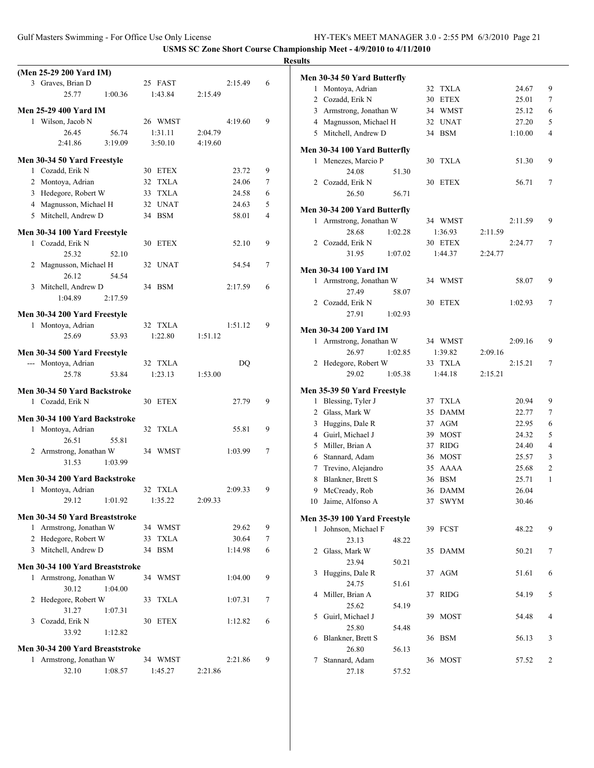|                                 |         |         | <b>Results</b> |
|---------------------------------|---------|---------|----------------|
| (Men 25-29 200 Yard IM)         |         |         | Me             |
| 3 Graves, Brian D               | 25 FAST | 2:15.49 | 6              |
| 25.77<br>1:00.36                | 1:43.84 | 2:15.49 |                |
| <b>Men 25-29 400 Yard IM</b>    |         |         |                |
| 1 Wilson, Jacob N               | 26 WMST | 4:19.60 | 9              |
| 26.45<br>56.74                  | 1:31.11 | 2:04.79 |                |
| 3:19.09<br>2:41.86              | 3:50.10 | 4:19.60 |                |
|                                 |         |         | Me             |
| Men 30-34 50 Yard Freestyle     |         |         |                |
| 1 Cozadd, Erik N                | 30 ETEX | 23.72   | 9              |
| 2 Montoya, Adrian               | 32 TXLA | 24.06   | 7              |
| 3 Hedegore, Robert W            | 33 TXLA | 24.58   | 6              |
| 4 Magnusson, Michael H          | 32 UNAT | 24.63   | 5              |
| 5 Mitchell, Andrew D            | 34 BSM  | 58.01   | Me<br>4        |
|                                 |         |         |                |
| Men 30-34 100 Yard Freestyle    |         |         |                |
| 1 Cozadd, Erik N                | 30 ETEX | 52.10   | 9              |
| 25.32<br>52.10                  |         |         |                |
| 2 Magnusson, Michael H          | 32 UNAT | 54.54   | 7<br>Me        |
| 26.12<br>54.54                  |         |         |                |
| 3 Mitchell, Andrew D            | 34 BSM  | 2:17.59 | 6              |
| 1:04.89<br>2:17.59              |         |         |                |
| Men 30-34 200 Yard Freestyle    |         |         |                |
| 1 Montoya, Adrian               | 32 TXLA | 1:51.12 | 9              |
| 25.69<br>53.93                  | 1:22.80 | 1:51.12 | Me             |
|                                 |         |         |                |
| Men 30-34 500 Yard Freestyle    |         |         |                |
| --- Montoya, Adrian             | 32 TXLA | DQ      |                |
| 25.78<br>53.84                  | 1:23.13 | 1:53.00 |                |
| Men 30-34 50 Yard Backstroke    |         |         | Me             |
| 1 Cozadd, Erik N                | 30 ETEX | 27.79   | 9              |
|                                 |         |         |                |
| Men 30-34 100 Yard Backstroke   |         |         |                |
| 1 Montoya, Adrian               | 32 TXLA | 55.81   | 9              |
| 26.51<br>55.81                  |         |         |                |
| 2 Armstrong, Jonathan W         | 34 WMST | 1:03.99 | 7              |
| 31.53<br>1:03.99                |         |         |                |
| Men 30-34 200 Yard Backstroke   |         |         |                |
| 1 Montoya, Adrian               | 32 TXLA | 2:09.33 | 9              |
| 29.12<br>1:01.92                | 1:35.22 | 2:09.33 |                |
| Men 30-34 50 Yard Breaststroke  |         |         |                |
|                                 |         |         | Me             |
| 1 Armstrong, Jonathan W         | 34 WMST | 29.62   | 9              |
| 2 Hedegore, Robert W            | 33 TXLA | 30.64   | 7              |
| 3 Mitchell, Andrew D            | 34 BSM  | 1:14.98 | 6              |
| Men 30-34 100 Yard Breaststroke |         |         |                |
| 1 Armstrong, Jonathan W         | 34 WMST | 1:04.00 | 9              |
| 30.12<br>1:04.00                |         |         |                |
| 2 Hedegore, Robert W            | 33 TXLA | 1:07.31 | 7              |
| 31.27<br>1:07.31                |         |         |                |
| 3 Cozadd, Erik N                | 30 ETEX | 1:12.82 | 6              |
| 33.92<br>1:12.82                |         |         |                |
|                                 |         |         |                |
| Men 30-34 200 Yard Breaststroke |         |         |                |
| 1 Armstrong, Jonathan W         | 34 WMST | 2:21.86 | 9              |
| 32.10<br>1:08.57                | 1:45.27 | 2:21.86 |                |
|                                 |         |         |                |

|    | Men 30-34 50 Yard Butterfly  |         |    |             |         |         |   |
|----|------------------------------|---------|----|-------------|---------|---------|---|
| 1  | Montoya, Adrian              |         | 32 | <b>TXLA</b> |         | 24.67   | 9 |
|    | 2 Cozadd, Erik N             |         | 30 | <b>ETEX</b> |         | 25.01   | 7 |
|    | 3 Armstrong, Jonathan W      |         |    | 34 WMST     |         | 25.12   | 6 |
|    | 4 Magnusson, Michael H       |         |    | 32 UNAT     |         | 27.20   | 5 |
|    | 5 Mitchell, Andrew D         |         |    | 34 BSM      |         | 1:10.00 | 4 |
|    | Men 30-34 100 Yard Butterfly |         |    |             |         |         |   |
| 1  | Menezes, Marcio P            |         | 30 | TXLA        |         | 51.30   | 9 |
|    | 24.08                        | 51.30   |    |             |         |         |   |
|    | 2 Cozadd, Erik N             |         | 30 | ETEX        |         | 56.71   | 7 |
|    | 26.50                        | 56.71   |    |             |         |         |   |
|    | Men 30-34 200 Yard Butterfly |         |    |             |         |         |   |
| 1  | Armstrong, Jonathan W        |         |    | 34 WMST     |         | 2:11.59 | 9 |
|    | 28.68                        | 1:02.28 |    | 1:36.93     | 2:11.59 |         |   |
|    | 2 Cozadd, Erik N             |         |    | 30 ETEX     |         | 2:24.77 | 7 |
|    | 31.95                        | 1:07.02 |    | 1:44.37     | 2:24.77 |         |   |
|    | <b>Men 30-34 100 Yard IM</b> |         |    |             |         |         |   |
|    | 1 Armstrong, Jonathan W      |         |    | 34 WMST     |         | 58.07   | 9 |
|    | 27.49                        | 58.07   |    |             |         |         |   |
|    | 2 Cozadd, Erik N             |         | 30 | <b>ETEX</b> |         | 1:02.93 | 7 |
|    | 27.91                        | 1:02.93 |    |             |         |         |   |
|    | Men 30-34 200 Yard IM        |         |    |             |         |         |   |
|    | 1 Armstrong, Jonathan W      |         |    | 34 WMST     |         | 2:09.16 | 9 |
|    | 26.97                        | 1:02.85 |    | 1:39.82     | 2:09.16 |         |   |
|    | 2 Hedegore, Robert W         |         |    | 33 TXLA     |         | 2:15.21 | 7 |
|    | 29.02                        | 1:05.38 |    | 1:44.18     | 2:15.21 |         |   |
|    | Men 35-39 50 Yard Freestyle  |         |    |             |         |         |   |
| 1  | Blessing, Tyler J            |         |    | 37 TXLA     |         | 20.94   | 9 |
| 2  | Glass, Mark W                |         | 35 | <b>DAMM</b> |         | 22.77   | 7 |
| 3  | Huggins, Dale R              |         | 37 | AGM         |         | 22.95   | 6 |
|    | 4 Guirl, Michael J           |         | 39 | <b>MOST</b> |         | 24.32   | 5 |
|    | 5 Miller, Brian A            |         | 37 | RIDG        |         | 24.40   | 4 |
|    | 6 Stannard, Adam             |         | 36 | <b>MOST</b> |         | 25.57   | 3 |
|    | 7 Trevino, Alejandro         |         | 35 | AAAA        |         | 25.68   | 2 |
| 8  | Blankner, Brett S            |         | 36 | <b>BSM</b>  |         | 25.71   | 1 |
| 9  | McCready, Rob                |         | 36 | <b>DAMM</b> |         | 26.04   |   |
| 10 | Jaime, Alfonso A             |         | 37 | <b>SWYM</b> |         | 30.46   |   |
|    | Men 35-39 100 Yard Freestyle |         |    |             |         |         |   |
| 1  | Johnson, Michael F           |         |    | 39 FCST     |         | 48.22   | 9 |
|    | 23.13                        | 48.22   |    |             |         |         |   |
|    | 2 Glass, Mark W              |         |    | 35 DAMM     |         | 50.21   | 7 |
|    | 23.94                        | 50.21   |    |             |         |         |   |
| 3  | Huggins, Dale R              |         | 37 | AGM         |         | 51.61   | 6 |
|    | 24.75                        | 51.61   |    |             |         |         |   |
| 4  | Miller, Brian A              |         | 37 | <b>RIDG</b> |         | 54.19   | 5 |
|    | 25.62                        | 54.19   |    |             |         |         |   |
| 5  | Guirl, Michael J             |         | 39 | <b>MOST</b> |         | 54.48   | 4 |
|    | 25.80                        | 54.48   |    |             |         |         |   |
| 6  | Blankner, Brett S            |         |    | 36 BSM      |         | 56.13   | 3 |
|    | 26.80                        | 56.13   |    |             |         |         |   |
| 7  | Stannard, Adam               |         |    | 36 MOST     |         | 57.52   | 2 |
|    | 27.18                        | 57.52   |    |             |         |         |   |
|    |                              |         |    |             |         |         |   |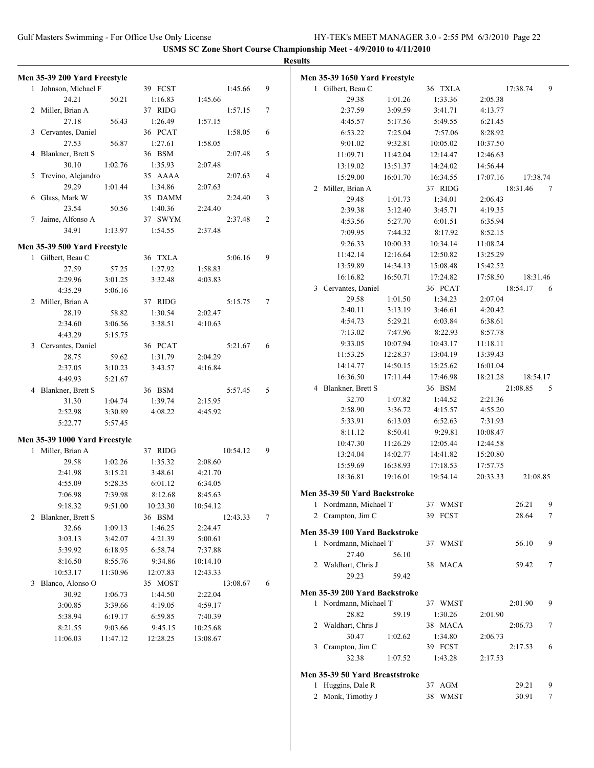|                               |          |          |          |          |                | <b>Results</b> |                                |          |                   |          |          |        |
|-------------------------------|----------|----------|----------|----------|----------------|----------------|--------------------------------|----------|-------------------|----------|----------|--------|
| Men 35-39 200 Yard Freestyle  |          |          |          |          |                |                | Men 35-39 1650 Yard Freestyle  |          |                   |          |          |        |
| 1 Johnson, Michael F          |          | 39 FCST  |          | 1:45.66  | 9              |                | 1 Gilbert, Beau C              |          | 36 TXLA           |          | 17:38.74 | 9      |
| 24.21                         | 50.21    | 1:16.83  | 1:45.66  |          |                |                | 29.38                          | 1:01.26  | 1:33.36           | 2:05.38  |          |        |
| 2 Miller, Brian A             |          | 37 RIDG  |          | 1:57.15  | $\tau$         |                | 2:37.59                        | 3:09.59  | 3:41.71           | 4:13.77  |          |        |
| 27.18                         | 56.43    | 1:26.49  | 1:57.15  |          |                |                | 4:45.57                        | 5:17.56  | 5:49.55           | 6:21.45  |          |        |
| 3 Cervantes, Daniel           |          | 36 PCAT  |          | 1:58.05  | 6              |                | 6:53.22                        | 7:25.04  | 7:57.06           | 8:28.92  |          |        |
| 27.53                         | 56.87    | 1:27.61  | 1:58.05  |          |                |                | 9:01.02                        | 9:32.81  | 10:05.02          | 10:37.50 |          |        |
| 4 Blankner, Brett S           |          | 36 BSM   |          | 2:07.48  | 5              |                | 11:09.71                       | 11:42.04 | 12:14.47          | 12:46.63 |          |        |
| 30.10                         | 1:02.76  | 1:35.93  | 2:07.48  |          |                |                | 13:19.02                       | 13:51.37 | 14:24.02          | 14:56.44 |          |        |
| 5 Trevino, Alejandro          |          | 35 AAAA  |          | 2:07.63  | $\overline{4}$ |                | 15:29.00                       | 16:01.70 | 16:34.55          | 17:07.16 | 17:38.74 |        |
| 29.29                         | 1:01.44  | 1:34.86  | 2:07.63  |          |                |                | 2 Miller, Brian A              |          | 37 RIDG           |          | 18:31.46 | 7      |
| 6 Glass, Mark W               |          | 35 DAMM  |          | 2:24.40  | 3              |                | 29.48                          | 1:01.73  | 1:34.01           | 2:06.43  |          |        |
| 23.54                         | 50.56    | 1:40.36  | 2:24.40  |          |                |                | 2:39.38                        | 3:12.40  | 3:45.71           | 4:19.35  |          |        |
| 7 Jaime, Alfonso A            |          | 37 SWYM  |          | 2:37.48  | 2              |                | 4:53.56                        | 5:27.70  | 6:01.51           | 6:35.94  |          |        |
| 34.91                         | 1:13.97  | 1:54.55  | 2:37.48  |          |                |                | 7:09.95                        | 7:44.32  | 8:17.92           | 8:52.15  |          |        |
| Men 35-39 500 Yard Freestyle  |          |          |          |          |                |                | 9:26.33                        | 10:00.33 | 10:34.14          | 11:08.24 |          |        |
| 1 Gilbert, Beau C             |          | 36 TXLA  |          | 5:06.16  | 9              |                | 11:42.14                       | 12:16.64 | 12:50.82          | 13:25.29 |          |        |
| 27.59                         | 57.25    | 1:27.92  | 1:58.83  |          |                |                | 13:59.89                       | 14:34.13 | 15:08.48          | 15:42.52 |          |        |
| 2:29.96                       | 3:01.25  | 3:32.48  | 4:03.83  |          |                |                | 16:16.82                       | 16:50.71 | 17:24.82          | 17:58.50 | 18:31.46 |        |
| 4:35.29                       | 5:06.16  |          |          |          |                |                | 3 Cervantes, Daniel            |          | 36 PCAT           |          | 18:54.17 | 6      |
| 2 Miller, Brian A             |          | 37 RIDG  |          | 5:15.75  | $\tau$         |                | 29.58                          | 1:01.50  | 1:34.23           | 2:07.04  |          |        |
| 28.19                         | 58.82    | 1:30.54  | 2:02.47  |          |                |                | 2:40.11                        | 3:13.19  | 3:46.61           | 4:20.42  |          |        |
| 2:34.60                       | 3:06.56  | 3:38.51  | 4:10.63  |          |                |                | 4:54.73                        | 5:29.21  | 6:03.84           | 6:38.61  |          |        |
| 4:43.29                       | 5:15.75  |          |          |          |                |                | 7:13.02                        | 7:47.96  | 8:22.93           | 8:57.78  |          |        |
| 3 Cervantes, Daniel           |          | 36 PCAT  |          | 5:21.67  | 6              |                | 9:33.05                        | 10:07.94 | 10:43.17          | 11:18.11 |          |        |
| 28.75                         | 59.62    | 1:31.79  | 2:04.29  |          |                |                | 11:53.25                       | 12:28.37 | 13:04.19          | 13:39.43 |          |        |
| 2:37.05                       | 3:10.23  | 3:43.57  | 4:16.84  |          |                |                | 14:14.77                       | 14:50.15 | 15:25.62          | 16:01.04 |          |        |
| 4:49.93                       | 5:21.67  |          |          |          |                |                | 16:36.50                       | 17:11.44 | 17:46.98          | 18:21.28 | 18:54.17 |        |
| 4 Blankner, Brett S           |          | 36 BSM   |          | 5:57.45  | 5              |                | 4 Blankner, Brett S<br>32.70   | 1:07.82  | 36 BSM<br>1:44.52 | 2:21.36  | 21:08.85 | 5      |
| 31.30                         | 1:04.74  | 1:39.74  | 2:15.95  |          |                |                |                                | 3:36.72  | 4:15.57           | 4:55.20  |          |        |
| 2:52.98                       | 3:30.89  | 4:08.22  | 4:45.92  |          |                |                | 2:58.90<br>5:33.91             | 6:13.03  | 6:52.63           | 7:31.93  |          |        |
| 5:22.77                       | 5:57.45  |          |          |          |                |                | 8:11.12                        | 8:50.41  | 9:29.81           | 10:08.47 |          |        |
| Men 35-39 1000 Yard Freestyle |          |          |          |          |                |                | 10:47.30                       | 11:26.29 | 12:05.44          | 12:44.58 |          |        |
| 1 Miller, Brian A             |          | 37 RIDG  |          | 10:54.12 | 9              |                | 13:24.04                       | 14:02.77 | 14:41.82          | 15:20.80 |          |        |
| 29.58                         | 1:02.26  | 1:35.32  | 2:08.60  |          |                |                | 15:59.69                       | 16:38.93 | 17:18.53          | 17:57.75 |          |        |
| 2:41.98                       | 3:15.21  | 3:48.61  | 4:21.70  |          |                |                | 18:36.81                       | 19:16.01 | 19:54.14          | 20:33.33 | 21:08.85 |        |
| 4:55.09                       | 5:28.35  | 6:01.12  | 6:34.05  |          |                |                |                                |          |                   |          |          |        |
| 7:06.98                       | 7:39.98  | 8:12.68  | 8:45.63  |          |                |                | Men 35-39 50 Yard Backstroke   |          |                   |          |          |        |
| 9:18.32                       | 9:51.00  | 10:23.30 | 10:54.12 |          |                |                | 1 Nordmann, Michael T          |          | 37 WMST           |          | 26.21    | 9      |
| 2 Blankner, Brett S           |          | 36 BSM   |          | 12:43.33 | 7              |                | 2 Crampton, Jim C              |          | 39 FCST           |          | 28.64    | $\tau$ |
| 32.66                         | 1:09.13  | 1:46.25  | 2:24.47  |          |                |                | Men 35-39 100 Yard Backstroke  |          |                   |          |          |        |
| 3:03.13                       | 3:42.07  | 4:21.39  | 5:00.61  |          |                |                | 1 Nordmann, Michael T          |          | 37 WMST           |          | 56.10    | 9      |
| 5:39.92                       | 6:18.95  | 6:58.74  | 7:37.88  |          |                |                | 27.40                          | 56.10    |                   |          |          |        |
| 8:16.50                       | 8:55.76  | 9:34.86  | 10:14.10 |          |                |                | 2 Waldhart, Chris J            |          | 38 MACA           |          | 59.42    | $\tau$ |
| 10:53.17                      | 11:30.96 | 12:07.83 | 12:43.33 |          |                |                | 29.23                          | 59.42    |                   |          |          |        |
| 3 Blanco, Alonso O            |          | 35 MOST  |          | 13:08.67 | 6              |                |                                |          |                   |          |          |        |
| 30.92                         | 1:06.73  | 1:44.50  | 2:22.04  |          |                |                | Men 35-39 200 Yard Backstroke  |          |                   |          |          |        |
| 3:00.85                       | 3:39.66  | 4:19.05  | 4:59.17  |          |                |                | 1 Nordmann, Michael T          |          | 37 WMST           |          | 2:01.90  | 9      |
| 5:38.94                       | 6:19.17  | 6:59.85  | 7:40.39  |          |                |                | 28.82                          | 59.19    | 1:30.26           | 2:01.90  |          |        |
| 8:21.55                       | 9:03.66  | 9:45.15  | 10:25.68 |          |                |                | 2 Waldhart, Chris J            |          | 38 MACA           |          | 2:06.73  | 7      |
| 11:06.03                      | 11:47.12 | 12:28.25 | 13:08.67 |          |                |                | 30.47                          | 1:02.62  | 1:34.80           | 2:06.73  |          |        |
|                               |          |          |          |          |                |                | 3 Crampton, Jim C              |          | 39 FCST           |          | 2:17.53  | 6      |
|                               |          |          |          |          |                |                | 32.38                          | 1:07.52  | 1:43.28           | 2:17.53  |          |        |
|                               |          |          |          |          |                |                | Men 35-39 50 Yard Breaststroke |          |                   |          |          |        |
|                               |          |          |          |          |                |                | 1 Huggins, Dale R              |          | 37 AGM            |          | 29.21    | 9      |
|                               |          |          |          |          |                |                | 2 Monk, Timothy J              |          | 38 WMST           |          | 30.91    | $\tau$ |
|                               |          |          |          |          |                |                |                                |          |                   |          |          |        |
|                               |          |          |          |          |                |                |                                |          |                   |          |          |        |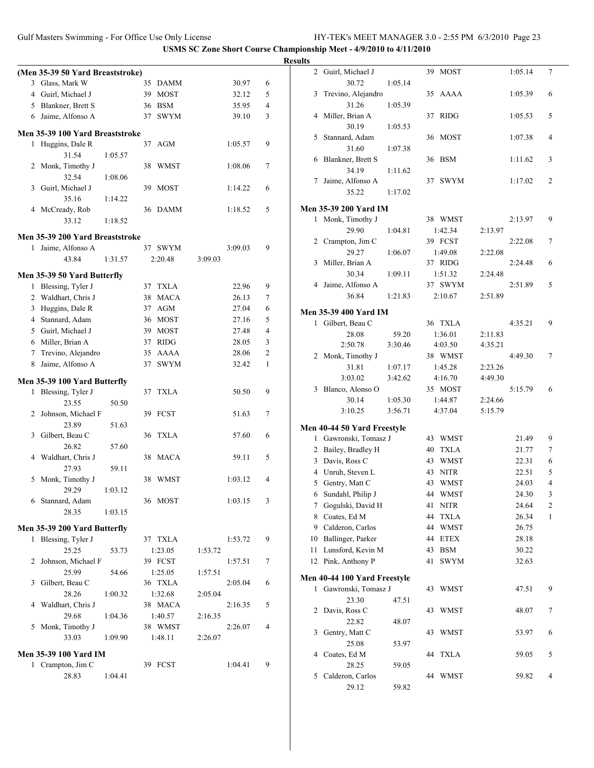|                | (Men 35-39 50 Yard Breaststroke) |         |    |             |         |         |   |
|----------------|----------------------------------|---------|----|-------------|---------|---------|---|
|                | 3 Glass, Mark W                  |         |    | 35 DAMM     |         | 30.97   | 6 |
|                | 4 Guirl, Michael J               |         | 39 | <b>MOST</b> |         | 32.12   | 5 |
|                | 5 Blankner, Brett S              |         | 36 | <b>BSM</b>  |         | 35.95   | 4 |
|                | 6 Jaime, Alfonso A               |         | 37 | <b>SWYM</b> |         | 39.10   | 3 |
|                |                                  |         |    |             |         |         |   |
|                | Men 35-39 100 Yard Breaststroke  |         |    |             |         |         |   |
| 1              | Huggins, Dale R                  |         | 37 | AGM         |         | 1:05.57 | 9 |
|                | 31.54                            | 1:05.57 |    |             |         |         |   |
| 2              | Monk, Timothy J                  |         | 38 | WMST        |         | 1:08.06 | 7 |
| 3              | 32.54<br>Guirl, Michael J        | 1:08.06 | 39 | <b>MOST</b> |         | 1:14.22 | 6 |
|                | 35.16                            | 1:14.22 |    |             |         |         |   |
| 4              | McCready, Rob                    |         | 36 | <b>DAMM</b> |         | 1:18.52 | 5 |
|                | 33.12                            | 1:18.52 |    |             |         |         |   |
|                |                                  |         |    |             |         |         |   |
|                | Men 35-39 200 Yard Breaststroke  |         |    |             |         |         |   |
| $\mathbf{1}$   | Jaime, Alfonso A                 |         |    | 37 SWYM     |         | 3:09.03 | 9 |
|                | 43.84                            | 1:31.57 |    | 2:20.48     | 3:09.03 |         |   |
|                | Men 35-39 50 Yard Butterfly      |         |    |             |         |         |   |
| 1              | Blessing, Tyler J                |         |    | 37 TXLA     |         | 22.96   | 9 |
|                | 2 Waldhart, Chris J              |         | 38 | <b>MACA</b> |         | 26.13   | 7 |
| 3              | Huggins, Dale R                  |         | 37 | <b>AGM</b>  |         | 27.04   | 6 |
| $\overline{4}$ | Stannard, Adam                   |         | 36 | <b>MOST</b> |         | 27.16   | 5 |
|                | 5 Guirl, Michael J               |         | 39 | <b>MOST</b> |         | 27.48   | 4 |
|                | 6 Miller, Brian A                |         |    | 37 RIDG     |         | 28.05   | 3 |
|                | 7 Trevino, Alejandro             |         |    | 35 AAAA     |         | 28.06   | 2 |
| 8              | Jaime, Alfonso A                 |         | 37 | <b>SWYM</b> |         | 32.42   | 1 |
|                |                                  |         |    |             |         |         |   |
|                | Men 35-39 100 Yard Butterfly     |         |    |             |         |         |   |
| 1              | Blessing, Tyler J                |         | 37 | TXLA        |         | 50.50   | 9 |
|                | 23.55                            | 50.50   |    |             |         |         |   |
|                | 2 Johnson, Michael F             |         | 39 | <b>FCST</b> |         | 51.63   | 7 |
|                | 23.89                            | 51.63   |    |             |         |         |   |
| 3              | Gilbert, Beau C<br>26.82         |         | 36 | TXLA        |         | 57.60   | 6 |
|                |                                  | 57.60   |    |             |         |         |   |
| 4              | Waldhart, Chris J<br>27.93       |         | 38 | MACA        |         | 59.11   | 5 |
| 5              | Monk, Timothy J                  | 59.11   |    | 38 WMST     |         | 1:03.12 | 4 |
|                | 29.29                            | 1:03.12 |    |             |         |         |   |
|                | 6 Stannard, Adam                 |         |    | 36 MOST     |         | 1:03.15 | 3 |
|                | 28.35                            | 1:03.15 |    |             |         |         |   |
|                |                                  |         |    |             |         |         |   |
|                | Men 35-39 200 Yard Butterfly     |         |    |             |         |         |   |
| 1              | Blessing, Tyler J                |         |    | 37 TXLA     |         | 1:53.72 | 9 |
|                | 25.25                            | 53.73   |    | 1:23.05     | 1:53.72 |         |   |
| 2              | Johnson, Michael F               |         |    | 39 FCST     |         | 1:57.51 | 7 |
|                | 25.99                            | 54.66   |    | 1:25.05     | 1:57.51 |         |   |
| 3              | Gilbert, Beau C                  |         |    | 36 TXLA     |         | 2:05.04 | 6 |
|                | 28.26                            | 1:00.32 |    | 1:32.68     | 2:05.04 |         |   |
| 4              | Waldhart, Chris J                |         |    | 38 MACA     |         | 2:16.35 | 5 |
|                | 29.68                            | 1:04.36 |    | 1:40.57     | 2:16.35 |         |   |
| 5              | Monk, Timothy J                  |         |    | 38 WMST     |         | 2:26.07 | 4 |
|                | 33.03                            | 1:09.90 |    | 1:48.11     | 2:26.07 |         |   |
|                | <b>Men 35-39 100 Yard IM</b>     |         |    |             |         |         |   |
|                | 1 Crampton, Jim C                |         |    | 39 FCST     |         | 1:04.41 | 9 |
|                | 28.83                            | 1:04.41 |    |             |         |         |   |
|                |                                  |         |    |             |         |         |   |

| <b>Results</b> |                              |         |                   |         |         |                |
|----------------|------------------------------|---------|-------------------|---------|---------|----------------|
|                | 2 Guirl, Michael J           |         | 39 MOST           |         | 1:05.14 | 7              |
| 3              | 30.72<br>Trevino, Alejandro  | 1:05.14 | 35 AAAA           |         | 1:05.39 | 6              |
|                | 31.26                        | 1:05.39 |                   |         |         |                |
|                | 4 Miller, Brian A            |         | 37 RIDG           |         | 1:05.53 | 5              |
|                | 30.19                        | 1:05.53 |                   |         |         |                |
| 5              | Stannard, Adam               |         | 36 MOST           |         | 1:07.38 | 4              |
|                | 31.60                        | 1:07.38 |                   |         |         |                |
|                | 6 Blankner, Brett S<br>34.19 | 1:11.62 | 36 BSM            |         | 1:11.62 | 3              |
| 7              | Jaime, Alfonso A             |         | 37 SWYM           |         | 1:17.02 | $\overline{c}$ |
|                | 35.22                        | 1:17.02 |                   |         |         |                |
|                | <b>Men 35-39 200 Yard IM</b> |         |                   |         |         |                |
|                |                              |         | 38 WMST           |         | 2:13.97 | 9              |
|                | 1 Monk, Timothy J<br>29.90   | 1:04.81 | 1:42.34           | 2:13.97 |         |                |
|                |                              |         | 39 FCST           |         | 2:22.08 | 7              |
|                | 2 Crampton, Jim C<br>29.27   |         |                   |         |         |                |
|                |                              | 1:06.07 | 1:49.08           | 2:22.08 |         |                |
| 3              | Miller, Brian A              |         | 37 RIDG           |         | 2:24.48 | 6              |
|                | 30.34                        | 1:09.11 | 1:51.32           | 2:24.48 |         |                |
|                | 4 Jaime, Alfonso A           |         | 37 SWYM           |         | 2:51.89 | 5              |
|                | 36.84                        | 1:21.83 | 2:10.67           | 2:51.89 |         |                |
|                | <b>Men 35-39 400 Yard IM</b> |         |                   |         |         |                |
|                | 1 Gilbert, Beau C            |         | 36 TXLA           |         | 4:35.21 | 9              |
|                | 28.08                        | 59.20   | 1:36.01           | 2:11.83 |         |                |
|                | 2:50.78                      | 3:30.46 | 4:03.50           | 4:35.21 |         |                |
|                | 2 Monk, Timothy J            |         | 38 WMST           |         | 4:49.30 | 7              |
|                | 31.81                        | 1:07.17 | 1:45.28           | 2:23.26 |         |                |
|                | 3:03.02                      | 3:42.62 | 4:16.70           | 4:49.30 |         |                |
|                | 3 Blanco, Alonso O           |         | 35 MOST           |         | 5:15.79 | 6              |
|                | 30.14                        | 1:05.30 | 1:44.87           | 2:24.66 |         |                |
|                | 3:10.25                      | 3:56.71 | 4:37.04           | 5:15.79 |         |                |
|                | Men 40-44 50 Yard Freestyle  |         |                   |         |         |                |
|                | 1 Gawronski, Tomasz J        |         | 43 WMST           |         | 21.49   | 9              |
|                | 2 Bailey, Bradley H          |         | 40 TXLA           |         | 21.77   | 7              |
|                | 3 Davis, Ross C              |         | 43 WMST           |         | 22.31   | 6              |
|                | 4 Unruh, Steven L            |         | <b>NITR</b><br>43 |         | 22.51   | 5              |
| 5              | Gentry, Matt C               |         | 43 WMST           |         | 24.03   | 4              |
| 6              | Sundahl, Philip J            |         | 44<br>WMST        |         | 24.30   | 3              |
| 7              | Gogulski, David H            |         | 41<br><b>NITR</b> |         | 24.64   | $\mathfrak{2}$ |
|                | 8 Coates, Ed M               |         | 44<br><b>TXLA</b> |         | 26.34   | 1              |
|                | 9 Calderon, Carlos           |         | 44<br><b>WMST</b> |         | 26.75   |                |
|                | 10 Ballinger, Parker         |         | 44 ETEX           |         | 28.18   |                |
| 11             | Lunsford, Kevin M            |         | 43<br><b>BSM</b>  |         | 30.22   |                |
|                | 12 Pink, Anthony P           |         | 41<br><b>SWYM</b> |         | 32.63   |                |
|                | Men 40-44 100 Yard Freestyle |         |                   |         |         |                |
| 1              | Gawronski, Tomasz J          |         | 43<br>WMST        |         | 47.51   | 9              |
|                | 23.30                        | 47.51   |                   |         |         |                |
| 2              | Davis, Ross C                |         | 43<br>WMST        |         | 48.07   | 7              |
|                | 22.82                        | 48.07   |                   |         |         |                |
| 3              | Gentry, Matt C               |         | 43<br>WMST        |         | 53.97   | 6              |
|                | 25.08                        | 53.97   |                   |         |         |                |
| 4              | Coates, Ed M                 |         | 44<br><b>TXLA</b> |         | 59.05   | 5              |
|                | 28.25                        | 59.05   |                   |         |         |                |
| 5              | Calderon, Carlos             |         | 44 WMST           |         | 59.82   | 4              |
|                | 29.12                        | 59.82   |                   |         |         |                |
|                |                              |         |                   |         |         |                |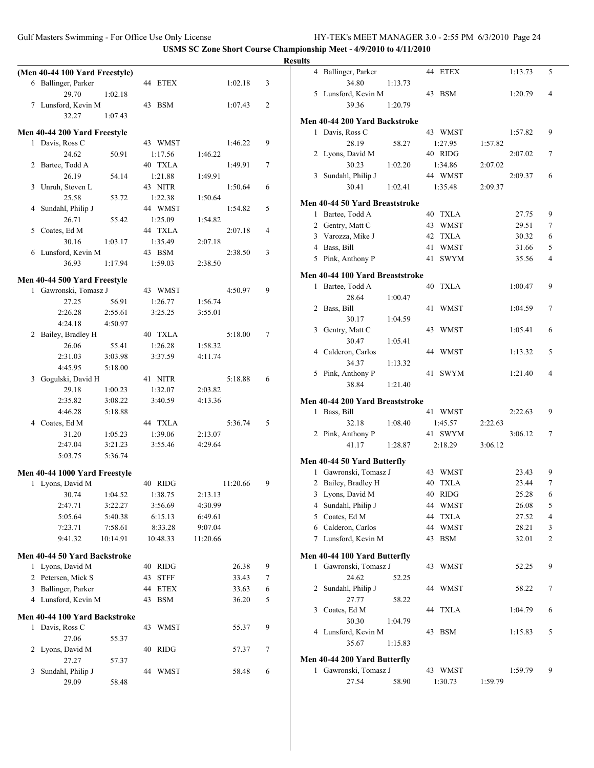|                                |                    |          |   | <b>Results</b>                              |
|--------------------------------|--------------------|----------|---|---------------------------------------------|
| (Men 40-44 100 Yard Freestyle) |                    |          |   | 4 Ballinger, Parker                         |
| 6 Ballinger, Parker            | 44 ETEX            | 1:02.18  | 3 | 34.80<br>1:                                 |
| 29.70<br>1:02.18               |                    |          |   | 5 Lunsford, Kevin M                         |
| 7 Lunsford, Kevin M            | 43 BSM             | 1:07.43  | 2 | 39.36<br>$\mathbf{1}$                       |
| 32.27<br>1:07.43               |                    |          |   | <b>Men 40-44 200 Yard Bacl</b>              |
| Men 40-44 200 Yard Freestyle   |                    |          |   | 1 Davis, Ross C                             |
| 1 Davis, Ross C                | 43 WMST            | 1:46.22  | 9 | 28.19                                       |
| 24.62                          | 50.91<br>1:17.56   | 1:46.22  |   | 2 Lyons, David M                            |
| 2 Bartee, Todd A               | 40 TXLA            | 1:49.91  | 7 | 30.23<br>1:                                 |
| 26.19                          | 1:21.88<br>54.14   | 1:49.91  |   | 3 Sundahl, Philip J                         |
| 3 Unruh, Steven L              | 43 NITR            | 1:50.64  | 6 | 30.41<br>1:                                 |
| 25.58                          | 53.72<br>1:22.38   | 1:50.64  |   |                                             |
| 4 Sundahl, Philip J            | 44 WMST            | 1:54.82  | 5 | Men 40-44 50 Yard Breas<br>1 Bartee, Todd A |
| 26.71                          | 55.42<br>1:25.09   | 1:54.82  |   |                                             |
| 5 Coates, Ed M                 | 44 TXLA            | 2:07.18  | 4 | 2 Gentry, Matt C<br>3 Varozza, Mike J       |
| 30.16<br>1:03.17               | 1:35.49            | 2:07.18  |   |                                             |
| 6 Lunsford, Kevin M            | 43 BSM             | 2:38.50  | 3 | 4 Bass, Bill                                |
| 36.93<br>1:17.94               | 1:59.03            | 2:38.50  |   | 5 Pink, Anthony P                           |
| Men 40-44 500 Yard Freestyle   |                    |          |   | Men 40-44 100 Yard Brea                     |
| 1 Gawronski, Tomasz J          | 43 WMST            | 4:50.97  | 9 | 1 Bartee, Todd A                            |
| 27.25                          | 56.91<br>1:26.77   | 1:56.74  |   | 28.64<br>1:                                 |
| 2:26.28<br>2:55.61             | 3:25.25            | 3:55.01  |   | 2 Bass, Bill                                |
| 4:24.18<br>4:50.97             |                    |          |   | 1:<br>30.17                                 |
| 2 Bailey, Bradley H            | 40 TXLA            | 5:18.00  | 7 | 3 Gentry, Matt C                            |
| 26.06                          | 55.41<br>1:26.28   | 1:58.32  |   | 30.47<br>1:                                 |
| 2:31.03                        | 3:03.98<br>3:37.59 | 4:11.74  |   | 4 Calderon, Carlos                          |
| 4:45.95                        | 5:18.00            |          |   | 1:<br>34.37                                 |
| 3 Gogulski, David H            | 41 NITR            | 5:18.88  | 6 | 5 Pink, Anthony P                           |
| 29.18                          | 1:00.23<br>1:32.07 | 2:03.82  |   | 38.84<br>1:                                 |
| 2:35.82                        | 3:08.22<br>3:40.59 | 4:13.36  |   | <b>Men 40-44 200 Yard Brea</b>              |
| 4:46.28                        | 5:18.88            |          |   | 1 Bass, Bill                                |
| 4 Coates, Ed M                 | 44 TXLA            | 5:36.74  | 5 | 32.18<br>1:                                 |
| 1:05.23<br>31.20               | 1:39.06            | 2:13.07  |   | 2 Pink, Anthony P                           |
| 2:47.04                        | 3:21.23<br>3:55.46 | 4:29.64  |   | 41.17<br>1:                                 |
| 5:03.75                        | 5:36.74            |          |   |                                             |
|                                |                    |          |   | Men 40-44 50 Yard Butte                     |
| Men 40-44 1000 Yard Freestyle  |                    |          |   | 1 Gawronski, Tomasz J                       |
| 1 Lyons, David M               | 40 RIDG            | 11:20.66 | 9 | 2 Bailey, Bradley H                         |
| 30.74                          | 1:38.75<br>1:04.52 | 2:13.13  |   | 3 Lyons, David M                            |
| 2:47.71                        | 3:22.27<br>3:56.69 | 4:30.99  |   | 4 Sundahl, Philip J                         |
| 5:05.64                        | 5:40.38<br>6:15.13 | 6:49.61  |   | 5 Coates, Ed M                              |
| 7:23.71<br>7:58.61             | 8:33.28            | 9:07.04  |   | 6 Calderon, Carlos                          |
| 9:41.32<br>10:14.91            | 10:48.33           | 11:20.66 |   | 7 Lunsford, Kevin M                         |
| Men 40-44 50 Yard Backstroke   |                    |          |   | <b>Men 40-44 100 Yard Butt</b>              |
| 1 Lyons, David M               | 40 RIDG            | 26.38    | 9 | 1 Gawronski, Tomasz J                       |
| 2 Petersen, Mick S             | 43 STFF            | 33.43    | 7 | 24.62                                       |
| 3 Ballinger, Parker            | 44 ETEX            | 33.63    | 6 | 2 Sundahl, Philip J                         |
| 4 Lunsford, Kevin M            | 43 BSM             | 36.20    | 5 | 27.77                                       |
|                                |                    |          |   | 3 Coates, Ed M                              |
| Men 40-44 100 Yard Backstroke  |                    |          |   | 30.30<br>$\mathbf{1}$                       |
| 1 Davis, Ross C                | 43 WMST            | 55.37    | 9 | 4 Lunsford, Kevin M                         |
| 27.06                          | 55.37              |          |   | 35.67<br>1:                                 |
| 2 Lyons, David M               | 40 RIDG            | 57.37    | 7 |                                             |
| 27.27                          | 57.37              |          |   | <b>Men 40-44 200 Yard Butt</b>              |
| Sundahl, Philip J<br>3         | 44 WMST            | 58.48    | 6 | 1 Gawronski, Tomasz J                       |
| 29.09                          | 58.48              |          |   | 27.54                                       |

| . |   |                                                    |         |    |             |         |         |                |
|---|---|----------------------------------------------------|---------|----|-------------|---------|---------|----------------|
|   | 4 | Ballinger, Parker                                  |         | 44 | <b>ETEX</b> |         | 1:13.73 | 5              |
|   |   | 34.80                                              | 1:13.73 |    |             |         |         |                |
|   | 5 | Lunsford, Kevin M                                  |         | 43 | <b>BSM</b>  |         | 1:20.79 | 4              |
|   |   | 39.36                                              | 1:20.79 |    |             |         |         |                |
|   |   | Men 40-44 200 Yard Backstroke                      |         |    |             |         |         |                |
|   |   | 1 Davis, Ross C                                    |         |    | 43 WMST     |         | 1:57.82 | 9              |
|   |   | 28.19                                              | 58.27   |    | 1:27.95     | 1:57.82 |         |                |
|   | 2 | Lyons, David M                                     |         |    | 40 RIDG     |         | 2:07.02 | 7              |
|   |   | 30.23                                              | 1:02.20 |    | 1:34.86     | 2:07.02 |         |                |
|   | 3 | Sundahl, Philip J                                  |         |    | 44 WMST     |         | 2:09.37 | 6              |
|   |   | 30.41                                              | 1:02.41 |    | 1:35.48     | 2:09.37 |         |                |
|   |   | Men 40-44 50 Yard Breaststroke                     |         |    |             |         |         |                |
|   | 1 | Bartee, Todd A                                     |         | 40 | TXLA        |         | 27.75   | 9              |
|   |   | 2 Gentry, Matt C                                   |         |    | 43 WMST     |         | 29.51   | 7              |
|   |   | 3 Varozza, Mike J                                  |         |    | 42 TXLA     |         | 30.32   | 6              |
|   |   | 4 Bass, Bill                                       |         |    | 41 WMST     |         | 31.66   | 5              |
|   | 5 | Pink, Anthony P                                    |         | 41 | <b>SWYM</b> |         | 35.56   | 4              |
|   |   |                                                    |         |    |             |         |         |                |
|   | 1 | Men 40-44 100 Yard Breaststroke<br>Bartee, Todd A  |         | 40 | <b>TXLA</b> |         | 1:00.47 | 9              |
|   |   | 28.64                                              | 1:00.47 |    |             |         |         |                |
|   | 2 | Bass, Bill                                         |         | 41 | <b>WMST</b> |         | 1:04.59 | 7              |
|   |   | 30.17                                              | 1:04.59 |    |             |         |         |                |
|   | 3 | Gentry, Matt C                                     |         | 43 | WMST        |         | 1:05.41 | 6              |
|   |   | 30.47                                              | 1:05.41 |    |             |         |         |                |
|   | 4 | Calderon, Carlos                                   |         | 44 | WMST        |         | 1:13.32 | 5              |
|   |   | 34.37                                              | 1:13.32 |    |             |         |         |                |
|   |   | 5 Pink, Anthony P                                  |         | 41 | <b>SWYM</b> |         | 1:21.40 | 4              |
|   |   | 38.84                                              | 1:21.40 |    |             |         |         |                |
|   |   | Men 40-44 200 Yard Breaststroke                    |         |    |             |         |         |                |
|   | 1 | Bass, Bill                                         |         |    | 41 WMST     |         | 2:22.63 | 9              |
|   |   | 32.18                                              | 1:08.40 |    | 1:45.57     | 2:22.63 |         |                |
|   |   | 2 Pink, Anthony P                                  |         |    | 41 SWYM     |         | 3:06.12 | 7              |
|   |   | 41.17                                              | 1:28.87 |    | 2:18.29     | 3:06.12 |         |                |
|   |   |                                                    |         |    |             |         |         |                |
|   | 1 | Men 40-44 50 Yard Butterfly<br>Gawronski, Tomasz J |         |    | 43 WMST     |         | 23.43   | 9              |
|   | 2 | Bailey, Bradley H                                  |         | 40 | <b>TXLA</b> |         | 23.44   | 7              |
|   | 3 | Lyons, David M                                     |         | 40 | <b>RIDG</b> |         | 25.28   | 6              |
|   | 4 | Sundahl, Philip J                                  |         |    | 44 WMST     |         | 26.08   | 5              |
|   |   | 5 Coates, Ed M                                     |         |    | 44 TXLA     |         | 27.52   | 4              |
|   |   | 6 Calderon, Carlos                                 |         |    | 44 WMST     |         | 28.21   | 3              |
|   |   | 7 Lunsford, Kevin M                                |         | 43 | <b>BSM</b>  |         | 32.01   | $\overline{c}$ |
|   |   |                                                    |         |    |             |         |         |                |
|   |   | Men 40-44 100 Yard Butterfly                       |         |    |             |         |         |                |
|   |   | 1 Gawronski, Tomasz J                              |         | 43 | <b>WMST</b> |         | 52.25   | 9              |
|   | 2 | 24.62                                              | 52.25   | 44 | <b>WMST</b> |         | 58.22   | 7              |
|   |   | Sundahl, Philip J<br>27.77                         | 58.22   |    |             |         |         |                |
|   | 3 | Coates, Ed M                                       |         | 44 | <b>TXLA</b> |         | 1:04.79 | 6              |
|   |   | 30.30                                              | 1:04.79 |    |             |         |         |                |
|   | 4 | Lunsford, Kevin M                                  |         | 43 | <b>BSM</b>  |         | 1:15.83 | 5              |
|   |   | 35.67                                              | 1:15.83 |    |             |         |         |                |
|   |   |                                                    |         |    |             |         |         |                |
|   |   | Men 40-44 200 Yard Butterfly                       |         |    |             |         |         |                |
|   |   | 1 Gawronski, Tomasz J                              |         |    | 43 WMST     |         | 1:59.79 | 9              |
|   |   | 27.54                                              | 58.90   |    | 1:30.73     | 1:59.79 |         |                |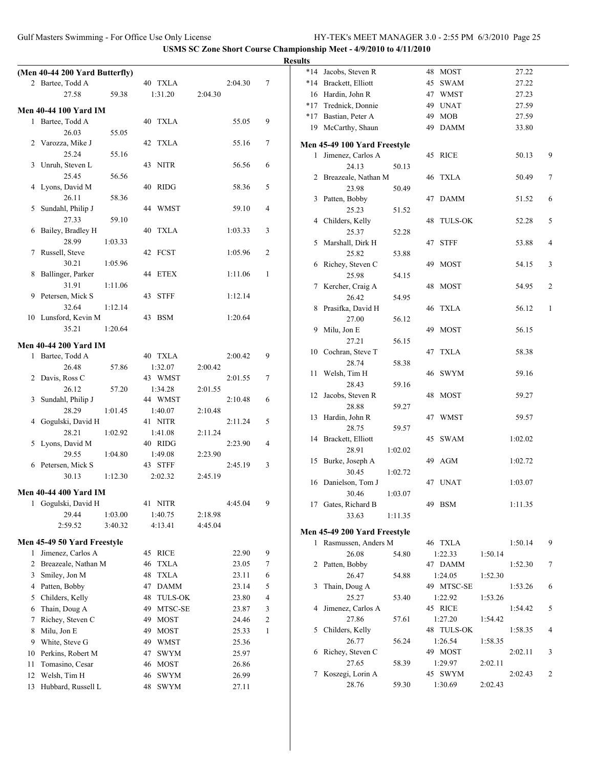|    |                                |         |                      |         |         |                | <b>Results</b> |                              |         |                    |         |         |        |
|----|--------------------------------|---------|----------------------|---------|---------|----------------|----------------|------------------------------|---------|--------------------|---------|---------|--------|
|    | (Men 40-44 200 Yard Butterfly) |         |                      |         |         |                |                | *14 Jacobs, Steven R         |         | 48 MOST            |         | 27.22   |        |
|    | 2 Bartee, Todd A               |         | 40 TXLA              |         | 2:04.30 | $\tau$         |                | *14 Brackett, Elliott        |         | 45 SWAM            |         | 27.22   |        |
|    | 27.58                          | 59.38   | 1:31.20              | 2:04.30 |         |                |                | 16 Hardin, John R            |         | 47 WMST            |         | 27.23   |        |
|    | <b>Men 40-44 100 Yard IM</b>   |         |                      |         |         |                |                | *17 Trednick, Donnie         |         | 49 UNAT            |         | 27.59   |        |
|    | 1 Bartee, Todd A               |         | 40 TXLA              |         | 55.05   | 9              |                | *17 Bastian, Peter A         |         | 49 MOB             |         | 27.59   |        |
|    | 26.03                          | 55.05   |                      |         |         |                |                | 19 McCarthy, Shaun           |         | 49 DAMM            |         | 33.80   |        |
|    | 2 Varozza, Mike J              |         | 42 TXLA              |         | 55.16   | $\tau$         |                | Men 45-49 100 Yard Freestyle |         |                    |         |         |        |
|    | 25.24                          | 55.16   |                      |         |         |                |                | 1 Jimenez, Carlos A          |         | 45 RICE            |         | 50.13   | 9      |
|    | 3 Unruh, Steven L              |         | 43 NITR              |         | 56.56   | 6              |                | 24.13                        | 50.13   |                    |         |         |        |
|    | 25.45                          | 56.56   |                      |         |         |                |                | 2 Breazeale, Nathan M        |         | 46 TXLA            |         | 50.49   | $\tau$ |
|    | 4 Lyons, David M               |         | 40 RIDG              |         | 58.36   | 5              |                | 23.98                        | 50.49   |                    |         |         |        |
|    | 26.11                          | 58.36   |                      |         |         |                |                | 3 Patten, Bobby              |         | 47 DAMM            |         | 51.52   | 6      |
|    | 5 Sundahl, Philip J            |         | 44 WMST              |         | 59.10   | 4              |                | 25.23                        | 51.52   |                    |         |         |        |
|    | 27.33                          | 59.10   |                      |         |         |                |                | 4 Childers, Kelly            |         | 48 TULS-OK         |         | 52.28   | 5      |
|    | 6 Bailey, Bradley H            |         | 40 TXLA              |         | 1:03.33 | 3              |                | 25.37                        | 52.28   |                    |         |         |        |
|    | 28.99                          | 1:03.33 |                      |         |         |                |                | 5 Marshall, Dirk H           |         | 47 STFF            |         | 53.88   | 4      |
|    | 7 Russell, Steve               |         | 42 FCST              |         | 1:05.96 | $\overline{2}$ |                | 25.82                        | 53.88   |                    |         |         |        |
|    | 30.21                          | 1:05.96 |                      |         |         |                |                | 6 Richey, Steven C           |         | 49 MOST            |         | 54.15   | 3      |
|    | 8 Ballinger, Parker            |         | 44 ETEX              |         | 1:11.06 | -1             |                | 25.98                        | 54.15   |                    |         |         |        |
|    | 31.91                          | 1:11.06 |                      |         |         |                |                | 7 Kercher, Craig A           |         | 48 MOST            |         | 54.95   | 2      |
|    | 9 Petersen, Mick S             |         | 43 STFF              |         | 1:12.14 |                |                | 26.42                        | 54.95   |                    |         |         |        |
|    | 32.64                          | 1:12.14 |                      |         |         |                |                | 8 Prasifka, David H          |         | 46 TXLA            |         | 56.12   | 1      |
|    | 10 Lunsford, Kevin M           |         | 43 BSM               |         | 1:20.64 |                |                | 27.00                        | 56.12   |                    |         |         |        |
|    | 35.21                          | 1:20.64 |                      |         |         |                |                | 9 Milu, Jon E                |         | 49 MOST            |         | 56.15   |        |
|    | <b>Men 40-44 200 Yard IM</b>   |         |                      |         |         |                |                | 27.21                        | 56.15   |                    |         |         |        |
|    | 1 Bartee, Todd A               |         | 40 TXLA              |         | 2:00.42 | 9              |                | 10 Cochran, Steve T          |         | 47 TXLA            |         | 58.38   |        |
|    | 26.48                          | 57.86   | 1:32.07              | 2:00.42 |         |                |                | 28.74                        | 58.38   |                    |         |         |        |
|    | 2 Davis, Ross C                |         | 43 WMST              |         | 2:01.55 | 7              |                | 11 Welsh, Tim H              |         | 46 SWYM            |         | 59.16   |        |
|    | 26.12                          | 57.20   | 1:34.28              | 2:01.55 |         |                |                | 28.43                        | 59.16   |                    |         |         |        |
|    | 3 Sundahl, Philip J            |         | 44 WMST              |         | 2:10.48 | 6              |                | 12 Jacobs, Steven R          |         | 48 MOST            |         | 59.27   |        |
|    | 28.29                          | 1:01.45 | 1:40.07              | 2:10.48 |         |                |                | 28.88                        | 59.27   |                    |         |         |        |
|    | 4 Gogulski, David H            |         | 41 NITR              |         | 2:11.24 | 5              |                | 13 Hardin, John R            |         | 47 WMST            |         | 59.57   |        |
|    | 28.21                          | 1:02.92 | 1:41.08              | 2:11.24 |         |                |                | 28.75                        | 59.57   |                    |         |         |        |
|    | 5 Lyons, David M               |         | 40 RIDG              |         | 2:23.90 | 4              |                | 14 Brackett, Elliott         |         | 45 SWAM            |         | 1:02.02 |        |
|    | 29.55                          | 1:04.80 | 1:49.08              | 2:23.90 |         |                |                | 28.91                        | 1:02.02 | 49 AGM             |         | 1:02.72 |        |
|    | 6 Petersen, Mick S             |         | 43 STFF              |         | 2:45.19 | 3              |                | 15 Burke, Joseph A<br>30.45  | 1:02.72 |                    |         |         |        |
|    | 30.13                          | 1:12.30 | 2:02.32              | 2:45.19 |         |                |                | 16 Danielson, Tom J          |         | 47 UNAT            |         | 1:03.07 |        |
|    | <b>Men 40-44 400 Yard IM</b>   |         |                      |         |         |                |                | 30.46                        | 1:03.07 |                    |         |         |        |
|    | 1 Gogulski, David H            |         | 41 NITR              |         | 4:45.04 | 9              |                | 17 Gates, Richard B          |         | 49 BSM             |         | 1:11.35 |        |
|    | 29.44                          | 1:03.00 | 1:40.75              | 2:18.98 |         |                |                | 33.63                        | 1:11.35 |                    |         |         |        |
|    | 2:59.52                        | 3:40.32 | 4:13.41              | 4:45.04 |         |                |                |                              |         |                    |         |         |        |
|    |                                |         |                      |         |         |                |                | Men 45-49 200 Yard Freestyle |         |                    |         |         |        |
|    | Men 45-49 50 Yard Freestyle    |         |                      |         |         |                |                | 1 Rasmussen, Anders M        |         | 46 TXLA            |         | 1:50.14 | 9      |
|    | 1 Jimenez, Carlos A            |         | 45 RICE              |         | 22.90   | 9              |                | 26.08                        | 54.80   | 1:22.33            | 1:50.14 |         |        |
|    | 2 Breazeale, Nathan M          |         | 46 TXLA              |         | 23.05   | 7              |                | 2 Patten, Bobby              |         | 47 DAMM            |         | 1:52.30 | 7      |
|    | 3 Smiley, Jon M                |         | 48 TXLA              |         | 23.11   | 6              |                | 26.47                        | 54.88   | 1:24.05            | 1:52.30 |         |        |
|    | 4 Patten, Bobby                |         | 47 DAMM              |         | 23.14   | 5              |                | 3 Thain, Doug A              |         | 49 MTSC-SE         |         | 1:53.26 | 6      |
|    | 5 Childers, Kelly              |         | <b>TULS-OK</b><br>48 |         | 23.80   | 4              |                | 25.27                        | 53.40   | 1:22.92            | 1:53.26 |         |        |
|    | 6 Thain, Doug A                |         | MTSC-SE<br>49        |         | 23.87   | 3              |                | 4 Jimenez, Carlos A          |         | 45 RICE            |         | 1:54.42 | 5      |
|    | 7 Richey, Steven C             |         | <b>MOST</b><br>49    |         | 24.46   | 2              |                | 27.86                        | 57.61   | 1:27.20            | 1:54.42 |         |        |
|    | 8 Milu, Jon E                  |         | <b>MOST</b><br>49    |         | 25.33   | $\mathbf{1}$   |                | 5 Childers, Kelly            |         | 48 TULS-OK         |         | 1:58.35 | 4      |
|    | 9 White, Steve G               |         | 49 WMST              |         | 25.36   |                |                | 26.77                        | 56.24   | 1:26.54            | 1:58.35 |         |        |
|    | 10 Perkins, Robert M           |         | 47 SWYM              |         | 25.97   |                |                | 6 Richey, Steven C           |         | 49 MOST            |         | 2:02.11 | 3      |
| 11 | Tomasino, Cesar                |         | 46 MOST              |         | 26.86   |                |                | 27.65<br>7 Koszegi, Lorin A  | 58.39   | 1:29.97<br>45 SWYM | 2:02.11 | 2:02.43 | 2      |
| 12 | Welsh, Tim H                   |         | 46 SWYM              |         | 26.99   |                |                | 28.76                        | 59.30   | 1:30.69            | 2:02.43 |         |        |
|    | 13 Hubbard, Russell L          |         | 48 SWYM              |         | 27.11   |                |                |                              |         |                    |         |         |        |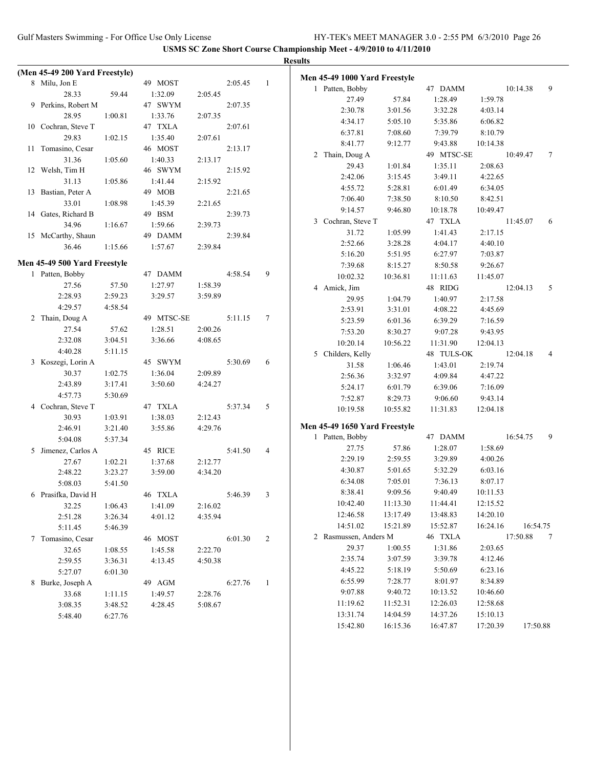|                                |         |            |         |         |                | <b>Results</b>                |          |            |          |          |   |
|--------------------------------|---------|------------|---------|---------|----------------|-------------------------------|----------|------------|----------|----------|---|
| (Men 45-49 200 Yard Freestyle) |         |            |         |         |                | Men 45-49 1000 Yard Freestyle |          |            |          |          |   |
| 8 Milu, Jon E                  |         | 49 MOST    |         | 2:05.45 | -1             | 1 Patten, Bobby               |          | 47 DAMM    |          | 10:14.38 | 9 |
| 28.33                          | 59.44   | 1:32.09    | 2:05.45 |         |                | 27.49                         | 57.84    | 1:28.49    | 1:59.78  |          |   |
| 9 Perkins, Robert M            |         | 47 SWYM    |         | 2:07.35 |                | 2:30.78                       | 3:01.56  | 3:32.28    | 4:03.14  |          |   |
| 28.95                          | 1:00.81 | 1:33.76    | 2:07.35 |         |                | 4:34.17                       | 5:05.10  | 5:35.86    | 6:06.82  |          |   |
| 10 Cochran, Steve T            |         | 47 TXLA    |         | 2:07.61 |                | 6:37.81                       | 7:08.60  | 7:39.79    | 8:10.79  |          |   |
| 29.83                          | 1:02.15 | 1:35.40    | 2:07.61 |         |                | 8:41.77                       | 9:12.77  | 9:43.88    | 10:14.38 |          |   |
| 11 Tomasino, Cesar             |         | 46 MOST    |         | 2:13.17 |                | 2 Thain, Doug A               |          | 49 MTSC-SE |          | 10:49.47 | 7 |
| 31.36                          | 1:05.60 | 1:40.33    | 2:13.17 |         |                | 29.43                         | 1:01.84  | 1:35.11    | 2:08.63  |          |   |
| 12 Welsh, Tim H                |         | 46 SWYM    |         | 2:15.92 |                | 2:42.06                       | 3:15.45  | 3:49.11    | 4:22.65  |          |   |
| 31.13                          | 1:05.86 | 1:41.44    | 2:15.92 |         |                | 4:55.72                       | 5:28.81  | 6:01.49    | 6:34.05  |          |   |
| 13 Bastian, Peter A            |         | 49 MOB     |         | 2:21.65 |                | 7:06.40                       | 7:38.50  | 8:10.50    | 8:42.51  |          |   |
| 33.01                          | 1:08.98 | 1:45.39    | 2:21.65 |         |                | 9:14.57                       | 9:46.80  | 10:18.78   | 10:49.47 |          |   |
| 14 Gates, Richard B            |         | 49 BSM     |         | 2:39.73 |                | 3 Cochran, Steve T            |          | 47 TXLA    |          | 11:45.07 | 6 |
| 34.96                          | 1:16.67 | 1:59.66    | 2:39.73 |         |                | 31.72                         | 1:05.99  | 1:41.43    | 2:17.15  |          |   |
| 15 McCarthy, Shaun             |         | 49 DAMM    |         | 2:39.84 |                | 2:52.66                       | 3:28.28  | 4:04.17    | 4:40.10  |          |   |
| 36.46                          | 1:15.66 | 1:57.67    | 2:39.84 |         |                | 5:16.20                       | 5:51.95  | 6:27.97    | 7:03.87  |          |   |
| Men 45-49 500 Yard Freestyle   |         |            |         |         |                |                               |          | 8:50.58    | 9:26.67  |          |   |
| 1 Patten, Bobby                |         | 47 DAMM    |         | 4:58.54 | 9              | 7:39.68                       | 8:15.27  |            |          |          |   |
| 27.56                          | 57.50   | 1:27.97    | 1:58.39 |         |                | 10:02.32                      | 10:36.81 | 11:11.63   | 11:45.07 |          |   |
| 2:28.93                        | 2:59.23 | 3:29.57    | 3:59.89 |         |                | 4 Amick, Jim                  |          | 48 RIDG    |          | 12:04.13 | 5 |
| 4:29.57                        | 4:58.54 |            |         |         |                | 29.95                         | 1:04.79  | 1:40.97    | 2:17.58  |          |   |
| 2 Thain, Doug A                |         | 49 MTSC-SE |         | 5:11.15 | 7              | 2:53.91                       | 3:31.01  | 4:08.22    | 4:45.69  |          |   |
| 27.54                          | 57.62   | 1:28.51    | 2:00.26 |         |                | 5:23.59                       | 6:01.36  | 6:39.29    | 7:16.59  |          |   |
| 2:32.08                        | 3:04.51 | 3:36.66    | 4:08.65 |         |                | 7:53.20                       | 8:30.27  | 9:07.28    | 9:43.95  |          |   |
| 4:40.28                        | 5:11.15 |            |         |         |                | 10:20.14                      | 10:56.22 | 11:31.90   | 12:04.13 |          |   |
| 3 Koszegi, Lorin A             |         | 45 SWYM    |         | 5:30.69 | 6              | 5 Childers, Kelly             |          | 48 TULS-OK |          | 12:04.18 | 4 |
| 30.37                          | 1:02.75 | 1:36.04    | 2:09.89 |         |                | 31.58                         | 1:06.46  | 1:43.01    | 2:19.74  |          |   |
| 2:43.89                        | 3:17.41 | 3:50.60    | 4:24.27 |         |                | 2:56.36                       | 3:32.97  | 4:09.84    | 4:47.22  |          |   |
| 4:57.73                        | 5:30.69 |            |         |         |                | 5:24.17                       | 6:01.79  | 6:39.06    | 7:16.09  |          |   |
| 4 Cochran, Steve T             |         | 47 TXLA    |         | 5:37.34 | 5              | 7:52.87                       | 8:29.73  | 9:06.60    | 9:43.14  |          |   |
| 30.93                          | 1:03.91 | 1:38.03    | 2:12.43 |         |                | 10:19.58                      | 10:55.82 | 11:31.83   | 12:04.18 |          |   |
| 2:46.91                        | 3:21.40 | 3:55.86    | 4:29.76 |         |                | Men 45-49 1650 Yard Freestyle |          |            |          |          |   |
| 5:04.08                        | 5:37.34 |            |         |         |                | 1 Patten, Bobby               |          | 47 DAMM    |          | 16:54.75 | 9 |
| 5 Jimenez, Carlos A            |         | 45 RICE    |         | 5:41.50 | $\overline{4}$ | 27.75                         | 57.86    | 1:28.07    | 1:58.69  |          |   |
| 27.67                          | 1:02.21 | 1:37.68    | 2:12.77 |         |                | 2:29.19                       | 2:59.55  | 3:29.89    | 4:00.26  |          |   |
| 2:48.22                        | 3:23.27 | 3:59.00    | 4:34.20 |         |                | 4:30.87                       | 5:01.65  | 5:32.29    | 6:03.16  |          |   |
| 5:08.03                        | 5:41.50 |            |         |         |                | 6:34.08                       | 7:05.01  | 7:36.13    | 8:07.17  |          |   |
| 6 Prasifka, David H            |         | 46 TXLA    |         | 5:46.39 | 3              | 8:38.41                       | 9:09.56  | 9:40.49    | 10:11.53 |          |   |
| 32.25                          | 1:06.43 | 1:41.09    | 2:16.02 |         |                | 10:42.40                      | 11:13.30 | 11:44.41   | 12:15.52 |          |   |
| 2:51.28                        | 3:26.34 | 4:01.12    | 4:35.94 |         |                | 12:46.58                      | 13:17.49 | 13:48.83   | 14:20.10 |          |   |
| 5:11.45                        | 5:46.39 |            |         |         |                | 14:51.02                      | 15:21.89 | 15:52.87   | 16:24.16 | 16:54.75 |   |
| 7 Tomasino, Cesar              |         | 46 MOST    |         | 6:01.30 | 2              | 2 Rasmussen, Anders M         |          | 46 TXLA    |          | 17:50.88 | 7 |
| 32.65                          | 1:08.55 | 1:45.58    | 2:22.70 |         |                | 29.37                         | 1:00.55  | 1:31.86    | 2:03.65  |          |   |
| 2:59.55                        | 3:36.31 | 4:13.45    | 4:50.38 |         |                | 2:35.74                       | 3:07.59  | 3:39.78    | 4:12.46  |          |   |
|                                | 6:01.30 |            |         |         |                | 4:45.22                       | 5:18.19  | 5:50.69    | 6:23.16  |          |   |
| 5:27.07                        |         |            |         |         |                | 6:55.99                       | 7:28.77  | 8:01.97    | 8:34.89  |          |   |
| 8 Burke, Joseph A              |         | 49 AGM     |         | 6:27.76 | $\mathbf{1}$   | 9:07.88                       | 9:40.72  | 10:13.52   | 10:46.60 |          |   |
| 33.68                          | 1:11.15 | 1:49.57    | 2:28.76 |         |                | 11:19.62                      | 11:52.31 | 12:26.03   | 12:58.68 |          |   |
| 3:08.35                        | 3:48.52 | 4:28.45    | 5:08.67 |         |                | 13:31.74                      | 14:04.59 | 14:37.26   | 15:10.13 |          |   |
| 5:48.40                        | 6:27.76 |            |         |         |                |                               |          |            | 17:20.39 |          |   |
|                                |         |            |         |         |                | 15:42.80                      | 16:15.36 | 16:47.87   |          | 17:50.88 |   |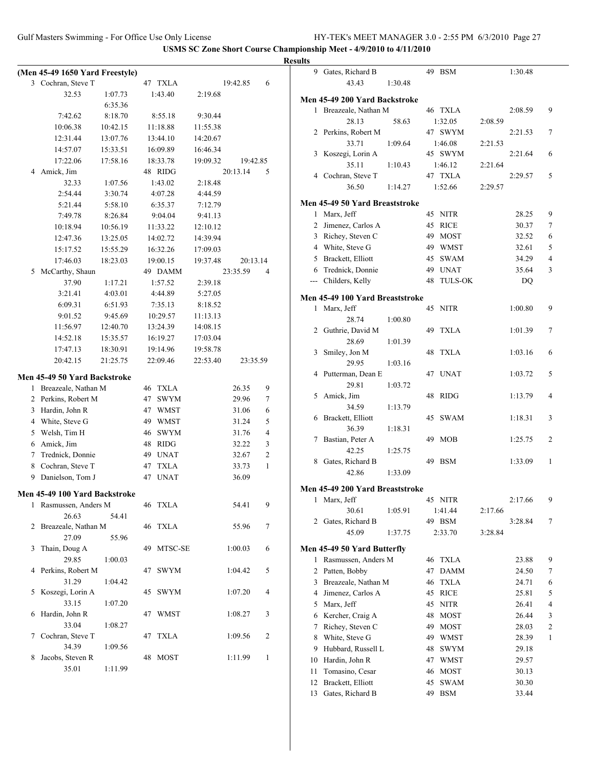# **Results**

|                | (Men 45-49 1650 Yard Freestyle) |          |    |             |          |          |   |
|----------------|---------------------------------|----------|----|-------------|----------|----------|---|
|                | 3 Cochran, Steve T              |          |    | 47 TXLA     |          | 19:42.85 | 6 |
|                | 32.53                           | 1:07.73  |    | 1:43.40     | 2:19.68  |          |   |
|                |                                 | 6:35.36  |    |             |          |          |   |
|                | 7:42.62                         | 8:18.70  |    | 8:55.18     | 9:30.44  |          |   |
|                | 10:06.38                        | 10:42.15 |    | 11:18.88    | 11:55.38 |          |   |
|                | 12:31.44                        | 13:07.76 |    | 13:44.10    | 14:20.67 |          |   |
|                | 14:57.07                        | 15:33.51 |    | 16:09.89    | 16:46.34 |          |   |
|                | 17:22.06                        | 17:58.16 |    | 18:33.78    | 19:09.32 | 19:42.85 |   |
| 4              | Amick, Jim                      |          |    | 48 RIDG     |          | 20:13.14 | 5 |
|                | 32.33                           | 1:07.56  |    | 1:43.02     | 2:18.48  |          |   |
|                | 2:54.44                         | 3:30.74  |    | 4:07.28     | 4:44.59  |          |   |
|                | 5:21.44                         | 5:58.10  |    | 6:35.37     | 7:12.79  |          |   |
|                | 7:49.78                         | 8:26.84  |    | 9:04.04     | 9:41.13  |          |   |
|                | 10:18.94                        | 10:56.19 |    | 11:33.22    | 12:10.12 |          |   |
|                | 12:47.36                        | 13:25.05 |    | 14:02.72    | 14:39.94 |          |   |
|                | 15:17.52                        | 15:55.29 |    | 16:32.26    | 17:09.03 |          |   |
|                | 17:46.03                        | 18:23.03 |    | 19:00.15    | 19:37.48 | 20:13.14 |   |
| 5              | McCarthy, Shaun                 |          |    | 49 DAMM     |          | 23:35.59 | 4 |
|                | 37.90                           | 1:17.21  |    | 1:57.52     | 2:39.18  |          |   |
|                | 3:21.41                         | 4:03.01  |    | 4:44.89     | 5:27.05  |          |   |
|                | 6:09.31                         | 6:51.93  |    | 7:35.13     | 8:18.52  |          |   |
|                | 9:01.52                         | 9:45.69  |    | 10:29.57    | 11:13.13 |          |   |
|                | 11:56.97                        | 12:40.70 |    | 13:24.39    | 14:08.15 |          |   |
|                | 14:52.18                        | 15:35.57 |    | 16:19.27    | 17:03.04 |          |   |
|                | 17:47.13                        | 18:30.91 |    | 19:14.96    | 19:58.78 |          |   |
|                | 20:42.15                        | 21:25.75 |    | 22:09.46    | 22:53.40 | 23:35.59 |   |
|                | Men 45-49 50 Yard Backstroke    |          |    |             |          |          |   |
| 1              | Breazeale, Nathan M             |          |    | 46 TXLA     |          | 26.35    | 9 |
| 2              | Perkins, Robert M               |          | 47 | <b>SWYM</b> |          | 29.96    | 7 |
| 3              | Hardin, John R                  |          |    | 47 WMST     |          | 31.06    | 6 |
| $\overline{4}$ | White, Steve G                  |          |    | 49 WMST     |          | 31.24    | 5 |
| 5              | Welsh, Tim H                    |          |    | 46 SWYM     |          | 31.76    | 4 |
| 6              | Amick, Jim                      |          |    | 48 RIDG     |          | 32.22    | 3 |
| 7              | Trednick, Donnie                |          |    | 49 UNAT     |          | 32.67    | 2 |
| 8              | Cochran, Steve T                |          |    | 47 TXLA     |          | 33.73    | 1 |
|                | 9 Danielson, Tom J              |          | 47 | <b>UNAT</b> |          | 36.09    |   |
|                |                                 |          |    |             |          |          |   |
|                | Men 45-49 100 Yard Backstroke   |          |    |             |          |          |   |
| 1              | Rasmussen, Anders M             |          | 46 | <b>TXLA</b> |          | 54.41    | 9 |
|                | 26.63                           | 54.41    |    |             |          |          |   |
| 2              | Breazeale, Nathan M             |          | 46 | <b>TXLA</b> |          | 55.96    | 7 |
|                | 27.09                           | 55.96    |    |             |          |          |   |
| 3              | Thain, Doug A                   |          | 49 | MTSC-SE     |          | 1:00.03  | 6 |
|                | 29.85                           | 1:00.03  |    |             |          |          |   |
| 4              | Perkins, Robert M               |          | 47 | <b>SWYM</b> |          | 1:04.42  | 5 |
|                | 31.29                           | 1:04.42  |    |             |          |          |   |
| 5              | Koszegi, Lorin A                |          | 45 | <b>SWYM</b> |          | 1:07.20  | 4 |
|                | 33.15                           | 1:07.20  |    |             |          |          |   |
| 6              | Hardin, John R<br>33.04         |          | 47 | WMST        |          | 1:08.27  | 3 |
| 7              | Cochran, Steve T                | 1:08.27  | 47 | <b>TXLA</b> |          | 1:09.56  | 2 |
|                | 34.39                           | 1:09.56  |    |             |          |          |   |
| 8              | Jacobs, Steven R                |          | 48 | <b>MOST</b> |          | 1:11.99  | 1 |
|                | 35.01                           | 1:11.99  |    |             |          |          |   |
|                |                                 |          |    |             |          |          |   |

| 9            | Gates, Richard B                |         | 49 | BSM            |         | 1:30.48 |                |
|--------------|---------------------------------|---------|----|----------------|---------|---------|----------------|
|              | 43.43                           | 1:30.48 |    |                |         |         |                |
|              |                                 |         |    |                |         |         |                |
|              | Men 45-49 200 Yard Backstroke   |         |    |                |         |         |                |
| $\mathbf{1}$ | Breazeale, Nathan M             |         |    | 46 TXLA        |         | 2:08.59 | 9              |
|              | 28.13                           | 58.63   |    | 1:32.05        | 2:08.59 |         |                |
|              | 2 Perkins, Robert M             |         |    | 47 SWYM        |         | 2:21.53 | 7              |
|              | 33.71                           | 1:09.64 |    | 1:46.08        | 2:21.53 |         |                |
| 3            | Koszegi, Lorin A                |         |    | 45 SWYM        |         | 2:21.64 | 6              |
|              | 35.11                           | 1:10.43 |    | 1:46.12        | 2:21.64 |         |                |
|              | 4 Cochran, Steve T              |         |    | 47 TXLA        |         | 2:29.57 | 5              |
|              | 36.50                           | 1:14.27 |    | 1:52.66        | 2:29.57 |         |                |
|              | Men 45-49 50 Yard Breaststroke  |         |    |                |         |         |                |
|              | 1 Marx, Jeff                    |         | 45 | <b>NITR</b>    |         | 28.25   | 9              |
|              | 2 Jimenez, Carlos A             |         | 45 | <b>RICE</b>    |         | 30.37   | 7              |
|              | 3 Richey, Steven C              |         | 49 | MOST           |         | 32.52   | 6              |
|              | 4 White, Steve G                |         |    | 49 WMST        |         | 32.61   | 5              |
|              | 5 Brackett, Elliott             |         | 45 | <b>SWAM</b>    |         | 34.29   | 4              |
|              | 6 Trednick, Donnie              |         | 49 | <b>UNAT</b>    |         | 35.64   | 3              |
|              |                                 |         |    |                |         |         |                |
|              | --- Childers, Kelly             |         | 48 | <b>TULS-OK</b> |         | DQ      |                |
|              | Men 45-49 100 Yard Breaststroke |         |    |                |         |         |                |
| 1            | Marx, Jeff                      |         | 45 | <b>NITR</b>    |         | 1:00.80 | 9              |
|              | 28.74                           | 1:00.80 |    |                |         |         |                |
|              | 2 Guthrie, David M              |         | 49 | <b>TXLA</b>    |         | 1:01.39 | 7              |
|              | 28.69                           | 1:01.39 |    |                |         |         |                |
| 3            | Smiley, Jon M                   |         | 48 | <b>TXLA</b>    |         | 1:03.16 | 6              |
|              | 29.95                           | 1:03.16 |    |                |         |         |                |
| 4            | Putterman, Dean E               |         | 47 | UNAT           |         | 1:03.72 | 5              |
|              | 29.81                           | 1:03.72 |    |                |         |         |                |
| 5            | Amick, Jim                      |         | 48 | <b>RIDG</b>    |         | 1:13.79 | 4              |
|              | 34.59                           | 1:13.79 |    |                |         |         |                |
| 6            | Brackett, Elliott               |         | 45 | <b>SWAM</b>    |         | 1:18.31 | 3              |
|              | 36.39                           |         |    |                |         |         |                |
| 7            | Bastian, Peter A                | 1:18.31 | 49 | MOB            |         | 1:25.75 | 2              |
|              |                                 |         |    |                |         |         |                |
|              | 42.25                           | 1:25.75 |    | <b>BSM</b>     |         |         |                |
| 8            | Gates, Richard B                |         | 49 |                |         | 1:33.09 | 1              |
|              | 42.86                           | 1:33.09 |    |                |         |         |                |
|              | Men 45-49 200 Yard Breaststroke |         |    |                |         |         |                |
| 1            | Marx, Jeff                      |         | 45 | NITR           |         | 2:17.66 | 9              |
|              | 30.61                           | 1:05.91 |    | 1:41.44        | 2:17.66 |         |                |
| 2            | Gates, Richard B                |         |    | 49 BSM         |         | 3:28.84 | 7              |
|              | 45.09                           | 1:37.75 |    | 2:33.70        | 3:28.84 |         |                |
|              |                                 |         |    |                |         |         |                |
|              | Men 45-49 50 Yard Butterfly     |         |    |                |         |         |                |
| 1            | Rasmussen, Anders M             |         | 46 | <b>TXLA</b>    |         | 23.88   | 9              |
| 2            | Patten, Bobby                   |         | 47 | <b>DAMM</b>    |         | 24.50   | 7              |
| 3            | Breazeale, Nathan M             |         | 46 | <b>TXLA</b>    |         | 24.71   | 6              |
| 4            | Jimenez, Carlos A               |         | 45 | <b>RICE</b>    |         | 25.81   | 5              |
| 5            | Marx, Jeff                      |         | 45 | <b>NITR</b>    |         | 26.41   | 4              |
| 6            | Kercher, Craig A                |         | 48 | MOST           |         | 26.44   | 3              |
| 7            | Richey, Steven C                |         | 49 | <b>MOST</b>    |         | 28.03   | $\overline{c}$ |
| 8            | White, Steve G                  |         | 49 | <b>WMST</b>    |         | 28.39   | 1              |
| 9            | Hubbard, Russell L              |         | 48 | <b>SWYM</b>    |         | 29.18   |                |
| 10           | Hardin, John R                  |         | 47 | WMST           |         | 29.57   |                |
| 11           | Tomasino, Cesar                 |         | 46 | MOST           |         | 30.13   |                |
| 12           | Brackett, Elliott               |         | 45 | <b>SWAM</b>    |         | 30.30   |                |
| 13           | Gates, Richard B                |         | 49 | <b>BSM</b>     |         | 33.44   |                |
|              |                                 |         |    |                |         |         |                |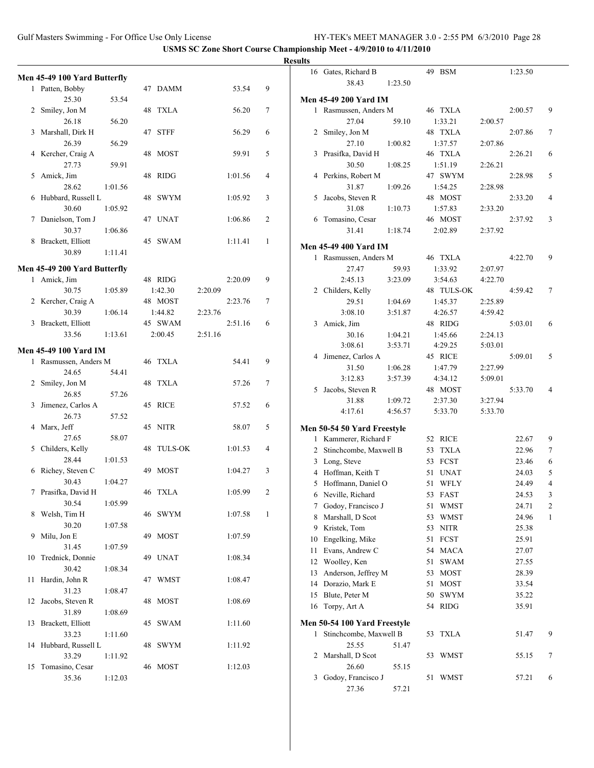|    |                              |         |            |         |         |              | <b>Result</b> |
|----|------------------------------|---------|------------|---------|---------|--------------|---------------|
|    | Men 45-49 100 Yard Butterfly |         |            |         |         |              |               |
|    | 1 Patten, Bobby              |         | 47 DAMM    |         | 53.54   | 9            |               |
|    | 25.30                        | 53.54   |            |         |         |              | N             |
|    | 2 Smiley, Jon M              |         | 48 TXLA    |         | 56.20   | 7            |               |
|    | 26.18                        | 56.20   |            |         |         |              |               |
|    | 3 Marshall, Dirk H           |         | 47 STFF    |         | 56.29   | 6            |               |
|    | 26.39                        | 56.29   |            |         |         |              |               |
|    | 4 Kercher, Craig A           |         | 48 MOST    |         | 59.91   | 5            |               |
|    | 27.73                        | 59.91   |            |         |         |              |               |
|    | 5 Amick, Jim                 |         | 48 RIDG    |         | 1:01.56 | 4            |               |
|    | 28.62                        | 1:01.56 |            |         |         |              |               |
|    | 6 Hubbard, Russell L         |         | 48 SWYM    |         | 1:05.92 | 3            |               |
|    | 30.60                        | 1:05.92 |            |         |         |              |               |
|    | 7 Danielson, Tom J           |         | 47 UNAT    |         | 1:06.86 | 2            |               |
|    | 30.37                        | 1:06.86 |            |         |         |              |               |
|    | 8 Brackett, Elliott          |         | 45 SWAM    |         | 1:11.41 | 1            | N             |
|    | 30.89                        | 1:11.41 |            |         |         |              |               |
|    | Men 45-49 200 Yard Butterfly |         |            |         |         |              |               |
|    | 1 Amick, Jim                 |         | 48 RIDG    |         | 2:20.09 | 9            |               |
|    | 30.75                        | 1:05.89 | 1:42.30    | 2:20.09 |         |              |               |
|    | 2 Kercher, Craig A           |         | 48 MOST    |         | 2:23.76 | 7            |               |
|    | 30.39                        | 1:06.14 | 1:44.82    | 2:23.76 |         |              |               |
|    | 3 Brackett, Elliott          |         | 45 SWAM    |         | 2:51.16 | 6            |               |
|    | 33.56                        |         |            | 2:51.16 |         |              |               |
|    |                              | 1:13.61 | 2:00.45    |         |         |              |               |
|    | <b>Men 45-49 100 Yard IM</b> |         |            |         |         |              |               |
|    | 1 Rasmussen, Anders M        |         | 46 TXLA    |         | 54.41   | 9            |               |
|    | 24.65                        | 54.41   |            |         |         |              |               |
|    | 2 Smiley, Jon M              |         | 48 TXLA    |         | 57.26   | 7            |               |
|    | 26.85                        | 57.26   |            |         |         |              |               |
|    | 3 Jimenez, Carlos A          |         | 45 RICE    |         | 57.52   | 6            |               |
|    | 26.73                        | 57.52   |            |         |         |              |               |
|    | 4 Marx, Jeff                 |         | 45 NITR    |         | 58.07   | 5            | N             |
|    | 27.65                        | 58.07   |            |         |         |              |               |
|    | 5 Childers, Kelly            |         | 48 TULS-OK |         | 1:01.53 | 4            |               |
|    | 28.44                        | 1:01.53 |            |         |         |              |               |
|    | 6 Richey, Steven C           |         | 49 MOST    |         | 1:04.27 | 3            |               |
|    | 30.43                        | 1:04.27 |            |         |         |              |               |
|    | 7 Prasifka, David H          |         | 46 TXLA    |         | 1:05.99 | $\mathbf{2}$ |               |
|    | 30.54                        | 1:05.99 |            |         |         |              |               |
|    | 8 Welsh, Tim H               |         | 46 SWYM    |         | 1:07.58 | 1            |               |
|    | 30.20                        | 1:07.58 |            |         |         |              |               |
| 9  | Milu, Jon E                  |         | 49 MOST    |         | 1:07.59 |              |               |
|    | 31.45                        | 1:07.59 |            |         |         |              |               |
| 10 | Trednick, Donnie             |         | 49 UNAT    |         | 1:08.34 |              |               |
|    | 30.42                        | 1:08.34 |            |         |         |              |               |
| 11 | Hardin, John R               |         | 47 WMST    |         | 1:08.47 |              |               |
|    | 31.23                        | 1:08.47 |            |         |         |              |               |
| 12 | Jacobs, Steven R             |         | 48 MOST    |         | 1:08.69 |              |               |
|    | 31.89                        | 1:08.69 |            |         |         |              |               |
| 13 | Brackett, Elliott            |         | 45 SWAM    |         | 1:11.60 |              | N             |
|    | 33.23                        | 1:11.60 |            |         |         |              |               |
|    | 14 Hubbard, Russell L        |         | 48 SWYM    |         | 1:11.92 |              |               |
|    | 33.29                        | 1:11.92 |            |         |         |              |               |
| 15 | Tomasino, Cesar              |         | 46 MOST    |         | 1:12.03 |              |               |
|    | 35.36                        | 1:12.03 |            |         |         |              |               |

| lts |                              |         |                                        |                    |         |                         |
|-----|------------------------------|---------|----------------------------------------|--------------------|---------|-------------------------|
| 16  | Gates, Richard B             |         | 49<br><b>BSM</b>                       |                    | 1:23.50 |                         |
|     | 38.43                        | 1:23.50 |                                        |                    |         |                         |
|     | <b>Men 45-49 200 Yard IM</b> |         |                                        |                    |         |                         |
| 1.  | Rasmussen, Anders M          |         | 46 TXLA                                |                    | 2:00.57 | 9                       |
|     | 27.04                        | 59.10   | 1:33.21                                | 2:00.57            |         |                         |
| 2   | Smiley, Jon M                |         | 48 TXLA                                |                    | 2:07.86 | 7                       |
|     | 27.10                        | 1:00.82 | 1:37.57                                | 2:07.86            |         |                         |
| 3   | Prasifka, David H            |         | 46 TXLA                                |                    | 2:26.21 | 6                       |
|     | 30.50                        | 1:08.25 | 1:51.19                                | 2:26.21            |         |                         |
| 4   | Perkins, Robert M            |         | 47 SWYM                                |                    | 2:28.98 | 5                       |
|     | 31.87                        | 1:09.26 | 1:54.25                                | 2:28.98            |         |                         |
| 5   | Jacobs, Steven R             |         | 48 MOST                                |                    | 2:33.20 | 4                       |
|     | 31.08                        | 1:10.73 | 1:57.83                                | 2:33.20            |         |                         |
| 6   | Tomasino, Cesar              |         | 46 MOST                                |                    | 2:37.92 | 3                       |
|     | 31.41                        | 1:18.74 | 2:02.89                                | 2:37.92            |         |                         |
|     |                              |         |                                        |                    |         |                         |
| 1   | <b>Men 45-49 400 Yard IM</b> |         | 46 TXLA                                |                    | 4:22.70 | 9                       |
|     | Rasmussen, Anders M<br>27.47 | 59.93   | 1:33.92                                |                    |         |                         |
|     | 2:45.13                      | 3:23.09 | 3:54.63                                | 2:07.97<br>4:22.70 |         |                         |
|     | 2 Childers, Kelly            |         | 48 TULS-OK                             |                    | 4:59.42 | 7                       |
|     | 29.51                        | 1:04.69 | 1:45.37                                | 2:25.89            |         |                         |
|     | 3:08.10                      | 3:51.87 | 4:26.57                                | 4:59.42            |         |                         |
| 3   | Amick, Jim                   |         | 48 RIDG                                |                    | 5:03.01 | 6                       |
|     | 30.16                        | 1:04.21 | 1:45.66                                | 2:24.13            |         |                         |
|     | 3:08.61                      | 3:53.71 | 4:29.25                                | 5:03.01            |         |                         |
| 4   | Jimenez, Carlos A            |         | 45 RICE                                |                    | 5:09.01 | 5                       |
|     | 31.50                        | 1:06.28 | 1:47.79                                | 2:27.99            |         |                         |
|     | 3:12.83                      | 3:57.39 | 4:34.12                                | 5:09.01            |         |                         |
| 5   | Jacobs, Steven R             |         | 48 MOST                                |                    | 5:33.70 | 4                       |
|     | 31.88                        | 1:09.72 | 2:37.30                                | 3:27.94            |         |                         |
|     | 4:17.61                      | 4:56.57 | 5:33.70                                | 5:33.70            |         |                         |
|     |                              |         |                                        |                    |         |                         |
|     | Men 50-54 50 Yard Freestyle  |         |                                        |                    |         |                         |
| 1   | Kammerer, Richard F          |         | 52 RICE                                |                    | 22.67   | 9                       |
| 2   | Stinchcombe, Maxwell B       |         | <b>TXLA</b><br>53                      |                    | 22.96   | 7                       |
| 3   | Long, Steve                  |         | 53<br>FCST                             |                    | 23.46   | 6                       |
|     | 4 Hoffman, Keith T           |         | 51<br>UNAT                             |                    | 24.03   | 5                       |
|     | 5 Hoffmann, Daniel O         |         | 51<br>WFLY                             |                    | 24.49   | $\overline{\mathbf{4}}$ |
|     | 6 Neville, Richard           |         | 53 FAST                                |                    | 24.53   | $\mathfrak{Z}$          |
| 7   | Godoy, Francisco J           |         | 51<br><b>WMST</b>                      |                    | 24.71   | 2                       |
| 8   | Marshall, D Scot             |         | 53<br><b>WMST</b>                      |                    | 24.96   | 1                       |
| 9   | Kristek, Tom                 |         | 53<br><b>NITR</b>                      |                    | 25.38   |                         |
| 10  | Engelking, Mike              |         | <b>FCST</b><br>51<br>54<br><b>MACA</b> |                    | 25.91   |                         |
| 11  | Evans, Andrew C              |         |                                        |                    | 27.07   |                         |
| 12  | Woolley, Ken                 |         | 51<br><b>SWAM</b>                      |                    | 27.55   |                         |
| 13  | Anderson, Jeffrey M          |         | 53<br><b>MOST</b>                      |                    | 28.39   |                         |
| 14  | Dorazio, Mark E              |         | 51<br><b>MOST</b><br>50<br><b>SWYM</b> |                    | 33.54   |                         |
| 15  | Blute, Peter M               |         |                                        |                    | 35.22   |                         |
| 16  | Torpy, Art A                 |         | 54<br>RIDG                             |                    | 35.91   |                         |
|     | Men 50-54 100 Yard Freestyle |         |                                        |                    |         |                         |
| 1   | Stinchcombe, Maxwell B       |         | TXLA<br>53                             |                    | 51.47   | 9                       |
|     | 25.55                        | 51.47   |                                        |                    |         |                         |
| 2   | Marshall, D Scot             |         | 53<br>WMST                             |                    | 55.15   | 7                       |
|     | 26.60                        | 55.15   |                                        |                    |         |                         |
| 3   | Godoy, Francisco J           |         | 51<br>WMST                             |                    | 57.21   | 6                       |
|     | 27.36                        | 57.21   |                                        |                    |         |                         |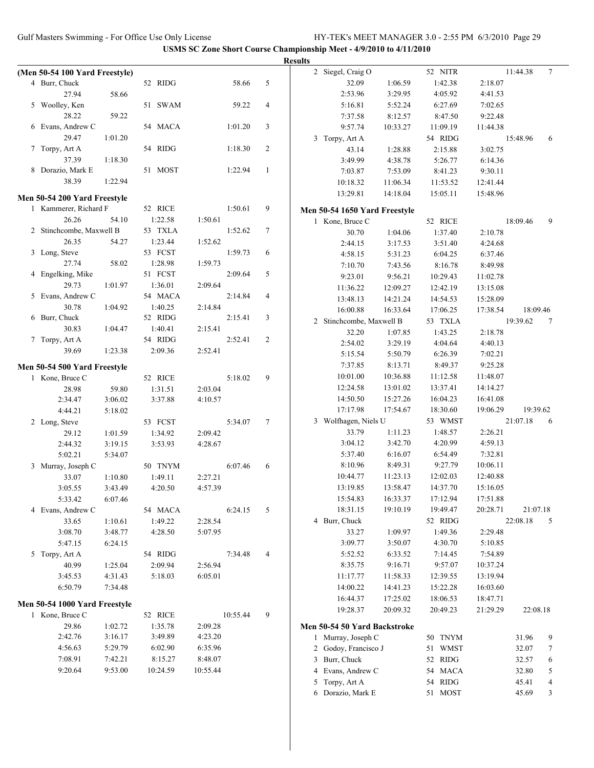|                                |         |          |          |                | <b>Results</b> |                               |          |          |          |          |                          |
|--------------------------------|---------|----------|----------|----------------|----------------|-------------------------------|----------|----------|----------|----------|--------------------------|
| (Men 50-54 100 Yard Freestyle) |         |          |          |                |                | 2 Siegel, Craig O             |          | 52 NITR  |          | 11:44.38 | $\tau$                   |
| 4 Burr, Chuck                  |         | 52 RIDG  | 58.66    | 5              |                | 32.09                         | 1:06.59  | 1:42.38  | 2:18.07  |          |                          |
| 27.94                          | 58.66   |          |          |                |                | 2:53.96                       | 3:29.95  | 4:05.92  | 4:41.53  |          |                          |
| 5 Woolley, Ken                 |         | 51 SWAM  | 59.22    | 4              |                | 5:16.81                       | 5:52.24  | 6:27.69  | 7:02.65  |          |                          |
| 28.22                          | 59.22   |          |          |                |                | 7:37.58                       | 8:12.57  | 8:47.50  | 9:22.48  |          |                          |
| 6 Evans, Andrew C              |         | 54 MACA  | 1:01.20  | 3              |                | 9:57.74                       | 10:33.27 | 11:09.19 | 11:44.38 |          |                          |
| 29.47                          | 1:01.20 |          |          |                |                | 3 Torpy, Art A                |          | 54 RIDG  |          | 15:48.96 | 6                        |
| 7 Torpy, Art A                 |         | 54 RIDG  | 1:18.30  | $\overline{2}$ |                | 43.14                         | 1:28.88  | 2:15.88  | 3:02.75  |          |                          |
| 37.39                          | 1:18.30 |          |          |                |                | 3:49.99                       | 4:38.78  | 5:26.77  | 6:14.36  |          |                          |
| 8 Dorazio, Mark E              |         | 51 MOST  | 1:22.94  | $\mathbf{1}$   |                | 7:03.87                       | 7:53.09  | 8:41.23  | 9:30.11  |          |                          |
| 38.39                          | 1:22.94 |          |          |                |                | 10:18.32                      | 11:06.34 | 11:53.52 | 12:41.44 |          |                          |
| Men 50-54 200 Yard Freestyle   |         |          |          |                |                | 13:29.81                      | 14:18.04 | 15:05.11 | 15:48.96 |          |                          |
| 1 Kammerer, Richard F          |         | 52 RICE  | 1:50.61  | 9              |                | Men 50-54 1650 Yard Freestyle |          |          |          |          |                          |
| 26.26                          | 54.10   | 1:22.58  | 1:50.61  |                |                | 1 Kone, Bruce C               |          | 52 RICE  |          | 18:09.46 | 9                        |
| 2 Stinchcombe, Maxwell B       |         | 53 TXLA  | 1:52.62  | 7              |                | 30.70                         | 1:04.06  | 1:37.40  | 2:10.78  |          |                          |
| 26.35                          | 54.27   | 1:23.44  | 1:52.62  |                |                | 2:44.15                       | 3:17.53  | 3:51.40  | 4:24.68  |          |                          |
| 3 Long, Steve                  |         | 53 FCST  | 1:59.73  | 6              |                | 4:58.15                       | 5:31.23  | 6:04.25  | 6:37.46  |          |                          |
| 27.74                          | 58.02   | 1:28.98  | 1:59.73  |                |                | 7:10.70                       | 7:43.56  | 8:16.78  | 8:49.98  |          |                          |
| 4 Engelking, Mike              |         | 51 FCST  | 2:09.64  | 5              |                | 9:23.01                       | 9:56.21  | 10:29.43 | 11:02.78 |          |                          |
| 29.73                          | 1:01.97 | 1:36.01  | 2:09.64  |                |                | 11:36.22                      | 12:09.27 | 12:42.19 | 13:15.08 |          |                          |
| 5 Evans, Andrew C              |         | 54 MACA  | 2:14.84  | 4              |                | 13:48.13                      | 14:21.24 | 14:54.53 | 15:28.09 |          |                          |
| 30.78                          | 1:04.92 | 1:40.25  | 2:14.84  |                |                | 16:00.88                      | 16:33.64 | 17:06.25 | 17:38.54 | 18:09.46 |                          |
| 6 Burr, Chuck                  |         | 52 RIDG  | 2:15.41  | 3              |                | 2 Stinchcombe, Maxwell B      |          | 53 TXLA  |          | 19:39.62 | 7                        |
| 30.83                          | 1:04.47 | 1:40.41  | 2:15.41  |                |                | 32.20                         | 1:07.85  | 1:43.25  | 2:18.78  |          |                          |
| 7 Torpy, Art A                 |         | 54 RIDG  | 2:52.41  | $\overline{c}$ |                | 2:54.02                       | 3:29.19  | 4:04.64  | 4:40.13  |          |                          |
| 39.69                          | 1:23.38 | 2:09.36  | 2:52.41  |                |                | 5:15.54                       | 5:50.79  | 6:26.39  | 7:02.21  |          |                          |
| Men 50-54 500 Yard Freestyle   |         |          |          |                |                | 7:37.85                       | 8:13.71  | 8:49.37  | 9:25.28  |          |                          |
| 1 Kone, Bruce C                |         | 52 RICE  | 5:18.02  | 9              |                | 10:01.00                      | 10:36.88 | 11:12.58 | 11:48.07 |          |                          |
| 28.98                          | 59.80   | 1:31.51  | 2:03.04  |                |                | 12:24.58                      | 13:01.02 | 13:37.41 | 14:14.27 |          |                          |
| 2:34.47                        | 3:06.02 | 3:37.88  | 4:10.57  |                |                | 14:50.50                      | 15:27.26 | 16:04.23 | 16:41.08 |          |                          |
| 4:44.21                        | 5:18.02 |          |          |                |                | 17:17.98                      | 17:54.67 | 18:30.60 | 19:06.29 | 19:39.62 |                          |
| 2 Long, Steve                  |         | 53 FCST  | 5:34.07  | $\tau$         |                | 3 Wolfhagen, Niels U          |          | 53 WMST  |          | 21:07.18 | 6                        |
| 29.12                          | 1:01.59 | 1:34.92  | 2:09.42  |                |                | 33.79                         | 1:11.23  | 1:48.57  | 2:26.21  |          |                          |
| 2:44.32                        | 3:19.15 | 3:53.93  | 4:28.67  |                |                | 3:04.12                       | 3:42.70  | 4:20.99  | 4:59.13  |          |                          |
| 5:02.21                        | 5:34.07 |          |          |                |                | 5:37.40                       | 6:16.07  | 6:54.49  | 7:32.81  |          |                          |
| 3 Murray, Joseph C             |         | 50 TNYM  | 6:07.46  | 6              |                | 8:10.96                       | 8:49.31  | 9:27.79  | 10:06.11 |          |                          |
| 33.07                          | 1:10.80 | 1:49.11  | 2:27.21  |                |                | 10:44.77                      | 11:23.13 | 12:02.03 | 12:40.88 |          |                          |
| 3:05.55                        | 3:43.49 | 4:20.50  | 4:57.39  |                |                | 13:19.85                      | 13:58.47 | 14:37.70 | 15:16.05 |          |                          |
| 5:33.42                        | 6:07.46 |          |          |                |                | 15:54.83                      | 16:33.37 | 17:12.94 | 17:51.88 |          |                          |
| 4 Evans, Andrew C              |         | 54 MACA  | 6:24.15  | 5              |                | 18:31.15                      | 19:10.19 | 19:49.47 | 20:28.71 | 21:07.18 |                          |
| 33.65                          | 1:10.61 | 1:49.22  | 2:28.54  |                |                | 4 Burr, Chuck                 |          | 52 RIDG  |          | 22:08.18 | 5                        |
| 3:08.70                        | 3:48.77 | 4:28.50  | 5:07.95  |                |                | 33.27                         | 1:09.97  | 1:49.36  | 2:29.48  |          |                          |
| 5:47.15                        | 6:24.15 |          |          |                |                | 3:09.77                       | 3:50.07  | 4:30.70  | 5:10.85  |          |                          |
| 5 Torpy, Art A                 |         | 54 RIDG  | 7:34.48  | 4              |                | 5:52.52                       | 6:33.52  | 7:14.45  | 7:54.89  |          |                          |
| 40.99                          | 1:25.04 | 2:09.94  | 2:56.94  |                |                | 8:35.75                       | 9:16.71  | 9:57.07  | 10:37.24 |          |                          |
| 3:45.53                        | 4:31.43 | 5:18.03  | 6:05.01  |                |                | 11:17.77                      | 11:58.33 | 12:39.55 | 13:19.94 |          |                          |
| 6:50.79                        | 7:34.48 |          |          |                |                | 14:00.22                      | 14:41.23 | 15:22.28 | 16:03.60 |          |                          |
| Men 50-54 1000 Yard Freestyle  |         |          |          |                |                | 16:44.37                      | 17:25.02 | 18:06.53 | 18:47.71 |          |                          |
| 1 Kone, Bruce C                |         | 52 RICE  | 10:55.44 | 9              |                | 19:28.37                      | 20:09.32 | 20:49.23 | 21:29.29 | 22:08.18 |                          |
| 29.86                          | 1:02.72 | 1:35.78  | 2:09.28  |                |                | Men 50-54 50 Yard Backstroke  |          |          |          |          |                          |
| 2:42.76                        | 3:16.17 | 3:49.89  | 4:23.20  |                |                | 1 Murray, Joseph C            |          | 50 TNYM  |          | 31.96    | 9                        |
| 4:56.63                        | 5:29.79 | 6:02.90  | 6:35.96  |                |                | 2 Godoy, Francisco J          |          | 51 WMST  |          | 32.07    | 7                        |
| 7:08.91                        | 7:42.21 | 8:15.27  | 8:48.07  |                |                | 3 Burr, Chuck                 |          | 52 RIDG  |          | 32.57    | 6                        |
| 9:20.64                        | 9:53.00 | 10:24.59 | 10:55.44 |                |                | 4 Evans, Andrew C             |          | 54 MACA  |          | 32.80    | 5                        |
|                                |         |          |          |                |                | 5 Torpy, Art A                |          | 54 RIDG  |          | 45.41    | $\overline{\mathcal{A}}$ |
|                                |         |          |          |                |                | 6 Dorazio, Mark E             |          | 51 MOST  |          | 45.69    | 3                        |
|                                |         |          |          |                |                |                               |          |          |          |          |                          |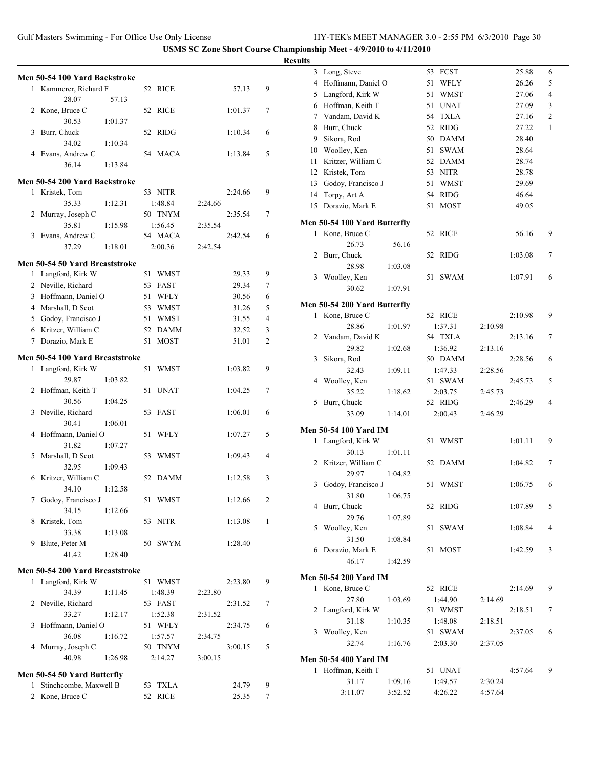|   | Men 50-54 100 Yard Backstroke<br>1 Kammerer, Richard F<br>28.07<br>2 Kone, Bruce C<br>30.53<br>3 Burr, Chuck<br>34.02<br>4 Evans, Andrew C<br>36.14<br>Men 50-54 200 Yard Backstroke<br>1 Kristek, Tom<br>35.33<br>2 Murray, Joseph C<br>35.81<br>3 Evans, Andrew C<br>37.29<br>Men 50-54 50 Yard Breaststroke | 57.13<br>52<br>1:01.37<br>52<br>1:10.34<br>1:13.84<br>1:12.31<br>1:15.98<br>1:18.01 | 52 RICE<br>RICE<br>RIDG<br>54 MACA<br>53 NITR<br>1:48.84<br>50 TNYM<br>1:56.45<br>54 MACA | 2:24.66<br>2:35.54<br>2:42.54 | 57.13<br>1:01.37<br>1:10.34<br>1:13.84<br>2:24.66<br>2:35.54<br>2:42.54 | 9<br>7<br>6<br>5<br>9<br>7<br>6 |
|---|----------------------------------------------------------------------------------------------------------------------------------------------------------------------------------------------------------------------------------------------------------------------------------------------------------------|-------------------------------------------------------------------------------------|-------------------------------------------------------------------------------------------|-------------------------------|-------------------------------------------------------------------------|---------------------------------|
|   |                                                                                                                                                                                                                                                                                                                |                                                                                     |                                                                                           |                               |                                                                         |                                 |
|   |                                                                                                                                                                                                                                                                                                                |                                                                                     |                                                                                           |                               |                                                                         |                                 |
|   |                                                                                                                                                                                                                                                                                                                |                                                                                     |                                                                                           |                               |                                                                         |                                 |
|   |                                                                                                                                                                                                                                                                                                                |                                                                                     |                                                                                           |                               |                                                                         |                                 |
|   |                                                                                                                                                                                                                                                                                                                |                                                                                     |                                                                                           |                               |                                                                         |                                 |
|   |                                                                                                                                                                                                                                                                                                                |                                                                                     |                                                                                           |                               |                                                                         |                                 |
|   |                                                                                                                                                                                                                                                                                                                |                                                                                     |                                                                                           |                               |                                                                         |                                 |
|   |                                                                                                                                                                                                                                                                                                                |                                                                                     |                                                                                           |                               |                                                                         |                                 |
|   |                                                                                                                                                                                                                                                                                                                |                                                                                     |                                                                                           |                               |                                                                         |                                 |
|   |                                                                                                                                                                                                                                                                                                                |                                                                                     |                                                                                           |                               |                                                                         |                                 |
|   |                                                                                                                                                                                                                                                                                                                |                                                                                     |                                                                                           |                               |                                                                         |                                 |
|   |                                                                                                                                                                                                                                                                                                                |                                                                                     |                                                                                           |                               |                                                                         |                                 |
|   |                                                                                                                                                                                                                                                                                                                |                                                                                     |                                                                                           |                               |                                                                         |                                 |
|   |                                                                                                                                                                                                                                                                                                                |                                                                                     | 2:00.36                                                                                   |                               |                                                                         |                                 |
|   |                                                                                                                                                                                                                                                                                                                |                                                                                     |                                                                                           |                               |                                                                         |                                 |
|   | 1 Langford, Kirk W                                                                                                                                                                                                                                                                                             | 51                                                                                  | <b>WMST</b>                                                                               |                               | 29.33                                                                   | 9                               |
|   | 2 Neville, Richard                                                                                                                                                                                                                                                                                             | 53                                                                                  | <b>FAST</b>                                                                               |                               | 29.34                                                                   | 7                               |
|   | 3 Hoffmann, Daniel O                                                                                                                                                                                                                                                                                           |                                                                                     | WFLY                                                                                      |                               | 30.56                                                                   |                                 |
|   |                                                                                                                                                                                                                                                                                                                | 51                                                                                  |                                                                                           |                               |                                                                         | 6                               |
|   | 4 Marshall, D Scot                                                                                                                                                                                                                                                                                             |                                                                                     | 53 WMST                                                                                   |                               | 31.26                                                                   | 5                               |
|   | 5 Godoy, Francisco J                                                                                                                                                                                                                                                                                           | 51                                                                                  | <b>WMST</b>                                                                               |                               | 31.55                                                                   | 4                               |
|   | 6 Kritzer, William C                                                                                                                                                                                                                                                                                           | 52                                                                                  | <b>DAMM</b>                                                                               |                               | 32.52                                                                   | 3                               |
|   | 7 Dorazio, Mark E                                                                                                                                                                                                                                                                                              | 51                                                                                  | <b>MOST</b>                                                                               |                               | 51.01                                                                   | $\overline{c}$                  |
|   | Men 50-54 100 Yard Breaststroke                                                                                                                                                                                                                                                                                |                                                                                     |                                                                                           |                               |                                                                         |                                 |
|   | 1 Langford, Kirk W                                                                                                                                                                                                                                                                                             | 51                                                                                  | <b>WMST</b>                                                                               |                               | 1:03.82                                                                 | 9                               |
|   | 29.87                                                                                                                                                                                                                                                                                                          | 1:03.82                                                                             |                                                                                           |                               |                                                                         |                                 |
|   | 2 Hoffman, Keith T                                                                                                                                                                                                                                                                                             | 51                                                                                  | <b>UNAT</b>                                                                               |                               | 1:04.25                                                                 | 7                               |
|   | 30.56                                                                                                                                                                                                                                                                                                          | 1:04.25                                                                             |                                                                                           |                               |                                                                         |                                 |
| 3 | Neville, Richard                                                                                                                                                                                                                                                                                               | 53                                                                                  | <b>FAST</b>                                                                               |                               | 1:06.01                                                                 | 6                               |
|   | 30.41                                                                                                                                                                                                                                                                                                          | 1:06.01                                                                             |                                                                                           |                               |                                                                         |                                 |
|   | 4 Hoffmann, Daniel O                                                                                                                                                                                                                                                                                           | 51                                                                                  | <b>WFLY</b>                                                                               |                               | 1:07.27                                                                 | 5                               |
|   |                                                                                                                                                                                                                                                                                                                |                                                                                     |                                                                                           |                               |                                                                         |                                 |
|   | 31.82                                                                                                                                                                                                                                                                                                          | 1:07.27                                                                             |                                                                                           |                               |                                                                         |                                 |
| 5 | Marshall, D Scot                                                                                                                                                                                                                                                                                               | 53                                                                                  | WMST                                                                                      |                               | 1:09.43                                                                 | 4                               |
|   | 32.95                                                                                                                                                                                                                                                                                                          | 1:09.43                                                                             |                                                                                           |                               |                                                                         |                                 |
|   | 6 Kritzer, William C                                                                                                                                                                                                                                                                                           |                                                                                     | 52 DAMM                                                                                   |                               | 1:12.58                                                                 | 3                               |
|   | 34.10                                                                                                                                                                                                                                                                                                          | 1:12.58                                                                             |                                                                                           |                               |                                                                         |                                 |
| 7 | Godoy, Francisco J                                                                                                                                                                                                                                                                                             | 51                                                                                  | <b>WMST</b>                                                                               |                               | 1:12.66                                                                 | 2                               |
|   | 34.15                                                                                                                                                                                                                                                                                                          | 1:12.66                                                                             |                                                                                           |                               |                                                                         |                                 |
| 8 | Kristek, Tom                                                                                                                                                                                                                                                                                                   |                                                                                     | 53 NITR                                                                                   |                               | 1:13.08                                                                 | 1                               |
|   | 33.38                                                                                                                                                                                                                                                                                                          | 1:13.08                                                                             |                                                                                           |                               |                                                                         |                                 |
| 9 | Blute, Peter M                                                                                                                                                                                                                                                                                                 |                                                                                     | 50 SWYM                                                                                   |                               | 1:28.40                                                                 |                                 |
|   | 41.42                                                                                                                                                                                                                                                                                                          | 1:28.40                                                                             |                                                                                           |                               |                                                                         |                                 |
|   |                                                                                                                                                                                                                                                                                                                |                                                                                     |                                                                                           |                               |                                                                         |                                 |
|   | Men 50-54 200 Yard Breaststroke                                                                                                                                                                                                                                                                                |                                                                                     |                                                                                           |                               |                                                                         |                                 |
|   | 1 Langford, Kirk W                                                                                                                                                                                                                                                                                             |                                                                                     | 51 WMST                                                                                   |                               | 2:23.80                                                                 | 9                               |
|   | 34.39                                                                                                                                                                                                                                                                                                          | 1:11.45                                                                             | 1:48.39                                                                                   | 2:23.80                       |                                                                         |                                 |
|   | 2 Neville, Richard                                                                                                                                                                                                                                                                                             |                                                                                     | 53 FAST                                                                                   |                               | 2:31.52                                                                 | 7                               |
|   | 33.27                                                                                                                                                                                                                                                                                                          | 1:12.17                                                                             | 1:52.38                                                                                   | 2:31.52                       |                                                                         |                                 |
| 3 | Hoffmann, Daniel O                                                                                                                                                                                                                                                                                             |                                                                                     | 51 WFLY                                                                                   |                               | 2:34.75                                                                 | 6                               |
|   | 36.08                                                                                                                                                                                                                                                                                                          | 1:16.72                                                                             | 1:57.57                                                                                   | 2:34.75                       |                                                                         |                                 |
| 4 | Murray, Joseph C                                                                                                                                                                                                                                                                                               |                                                                                     | 50 TNYM                                                                                   |                               | 3:00.15                                                                 | 5                               |
|   | 40.98                                                                                                                                                                                                                                                                                                          | 1:26.98                                                                             | 2:14.27                                                                                   | 3:00.15                       |                                                                         |                                 |
|   |                                                                                                                                                                                                                                                                                                                |                                                                                     |                                                                                           |                               |                                                                         |                                 |
|   | Men 50-54 50 Yard Butterfly                                                                                                                                                                                                                                                                                    |                                                                                     |                                                                                           |                               |                                                                         |                                 |
| 1 | Stinchcombe, Maxwell B                                                                                                                                                                                                                                                                                         |                                                                                     | 53 TXLA                                                                                   |                               | 24.79                                                                   | 9                               |
|   | 2 Kone, Bruce C                                                                                                                                                                                                                                                                                                | 52                                                                                  | <b>RICE</b>                                                                               |                               | 25.35                                                                   | 7                               |

| <b>Results</b> |                              |         |    |                    |         |         |   |
|----------------|------------------------------|---------|----|--------------------|---------|---------|---|
|                | 3 Long, Steve                |         |    | 53 FCST            |         | 25.88   | 6 |
|                | 4 Hoffmann, Daniel O         |         | 51 | WFLY               |         | 26.26   | 5 |
|                | 5 Langford, Kirk W           |         | 51 | <b>WMST</b>        |         | 27.06   | 4 |
|                | 6 Hoffman, Keith T           |         |    | 51 UNAT            |         | 27.09   | 3 |
|                | 7 Vandam, David K            |         | 54 | <b>TXLA</b>        |         | 27.16   | 2 |
|                | 8 Burr, Chuck                |         | 52 | <b>RIDG</b>        |         | 27.22   | 1 |
|                | 9 Sikora, Rod                |         |    | 50 DAMM            |         | 28.40   |   |
|                | 10 Woolley, Ken              |         |    | 51 SWAM            |         | 28.64   |   |
|                | 11 Kritzer, William C        |         |    | 52 DAMM            |         | 28.74   |   |
|                | 12 Kristek, Tom              |         |    | 53 NITR            |         | 28.78   |   |
|                | 13 Godoy, Francisco J        |         |    | 51 WMST            |         | 29.69   |   |
|                | 14 Torpy, Art A              |         |    | 54 RIDG            |         | 46.64   |   |
|                | 15 Dorazio, Mark E           |         | 51 | MOST               |         | 49.05   |   |
|                |                              |         |    |                    |         |         |   |
|                | Men 50-54 100 Yard Butterfly |         |    |                    |         |         |   |
|                | 1 Kone, Bruce C              |         |    | 52 RICE            |         | 56.16   | 9 |
|                | 26.73                        | 56.16   |    |                    |         |         |   |
|                | 2 Burr, Chuck                |         |    | 52 RIDG            |         | 1:03.08 | 7 |
|                | 28.98                        | 1:03.08 |    |                    |         |         |   |
|                | 3 Woolley, Ken               |         |    | 51 SWAM            |         | 1:07.91 | 6 |
|                | 30.62                        | 1:07.91 |    |                    |         |         |   |
|                | Men 50-54 200 Yard Butterfly |         |    |                    |         |         |   |
|                | 1 Kone, Bruce C              |         |    | 52 RICE            |         | 2:10.98 | 9 |
|                | 28.86                        | 1:01.97 |    | 1:37.31            | 2:10.98 |         |   |
|                | 2 Vandam, David K            |         |    | 54 TXLA            |         | 2:13.16 | 7 |
|                | 29.82                        | 1:02.68 |    | 1:36.92            | 2:13.16 |         |   |
|                | 3 Sikora, Rod                |         |    | 50 DAMM            |         | 2:28.56 | 6 |
|                | 32.43                        | 1:09.11 |    | 1:47.33            | 2:28.56 |         |   |
|                | 4 Woolley, Ken               |         |    | 51 SWAM            |         | 2:45.73 | 5 |
|                | 35.22                        | 1:18.62 |    | 2:03.75            | 2:45.73 |         |   |
|                | 5 Burr, Chuck                |         |    | 52 RIDG            |         | 2:46.29 | 4 |
|                | 33.09                        | 1:14.01 |    | 2:00.43            | 2:46.29 |         |   |
|                | <b>Men 50-54 100 Yard IM</b> |         |    |                    |         |         |   |
|                | 1 Langford, Kirk W           |         |    | 51 WMST            |         | 1:01.11 | 9 |
|                | 30.13                        | 1:01.11 |    |                    |         |         |   |
|                | 2 Kritzer, William C         |         |    | 52 DAMM            |         | 1:04.82 | 7 |
|                | 29.97                        | 1:04.82 |    |                    |         |         |   |
|                | 3 Godoy, Francisco J         |         |    | 51 WMST            |         | 1:06.75 | 6 |
|                | 31.80                        | 1:06.75 |    |                    |         |         |   |
|                | 4 Burr, Chuck                |         |    | 52 RIDG            |         | 1:07.89 | 5 |
|                | 29.76                        | 1:07.89 |    |                    |         |         |   |
|                | 5 Woolley, Ken               |         |    | 51 SWAM            |         | 1:08.84 | 4 |
|                | 31.50                        | 1:08.84 |    |                    |         |         |   |
|                | 6 Dorazio, Mark E            |         |    | 51 MOST            |         | 1:42.59 | 3 |
|                | 46.17                        | 1:42.59 |    |                    |         |         |   |
|                |                              |         |    |                    |         |         |   |
|                | <b>Men 50-54 200 Yard IM</b> |         |    | 52 RICE            |         |         |   |
|                | 1 Kone, Bruce C              |         |    |                    |         | 2:14.69 | 9 |
|                | 27.80                        | 1:03.69 |    | 1:44.90            | 2:14.69 |         |   |
|                | 2 Langford, Kirk W<br>31.18  |         |    | 51 WMST            |         | 2:18.51 | 7 |
|                |                              | 1:10.35 |    | 1:48.08<br>51 SWAM | 2:18.51 |         | 6 |
|                | 3 Woolley, Ken               |         |    |                    |         | 2:37.05 |   |
|                | 32.74                        | 1:16.76 |    | 2:03.30            | 2:37.05 |         |   |
|                | <b>Men 50-54 400 Yard IM</b> |         |    |                    |         |         |   |
|                | 1 Hoffman, Keith T           |         |    | 51 UNAT            |         | 4:57.64 | 9 |
|                | 31.17                        | 1:09.16 |    | 1:49.57            | 2:30.24 |         |   |
|                | 3:11.07                      | 3:52.52 |    | 4:26.22            | 4:57.64 |         |   |
|                |                              |         |    |                    |         |         |   |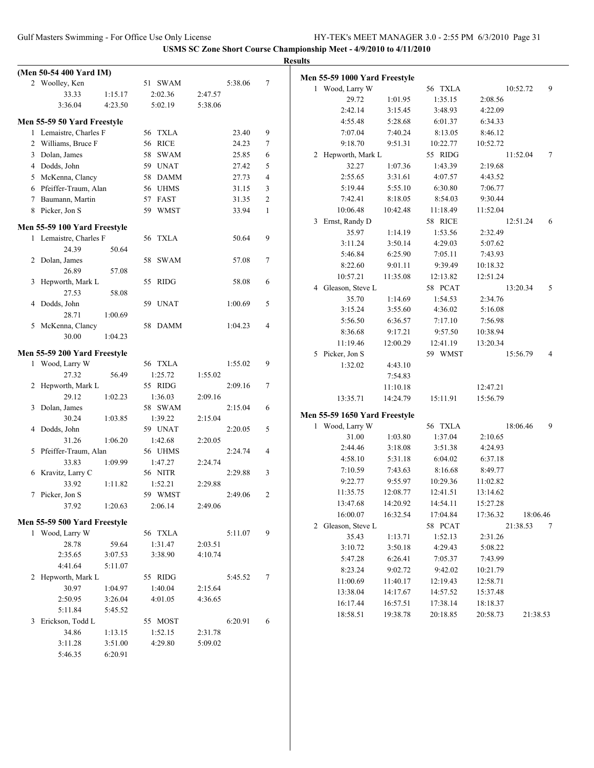|                              |         |                    |         |         |                | <b>Results</b>                |          |          |          |          |                |
|------------------------------|---------|--------------------|---------|---------|----------------|-------------------------------|----------|----------|----------|----------|----------------|
| (Men 50-54 400 Yard IM)      |         |                    |         |         |                | Men 55-59 1000 Yard Freestyle |          |          |          |          |                |
| 2 Woolley, Ken               |         | 51 SWAM            |         | 5:38.06 | $\tau$         | 1 Wood, Larry W               |          | 56 TXLA  |          | 10:52.72 | 9              |
| 33.33                        | 1:15.17 | 2:02.36            | 2:47.57 |         |                | 29.72                         | 1:01.95  | 1:35.15  | 2:08.56  |          |                |
| 3:36.04                      | 4:23.50 | 5:02.19            | 5:38.06 |         |                | 2:42.14                       | 3:15.45  | 3:48.93  | 4:22.09  |          |                |
| Men 55-59 50 Yard Freestyle  |         |                    |         |         |                | 4:55.48                       | 5:28.68  | 6:01.37  | 6:34.33  |          |                |
| 1 Lemaistre, Charles F       |         | 56 TXLA            |         | 23.40   | 9              | 7:07.04                       | 7:40.24  | 8:13.05  | 8:46.12  |          |                |
| 2 Williams, Bruce F          |         | 56 RICE            |         | 24.23   | $\tau$         | 9:18.70                       | 9:51.31  | 10:22.77 | 10:52.72 |          |                |
| 3 Dolan, James               |         | 58 SWAM            |         | 25.85   | 6              | 2 Hepworth, Mark L            |          | 55 RIDG  |          | 11:52.04 | $\tau$         |
| 4 Dodds, John                |         | 59 UNAT            |         | 27.42   | 5              | 32.27                         | 1:07.36  | 1:43.39  | 2:19.68  |          |                |
| 5 McKenna, Clancy            |         | 58 DAMM            |         | 27.73   | $\overline{4}$ | 2:55.65                       | 3:31.61  | 4:07.57  | 4:43.52  |          |                |
| 6 Pfeiffer-Traum, Alan       |         | 56 UHMS            |         | 31.15   | 3              | 5:19.44                       | 5:55.10  | 6:30.80  | 7:06.77  |          |                |
| 7 Baumann, Martin            |         | 57 FAST            |         | 31.35   | $\overline{2}$ | 7:42.41                       | 8:18.05  | 8:54.03  | 9:30.44  |          |                |
| 8 Picker, Jon S              |         | 59 WMST            |         | 33.94   | $\mathbf{1}$   | 10:06.48                      | 10:42.48 | 11:18.49 | 11:52.04 |          |                |
|                              |         |                    |         |         |                | 3 Ernst, Randy D              |          | 58 RICE  |          | 12:51.24 | 6              |
| Men 55-59 100 Yard Freestyle |         |                    |         |         |                | 35.97                         | 1:14.19  | 1:53.56  | 2:32.49  |          |                |
| 1 Lemaistre, Charles F       |         | 56 TXLA            |         | 50.64   | 9              | 3:11.24                       | 3:50.14  | 4:29.03  | 5:07.62  |          |                |
| 24.39                        | 50.64   |                    |         |         |                | 5:46.84                       | 6:25.90  | 7:05.11  | 7:43.93  |          |                |
| 2 Dolan, James               |         | 58 SWAM            |         | 57.08   | $\tau$         | 8:22.60                       | 9:01.11  | 9:39.49  | 10:18.32 |          |                |
| 26.89                        | 57.08   |                    |         |         |                | 10:57.21                      | 11:35.08 | 12:13.82 | 12:51.24 |          |                |
| 3 Hepworth, Mark L           |         | 55 RIDG            |         | 58.08   | 6              | 4 Gleason, Steve L            |          | 58 PCAT  |          | 13:20.34 | 5              |
| 27.53                        | 58.08   |                    |         |         |                | 35.70                         | 1:14.69  | 1:54.53  | 2:34.76  |          |                |
| 4 Dodds, John                |         | 59 UNAT            |         | 1:00.69 | 5              | 3:15.24                       | 3:55.60  | 4:36.02  | 5:16.08  |          |                |
| 28.71                        | 1:00.69 |                    |         |         |                | 5:56.50                       | 6:36.57  | 7:17.10  | 7:56.98  |          |                |
| 5 McKenna, Clancy<br>30.00   | 1:04.23 | 58 DAMM            |         | 1:04.23 | $\overline{4}$ | 8:36.68                       | 9:17.21  | 9:57.50  | 10:38.94 |          |                |
|                              |         |                    |         |         |                | 11:19.46                      | 12:00.29 | 12:41.19 | 13:20.34 |          |                |
| Men 55-59 200 Yard Freestyle |         |                    |         |         |                | 5 Picker, Jon S               |          | 59 WMST  |          | 15:56.79 | $\overline{4}$ |
| 1 Wood, Larry W              |         | 56 TXLA            |         | 1:55.02 | 9              | 1:32.02                       | 4:43.10  |          |          |          |                |
| 27.32                        | 56.49   | 1:25.72            | 1:55.02 |         |                |                               | 7:54.83  |          |          |          |                |
| 2 Hepworth, Mark L           |         | 55 RIDG            |         | 2:09.16 | 7              |                               | 11:10.18 |          | 12:47.21 |          |                |
| 29.12                        | 1:02.23 | 1:36.03            | 2:09.16 |         |                | 13:35.71                      | 14:24.79 | 15:11.91 | 15:56.79 |          |                |
| 3 Dolan, James               |         | 58 SWAM            |         | 2:15.04 | 6              | Men 55-59 1650 Yard Freestyle |          |          |          |          |                |
| 30.24                        | 1:03.85 | 1:39.22            | 2:15.04 |         |                | 1 Wood, Larry W               |          | 56 TXLA  |          | 18:06.46 | 9              |
| 4 Dodds, John                |         | 59 UNAT            |         | 2:20.05 | 5              | 31.00                         | 1:03.80  | 1:37.04  | 2:10.65  |          |                |
| 31.26                        | 1:06.20 | 1:42.68            | 2:20.05 |         |                | 2:44.46                       | 3:18.08  | 3:51.38  | 4:24.93  |          |                |
| 5 Pfeiffer-Traum, Alan       |         | 56 UHMS            |         | 2:24.74 | 4              | 4:58.10                       | 5:31.18  | 6:04.02  | 6:37.18  |          |                |
| 33.83                        | 1:09.99 | 1:47.27            | 2:24.74 |         |                | 7:10.59                       | 7:43.63  | 8:16.68  | 8:49.77  |          |                |
| 6 Kravitz, Larry C           |         | 56 NITR            |         | 2:29.88 | 3              | 9:22.77                       | 9:55.97  | 10:29.36 | 11:02.82 |          |                |
| 33.92<br>7 Picker, Jon S     | 1:11.82 | 1:52.21<br>59 WMST | 2:29.88 | 2:49.06 | 2              | 11:35.75                      | 12:08.77 | 12:41.51 | 13:14.62 |          |                |
| 37.92                        | 1:20.63 | 2:06.14            | 2:49.06 |         |                | 13:47.68                      | 14:20.92 | 14:54.11 | 15:27.28 |          |                |
|                              |         |                    |         |         |                | 16:00.07                      | 16:32.54 | 17:04.84 | 17:36.32 | 18:06.46 |                |
| Men 55-59 500 Yard Freestyle |         |                    |         |         |                | 2 Gleason, Steve L            |          | 58 PCAT  |          | 21:38.53 | 7              |
| 1 Wood, Larry W              |         | 56 TXLA            |         | 5:11.07 | 9              | 35.43                         | 1:13.71  | 1:52.13  | 2:31.26  |          |                |
| 28.78                        | 59.64   | 1:31.47            | 2:03.51 |         |                | 3:10.72                       | 3:50.18  | 4:29.43  | 5:08.22  |          |                |
| 2:35.65                      | 3:07.53 | 3:38.90            | 4:10.74 |         |                | 5:47.28                       | 6:26.41  | 7:05.37  | 7:43.99  |          |                |
| 4:41.64                      | 5:11.07 |                    |         |         |                | 8:23.24                       | 9:02.72  | 9:42.02  | 10:21.79 |          |                |
| 2 Hepworth, Mark L           |         | 55 RIDG            |         | 5:45.52 | 7              | 11:00.69                      | 11:40.17 | 12:19.43 | 12:58.71 |          |                |
| 30.97                        | 1:04.97 | 1:40.04            | 2:15.64 |         |                | 13:38.04                      | 14:17.67 | 14:57.52 | 15:37.48 |          |                |
| 2:50.95                      | 3:26.04 | 4:01.05            | 4:36.65 |         |                | 16:17.44                      | 16:57.51 | 17:38.14 | 18:18.37 |          |                |
| 5:11.84                      | 5:45.52 |                    |         |         |                | 18:58.51                      | 19:38.78 | 20:18.85 | 20:58.73 | 21:38.53 |                |
| 3 Erickson, Todd L           |         | 55 MOST            |         | 6:20.91 | 6              |                               |          |          |          |          |                |
| 34.86                        | 1:13.15 | 1:52.15            | 2:31.78 |         |                |                               |          |          |          |          |                |
| 3:11.28                      | 3:51.00 | 4:29.80            | 5:09.02 |         |                |                               |          |          |          |          |                |
| 5:46.35                      | 6:20.91 |                    |         |         |                |                               |          |          |          |          |                |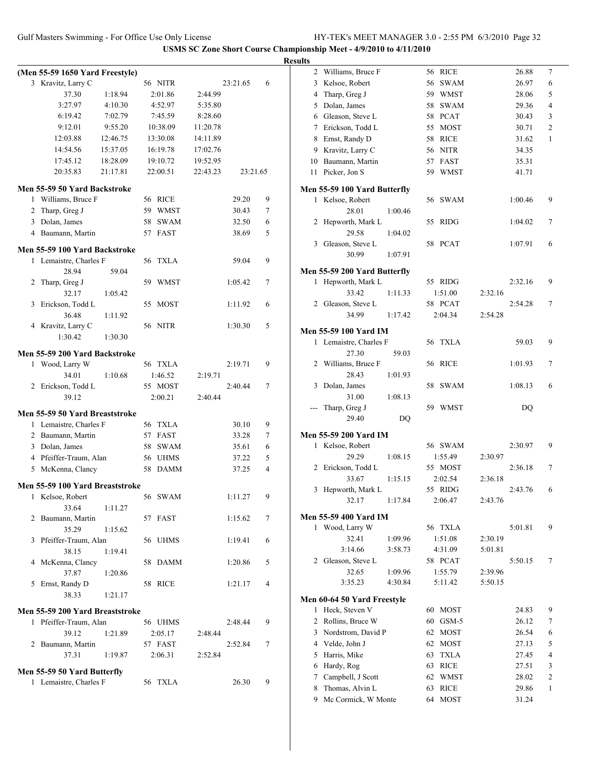|   | (Men 55-59 1650 Yard Freestyle) |          |    |             |          |          |   |
|---|---------------------------------|----------|----|-------------|----------|----------|---|
|   | 3 Kravitz, Larry C              |          |    | 56 NITR     |          | 23:21.65 | 6 |
|   | 37.30                           | 1:18.94  |    | 2:01.86     | 2:44.99  |          |   |
|   | 3:27.97                         | 4:10.30  |    | 4:52.97     | 5:35.80  |          |   |
|   | 6:19.42                         | 7:02.79  |    | 7:45.59     | 8:28.60  |          |   |
|   | 9:12.01                         | 9:55.20  |    | 10:38.09    | 11:20.78 |          |   |
|   | 12:03.88                        | 12:46.75 |    | 13:30.08    | 14:11.89 |          |   |
|   | 14:54.56                        | 15:37.05 |    | 16:19.78    | 17:02.76 |          |   |
|   | 17:45.12                        | 18:28.09 |    | 19:10.72    | 19:52.95 |          |   |
|   | 20:35.83                        | 21:17.81 |    | 22:00.51    | 22:43.23 | 23:21.65 |   |
|   |                                 |          |    |             |          |          |   |
|   | Men 55-59 50 Yard Backstroke    |          |    |             |          |          |   |
|   | 1 Williams, Bruce F             |          |    | 56 RICE     |          | 29.20    | 9 |
| 2 | Tharp, Greg J                   |          | 59 | WMST        |          | 30.43    | 7 |
|   | 3 Dolan, James                  |          |    | 58 SWAM     |          | 32.50    | 6 |
|   | 4 Baumann, Martin               |          |    | 57 FAST     |          | 38.69    | 5 |
|   |                                 |          |    |             |          |          |   |
|   | Men 55-59 100 Yard Backstroke   |          |    |             |          |          |   |
|   | 1 Lemaistre, Charles F          |          | 56 | <b>TXLA</b> |          | 59.04    | 9 |
|   | 28.94                           | 59.04    |    |             |          |          |   |
| 2 | Tharp, Greg J                   |          | 59 | WMST        |          | 1:05.42  | 7 |
|   | 32.17                           | 1:05.42  |    |             |          |          |   |
| 3 | Erickson, Todd L                |          |    | 55 MOST     |          | 1:11.92  | 6 |
|   | 36.48                           | 1:11.92  |    |             |          |          |   |
|   | 4 Kravitz, Larry C              |          |    | 56 NITR     |          | 1:30.30  | 5 |
|   | 1:30.42                         | 1:30.30  |    |             |          |          |   |
|   | Men 55-59 200 Yard Backstroke   |          |    |             |          |          |   |
| 1 | Wood, Larry W                   |          |    | 56 TXLA     |          | 2:19.71  | 9 |
|   |                                 |          |    |             |          |          |   |
|   | 34.01                           | 1:10.68  |    | 1:46.52     | 2:19.71  |          |   |
|   | 2 Erickson, Todd L              |          |    | 55 MOST     |          | 2:40.44  | 7 |
|   | 39.12                           |          |    | 2:00.21     | 2:40.44  |          |   |
|   | Men 55-59 50 Yard Breaststroke  |          |    |             |          |          |   |
|   | 1 Lemaistre, Charles F          |          |    | 56 TXLA     |          | 30.10    | 9 |
|   | 2 Baumann, Martin               |          |    | 57 FAST     |          | 33.28    | 7 |
|   | 3 Dolan, James                  |          |    | 58 SWAM     |          | 35.61    | 6 |
|   | 4 Pfeiffer-Traum, Alan          |          |    | 56 UHMS     |          | 37.22    | 5 |
|   | 5 McKenna, Clancy               |          | 58 | <b>DAMM</b> |          | 37.25    | 4 |
|   |                                 |          |    |             |          |          |   |
|   | Men 55-59 100 Yard Breaststroke |          |    |             |          |          |   |
|   | 1 Kelsoe, Robert                |          |    | 56 SWAM     |          | 1:11.27  | 9 |
|   | 33.64                           | 1:11.27  |    |             |          |          |   |
|   | 2 Baumann, Martin               |          |    | 57 FAST     |          | 1:15.62  | 7 |
|   | 35.29                           | 1:15.62  |    |             |          |          |   |
|   | 3 Pfeiffer-Traum, Alan          |          |    | 56 UHMS     |          | 1:19.41  | 6 |
|   | 38.15                           | 1:19.41  |    |             |          |          |   |
|   | 4 McKenna, Clancy               |          |    | 58 DAMM     |          | 1:20.86  | 5 |
|   | 37.87                           | 1:20.86  |    |             |          |          |   |
|   | 5 Ernst, Randy D                |          |    | 58 RICE     |          | 1:21.17  | 4 |
|   | 38.33                           | 1:21.17  |    |             |          |          |   |
|   |                                 |          |    |             |          |          |   |
|   | Men 55-59 200 Yard Breaststroke |          |    |             |          |          |   |
|   | 1 Pfeiffer-Traum, Alan          |          |    | 56 UHMS     |          | 2:48.44  | 9 |
|   | 39.12                           | 1:21.89  |    | 2:05.17     | 2:48.44  |          |   |
|   | 2 Baumann, Martin               |          |    | 57 FAST     |          | 2:52.84  | 7 |
|   | 37.31                           | 1:19.87  |    | 2:06.31     | 2:52.84  |          |   |
|   | Men 55-59 50 Yard Butterfly     |          |    |             |          |          |   |
|   | 1 Lemaistre, Charles F          |          |    | 56 TXLA     |          | 26.30    | 9 |
|   |                                 |          |    |             |          |          |   |

| <b>Results</b> |                              |                    |             |                    |         |                |
|----------------|------------------------------|--------------------|-------------|--------------------|---------|----------------|
|                | 2 Williams, Bruce F          |                    | 56 RICE     |                    | 26.88   | 7              |
|                | 3 Kelsoe, Robert             |                    | 56 SWAM     |                    | 26.97   | 6              |
|                | 4 Tharp, Greg J              |                    | 59 WMST     |                    | 28.06   | 5              |
|                | 5 Dolan, James               | 58                 | <b>SWAM</b> |                    | 29.36   | 4              |
|                | 6 Gleason, Steve L           |                    | 58 PCAT     |                    | 30.43   | 3              |
|                | 7 Erickson, Todd L           |                    | 55 MOST     |                    | 30.71   | $\overline{2}$ |
|                | 8 Ernst, Randy D             |                    | 58 RICE     |                    | 31.62   | 1              |
|                | 9 Kravitz, Larry C           |                    | 56 NITR     |                    | 34.35   |                |
|                | 10 Baumann, Martin           |                    | 57 FAST     |                    | 35.31   |                |
|                | 11 Picker, Jon S             |                    | 59 WMST     |                    | 41.71   |                |
|                |                              |                    |             |                    |         |                |
|                | Men 55-59 100 Yard Butterfly |                    |             |                    |         |                |
|                | 1 Kelsoe, Robert             |                    | 56 SWAM     |                    | 1:00.46 | 9              |
|                | 28.01                        | 1:00.46            |             |                    |         |                |
|                | 2 Hepworth, Mark L           |                    | 55 RIDG     |                    | 1:04.02 | 7              |
|                | 29.58                        | 1:04.02            |             |                    |         |                |
|                | 3 Gleason, Steve L           |                    | 58 PCAT     |                    | 1:07.91 | 6              |
|                | 30.99                        | 1:07.91            |             |                    |         |                |
|                | Men 55-59 200 Yard Butterfly |                    |             |                    |         |                |
|                | 1 Hepworth, Mark L           |                    | 55 RIDG     |                    | 2:32.16 | 9              |
|                | 33.42                        | 1:11.33            | 1:51.00     | 2:32.16            |         |                |
|                | 2 Gleason, Steve L           |                    | 58 PCAT     |                    | 2:54.28 | 7              |
|                | 34.99                        | 1:17.42            | 2:04.34     | 2:54.28            |         |                |
|                |                              |                    |             |                    |         |                |
|                | <b>Men 55-59 100 Yard IM</b> |                    |             |                    |         |                |
|                | 1 Lemaistre, Charles F       |                    | 56 TXLA     |                    | 59.03   | 9              |
|                | 27.30                        | 59.03              |             |                    |         |                |
|                | 2 Williams, Bruce F          |                    | 56 RICE     |                    | 1:01.93 | 7              |
|                | 28.43                        | 1:01.93            |             |                    |         |                |
|                | 3 Dolan, James               |                    | 58 SWAM     |                    | 1:08.13 | 6              |
|                | 31.00                        | 1:08.13            |             |                    |         |                |
|                | --- Tharp, Greg J            |                    | 59 WMST     |                    | DQ      |                |
|                | 29.40                        | DQ                 |             |                    |         |                |
|                | Men 55-59 200 Yard IM        |                    |             |                    |         |                |
|                | 1 Kelsoe, Robert             |                    | 56 SWAM     |                    | 2:30.97 | 9              |
|                | 29.29                        | 1:08.15            | 1:55.49     | 2:30.97            |         |                |
|                | 2 Erickson, Todd L           |                    | 55 MOST     |                    | 2:36.18 | 7              |
|                | 33.67                        | 1:15.15            | 2:02.54     | 2:36.18            |         |                |
|                | 3 Hepworth, Mark L           |                    | 55 RIDG     |                    | 2:43.76 | 6              |
|                | 32.17                        | 1:17.84            | 2:06.47     | 2:43.76            |         |                |
|                | Men 55-59 400 Yard IM        |                    |             |                    |         |                |
|                | 1 Wood, Larry W              |                    | 56 TXLA     |                    | 5:01.81 | 9              |
|                | 32.41                        | 1:09.96            | 1:51.08     | 2:30.19            |         |                |
|                | 3:14.66                      | 3:58.73            | 4:31.09     | 5:01.81            |         |                |
|                | 2 Gleason, Steve L           |                    | 58 PCAT     |                    | 5:50.15 | 7              |
|                | 32.65                        |                    | 1:55.79     |                    |         |                |
|                | 3:35.23                      | 1:09.96<br>4:30.84 | 5:11.42     | 2:39.96<br>5:50.15 |         |                |
|                |                              |                    |             |                    |         |                |
|                | Men 60-64 50 Yard Freestyle  |                    |             |                    |         |                |
| 1              | Heck, Steven V               |                    | 60 MOST     |                    | 24.83   | 9              |
|                | 2 Rollins, Bruce W           | 60                 | GSM-5       |                    | 26.12   | 7              |
|                | 3 Nordstrom, David P         | 62                 | <b>MOST</b> |                    | 26.54   | 6              |
|                | 4 Velde, John J              | 62                 | <b>MOST</b> |                    | 27.13   | 5              |
|                | 5 Harris, Mike               | 63                 | <b>TXLA</b> |                    | 27.45   | 4              |
|                | 6 Hardy, Rog                 | 63                 | <b>RICE</b> |                    | 27.51   | 3              |
|                | 7 Campbell, J Scott          | 62                 | <b>WMST</b> |                    | 28.02   | 2              |
| 8              | Thomas, Alvin L              | 63                 | <b>RICE</b> |                    | 29.86   | 1              |
| 9              | Mc Cormick, W Monte          | 64                 | <b>MOST</b> |                    | 31.24   |                |
|                |                              |                    |             |                    |         |                |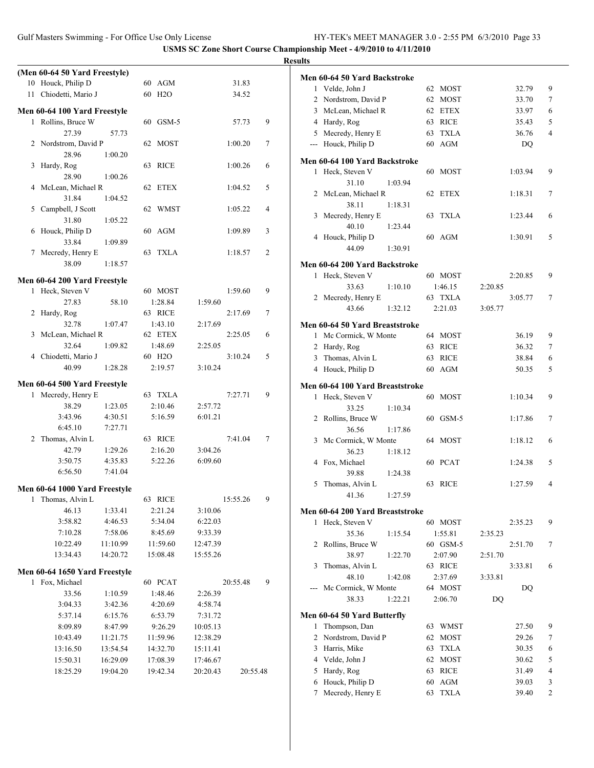|                               |          |                     |                     |                | <b>Results</b>                  |                     |                    |                |
|-------------------------------|----------|---------------------|---------------------|----------------|---------------------------------|---------------------|--------------------|----------------|
| (Men 60-64 50 Yard Freestyle) |          |                     |                     |                | Men 60-64 50 Yard Backstroke    |                     |                    |                |
| 10 Houck, Philip D            |          | 60 AGM              | 31.83               |                | 1 Velde, John J                 | 62 MOST             | 32.79              | 9              |
| 11 Chiodetti, Mario J         |          | 60 H <sub>2</sub> O | 34.52               |                | 2 Nordstrom, David P            | 62 MOST             | 33.70              | $\overline{7}$ |
| Men 60-64 100 Yard Freestyle  |          |                     |                     |                | 3 McLean, Michael R             | 62 ETEX             | 33.97              | 6              |
| 1 Rollins, Bruce W            |          | 60 GSM-5            | 57.73               | 9              | 4 Hardy, Rog                    | 63 RICE             | 35.43              | 5              |
| 27.39                         | 57.73    |                     |                     |                | 5 Mecredy, Henry E              | 63 TXLA             | 36.76              | $\overline{4}$ |
| 2 Nordstrom, David P          |          | 62 MOST             | 1:00.20             | $\tau$         | --- Houck, Philip D             | 60 AGM              | DQ                 |                |
| 28.96                         | 1:00.20  |                     |                     |                |                                 |                     |                    |                |
| 3 Hardy, Rog                  |          | 63 RICE             | 1:00.26             | 6              | Men 60-64 100 Yard Backstroke   |                     |                    |                |
| 28.90                         | 1:00.26  |                     |                     |                | 1 Heck, Steven V                | 60 MOST             | 1:03.94            | 9              |
| 4 McLean, Michael R           |          | 62 ETEX             | 1:04.52             | 5              | 31.10<br>2 McLean, Michael R    | 1:03.94<br>62 ETEX  | 1:18.31            | $\tau$         |
| 31.84                         | 1:04.52  |                     |                     |                | 38.11                           | 1:18.31             |                    |                |
| 5 Campbell, J Scott           |          | 62 WMST             | 1:05.22             | $\overline{4}$ | 3 Mecredy, Henry E              | 63 TXLA             | 1:23.44            | 6              |
| 31.80                         | 1:05.22  |                     |                     |                | 40.10                           | 1:23.44             |                    |                |
| 6 Houck, Philip D             |          | 60 AGM              | 1:09.89             | 3              | 4 Houck, Philip D               | 60 AGM              | 1:30.91            | 5              |
| 33.84                         | 1:09.89  |                     |                     |                | 44.09                           | 1:30.91             |                    |                |
| 7 Mecredy, Henry E            |          | 63 TXLA             | 1:18.57             | 2              |                                 |                     |                    |                |
| 38.09                         | 1:18.57  |                     |                     |                | Men 60-64 200 Yard Backstroke   |                     |                    |                |
| Men 60-64 200 Yard Freestyle  |          |                     |                     |                | 1 Heck, Steven V                | 60 MOST             | 2:20.85            | 9              |
| 1 Heck, Steven V              |          | 60 MOST             | 1:59.60             | 9              | 33.63                           | 1:10.10<br>1:46.15  | 2:20.85            |                |
| 27.83                         | 58.10    | 1:28.84             | 1:59.60             |                | 2 Mecredy, Henry E              | 63 TXLA             | 3:05.77            | 7              |
| 2 Hardy, Rog                  |          | 63 RICE             | 2:17.69             | 7              | 43.66                           | 1:32.12<br>2:21.03  | 3:05.77            |                |
| 32.78                         | 1:07.47  | 1:43.10             | 2:17.69             |                | Men 60-64 50 Yard Breaststroke  |                     |                    |                |
| 3 McLean, Michael R           |          | 62 ETEX             | 2:25.05             | 6              | 1 Mc Cormick, W Monte           | 64 MOST             | 36.19              | 9              |
| 32.64                         | 1:09.82  | 1:48.69             | 2:25.05             |                | 2 Hardy, Rog                    | 63 RICE             | 36.32              | $\overline{7}$ |
| 4 Chiodetti, Mario J          |          | 60 H <sub>2</sub> O | 3:10.24             | 5              | 3 Thomas, Alvin L               | 63 RICE             | 38.84              | 6              |
| 40.99                         | 1:28.28  | 2:19.57             | 3:10.24             |                | 4 Houck, Philip D               | 60 AGM              | 50.35              | 5              |
| Men 60-64 500 Yard Freestyle  |          |                     |                     |                | Men 60-64 100 Yard Breaststroke |                     |                    |                |
| 1 Mecredy, Henry E            |          | 63 TXLA             | 7:27.71             | 9              | 1 Heck, Steven V                | 60 MOST             | 1:10.34            | 9              |
| 38.29                         | 1:23.05  | 2:10.46             | 2:57.72             |                | 33.25                           | 1:10.34             |                    |                |
| 3:43.96                       | 4:30.51  | 5:16.59             | 6:01.21             |                | 2 Rollins, Bruce W              | 60 GSM-5            | 1:17.86            | $\tau$         |
| 6:45.10                       | 7:27.71  |                     |                     |                | 36.56                           | 1:17.86             |                    |                |
| 2 Thomas, Alvin L             |          | 63 RICE             | 7:41.04             | 7              | 3 Mc Cormick, W Monte           | 64 MOST             | 1:18.12            | 6              |
| 42.79                         | 1:29.26  | 2:16.20             | 3:04.26             |                | 36.23                           | 1:18.12             |                    |                |
| 3:50.75                       | 4:35.83  | 5:22.26             | 6:09.60             |                | 4 Fox, Michael                  | 60 PCAT             | 1:24.38            | 5              |
| 6:56.50                       | 7:41.04  |                     |                     |                | 39.88                           | 1:24.38             |                    |                |
|                               |          |                     |                     |                | 5 Thomas, Alvin L               | 63 RICE             | 1:27.59            | 4              |
| Men 60-64 1000 Yard Freestyle |          | 63 RICE             |                     | 9              | 41.36                           | 1:27.59             |                    |                |
| 1 Thomas, Alvin L<br>46.13    | 1:33.41  | 2:21.24             | 15:55.26<br>3:10.06 |                |                                 |                     |                    |                |
| 3:58.82                       | 4:46.53  | 5:34.04             | 6:22.03             |                | Men 60-64 200 Yard Breaststroke |                     |                    | 9              |
| 7:10.28                       | 7:58.06  | 8:45.69             | 9:33.39             |                | 1 Heck, Steven V<br>35.36       | 60 MOST<br>1:15.54  | 2:35.23<br>2:35.23 |                |
| 10:22.49                      | 11:10.99 | 11:59.60            | 12:47.39            |                | 2 Rollins, Bruce W              | 1:55.81<br>60 GSM-5 | 2:51.70            | 7              |
| 13:34.43                      | 14:20.72 | 15:08.48            | 15:55.26            |                | 38.97                           | 1:22.70<br>2:07.90  | 2:51.70            |                |
|                               |          |                     |                     |                | 3 Thomas, Alvin L               | 63 RICE             | 3:33.81            | 6              |
| Men 60-64 1650 Yard Freestyle |          |                     |                     |                | 48.10                           | 1:42.08<br>2:37.69  | 3:33.81            |                |
| 1 Fox, Michael                |          | 60 PCAT             | 20:55.48            | 9              | --- Mc Cormick, W Monte         | 64 MOST             | DQ                 |                |
| 33.56                         | 1:10.59  | 1:48.46             | 2:26.39             |                | 38.33                           | 2:06.70<br>1:22.21  | DQ                 |                |
| 3:04.33                       | 3:42.36  | 4:20.69             | 4:58.74             |                |                                 |                     |                    |                |
| 5:37.14                       | 6:15.76  | 6:53.79             | 7:31.72             |                | Men 60-64 50 Yard Butterfly     |                     |                    |                |
| 8:09.89                       | 8:47.99  | 9:26.29             | 10:05.13            |                | 1 Thompson, Dan                 | 63 WMST             | 27.50              | 9              |
| 10:43.49                      | 11:21.75 | 11:59.96            | 12:38.29            |                | 2 Nordstrom, David P            | 62 MOST             | 29.26              | 7              |
| 13:16.50                      | 13:54.54 | 14:32.70            | 15:11.41            |                | 3 Harris, Mike                  | 63 TXLA             | 30.35              | 6              |
| 15:50.31                      | 16:29.09 | 17:08.39            | 17:46.67            |                | 4 Velde, John J                 | 62 MOST             | 30.62              | 5              |
| 18:25.29                      | 19:04.20 | 19:42.34            | 20:20.43            | 20:55.48       | 5 Hardy, Rog                    | 63 RICE             | 31.49              | $\overline{4}$ |
|                               |          |                     |                     |                | 6 Houck, Philip D               | 60 AGM              | 39.03              | 3              |
|                               |          |                     |                     |                | 7 Mecredy, Henry E              | 63 TXLA             | 39.40              | $\overline{c}$ |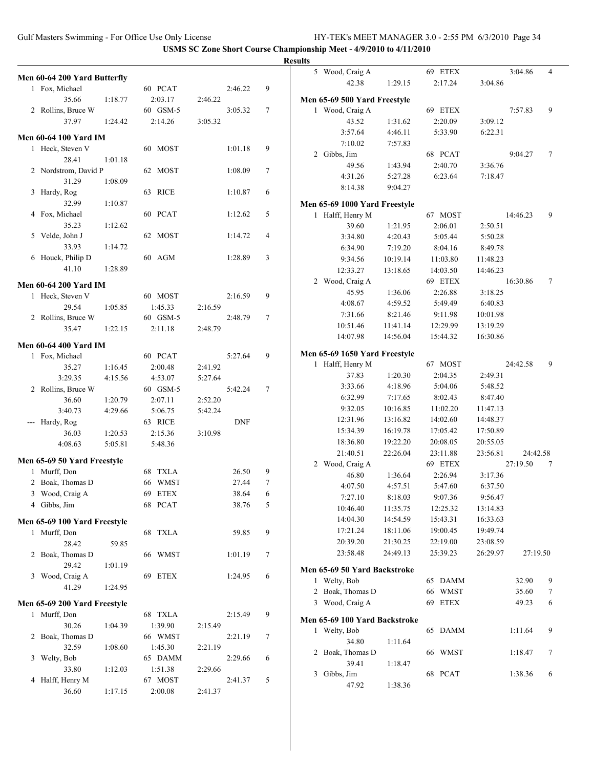|                              |                    |                     |         |            |        | <b>Results</b> |                                                   |                    |                    |                    |          |                |
|------------------------------|--------------------|---------------------|---------|------------|--------|----------------|---------------------------------------------------|--------------------|--------------------|--------------------|----------|----------------|
| Men 60-64 200 Yard Butterfly |                    |                     |         |            |        |                | 5 Wood, Craig A                                   |                    | 69 ETEX            |                    | 3:04.86  | $\overline{4}$ |
| 1 Fox, Michael               |                    | 60 PCAT             |         | 2:46.22    | 9      |                | 42.38                                             | 1:29.15            | 2:17.24            | 3:04.86            |          |                |
| 35.66                        | 1:18.77            | 2:03.17             | 2:46.22 |            |        |                | Men 65-69 500 Yard Freestyle                      |                    |                    |                    |          |                |
| 2 Rollins, Bruce W           |                    | 60 GSM-5            |         | 3:05.32    | $\tau$ |                | 1 Wood, Craig A                                   |                    | 69 ETEX            |                    | 7:57.83  | 9              |
| 37.97                        | 1:24.42            | 2:14.26             | 3:05.32 |            |        |                | 43.52                                             | 1:31.62            | 2:20.09            | 3:09.12            |          |                |
|                              |                    |                     |         |            |        |                | 3:57.64                                           | 4:46.11            | 5:33.90            | 6:22.31            |          |                |
| <b>Men 60-64 100 Yard IM</b> |                    |                     |         |            |        |                | 7:10.02                                           | 7:57.83            |                    |                    |          |                |
| 1 Heck, Steven V             |                    | 60 MOST             |         | 1:01.18    | 9      |                | 2 Gibbs, Jim                                      |                    | 68 PCAT            |                    | 9:04.27  | $\tau$         |
| 28.41                        | 1:01.18            |                     |         |            |        |                | 49.56                                             | 1:43.94            | 2:40.70            | 3:36.76            |          |                |
| 2 Nordstrom, David P         |                    | 62 MOST             |         | 1:08.09    | $\tau$ |                | 4:31.26                                           | 5:27.28            | 6:23.64            | 7:18.47            |          |                |
| 31.29<br>3 Hardy, Rog        | 1:08.09            | 63 RICE             |         | 1:10.87    | 6      |                | 8:14.38                                           | 9:04.27            |                    |                    |          |                |
| 32.99                        | 1:10.87            |                     |         |            |        |                |                                                   |                    |                    |                    |          |                |
| 4 Fox, Michael               |                    | 60 PCAT             |         | 1:12.62    | 5      |                | Men 65-69 1000 Yard Freestyle<br>1 Halff, Henry M |                    | 67 MOST            |                    | 14:46.23 | 9              |
| 35.23                        | 1:12.62            |                     |         |            |        |                | 39.60                                             | 1:21.95            | 2:06.01            | 2:50.51            |          |                |
| 5 Velde, John J              |                    | 62 MOST             |         | 1:14.72    | 4      |                | 3:34.80                                           | 4:20.43            | 5:05.44            | 5:50.28            |          |                |
| 33.93                        | 1:14.72            |                     |         |            |        |                | 6:34.90                                           | 7:19.20            | 8:04.16            | 8:49.78            |          |                |
| 6 Houck, Philip D            |                    | 60 AGM              |         | 1:28.89    | 3      |                | 9:34.56                                           | 10:19.14           | 11:03.80           | 11:48.23           |          |                |
| 41.10                        | 1:28.89            |                     |         |            |        |                | 12:33.27                                          | 13:18.65           | 14:03.50           | 14:46.23           |          |                |
|                              |                    |                     |         |            |        |                | 2 Wood, Craig A                                   |                    | 69 ETEX            |                    | 16:30.86 | $\tau$         |
| <b>Men 60-64 200 Yard IM</b> |                    |                     |         |            |        |                | 45.95                                             | 1:36.06            | 2:26.88            | 3:18.25            |          |                |
| 1 Heck, Steven V             |                    | 60 MOST             |         | 2:16.59    | 9      |                | 4:08.67                                           | 4:59.52            | 5:49.49            | 6:40.83            |          |                |
| 29.54                        | 1:05.85            | 1:45.33<br>60 GSM-5 | 2:16.59 |            | $\tau$ |                | 7:31.66                                           | 8:21.46            | 9:11.98            | 10:01.98           |          |                |
| 2 Rollins, Bruce W<br>35.47  | 1:22.15            | 2:11.18             | 2:48.79 | 2:48.79    |        |                | 10:51.46                                          | 11:41.14           | 12:29.99           | 13:19.29           |          |                |
|                              |                    |                     |         |            |        |                | 14:07.98                                          | 14:56.04           | 15:44.32           | 16:30.86           |          |                |
| Men 60-64 400 Yard IM        |                    |                     |         |            |        |                |                                                   |                    |                    |                    |          |                |
| 1 Fox, Michael               |                    | 60 PCAT             |         | 5:27.64    | 9      |                | Men 65-69 1650 Yard Freestyle                     |                    |                    |                    |          |                |
| 35.27                        | 1:16.45            | 2:00.48             | 2:41.92 |            |        |                | 1 Halff, Henry M                                  |                    | 67 MOST            |                    | 24:42.58 | 9              |
| 3:29.35                      | 4:15.56            | 4:53.07             | 5:27.64 |            |        |                | 37.83<br>3:33.66                                  | 1:20.30<br>4:18.96 | 2:04.35<br>5:04.06 | 2:49.31<br>5:48.52 |          |                |
| 2 Rollins, Bruce W           |                    | 60 GSM-5            |         | 5:42.24    | $\tau$ |                | 6:32.99                                           | 7:17.65            | 8:02.43            | 8:47.40            |          |                |
| 36.60                        | 1:20.79            | 2:07.11             | 2:52.20 |            |        |                | 9:32.05                                           | 10:16.85           | 11:02.20           | 11:47.13           |          |                |
| 3:40.73                      | 4:29.66            | 5:06.75             | 5:42.24 |            |        |                | 12:31.96                                          | 13:16.82           | 14:02.60           | 14:48.37           |          |                |
| --- Hardy, Rog               |                    | 63 RICE             |         | <b>DNF</b> |        |                | 15:34.39                                          | 16:19.78           | 17:05.42           | 17:50.89           |          |                |
| 36.03<br>4:08.63             | 1:20.53<br>5:05.81 | 2:15.36<br>5:48.36  | 3:10.98 |            |        |                | 18:36.80                                          | 19:22.20           | 20:08.05           | 20:55.05           |          |                |
|                              |                    |                     |         |            |        |                | 21:40.51                                          | 22:26.04           | 23:11.88           | 23:56.81           | 24:42.58 |                |
| Men 65-69 50 Yard Freestyle  |                    |                     |         |            |        |                | 2 Wood, Craig A                                   |                    | 69 ETEX            |                    | 27:19.50 | $\overline{7}$ |
| 1 Murff, Don                 |                    | 68 TXLA             |         | 26.50      | 9      |                | 46.80                                             | 1:36.64            | 2:26.94            | 3:17.36            |          |                |
| 2 Boak, Thomas D             |                    | 66 WMST             |         | 27.44      | $\tau$ |                | 4:07.50                                           | 4:57.51            | 5:47.60            | 6:37.50            |          |                |
| 3 Wood, Craig A              |                    | 69 ETEX             |         | 38.64      | 6      |                | 7:27.10                                           | 8:18.03            | 9:07.36            | 9:56.47            |          |                |
| 4 Gibbs, Jim                 |                    | 68 PCAT             |         | 38.76      | 5      |                | 10:46.40                                          | 11:35.75           | 12:25.32           | 13:14.83           |          |                |
| Men 65-69 100 Yard Freestyle |                    |                     |         |            |        |                | 14:04.30                                          | 14:54.59           | 15:43.31           | 16:33.63           |          |                |
| 1 Murff, Don                 |                    | 68 TXLA             |         | 59.85      | 9      |                | 17:21.24                                          | 18:11.06           | 19:00.45           | 19:49.74           |          |                |
| 28.42                        | 59.85              |                     |         |            |        |                | 20:39.20                                          | 21:30.25           | 22:19.00           | 23:08.59           |          |                |
| 2 Boak, Thomas D             |                    | 66 WMST             |         | 1:01.19    | 7      |                | 23:58.48                                          | 24:49.13           | 25:39.23           | 26:29.97           | 27:19.50 |                |
| 29.42                        | 1:01.19            |                     |         |            |        |                | Men 65-69 50 Yard Backstroke                      |                    |                    |                    |          |                |
| 3 Wood, Craig A              |                    | 69 ETEX             |         | 1:24.95    | 6      |                | 1 Welty, Bob                                      |                    | 65 DAMM            |                    | 32.90    | 9              |
| 41.29                        | 1:24.95            |                     |         |            |        |                | 2 Boak, Thomas D                                  |                    | 66 WMST            |                    | 35.60    | 7              |
| Men 65-69 200 Yard Freestyle |                    |                     |         |            |        |                | 3 Wood, Craig A                                   |                    | 69 ETEX            |                    | 49.23    | 6              |
| 1 Murff, Don                 |                    | 68 TXLA             |         | 2:15.49    | 9      |                |                                                   |                    |                    |                    |          |                |
| 30.26                        | 1:04.39            | 1:39.90             | 2:15.49 |            |        |                | Men 65-69 100 Yard Backstroke                     |                    |                    |                    |          |                |
| 2 Boak, Thomas D             |                    | 66 WMST             |         | 2:21.19    | 7      |                | 1 Welty, Bob                                      |                    | 65 DAMM            |                    | 1:11.64  | 9              |
| 32.59                        | 1:08.60            | 1:45.30             | 2:21.19 |            |        |                | 34.80                                             | 1:11.64            |                    |                    |          |                |
| 3 Welty, Bob                 |                    | 65 DAMM             |         | 2:29.66    | 6      |                | 2 Boak, Thomas D                                  |                    | 66 WMST            |                    | 1:18.47  | 7              |
| 33.80                        | 1:12.03            | 1:51.38             | 2:29.66 |            |        |                | 39.41                                             | 1:18.47            |                    |                    |          |                |
| 4 Halff, Henry M             |                    | 67 MOST             |         | 2:41.37    | 5      |                | 3 Gibbs, Jim                                      |                    | 68 PCAT            |                    | 1:38.36  | 6              |
| 36.60                        | 1:17.15            | 2:00.08             | 2:41.37 |            |        |                | 47.92                                             | 1:38.36            |                    |                    |          |                |
|                              |                    |                     |         |            |        |                |                                                   |                    |                    |                    |          |                |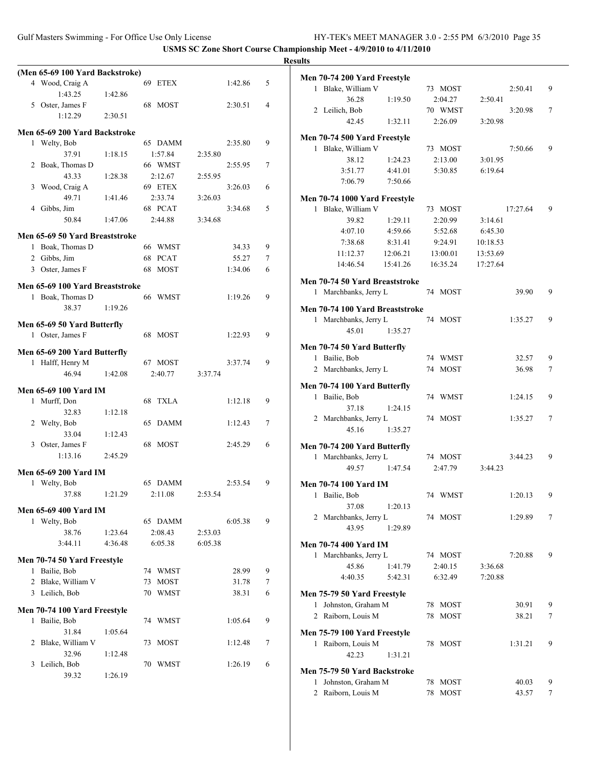|   |                                 |         |         |         |         |   | <b>Results</b> |
|---|---------------------------------|---------|---------|---------|---------|---|----------------|
|   | (Men 65-69 100 Yard Backstroke) |         |         |         |         |   | Me             |
|   | 4 Wood, Craig A                 |         | 69 ETEX |         | 1:42.86 | 5 |                |
|   | 1:43.25                         | 1:42.86 |         |         |         |   |                |
|   | 5 Oster, James F                |         | 68 MOST |         | 2:30.51 | 4 |                |
|   | 1:12.29                         | 2:30.51 |         |         |         |   |                |
|   | Men 65-69 200 Yard Backstroke   |         |         |         |         |   |                |
|   | 1 Welty, Bob                    |         | 65 DAMM |         | 2:35.80 | 9 | Me             |
|   | 37.91                           | 1:18.15 | 1:57.84 | 2:35.80 |         |   |                |
|   | 2 Boak, Thomas D                |         | 66 WMST |         | 2:55.95 | 7 |                |
|   | 43.33                           | 1:28.38 | 2:12.67 | 2:55.95 |         |   |                |
|   | 3 Wood, Craig A                 |         | 69 ETEX |         | 3:26.03 | 6 |                |
|   | 49.71                           | 1:41.46 | 2:33.74 | 3:26.03 |         |   | Me             |
|   | 4 Gibbs, Jim                    |         | 68 PCAT |         | 3:34.68 | 5 |                |
|   | 50.84                           | 1:47.06 | 2:44.88 | 3:34.68 |         |   |                |
|   | Men 65-69 50 Yard Breaststroke  |         |         |         |         |   |                |
|   | 1 Boak, Thomas D                |         | 66 WMST |         | 34.33   | 9 |                |
|   | 2 Gibbs, Jim                    |         | 68 PCAT |         | 55.27   | 7 |                |
|   | 3 Oster, James F                |         | 68 MOST |         | 1:34.06 | 6 |                |
|   |                                 |         |         |         |         |   |                |
|   | Men 65-69 100 Yard Breaststroke |         |         |         |         |   | Me             |
|   | 1 Boak, Thomas D                |         | 66 WMST |         | 1:19.26 | 9 |                |
|   | 38.37                           | 1:19.26 |         |         |         |   | Me             |
|   | Men 65-69 50 Yard Butterfly     |         |         |         |         |   |                |
|   | 1 Oster, James F                |         | 68 MOST |         | 1:22.93 | 9 |                |
|   |                                 |         |         |         |         |   | Me             |
|   | Men 65-69 200 Yard Butterfly    |         |         |         |         |   |                |
|   | 1 Halff, Henry M                |         | 67 MOST |         | 3:37.74 | 9 |                |
|   | 46.94                           | 1:42.08 | 2:40.77 | 3:37.74 |         |   |                |
|   | Men 65-69 100 Yard IM           |         |         |         |         |   | Me             |
|   | 1 Murff, Don                    |         | 68 TXLA |         | 1:12.18 | 9 |                |
|   | 32.83                           | 1:12.18 |         |         |         |   |                |
|   | 2 Welty, Bob                    |         | 65 DAMM |         | 1:12.43 | 7 |                |
|   | 33.04                           | 1:12.43 |         |         |         |   |                |
|   | 3 Oster, James F                |         | 68 MOST |         | 2:45.29 | 6 | Me             |
|   | 1:13.16                         | 2:45.29 |         |         |         |   |                |
|   |                                 |         |         |         |         |   |                |
|   | Men 65-69 200 Yard IM           |         |         |         |         |   |                |
|   | 1 Welty, Bob                    |         | 65 DAMM |         | 2:53.54 | 9 | Me             |
|   | 37.88                           | 1:21.29 | 2:11.08 | 2:53.54 |         |   |                |
|   | <b>Men 65-69 400 Yard IM</b>    |         |         |         |         |   |                |
|   | 1 Welty, Bob                    |         | 65 DAMM |         | 6:05.38 | 9 |                |
|   | 38.76                           | 1:23.64 | 2:08.43 | 2:53.03 |         |   |                |
|   | 3:44.11                         | 4:36.48 | 6:05.38 | 6:05.38 |         |   | Me             |
|   |                                 |         |         |         |         |   |                |
|   | Men 70-74 50 Yard Freestyle     |         |         |         |         |   |                |
|   | 1 Bailie, Bob                   |         | 74 WMST |         | 28.99   | 9 |                |
|   | 2 Blake, William V              |         | 73 MOST |         | 31.78   | 7 |                |
|   | 3 Leilich, Bob                  |         | 70 WMST |         | 38.31   | 6 | Me             |
|   | Men 70-74 100 Yard Freestyle    |         |         |         |         |   |                |
|   | 1 Bailie, Bob                   |         | 74 WMST |         | 1:05.64 | 9 |                |
|   | 31.84                           | 1:05.64 |         |         |         |   | Me             |
|   | 2 Blake, William V              |         | 73 MOST |         | 1:12.48 | 7 |                |
|   | 32.96                           | 1:12.48 |         |         |         |   |                |
| 3 | Leilich, Bob                    |         | 70 WMST |         | 1:26.19 | 6 |                |
|   | 39.32                           | 1:26.19 |         |         |         |   | Me             |
|   |                                 |         |         |         |         |   |                |

| Men 70-74 200 Yard Freestyle    |          |                                 |                |        |
|---------------------------------|----------|---------------------------------|----------------|--------|
| 1 Blake, William V              |          | 73 MOST                         | 2:50.41        | 9      |
| 36.28                           | 1:19.50  | 2:04.27                         | 2:50.41        |        |
| 2 Leilich, Bob                  |          | 70 WMST                         | 3:20.98        | 7      |
| 42.45                           | 1:32.11  | 2:26.09                         | 3:20.98        |        |
| Men 70-74 500 Yard Freestyle    |          |                                 |                |        |
| 1 Blake, William V              |          | 73 MOST                         | 7:50.66        | 9      |
| 38.12                           | 1:24.23  | 2:13.00                         | 3:01.95        |        |
| 3:51.77                         | 4:41.01  | 5:30.85                         | 6:19.64        |        |
| 7:06.79                         | 7:50.66  |                                 |                |        |
|                                 |          |                                 |                |        |
| Men 70-74 1000 Yard Freestyle   |          |                                 |                |        |
| 1 Blake, William V              |          | 73 MOST                         | 17:27.64       | 9      |
| 39.82                           | 1:29.11  | 2:20.99                         | 3:14.61        |        |
| 4:07.10                         | 4:59.66  | 5:52.68                         | 6:45.30        |        |
| 7:38.68                         | 8:31.41  | 9:24.91                         | 10:18.53       |        |
| 11:12.37                        | 12:06.21 | 13:00.01                        | 13:53.69       |        |
| 14:46.54                        | 15:41.26 | 16:35.24                        | 17:27.64       |        |
|                                 |          |                                 |                |        |
| Men 70-74 50 Yard Breaststroke  |          |                                 |                |        |
| 1 Marchbanks, Jerry L           |          | 74 MOST                         | 39.90          | 9      |
| Men 70-74 100 Yard Breaststroke |          |                                 |                |        |
| 1 Marchbanks, Jerry L           |          | 74 MOST                         | 1:35.27        | 9      |
| 45.01                           | 1:35.27  |                                 |                |        |
|                                 |          |                                 |                |        |
| Men 70-74 50 Yard Butterfly     |          |                                 |                |        |
| 1 Bailie, Bob                   |          | 74 WMST                         | 32.57          | 9      |
| 2 Marchbanks, Jerry L           |          | 74 MOST                         | 36.98          | 7      |
|                                 |          |                                 |                |        |
| Men 70-74 100 Yard Butterfly    |          |                                 |                |        |
| 1 Bailie, Bob                   |          | 74 WMST                         | 1:24.15        | 9      |
| 37.18                           | 1:24.15  |                                 |                |        |
| 2 Marchbanks, Jerry L           |          | 74 MOST                         | 1:35.27        | 7      |
| 45.16                           | 1:35.27  |                                 |                |        |
| Men 70-74 200 Yard Butterfly    |          |                                 |                |        |
| 1 Marchbanks, Jerry L           |          | 74 MOST                         | 3:44.23        | 9      |
| 49.57                           | 1:47.54  | 2:47.79                         | 3:44.23        |        |
|                                 |          |                                 |                |        |
| <b>Men 70-74 100 Yard IM</b>    |          |                                 |                |        |
| 1 Bailie, Bob                   |          | 74 WMST                         | 1:20.13        | 9      |
| 37.08                           | 1:20.13  |                                 |                |        |
| 2 Marchbanks, Jerry L           |          | 74 MOST                         | 1:29.89        | 7      |
| 43.95                           | 1:29.89  |                                 |                |        |
|                                 |          |                                 |                |        |
| Men 70-74 400 Yard IM           |          |                                 |                |        |
| Marchbanks, Jerry L<br>1        |          | 74 MOST                         | 7:20.88        | 9      |
| 45.86                           | 1:41.79  | 2:40.15                         | 3:36.68        |        |
| 4:40.35                         | 5:42.31  | 6:32.49                         | 7:20.88        |        |
| Men 75-79 50 Yard Freestyle     |          |                                 |                |        |
| Johnston, Graham M<br>1         |          | <b>MOST</b><br>78               | 30.91          | 9      |
| Raiborn, Louis M<br>2           |          | <b>MOST</b><br>78               | 38.21          | 7      |
|                                 |          |                                 |                |        |
| Men 75-79 100 Yard Freestyle    |          |                                 |                |        |
| Raiborn, Louis M<br>1           |          | 78 MOST                         | 1:31.21        | 9      |
| 42.23                           | 1:31.21  |                                 |                |        |
|                                 |          |                                 |                |        |
| Men 75-79 50 Yard Backstroke    |          |                                 |                |        |
| Johnston, Graham M<br>1         |          |                                 |                |        |
| Raiborn, Louis M<br>2           |          | 78<br>MOST<br>78<br><b>MOST</b> | 40.03<br>43.57 | 9<br>7 |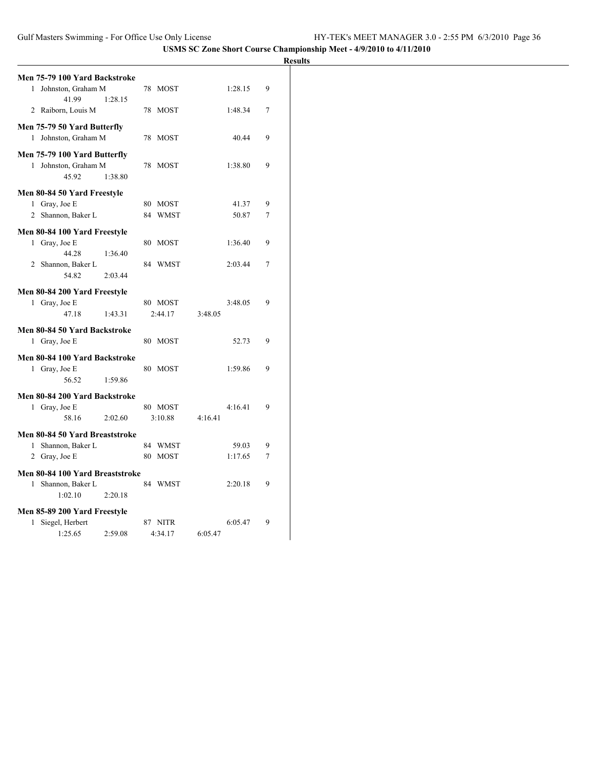|                                 |         |         |         |         |   | <b>Results</b> |
|---------------------------------|---------|---------|---------|---------|---|----------------|
| Men 75-79 100 Yard Backstroke   |         |         |         |         |   |                |
| 1 Johnston, Graham M<br>41.99   | 1:28.15 | 78 MOST |         | 1:28.15 | 9 |                |
| 2 Raiborn, Louis M              |         | 78 MOST |         | 1:48.34 | 7 |                |
| Men 75-79 50 Yard Butterfly     |         |         |         |         |   |                |
| 1 Johnston, Graham M            |         | 78 MOST |         | 40.44   | 9 |                |
| Men 75-79 100 Yard Butterfly    |         |         |         |         |   |                |
| 1 Johnston, Graham M            |         | 78 MOST |         | 1:38.80 | 9 |                |
| 45.92                           | 1:38.80 |         |         |         |   |                |
| Men 80-84 50 Yard Freestyle     |         |         |         |         |   |                |
| 1 Gray, Joe E                   |         | 80 MOST |         | 41.37   | 9 |                |
| 2 Shannon, Baker L              |         | 84 WMST |         | 50.87   | 7 |                |
| Men 80-84 100 Yard Freestyle    |         |         |         |         |   |                |
| 1 Gray, Joe E                   |         | 80 MOST |         | 1:36.40 | 9 |                |
| 44.28                           | 1:36.40 |         |         |         |   |                |
| 2 Shannon, Baker L              |         | 84 WMST |         | 2:03.44 | 7 |                |
| 54.82                           | 2:03.44 |         |         |         |   |                |
| Men 80-84 200 Yard Freestyle    |         |         |         |         |   |                |
| 1 Gray, Joe E                   |         | 80 MOST |         | 3:48.05 | 9 |                |
| 47.18                           | 1:43.31 | 2:44.17 | 3:48.05 |         |   |                |
| Men 80-84 50 Yard Backstroke    |         |         |         |         |   |                |
| 1 Gray, Joe E                   |         | 80 MOST |         | 52.73   | 9 |                |
| Men 80-84 100 Yard Backstroke   |         |         |         |         |   |                |
| 1 Gray, Joe E                   |         | 80 MOST |         | 1:59.86 | 9 |                |
| 56.52                           | 1:59.86 |         |         |         |   |                |
| Men 80-84 200 Yard Backstroke   |         |         |         |         |   |                |
| 1 Gray, Joe E                   |         | 80 MOST |         | 4:16.41 | 9 |                |
| 58.16                           | 2:02.60 | 3:10.88 | 4:16.41 |         |   |                |
| Men 80-84 50 Yard Breaststroke  |         |         |         |         |   |                |
| 1 Shannon, Baker L              |         | 84 WMST |         | 59.03   | 9 |                |
| 2 Gray, Joe E                   |         | 80 MOST |         | 1:17.65 | 7 |                |
| Men 80-84 100 Yard Breaststroke |         |         |         |         |   |                |
| 1 Shannon, Baker L              |         | 84 WMST |         | 2:20.18 | 9 |                |
| 1:02.10                         | 2:20.18 |         |         |         |   |                |
| Men 85-89 200 Yard Freestyle    |         |         |         |         |   |                |
| 1 Siegel, Herbert               |         | 87 NITR |         | 6:05.47 | 9 |                |
| 1:25.65                         | 2:59.08 | 4:34.17 | 6:05.47 |         |   |                |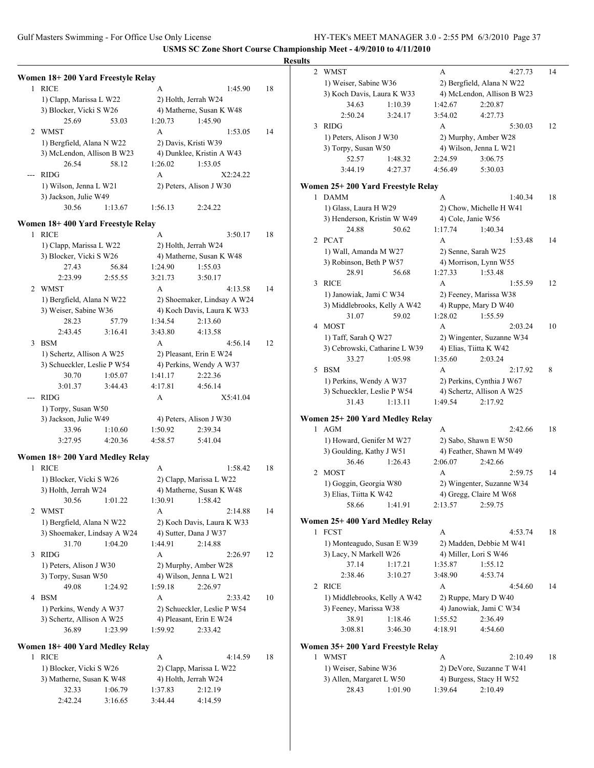**Results Women 18+ 200 Yard Freestyle Relay** 1 RICE A 1:45.90 18 1) Clapp, Marissa L W22 2) Holth, Jerrah W24 3) Blocker, Vicki S W26 4) Matherne, Susan K W48 25.69 53.03 1:20.73 1:45.90 2 WMST A 1:53.05 14 1) Bergfield, Alana N W22 2) Davis, Kristi W39 3) McLendon, Allison B W23 4) Dunklee, Kristin A W43 26.54 58.12 1:26.02 1:53.05 --- RIDG A X2:24.22 1) Wilson, Jenna L W21 2) Peters, Alison J W30 3) Jackson, Julie W49 30.56 1:13.67 1:56.13 2:24.22 **Women 18+ 400 Yard Freestyle Relay** 1 RICE A 3:50.17 18 1) Clapp, Marissa L W22 2) Holth, Jerrah W24 3) Blocker, Vicki S W26 4) Matherne, Susan K W48 27.43 56.84 1:24.90 1:55.03 2:23.99 2:55.55 3:21.73 3:50.17 2 WMST A 4:13.58 14 1) Bergfield, Alana N W22 2) Shoemaker, Lindsay A W24 3) Weiser, Sabine W36 4) Koch Davis, Laura K W33 28.23 57.79 1:34.54 2:13.60 2:43.45 3:16.41 3:43.80 4:13.58 3 BSM A 4:56.14 12 1) Schertz, Allison A W25 2) Pleasant, Erin E W24 3) Schueckler, Leslie P W54 4) Perkins, Wendy A W37 30.70 1:05.07 1:41.17 2:22.36 3:01.37 3:44.43 4:17.81 4:56.14 --- RIDG A X5:41.04 1) Torpy, Susan W50 3) Jackson, Julie W49 4) Peters, Alison J W30 33.96 1:10.60 1:50.92 2:39.34 3:27.95 4:20.36 4:58.57 5:41.04 **Women 18+ 200 Yard Medley Relay** 1 RICE A 1:58.42 18 1) Blocker, Vicki S W26 2) Clapp, Marissa L W22 3) Holth, Jerrah W24 4) Matherne, Susan K W48 30.56 1:01.22 1:30.91 1:58.42 2 WMST A 2:14.88 14 1) Bergfield, Alana N W22 2) Koch Davis, Laura K W33 3) Shoemaker, Lindsay A W24 4) Sutter, Dana J W37 31.70 1:04.20 1:44.91 2:14.88 3 RIDG A 2:26.97 12 1) Peters, Alison J W30 2) Murphy, Amber W28 3) Torpy, Susan W50 4) Wilson, Jenna L W21 49.08 1:24.92 1:59.18 2:26.97 4 BSM A 2:33.42 10 1) Perkins, Wendy A W37 2) Schueckler, Leslie P W54 3) Schertz, Allison A W25 4) Pleasant, Erin E W24 36.89 1:23.99 1:59.92 2:33.42 **Women 18+ 400 Yard Medley Relay** 1 RICE A 4:14.59 18 1) Blocker, Vicki S W26 2) Clapp, Marissa L W22 3) Matherne, Susan K W48 4) Holth, Jerrah W24 32.33 1:06.79 1:37.83 2:12.19 2:42.24 3:16.65 3:44.44 4:14.59 2 WMST A 4:27.73 14 1) Weiser, Sabine W36 2) Bergfield, Alana N W22 3) Koch Davis, Laura K W33 4) McLendon, Allison B W23 34.63 1:10.39 1:42.67 2:20.87 2:50.24 3:24.17 3:54.02 4:27.73 3 RIDG A 5:30.03 12 1) Peters, Alison J W30 2) Murphy, Amber W28 3) Torpy, Susan W50 4) Wilson, Jenna L W21 52.57 1:48.32 2:24.59 3:06.75 3:44.19 4:27.37 4:56.49 5:30.03 **Women 25+ 200 Yard Freestyle Relay** 1 DAMM A 1:40.34 18 1) Glass, Laura H W29 2) Chow, Michelle H W41 3) Henderson, Kristin W W49 4) Cole, Janie W56 24.88 50.62 1:17.74 1:40.34 2 PCAT A 1:53.48 14 1) Wall, Amanda M W27 2) Senne, Sarah W25 3) Robinson, Beth P W57 4) Morrison, Lynn W55 28.91 56.68 1:27.33 1:53.48 3 RICE A 1:55.59 12 1) Janowiak, Jami C W34 2) Feeney, Marissa W38 3) Middlebrooks, Kelly A W42 4) Ruppe, Mary D W40 31.07 59.02 1:28.02 1:55.59 4 MOST A 2:03.24 10 1) Taff, Sarah Q W27 2) Wingenter, Suzanne W34 3) Cebrowski, Catharine L W39 4) Elias, Tiitta K W42 33.27 1:05.98 1:35.60 2:03.24 5 BSM A 2:17.92 8 1) Perkins, Wendy A W37 2) Perkins, Cynthia J W67 3) Schueckler, Leslie P W54 4) Schertz, Allison A W25 31.43 1:13.11 1:49.54 2:17.92 **Women 25+ 200 Yard Medley Relay** 1 AGM A 2:42.66 18 1) Howard, Genifer M W27 2) Sabo, Shawn E W50 3) Goulding, Kathy J W51 4) Feather, Shawn M W49 36.46 1:26.43 2:06.07 2:42.66 2 MOST A 2:59.75 14 1) Goggin, Georgia W80 2) Wingenter, Suzanne W34 3) Elias, Tiitta K W42 4) Gregg, Claire M W68 58.66 1:41.91 2:13.57 2:59.75 **Women 25+ 400 Yard Medley Relay** 1 FCST A 4:53.74 18 1) Monteagudo, Susan E W39 2) Madden, Debbie M W41 3) Lacy, N Markell W26 4) Miller, Lori S W46 37.14 1:17.21 1:35.87 1:55.12 2:38.46 3:10.27 3:48.90 4:53.74 2 RICE A 4:54.60 14 1) Middlebrooks, Kelly A W42 2) Ruppe, Mary D W40 3) Feeney, Marissa W38 4) Janowiak, Jami C W34 38.91 1:18.46 1:55.52 2:36.49 3:08.81 3:46.30 4:18.91 4:54.60 **Women 35+ 200 Yard Freestyle Relay** 1 WMST A 2:10.49 18 1) Weiser, Sabine W36 2) DeVore, Suzanne T W41 3) Allen, Margaret L W50 4) Burgess, Stacy H W52 28.43 1:01.90 1:39.64 2:10.49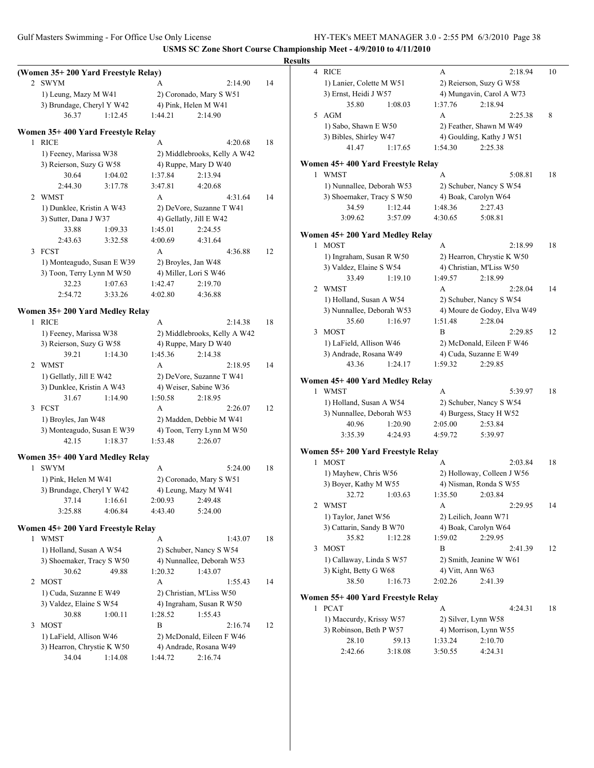**Results (Women 35+ 200 Yard Freestyle Relay)** 2 SWYM A 2:14.90 14 1) Leung, Mazy M W41 2) Coronado, Mary S W51 3) Brundage, Cheryl Y W42 4) Pink, Helen M W41 36.37 1:12.45 1:44.21 2:14.90 **Women 35+ 400 Yard Freestyle Relay** 1 RICE A 4:20.68 18 1) Feeney, Marissa W38 2) Middlebrooks, Kelly A W42 3) Reierson, Suzy G W58 4) Ruppe, Mary D W40 30.64 1:04.02 1:37.84 2:13.94 2:44.30 3:17.78 3:47.81 4:20.68 2 WMST A 4:31.64 14 1) Dunklee, Kristin A W43 2) DeVore, Suzanne T W41 3) Sutter, Dana J W37 4) Gellatly, Jill E W42 33.88 1:09.33 1:45.01 2:24.55 2:43.63 3:32.58 4:00.69 4:31.64 3 FCST A 4:36.88 12 1) Monteagudo, Susan E W39 2) Broyles, Jan W48 3) Toon, Terry Lynn M W50 4) Miller, Lori S W46 32.23 1:07.63 1:42.47 2:19.70 2:54.72 3:33.26 4:02.80 4:36.88 **Women 35+ 200 Yard Medley Relay** 1 RICE A 2:14.38 18 1) Feeney, Marissa W38 2) Middlebrooks, Kelly A W42 3) Reierson, Suzy G W58 4) Ruppe, Mary D W40 39.21 1:14.30 1:45.36 2:14.38 2 WMST A 2:18.95 14 1) Gellatly, Jill E W42 2) DeVore, Suzanne T W41 3) Dunklee, Kristin A W43 4) Weiser, Sabine W36 31.67 1:14.90 1:50.58 2:18.95 3 FCST A 2:26.07 12 1) Broyles, Jan W48 2) Madden, Debbie M W41 3) Monteagudo, Susan E W39 4) Toon, Terry Lynn M W50 42.15 1:18.37 1:53.48 2:26.07 **Women 35+ 400 Yard Medley Relay** 1 SWYM A 5:24.00 18 1) Pink, Helen M W41 2) Coronado, Mary S W51 3) Brundage, Cheryl Y W42 4) Leung, Mazy M W41 37.14 1:16.61 2:00.93 2:49.48 3:25.88 4:06.84 4:43.40 5:24.00 **Women 45+ 200 Yard Freestyle Relay** 1 WMST A 1:43.07 18 1) Holland, Susan A W54 2) Schuber, Nancy S W54 3) Shoemaker, Tracy S W50 4) Nunnallee, Deborah W53 30.62 49.88 1:20.32 1:43.07 2 MOST A 1:55.43 14 1) Cuda, Suzanne E W49 2) Christian, M'Liss W50 3) Valdez, Elaine S W54 4) Ingraham, Susan R W50 30.88 1:00.11 1:28.52 1:55.43 3 MOST B 2:16.74 12 1) LaField, Allison W46 2) McDonald, Eileen F W46 3) Hearron, Chrystie K W50 4) Andrade, Rosana W49 34.04 1:14.08 1:44.72 2:16.74 4 RICE A 2:18.94 10 1) Lanier, Colette M W51 2) Reierson, Suzy G W58 3) Ernst, Heidi J W57 4) Mungavin, Carol A W73 35.80 1:08.03 1:37.76 2:18.94 5 AGM A 2:25.38 8 1) Sabo, Shawn E W50 2) Feather, Shawn M W49 3) Bibles, Shirley W47 4) Goulding, Kathy J W51 41.47 1:17.65 1:54.30 2:25.38 **Women 45+ 400 Yard Freestyle Relay** 1 WMST A 5:08.81 18 1) Nunnallee, Deborah W53 2) Schuber, Nancy S W54 3) Shoemaker, Tracy S W50 4) Boak, Carolyn W64 34.59 1:12.44 1:48.36 2:27.43 3:09.62 3:57.09 4:30.65 5:08.81 **Women 45+ 200 Yard Medley Relay** 1 MOST A 2:18.99 18 1) Ingraham, Susan R W50 2) Hearron, Chrystie K W50 3) Valdez, Elaine S W54 4) Christian, M'Liss W50 33.49 1:19.10 1:49.57 2:18.99 2 WMST A 2:28.04 14 1) Holland, Susan A W54 2) Schuber, Nancy S W54 3) Nunnallee, Deborah W53 4) Moure de Godoy, Elva W49 35.60 1:16.97 1:51.48 2:28.04 3 MOST B 2:29.85 12 1) LaField, Allison W46 2) McDonald, Eileen F W46 3) Andrade, Rosana W49 4) Cuda, Suzanne E W49 43.36 1:24.17 1:59.32 2:29.85 **Women 45+ 400 Yard Medley Relay** 1 WMST A 5:39.97 18 1) Holland, Susan A W54 2) Schuber, Nancy S W54 3) Nunnallee, Deborah W53 4) Burgess, Stacy H W52 40.96 1:20.90 2:05.00 2:53.84 3:35.39 4:24.93 4:59.72 5:39.97 **Women 55+ 200 Yard Freestyle Relay** 1 MOST A 2:03.84 18 1) Mayhew, Chris W56 2) Holloway, Colleen J W56 3) Boyer, Kathy M W55 4) Nisman, Ronda S W55 32.72 1:03.63 1:35.50 2:03.84 2 WMST A 2:29.95 14 1) Taylor, Janet W56 2) Leilich, Joann W71 3) Cattarin, Sandy B W70 4) Boak, Carolyn W64 35.82 1:12.28 1:59.02 2:29.95 3 MOST B 2:41.39 12 1) Callaway, Linda S W57 2) Smith, Jeanine W W61 3) Kight, Betty G W68 4) Vitt, Ann W63 38.50 1:16.73 2:02.26 2:41.39 **Women 55+ 400 Yard Freestyle Relay** 1 PCAT A 4:24.31 18 1) Maccurdy, Krissy W57 2) Silver, Lynn W58 3) Robinson, Beth P W57 4) Morrison, Lynn W55 28.10 59.13 1:33.24 2:10.70 2:42.66 3:18.08 3:50.55 4:24.31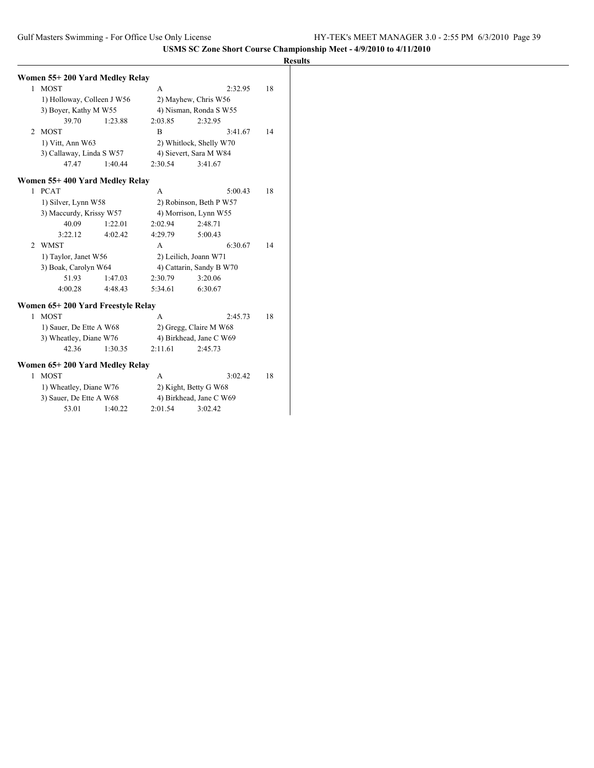|              | Women 55+ 200 Yard Medley Relay   |         |                          |                         |    |
|--------------|-----------------------------------|---------|--------------------------|-------------------------|----|
| 1            | <b>MOST</b>                       |         | A                        | 2:32.95                 | 18 |
|              | 1) Holloway, Colleen J W56        |         |                          | 2) Mayhew, Chris W56    |    |
|              | 3) Boyer, Kathy M W55             |         |                          | 4) Nisman, Ronda S W55  |    |
|              | 39.70                             | 1:23.88 | 2:03.85                  | 2:32.95                 |    |
| 2            | <b>MOST</b>                       |         | B                        | 3:41.67                 | 14 |
|              | 1) Vitt, Ann W63                  |         |                          | 2) Whitlock, Shelly W70 |    |
|              | 3) Callaway, Linda S W57          |         |                          | 4) Sievert, Sara M W84  |    |
|              | 47.47                             | 1:40.44 | 2:30.54                  | 3:41.67                 |    |
|              | Women 55+400 Yard Medley Relay    |         |                          |                         |    |
| 1            | <b>PCAT</b>                       |         | A                        | 5:00.43                 | 18 |
|              | 1) Silver, Lynn W58               |         |                          | 2) Robinson, Beth P W57 |    |
|              | 3) Maccurdy, Krissy W57           |         |                          | 4) Morrison, Lynn W55   |    |
|              | 40.09                             | 1:22.01 | 2:02.94                  | 2:48.71                 |    |
|              | 3:22.12                           | 4:02.42 | 4:29.79                  | 5:00.43                 |    |
| 2            | <b>WMST</b>                       |         | A                        | 6:30.67                 | 14 |
|              | 1) Taylor, Janet W56              |         |                          | 2) Leilich, Joann W71   |    |
|              | 3) Boak, Carolyn W64              |         | 4) Cattarin, Sandy B W70 |                         |    |
|              | 51.93                             | 1:47.03 | 2:30.79                  | 3:20.06                 |    |
|              | 4:00.28                           | 4:48.43 | 5:34.61                  | 6:30.67                 |    |
|              | Women 65+200 Yard Freestyle Relay |         |                          |                         |    |
| $\mathbf{1}$ | <b>MOST</b>                       |         | A                        | 2:45.73                 | 18 |
|              | 1) Sauer, De Ette A W68           |         |                          | 2) Gregg, Claire M W68  |    |
|              | 3) Wheatley, Diane W76            |         |                          | 4) Birkhead, Jane C W69 |    |
|              | 42.36                             | 1:30.35 | 2:11.61                  | 2:45.73                 |    |
|              | Women 65+200 Yard Medley Relay    |         |                          |                         |    |
| 1            | <b>MOST</b>                       |         | A                        | 3:02.42                 | 18 |
|              | 1) Wheatley, Diane W76            |         |                          | 2) Kight, Betty G W68   |    |
|              | 3) Sauer, De Ette A W68           |         |                          | 4) Birkhead, Jane C W69 |    |
|              | 53.01                             | 1:40.22 | 2:01.54                  | 3:02.42                 |    |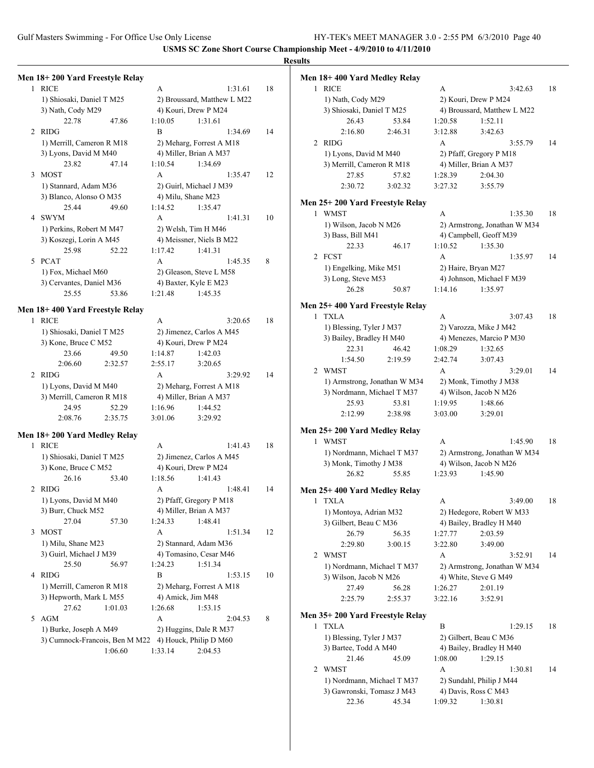**Results**

| 1 | Men 18+200 Yard Freestyle Relay<br><b>RICE</b> | A       | 1:31.61                     | 18 | Mei |
|---|------------------------------------------------|---------|-----------------------------|----|-----|
|   | 1) Shiosaki, Daniel T M25                      |         | 2) Broussard, Matthew L M22 |    |     |
|   | 3) Nath, Cody M29                              |         | 4) Kouri, Drew P M24        |    |     |
|   | 22.78<br>47.86                                 | 1:10.05 | 1:31.61                     |    |     |
| 2 | <b>RIDG</b>                                    | B       | 1:34.69                     | 14 |     |
|   | 1) Merrill, Cameron R M18                      |         | 2) Meharg, Forrest A M18    |    |     |
|   | 3) Lyons, David M M40                          |         | 4) Miller, Brian A M37      |    |     |
|   | 23.82<br>47.14                                 | 1:10.54 | 1:34.69                     |    |     |
| 3 | <b>MOST</b>                                    | A       | 1:35.47                     | 12 |     |
|   | 1) Stannard, Adam M36                          |         | 2) Guirl, Michael J M39     |    |     |
|   | 3) Blanco, Alonso O M35                        |         | 4) Milu, Shane M23          |    |     |
|   | 25.44<br>49.60                                 | 1:14.52 | 1:35.47                     |    | Mei |
| 4 | <b>SWYM</b>                                    | A       | 1:41.31                     | 10 |     |
|   | 1) Perkins, Robert M M47                       |         | 2) Welsh, Tim H M46         |    |     |
|   | 3) Koszegi, Lorin A M45                        |         | 4) Meissner, Niels B M22    |    |     |
|   | 25.98<br>52.22                                 | 1:17.42 | 1:41.31                     |    |     |
| 5 | <b>PCAT</b>                                    | A       | 1:45.35                     | 8  |     |
|   | 1) Fox, Michael M60                            |         | 2) Gleason, Steve L M58     |    |     |
|   |                                                |         |                             |    |     |
|   | 3) Cervantes, Daniel M36                       |         | 4) Baxter, Kyle E M23       |    |     |
|   | 25.55<br>53.86                                 | 1:21.48 | 1:45.35                     |    |     |
|   | Men 18+400 Yard Freestyle Relay                |         |                             |    | Me  |
| 1 | <b>RICE</b>                                    | A       | 3:20.65                     | 18 |     |
|   | 1) Shiosaki, Daniel T M25                      |         | 2) Jimenez, Carlos A M45    |    |     |
|   | 3) Kone, Bruce C M52                           |         | 4) Kouri, Drew P M24        |    |     |
|   | 23.66<br>49.50                                 | 1:14.87 | 1:42.03                     |    |     |
|   | 2:06.60<br>2:32.57                             | 2:55.17 | 3:20.65                     |    |     |
| 2 | RIDG                                           | A       | 3:29.92                     | 14 |     |
|   | 1) Lyons, David M M40                          |         | 2) Meharg, Forrest A M18    |    |     |
|   | 3) Merrill, Cameron R M18                      |         | 4) Miller, Brian A M37      |    |     |
|   | 24.95<br>52.29                                 | 1:16.96 | 1:44.52                     |    |     |
|   | 2:08.76<br>2:35.75                             | 3:01.06 | 3:29.92                     |    |     |
|   |                                                |         |                             |    | Me  |
|   | Men 18+200 Yard Medley Relay                   |         |                             |    |     |
| 1 | <b>RICE</b>                                    | A       | 1:41.43                     | 18 |     |
|   | 1) Shiosaki, Daniel T M25                      |         | 2) Jimenez, Carlos A M45    |    |     |
|   | 3) Kone, Bruce C M52                           |         | 4) Kouri, Drew P M24        |    |     |
|   | 26.16<br>53.40                                 | 1:18.56 | 1:41.43                     |    |     |
| 2 | RIDG                                           | A       | 1:48.41                     | 14 | Mei |
|   | 1) Lyons, David M M40                          |         | 2) Pfaff, Gregory P M18     |    |     |
|   | 3) Burr, Chuck M52                             |         | 4) Miller, Brian A M37      |    |     |
|   | 27.04<br>57.30                                 | 1:24.33 | 1:48.41                     |    |     |
| 3 | <b>MOST</b>                                    | A       | 1:51.34                     | 12 |     |
|   | 1) Milu, Shane M23                             |         | 2) Stannard, Adam M36       |    |     |
|   | 3) Guirl, Michael J M39                        |         | 4) Tomasino, Cesar M46      |    |     |
|   | 25.50<br>56.97                                 | 1:24.23 | 1:51.34                     |    |     |
| 4 | <b>RIDG</b>                                    | B       | 1:53.15                     | 10 |     |
|   | 1) Merrill, Cameron R M18                      |         | 2) Meharg, Forrest A M18    |    |     |
|   | 3) Hepworth, Mark L M55                        |         | 4) Amick, Jim M48           |    |     |
|   | 27.62<br>1:01.03                               | 1:26.68 | 1:53.15                     |    |     |
| 5 | <b>AGM</b>                                     | A       | 2:04.53                     | 8  | Mei |
|   | 1) Burke, Joseph A M49                         |         | 2) Huggins, Dale R M37      |    |     |
|   | 3) Cumnock-Francois, Ben M M22                 |         | 4) Houck, Philip D M60      |    |     |
|   | 1:06.60                                        | 1:33.14 | 2:04.53                     |    |     |
|   |                                                |         |                             |    |     |

|              | n 18+ 400 Yard Medley Relay                    |                                      |    |
|--------------|------------------------------------------------|--------------------------------------|----|
| 1            | <b>RICE</b>                                    | A<br>3:42.63<br>2) Kouri, Drew P M24 | 18 |
|              | 1) Nath, Cody M29<br>3) Shiosaki, Daniel T M25 | 4) Broussard, Matthew L M22          |    |
|              | 26.43<br>53.84                                 | 1:20.58<br>1:52.11                   |    |
|              | 2:16.80<br>2:46.31                             | 3:12.88<br>3:42.63                   |    |
|              |                                                | A                                    | 14 |
| 2            | <b>RIDG</b>                                    | 3:55.79                              |    |
|              | 1) Lyons, David M M40                          | 2) Pfaff, Gregory P M18              |    |
|              | 3) Merrill, Cameron R M18<br>27.85<br>57.82    | 4) Miller, Brian A M37<br>1:28.39    |    |
|              |                                                | 2:04.30                              |    |
|              | 2:30.72<br>3:02.32                             | 3:27.32<br>3:55.79                   |    |
|              | n 25+ 200 Yard Freestyle Relay                 |                                      |    |
|              | 1 WMST                                         | A<br>1:35.30                         | 18 |
|              | 1) Wilson, Jacob N M26                         | 2) Armstrong, Jonathan W M34         |    |
|              | 3) Bass, Bill M41                              | 4) Campbell, Geoff M39               |    |
|              | 22.33<br>46.17                                 | 1:10.52<br>1:35.30                   |    |
| 2            | <b>FCST</b>                                    | A<br>1:35.97                         | 14 |
|              | 1) Engelking, Mike M51                         | 2) Haire, Bryan M27                  |    |
|              | 3) Long, Steve M53                             | 4) Johnson, Michael F M39            |    |
|              | 26.28<br>50.87                                 | 1:14.16<br>1:35.97                   |    |
|              |                                                |                                      |    |
|              | n 25+ 400 Yard Freestyle Relay                 |                                      |    |
| $\mathbf{1}$ | <b>TXLA</b>                                    | A<br>3:07.43                         | 18 |
|              | 1) Blessing, Tyler J M37                       | 2) Varozza, Mike J M42               |    |
|              | 3) Bailey, Bradley H M40                       | 4) Menezes, Marcio P M30             |    |
|              | 22.31<br>46.42                                 | 1:08.29<br>1:32.65                   |    |
|              | 1:54.50<br>2:19.59                             | 2:42.74<br>3:07.43                   |    |
|              | 2 WMST                                         | A<br>3:29.01                         | 14 |
|              | 1) Armstrong, Jonathan W M34                   | 2) Monk, Timothy J M38               |    |
|              | 3) Nordmann, Michael T M37                     | 4) Wilson, Jacob N M26               |    |
|              | 25.93<br>53.81                                 | 1:19.95<br>1:48.66                   |    |
|              | 2:12.99<br>2:38.98                             | 3:03.00<br>3:29.01                   |    |
|              | n 25+ 200 Yard Medley Relay                    |                                      |    |
|              | 1 WMST                                         | A<br>1:45.90                         | 18 |
|              | 1) Nordmann, Michael T M37                     | 2) Armstrong, Jonathan W M34         |    |
|              | 3) Monk, Timothy J M38                         | 4) Wilson, Jacob N M26               |    |
|              | 26.82<br>55.85                                 | 1:23.93<br>1:45.90                   |    |
|              |                                                |                                      |    |
|              | n 25+ 400 Yard Medley Relay                    |                                      |    |
|              | 1 TXLA                                         | 3:49.00<br>A                         | 18 |
|              | 1) Montoya, Adrian M32                         | 2) Hedegore, Robert W M33            |    |
|              | 3) Gilbert, Beau C M36                         | 4) Bailey, Bradley H M40             |    |
|              | 26.79<br>56.35                                 | 1:27.77<br>2:03.59                   |    |
|              | 2:29.80<br>3:00.15                             | 3:22.80<br>3:49.00                   |    |
| 2            | WMST                                           | А<br>3:52.91                         | 14 |
|              | 1) Nordmann, Michael T M37                     | 2) Armstrong, Jonathan W M34         |    |
|              | 3) Wilson, Jacob N M26                         | 4) White, Steve G M49                |    |
|              | 27.49<br>56.28                                 | 2:01.19<br>1:26.27                   |    |
|              | 2:25.79<br>2:55.37                             | 3:52.91<br>3:22.16                   |    |
|              |                                                |                                      |    |
|              | n 35+200 Yard Freestyle Relay                  |                                      |    |
| 1            | <b>TXLA</b>                                    | B<br>1:29.15                         | 18 |
|              | 1) Blessing, Tyler J M37                       | 2) Gilbert, Beau C M36               |    |
|              | 3) Bartee, Todd A M40                          | 4) Bailey, Bradley H M40             |    |
|              | 21.46<br>45.09                                 | 1:08.00<br>1:29.15                   |    |
| 2            | WMST                                           | А<br>1:30.81                         | 14 |
|              | 1) Nordmann, Michael T M37                     | 2) Sundahl, Philip J M44             |    |
|              | 3) Gawronski, Tomasz J M43                     | 4) Davis, Ross C M43                 |    |
|              | 22.36<br>45.34                                 | 1:09.32<br>1:30.81                   |    |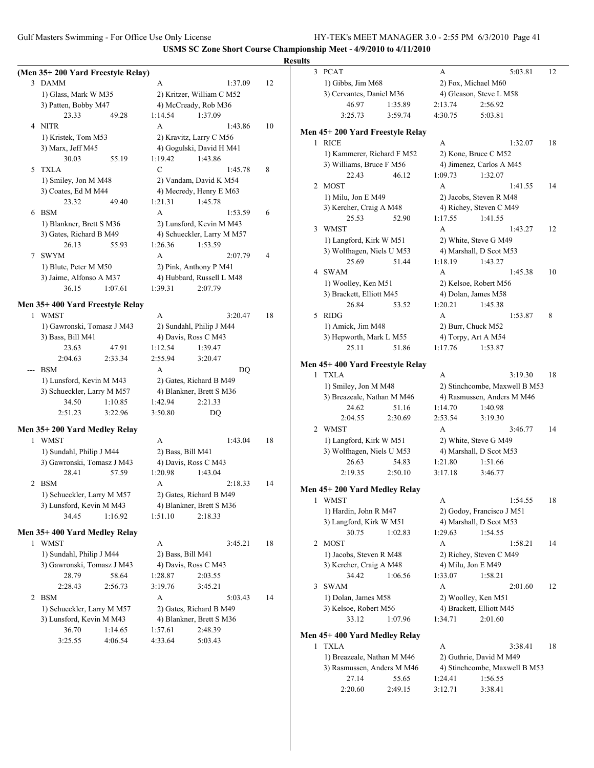Gulf Masters Swimming - For Office Use Only License HY-TEK's MEET MANAGER 3.0 - 2:55 PM 6/3/2010 Page 41

2:20.60 2:49.15 3:12.71 3:38.41

|                                                 |                          |                                                  |    | <b>Results</b>                                                                               |
|-------------------------------------------------|--------------------------|--------------------------------------------------|----|----------------------------------------------------------------------------------------------|
| (Men 35+200 Yard Freestyle Relay)               |                          |                                                  |    | 3 PCAT<br>5:03.81<br>12<br>A                                                                 |
| 3 DAMM                                          | A                        | 1:37.09                                          | 12 | 1) Gibbs, Jim M68<br>2) Fox, Michael M60                                                     |
| 1) Glass, Mark W M35                            |                          | 2) Kritzer, William C M52                        |    | 3) Cervantes, Daniel M36<br>4) Gleason, Steve L M58                                          |
| 3) Patten, Bobby M47                            |                          | 4) McCready, Rob M36                             |    | 46.97<br>1:35.89<br>2:56.92<br>2:13.74                                                       |
| 23.33<br>49.28                                  | 1:14.54                  | 1:37.09                                          |    | 3:25.73<br>3:59.74<br>4:30.75<br>5:03.81                                                     |
| 4 NITR                                          | A                        | 1:43.86                                          | 10 | Men 45+200 Yard Freestyle Relay                                                              |
| 1) Kristek, Tom M53                             |                          | 2) Kravitz, Larry C M56                          |    | 1 RICE<br>A<br>1:32.07<br>18                                                                 |
| 3) Marx, Jeff M45                               |                          | 4) Gogulski, David H M41                         |    | 1) Kammerer, Richard F M52<br>2) Kone, Bruce C M52                                           |
| 30.03<br>55.19                                  | 1:19.42<br>$\mathcal{C}$ | 1:43.86                                          |    | 3) Williams, Bruce F M56<br>4) Jimenez, Carlos A M45                                         |
| 5 TXLA                                          |                          | 1:45.78                                          | 8  | 22.43<br>1:09.73<br>46.12<br>1:32.07                                                         |
| 1) Smiley, Jon M M48                            |                          | 2) Vandam, David K M54                           |    | 2 MOST<br>1:41.55<br>14<br>A                                                                 |
| 3) Coates, Ed M M44<br>23.32<br>49.40           | 1:21.31                  | 4) Mecredy, Henry E M63<br>1:45.78               |    | 2) Jacobs, Steven R M48<br>1) Milu, Jon E M49                                                |
| 6 BSM                                           | A                        | 1:53.59                                          | 6  | 3) Kercher, Craig A M48<br>4) Richey, Steven C M49                                           |
| 1) Blankner, Brett S M36                        |                          | 2) Lunsford, Kevin M M43                         |    | 25.53<br>52.90<br>1:17.55<br>1:41.55                                                         |
| 3) Gates, Richard B M49                         |                          | 4) Schueckler, Larry M M57                       |    | 3 WMST<br>A<br>1:43.27<br>12                                                                 |
| 26.13<br>55.93                                  | 1:26.36                  | 1:53.59                                          |    | 1) Langford, Kirk W M51<br>2) White, Steve G M49                                             |
| 7 SWYM                                          | A                        | 2:07.79                                          | 4  | 3) Wolfhagen, Niels U M53<br>4) Marshall, D Scot M53                                         |
| 1) Blute, Peter M M50                           |                          | 2) Pink, Anthony P M41                           |    | 25.69<br>51.44<br>1:18.19<br>1:43.27                                                         |
| 3) Jaime, Alfonso A M37                         |                          | 4) Hubbard, Russell L M48                        |    | 4 SWAM<br>A<br>1:45.38<br>10                                                                 |
| 36.15<br>1:07.61                                | 1:39.31                  | 2:07.79                                          |    | 1) Woolley, Ken M51<br>2) Kelsoe, Robert M56                                                 |
|                                                 |                          |                                                  |    | 4) Dolan, James M58<br>3) Brackett, Elliott M45                                              |
| Men 35+400 Yard Freestyle Relay                 |                          |                                                  |    | 26.84<br>1:20.21<br>1:45.38<br>53.52                                                         |
| 1 WMST                                          | A                        | 3:20.47                                          | 18 | 5 RIDG<br>8<br>A<br>1:53.87                                                                  |
| 1) Gawronski, Tomasz J M43<br>3) Bass, Bill M41 |                          | 2) Sundahl, Philip J M44<br>4) Davis, Ross C M43 |    | 1) Amick, Jim M48<br>2) Burr, Chuck M52<br>4) Torpy, Art A M54<br>3) Hepworth, Mark L M55    |
| 23.63<br>47.91                                  | 1:12.54                  | 1:39.47                                          |    | 25.11<br>51.86<br>1:17.76<br>1:53.87                                                         |
| 2:04.63<br>2:33.34                              | 2:55.94                  | 3:20.47                                          |    |                                                                                              |
| --- BSM                                         | A                        | <b>DQ</b>                                        |    | Men 45+400 Yard Freestyle Relay                                                              |
| 1) Lunsford, Kevin M M43                        |                          | 2) Gates, Richard B M49                          |    | 1 TXLA<br>A<br>3:19.30<br>18                                                                 |
| 3) Schueckler, Larry M M57                      |                          | 4) Blankner, Brett S M36                         |    | 1) Smiley, Jon M M48<br>2) Stinchcombe, Maxwell B M53                                        |
| 1:10.85<br>34.50                                | 1:42.94                  | 2:21.33                                          |    | 3) Breazeale, Nathan M M46<br>4) Rasmussen, Anders M M46                                     |
| 2:51.23<br>3:22.96                              | 3:50.80                  | DQ                                               |    | 24.62<br>51.16<br>1:40.98<br>1:14.70                                                         |
|                                                 |                          |                                                  |    | 2:04.55<br>2:30.69<br>2:53.54<br>3:19.30                                                     |
| Men 35+200 Yard Medley Relay                    |                          |                                                  |    | 2 WMST<br>A<br>3:46.77<br>14                                                                 |
| 1 WMST                                          | A                        | 1:43.04                                          | 18 | 1) Langford, Kirk W M51<br>2) White, Steve G M49                                             |
| 1) Sundahl, Philip J M44                        | 2) Bass, Bill M41        |                                                  |    | 3) Wolfhagen, Niels U M53<br>4) Marshall, D Scot M53<br>54.83<br>1:21.80<br>26.63<br>1:51.66 |
| 3) Gawronski, Tomasz J M43<br>28.41<br>57.59    | 1:20.98                  | 4) Davis, Ross C M43<br>1:43.04                  |    | 2:19.35<br>2:50.10<br>3:17.18<br>3:46.77                                                     |
| 2 BSM                                           | A                        | 2:18.33                                          | 14 |                                                                                              |
| 1) Schueckler, Larry M M57                      |                          | 2) Gates, Richard B M49                          |    | Men 45+200 Yard Medley Relay                                                                 |
| 3) Lunsford, Kevin M M43                        |                          | 4) Blankner, Brett S M36                         |    | 1 WMST<br>1:54.55<br>A<br>18                                                                 |
| 34.45<br>1:16.92                                | 1:51.10                  | 2:18.33                                          |    | 1) Hardin, John R M47<br>2) Godoy, Francisco J M51                                           |
|                                                 |                          |                                                  |    | 3) Langford, Kirk W M51<br>4) Marshall, D Scot M53                                           |
| Men 35+400 Yard Medley Relay                    |                          |                                                  |    | 1:29.63<br>1:54.55<br>30.75<br>1:02.83                                                       |
| 1 WMST                                          | A                        | 3:45.21                                          | 18 | 2 MOST<br>A<br>1:58.21<br>14                                                                 |
| 1) Sundahl, Philip J M44                        | 2) Bass, Bill M41        |                                                  |    | 1) Jacobs, Steven R M48<br>2) Richey, Steven C M49                                           |
| 3) Gawronski, Tomasz J M43<br>28.79             |                          | 4) Davis, Ross C M43                             |    | 3) Kercher, Craig A M48<br>4) Milu, Jon E M49                                                |
| 58.64<br>2:28.43<br>2:56.73                     | 1:28.87<br>3:19.76       | 2:03.55<br>3:45.21                               |    | 34.42<br>1:06.56<br>1:33.07<br>1:58.21<br>3 SWAM<br>A<br>2:01.60<br>12                       |
| 2 BSM                                           | A                        | 5:03.43                                          | 14 | 2) Woolley, Ken M51<br>1) Dolan, James M58                                                   |
| 1) Schueckler, Larry M M57                      |                          | 2) Gates, Richard B M49                          |    | 3) Kelsoe, Robert M56<br>4) Brackett, Elliott M45                                            |
| 3) Lunsford, Kevin M M43                        |                          | 4) Blankner, Brett S M36                         |    | 33.12<br>1:07.96<br>1:34.71<br>2:01.60                                                       |
| 36.70<br>1:14.65                                | 1:57.61                  | 2:48.39                                          |    |                                                                                              |
| 3:25.55<br>4:06.54                              | 4:33.64                  | 5:03.43                                          |    | Men 45+400 Yard Medley Relay                                                                 |
|                                                 |                          |                                                  |    | 3:38.41<br>1 TXLA<br>18<br>A                                                                 |
|                                                 |                          |                                                  |    | 1) Breazeale, Nathan M M46<br>2) Guthrie, David M M49                                        |
|                                                 |                          |                                                  |    | 4) Stinchcombe, Maxwell B M53<br>3) Rasmussen, Anders M M46                                  |
|                                                 |                          |                                                  |    | 27.14<br>55.65<br>1:24.41<br>1:56.55                                                         |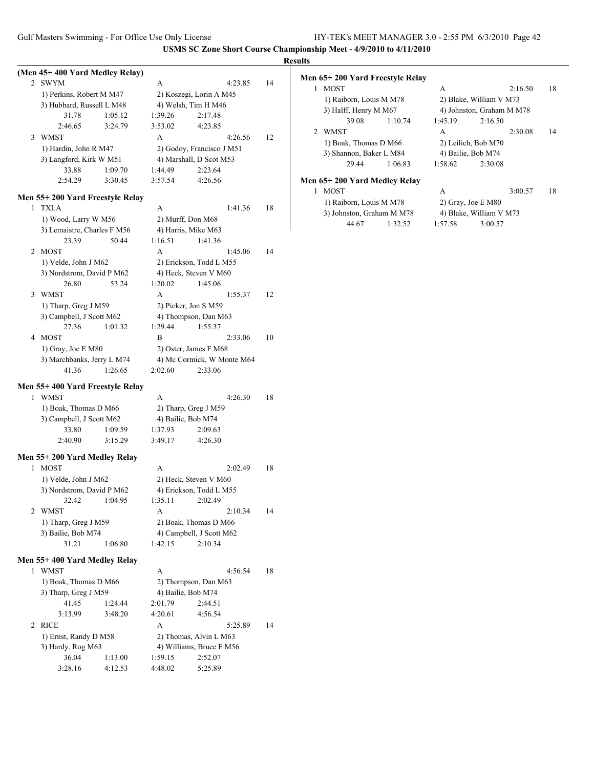|   |                                  |   |                            |         |         |    | <b>Results</b> |
|---|----------------------------------|---|----------------------------|---------|---------|----|----------------|
|   | (Men 45+400 Yard Medley Relay)   |   |                            |         |         |    | Me             |
| 2 | SWYM                             | A |                            |         | 4:23.85 | 14 |                |
|   | 1) Perkins, Robert M M47         |   | 2) Koszegi, Lorin A M45    |         |         |    |                |
|   | 3) Hubbard, Russell L M48        |   | 4) Welsh, Tim H M46        |         |         |    |                |
|   | 31.78<br>1:05.12                 |   | 1:39.26                    | 2:17.48 |         |    |                |
|   | 2:46.65<br>3:24.79               |   | 3:53.02                    | 4:23.85 |         |    |                |
| 3 | <b>WMST</b>                      | A |                            |         | 4:26.56 | 12 |                |
|   | 1) Hardin, John R M47            |   | 2) Godoy, Francisco J M51  |         |         |    |                |
|   | 3) Langford, Kirk W M51          |   | 4) Marshall, D Scot M53    |         |         |    |                |
|   | 33.88<br>1:09.70                 |   | 1:44.49                    | 2:23.64 |         |    |                |
|   | 2:54.29<br>3:30.45               |   | 3:57.54                    | 4:26.56 |         |    | Me             |
|   | Men 55+200 Yard Freestyle Relay  |   |                            |         |         |    |                |
| 1 | <b>TXLA</b>                      | A |                            |         | 1:41.36 | 18 |                |
|   | 1) Wood, Larry W M56             |   | 2) Murff, Don M68          |         |         |    |                |
|   | 3) Lemaistre, Charles F M56      |   | 4) Harris, Mike M63        |         |         |    |                |
|   | 23.39<br>50.44                   |   | 1:16.51                    | 1:41.36 |         |    |                |
| 2 | MOST                             | A |                            |         | 1:45.06 | 14 |                |
|   | 1) Velde, John J M62             |   | 2) Erickson, Todd L M55    |         |         |    |                |
|   | 3) Nordstrom, David P M62        |   | 4) Heck, Steven V M60      |         |         |    |                |
|   | 26.80<br>53.24                   |   | 1:20.02                    | 1:45.06 |         |    |                |
| 3 | <b>WMST</b>                      | A |                            |         | 1:55.37 | 12 |                |
|   | 1) Tharp, Greg J M59             |   | 2) Picker, Jon S M59       |         |         |    |                |
|   | 3) Campbell, J Scott M62         |   | 4) Thompson, Dan M63       |         |         |    |                |
|   | 27.36<br>1:01.32                 |   | 1:29.44                    | 1:55.37 |         |    |                |
| 4 | <b>MOST</b>                      | B |                            |         | 2:33.06 | 10 |                |
|   | 1) Gray, Joe E M80               |   | 2) Oster, James F M68      |         |         |    |                |
|   | 3) Marchbanks, Jerry L M74       |   | 4) Mc Cormick, W Monte M64 |         |         |    |                |
|   | 1:26.65<br>41.36                 |   | 2:02.60                    | 2:33.06 |         |    |                |
|   |                                  |   |                            |         |         |    |                |
|   | Men 55+ 400 Yard Freestyle Relay |   |                            |         |         |    |                |
| 1 | WMST                             | A |                            |         | 4:26.30 | 18 |                |
|   | 1) Boak, Thomas D M66            |   | 2) Tharp, Greg J M59       |         |         |    |                |
|   | 3) Campbell, J Scott M62         |   | 4) Bailie, Bob M74         |         |         |    |                |
|   | 33.80<br>1:09.59                 |   | 1:37.93                    | 2:09.63 |         |    |                |
|   | 2:40.90<br>3:15.29               |   | 3:49.17                    | 4:26.30 |         |    |                |
|   | Men 55+200 Yard Medley Relay     |   |                            |         |         |    |                |
| 1 | <b>MOST</b>                      | A |                            |         | 2:02.49 | 18 |                |
|   | 1) Velde, John J M62             |   | 2) Heck, Steven V M60      |         |         |    |                |
|   | 3) Nordstrom, David P M62        |   | 4) Erickson, Todd L M55    |         |         |    |                |
|   | 32.42<br>1:04.95                 |   | 1:35.11                    | 2:02.49 |         |    |                |
| 2 | <b>WMST</b>                      | А |                            |         | 2:10.34 | 14 |                |
|   | 1) Tharp, Greg J M59             |   | 2) Boak, Thomas D M66      |         |         |    |                |
|   | 3) Bailie, Bob M74               |   | 4) Campbell, J Scott M62   |         |         |    |                |
|   | 31.21<br>1:06.80                 |   | 1:42.15                    | 2:10.34 |         |    |                |
|   |                                  |   |                            |         |         |    |                |
|   | Men 55+ 400 Yard Medley Relay    |   |                            |         |         |    |                |
|   | 1 WMST                           | A |                            |         | 4:56.54 | 18 |                |
|   | 1) Boak, Thomas D M66            |   | 2) Thompson, Dan M63       |         |         |    |                |
|   | 3) Tharp, Greg J M59             |   | 4) Bailie, Bob M74         |         |         |    |                |
|   | 41.45<br>1:24.44                 |   | 2:01.79                    | 2:44.51 |         |    |                |
|   | 3:13.99<br>3:48.20               |   | 4:20.61                    | 4:56.54 |         |    |                |
| 2 | <b>RICE</b>                      | A |                            |         | 5:25.89 | 14 |                |
|   | 1) Ernst, Randy D M58            |   | 2) Thomas, Alvin L M63     |         |         |    |                |
|   | 3) Hardy, Rog M63                |   | 4) Williams, Bruce F M56   |         |         |    |                |
|   | 36.04<br>1:13.00                 |   | 1:59.15                    | 2:52.07 |         |    |                |
|   | 3:28.16<br>4:12.53               |   | 4:48.02                    | 5:25.89 |         |    |                |

### **Men 65+ 200 Yard Freestyle Relay**

|               | <b>MOST</b>                  |         | A                   | 2:16.50                   | 18 |
|---------------|------------------------------|---------|---------------------|---------------------------|----|
|               | 1) Raiborn, Louis M M78      |         |                     | 2) Blake, William V M73   |    |
|               | 3) Halff, Henry M M67        |         |                     | 4) Johnston, Graham M M78 |    |
|               | 39.08                        | 1:10.74 | 1:45.19             | 2:16.50                   |    |
| $\mathcal{L}$ | <b>WMST</b>                  |         | A                   | 2:30.08                   | 14 |
|               | 1) Boak, Thomas D M66        |         | 2) Leilich, Bob M70 |                           |    |
|               | 3) Shannon, Baker L M84      |         |                     | 4) Bailie, Bob M74        |    |
|               | 29.44                        | 1:06.83 | 1:58.62             | 2:30.08                   |    |
|               | Men 65+200 Yard Medley Relay |         |                     |                           |    |
|               | <b>MOST</b>                  |         | A                   | 3:00.57                   | 18 |
|               | 1) Raiborn, Louis M M78      |         |                     | $2)$ Gray, Joe E M80      |    |

3) Johnston, Graham M M78 4) Blake, William V M73 44.67 1:32.52 1:57.58 3:00.57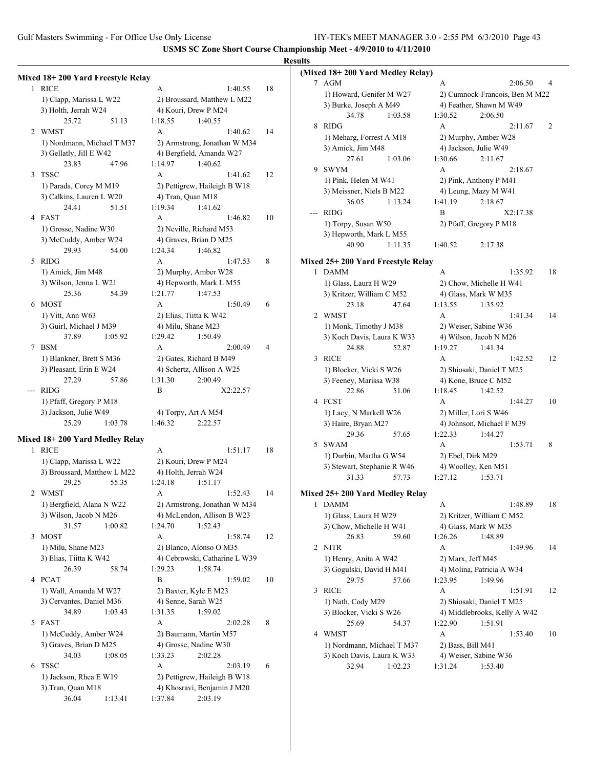# **Results**

|   | Mixed 18+200 Yard Freestyle Relay |                               |    |
|---|-----------------------------------|-------------------------------|----|
|   | 1 RICE                            | A<br>1:40.55                  | 18 |
|   | 1) Clapp, Marissa L W22           | 2) Broussard, Matthew L M22   |    |
|   | 3) Holth, Jerrah W24              | 4) Kouri, Drew P M24          |    |
|   | 25.72<br>51.13                    | 1:18.55<br>1:40.55            |    |
| 2 | <b>WMST</b>                       | A<br>1:40.62                  | 14 |
|   | 1) Nordmann, Michael T M37        | 2) Armstrong, Jonathan W M34  |    |
|   | 3) Gellatly, Jill E W42           | 4) Bergfield, Amanda W27      |    |
|   | 23.83<br>47.96                    | 1:14.97<br>1:40.62            |    |
| 3 | <b>TSSC</b>                       | A<br>1:41.62                  | 12 |
|   | 1) Parada, Corey M M19            | 2) Pettigrew, Haileigh B W18  |    |
|   | 3) Calkins, Lauren L W20          | 4) Tran, Quan M18             |    |
|   | 24.41<br>51.51                    | 1:19.34<br>1:41.62            |    |
|   | 4 FAST                            | A<br>1:46.82                  | 10 |
|   | 1) Grosse, Nadine W30             | 2) Neville, Richard M53       |    |
|   | 3) McCuddy, Amber W24             | 4) Graves, Brian D M25        |    |
|   | 29.93<br>54.00                    | 1:24.34<br>1:46.82            |    |
| 5 | <b>RIDG</b>                       | A<br>1:47.53                  | 8  |
|   | 1) Amick, Jim M48                 | 2) Murphy, Amber W28          |    |
|   | 3) Wilson, Jenna L W21            | 4) Hepworth, Mark L M55       |    |
|   | 25.36<br>54.39                    | 1:21.77<br>1:47.53            |    |
|   | 6 MOST                            | A<br>1:50.49                  | 6  |
|   | 1) Vitt, Ann W63                  | 2) Elias, Tiitta K W42        |    |
|   | 3) Guirl, Michael J M39           | 4) Milu, Shane M23            |    |
|   | 37.89<br>1:05.92                  | 1:29.42<br>1:50.49            |    |
| 7 | <b>BSM</b>                        | A<br>2:00.49                  | 4  |
|   | 1) Blankner, Brett S M36          | 2) Gates, Richard B M49       |    |
|   | 3) Pleasant, Erin E W24           | 4) Schertz, Allison A W25     |    |
|   | 57.86<br>27.29                    | 1:31.30<br>2:00.49            |    |
|   | <b>RIDG</b>                       | B<br>X2:22.57                 |    |
|   | 1) Pfaff, Gregory P M18           |                               |    |
|   | 3) Jackson, Julie W49             | 4) Torpy, Art A M54           |    |
|   | 25.29<br>1:03.78                  | 1:46.32<br>2:22.57            |    |
|   | Mixed 18+200 Yard Medley Relay    |                               |    |
| 1 | <b>RICE</b>                       | A<br>1:51.17                  | 18 |
|   | 1) Clapp, Marissa L W22           | 2) Kouri, Drew P M24          |    |
|   | 3) Broussard, Matthew L M22       | 4) Holth, Jerrah W24          |    |
|   | 29.25<br>55.35                    | 1:24.18<br>1:51.17            |    |
| 2 | WMST                              | 1:52.43<br>A                  | 14 |
|   | 1) Bergfield, Alana N W22         | 2) Armstrong, Jonathan W M34  |    |
|   | 3) Wilson, Jacob N M26            | 4) McLendon, Allison B W23    |    |
|   | 31.57<br>1:00.82                  | 1:24.70<br>1:52.43            |    |
| 3 | <b>MOST</b>                       | A<br>1:58.74                  | 12 |
|   | 1) Milu, Shane M23                | 2) Blanco, Alonso O M35       |    |
|   | 3) Elias, Tiitta K W42            | 4) Cebrowski, Catharine L W39 |    |
|   | 26.39<br>58.74                    | 1:29.23<br>1:58.74            |    |
|   | 4 PCAT                            | B<br>1:59.02                  | 10 |
|   | 1) Wall, Amanda M W27             | 2) Baxter, Kyle E M23         |    |
|   | 3) Cervantes, Daniel M36          | 4) Senne, Sarah W25           |    |
|   | 34.89<br>1:03.43                  | 1:31.35<br>1:59.02            |    |
| 5 | FAST                              | A<br>2:02.28                  | 8  |
|   | 1) McCuddy, Amber W24             | 2) Baumann, Martin M57        |    |
|   | 3) Graves, Brian D M25            | 4) Grosse, Nadine W30         |    |
|   | 34.03<br>1:08.05                  | 1:33.23<br>2:02.28            |    |
| 6 | <b>TSSC</b>                       | A<br>2:03.19                  | 6  |
|   | 1) Jackson, Rhea E W19            | 2) Pettigrew, Haileigh B W18  |    |
|   | 3) Tran, Quan M18                 | 4) Khosravi, Benjamin J M20   |    |
|   | 36.04<br>1:13.41                  | 1:37.84<br>2:03.19            |    |
|   |                                   |                               |    |

| ПS     |                                               |                                |    |
|--------|-----------------------------------------------|--------------------------------|----|
|        | (Mixed 18+200 Yard Medley Relay)              |                                |    |
| $\tau$ | AGM                                           | A<br>2:06.50                   | 4  |
|        | 1) Howard, Genifer M W27                      | 2) Cumnock-Francois, Ben M M22 |    |
|        | 3) Burke, Joseph A M49                        | 4) Feather, Shawn M W49        |    |
|        | 34.78<br>1:03.58                              | 1:30.52<br>2:06.50             |    |
| 8      | <b>RIDG</b>                                   | A<br>2:11.67                   | 2  |
|        | 1) Meharg, Forrest A M18                      | 2) Murphy, Amber W28           |    |
|        | 3) Amick, Jim M48                             | 4) Jackson, Julie W49          |    |
|        | 27.61<br>1:03.06                              | 1:30.66<br>2:11.67             |    |
| 9      | <b>SWYM</b>                                   | $\overline{A}$<br>2:18.67      |    |
|        | 1) Pink, Helen M W41                          | 2) Pink, Anthony P M41         |    |
|        | 3) Meissner, Niels B M22                      | 4) Leung, Mazy M W41           |    |
|        | 36.05<br>1:13.24                              | 1:41.19<br>2:18.67             |    |
| ---    | <b>RIDG</b>                                   | B<br>X2:17.38                  |    |
|        | 1) Torpy, Susan W50                           | 2) Pfaff, Gregory P M18        |    |
|        | 3) Hepworth, Mark L M55                       |                                |    |
|        | 40.90<br>1:11.35                              | 1:40.52<br>2:17.38             |    |
|        |                                               |                                |    |
|        | Mixed 25+200 Yard Freestyle Relay             |                                |    |
| 1      | <b>DAMM</b>                                   | A<br>1:35.92                   | 18 |
|        | 1) Glass, Laura H W29                         | 2) Chow, Michelle H W41        |    |
|        | 3) Kritzer, William C M52                     | 4) Glass, Mark W M35           |    |
|        | 23.18<br>47.64                                | 1:13.55<br>1:35.92             |    |
| 2      | WMST                                          | A<br>1:41.34                   | 14 |
|        | 1) Monk, Timothy J M38                        | 2) Weiser, Sabine W36          |    |
|        | 3) Koch Davis, Laura K W33                    | 4) Wilson, Jacob N M26         |    |
|        | 24.88<br>52.87                                | 1:19.27<br>1:41.34             |    |
| 3      | <b>RICE</b>                                   | A<br>1:42.52                   | 12 |
|        | 1) Blocker, Vicki S W26                       | 2) Shiosaki, Daniel T M25      |    |
|        | 3) Feeney, Marissa W38                        | 4) Kone, Bruce C M52           |    |
|        | 22.86<br>51.06                                | 1:18.45<br>1:42.52             |    |
| 4      | <b>FCST</b>                                   | A<br>1:44.27                   | 10 |
|        | 1) Lacy, N Markell W26                        | 2) Miller, Lori S W46          |    |
|        | 3) Haire, Bryan M27                           | 4) Johnson, Michael F M39      |    |
|        | 29.36<br>57.65                                | 1:22.33<br>1:44.27             |    |
| 5      | <b>SWAM</b>                                   | A<br>1:53.71                   | 8  |
|        | 1) Durbin, Martha G W54                       | 2) Ebel, Dirk M29              |    |
|        |                                               | 4) Woolley, Ken M51            |    |
|        | 3) Stewart, Stephanie R W46<br>31.33<br>57.73 | 1:27.12<br>1:53.71             |    |
|        |                                               |                                |    |
|        | Mixed 25+200 Yard Medley Relay                |                                |    |
| 1      | <b>DAMM</b>                                   | А<br>1:48.89                   | 18 |
|        | 1) Glass, Laura H W29                         | 2) Kritzer, William C M52      |    |
|        | 3) Chow, Michelle H W41                       | 4) Glass, Mark W M35           |    |
|        | 26.83<br>59.60                                | 1:26.26<br>1:48.89             |    |
| 2      | <b>NITR</b>                                   | A<br>1:49.96                   | 14 |
|        | 1) Henry, Anita A W42                         | 2) Marx, Jeff M45              |    |
|        | 3) Gogulski, David H M41                      | 4) Molina, Patricia A W34      |    |
|        | 29.75<br>57.66                                | 1:23.95<br>1:49.96             |    |
| 3      | <b>RICE</b>                                   | А<br>1:51.91                   | 12 |
|        | 1) Nath, Cody M29                             | 2) Shiosaki, Daniel T M25      |    |
|        | 3) Blocker, Vicki S W26                       | 4) Middlebrooks, Kelly A W42   |    |
|        | 25.69<br>54.37                                | 1:51.91<br>1:22.90             |    |
|        |                                               |                                |    |
| 4      | WMST                                          | А<br>1:53.40                   | 10 |
|        | 1) Nordmann, Michael T M37                    | 2) Bass, Bill M41              |    |
|        | 3) Koch Davis, Laura K W33                    | 4) Weiser, Sabine W36          |    |
|        | 32.94<br>1:02.23                              | 1:53.40<br>1:31.24             |    |
|        |                                               |                                |    |
|        |                                               |                                |    |
|        |                                               |                                |    |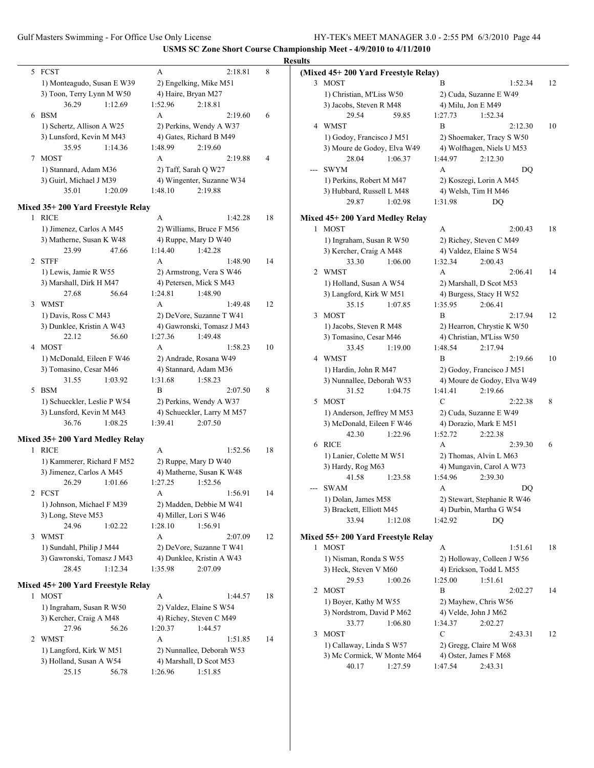|                                   |                           |                            |    | <b>Results</b>                                                 |             |
|-----------------------------------|---------------------------|----------------------------|----|----------------------------------------------------------------|-------------|
| 5 FCST                            | A                         | 2:18.81                    | 8  | (Mixed 45+200 Yard Freestyle Relay)                            |             |
| 1) Monteagudo, Susan E W39        | 2) Engelking, Mike M51    |                            |    | 3 MOST<br>B<br>1:52.34                                         | 12          |
| 3) Toon, Terry Lynn M W50         | 4) Haire, Bryan M27       |                            |    | 1) Christian, M'Liss W50<br>2) Cuda, Suzanne E W49             |             |
| 36.29<br>1:12.69                  | 1:52.96                   | 2:18.81                    |    | 3) Jacobs, Steven R M48<br>4) Milu, Jon E M49                  |             |
| 6 BSM                             | A                         | 2:19.60                    | 6  | 29.54<br>1:52.34<br>59.85<br>1:27.73                           |             |
| 1) Schertz, Allison A W25         | 2) Perkins, Wendy A W37   |                            |    | 4 WMST<br>B<br>2:12.30                                         | 10          |
| 3) Lunsford, Kevin M M43          | 4) Gates, Richard B M49   |                            |    | 1) Godoy, Francisco J M51<br>2) Shoemaker, Tracy S W50         |             |
| 35.95<br>1:14.36                  | 1:48.99                   | 2:19.60                    |    | 3) Moure de Godoy, Elva W49<br>4) Wolfhagen, Niels U M53       |             |
| 7 MOST                            | A                         | 2:19.88                    | 4  | 28.04<br>1:06.37<br>1:44.97<br>2:12.30                         |             |
| 1) Stannard, Adam M36             | 2) Taff, Sarah Q W27      |                            |    | --- SWYM<br>A<br>DQ                                            |             |
| 3) Guirl, Michael J M39           | 4) Wingenter, Suzanne W34 |                            |    | 1) Perkins, Robert M M47<br>2) Koszegi, Lorin A M45            |             |
| 35.01<br>1:20.09                  | 1:48.10                   | 2:19.88                    |    | 4) Welsh, Tim H M46<br>3) Hubbard, Russell L M48               |             |
|                                   |                           |                            |    | 29.87<br>1:02.98<br>1:31.98<br><b>DQ</b>                       |             |
| Mixed 35+200 Yard Freestyle Relay |                           |                            |    |                                                                |             |
| 1 RICE                            | A                         | 1:42.28                    | 18 | Mixed 45+200 Yard Medley Relay                                 |             |
| 1) Jimenez, Carlos A M45          | 2) Williams, Bruce F M56  |                            |    | 1 MOST<br>A<br>2:00.43                                         | 18          |
| 3) Matherne, Susan K W48          | 4) Ruppe, Mary D W40      |                            |    | 1) Ingraham, Susan R W50<br>2) Richey, Steven C M49            |             |
| 23.99<br>47.66                    | 1:14.40                   | 1:42.28                    |    | 3) Kercher, Craig A M48<br>4) Valdez, Elaine S W54             |             |
| 2 STFF                            | A                         | 1:48.90                    | 14 | 33.30<br>1:06.00<br>1:32.34<br>2:00.43                         |             |
| 1) Lewis, Jamie R W55             | 2) Armstrong, Vera S W46  |                            |    | 2 WMST<br>A<br>2:06.41                                         | 14          |
| 3) Marshall, Dirk H M47           | 4) Petersen, Mick S M43   |                            |    | 1) Holland, Susan A W54<br>2) Marshall, D Scot M53             |             |
| 27.68<br>56.64                    | 1:24.81                   | 1:48.90                    |    | 3) Langford, Kirk W M51<br>4) Burgess, Stacy H W52             |             |
| 3 WMST                            | A                         | 1:49.48                    | 12 | 35.15<br>1:07.85<br>2:06.41<br>1:35.95                         |             |
| 1) Davis, Ross C M43              | 2) DeVore, Suzanne T W41  |                            |    | 3 MOST<br>$\overline{B}$<br>2:17.94                            | 12          |
| 3) Dunklee, Kristin A W43         |                           | 4) Gawronski, Tomasz J M43 |    | 1) Jacobs, Steven R M48<br>2) Hearron, Chrystie K W50          |             |
| 22.12<br>56.60                    | 1:27.36                   | 1:49.48                    |    | 3) Tomasino, Cesar M46<br>4) Christian, M'Liss W50             |             |
| 4 MOST                            | A                         | 1:58.23                    | 10 | 33.45<br>1:19.00<br>1:48.54<br>2:17.94                         |             |
| 1) McDonald, Eileen F W46         | 2) Andrade, Rosana W49    |                            |    | 4 WMST<br>B<br>2:19.66                                         | 10          |
| 3) Tomasino, Cesar M46            | 4) Stannard, Adam M36     |                            |    | 2) Godoy, Francisco J M51<br>1) Hardin, John R M47             |             |
| 31.55<br>1:03.92                  | 1:31.68                   | 1:58.23                    |    | 4) Moure de Godoy, Elva W49<br>3) Nunnallee, Deborah W53       |             |
| 5 BSM                             | B                         | 2:07.50                    | 8  | 31.52<br>1:04.75<br>1:41.41<br>2:19.66                         |             |
| 1) Schueckler, Leslie P W54       | 2) Perkins, Wendy A W37   |                            |    | $\mathbf C$<br>5 MOST<br>2:22.38                               | $\,$ 8 $\,$ |
| 3) Lunsford, Kevin M M43          |                           | 4) Schueckler, Larry M M57 |    | 2) Cuda, Suzanne E W49                                         |             |
| 36.76<br>1:08.25                  | 1:39.41                   | 2:07.50                    |    | 1) Anderson, Jeffrey M M53                                     |             |
|                                   |                           |                            |    | 3) McDonald, Eileen F W46<br>4) Dorazio, Mark E M51<br>1:22.96 |             |
| Mixed 35+200 Yard Medley Relay    |                           |                            |    | 42.30<br>1:52.72<br>2:22.38                                    |             |
| 1 RICE                            | A                         | 1:52.56                    | 18 | 6 RICE<br>2:39.30<br>A                                         | 6           |
| 1) Kammerer, Richard F M52        | 2) Ruppe, Mary D W40      |                            |    | 1) Lanier, Colette M W51<br>2) Thomas, Alvin L M63             |             |
| 3) Jimenez, Carlos A M45          | 4) Matherne, Susan K W48  |                            |    | 3) Hardy, Rog M63<br>4) Mungavin, Carol A W73                  |             |
| 26.29<br>1:01.66                  | 1:27.25                   | 1:52.56                    |    | 41.58<br>1:23.58<br>1:54.96<br>2:39.30                         |             |
| 2 FCST                            | A                         | 1:56.91                    | 14 | --- SWAM<br>DO.<br>A                                           |             |
| 1) Johnson, Michael F M39         | 2) Madden, Debbie M W41   |                            |    | 1) Dolan, James M58<br>2) Stewart, Stephanie R W46             |             |
| 3) Long, Steve M53                | 4) Miller, Lori S W46     |                            |    | 3) Brackett, Elliott M45<br>4) Durbin, Martha G W54            |             |
| 24.96<br>1:02.22                  | 1:28.10                   | 1:56.91                    |    | 33.94<br>1:12.08<br>1:42.92<br>DQ                              |             |
| 3 WMST                            | A                         | 2:07.09                    | 12 | Mixed 55+200 Yard Freestyle Relay                              |             |
| 1) Sundahl, Philip J M44          | 2) DeVore, Suzanne T W41  |                            |    | 1 MOST<br>A<br>1:51.61                                         | 18          |
| 3) Gawronski, Tomasz J M43        | 4) Dunklee, Kristin A W43 |                            |    | 2) Holloway, Colleen J W56<br>1) Nisman, Ronda S W55           |             |
| 28.45<br>1:12.34                  | 1:35.98                   | 2:07.09                    |    | 3) Heck, Steven V M60<br>4) Erickson, Todd L M55               |             |
|                                   |                           |                            |    | 29.53<br>1:00.26<br>1:25.00<br>1:51.61                         |             |
| Mixed 45+200 Yard Freestyle Relay |                           |                            |    | 2 MOST<br>B<br>2:02.27                                         | 14          |
| 1 MOST                            | A                         | 1:44.57                    | 18 | 1) Boyer, Kathy M W55<br>2) Mayhew, Chris W56                  |             |
| 1) Ingraham, Susan R W50          | 2) Valdez, Elaine S W54   |                            |    | 3) Nordstrom, David P M62<br>4) Velde, John J M62              |             |
| 3) Kercher, Craig A M48           | 4) Richey, Steven C M49   |                            |    | 33.77<br>1:06.80<br>1:34.37<br>2:02.27                         |             |
| 27.96<br>56.26                    | 1:20.37                   | 1:44.57                    |    | $\mathcal{C}$<br>3 MOST<br>2:43.31                             | 12          |
| 2 WMST                            | A                         | 1:51.85                    | 14 |                                                                |             |
| 1) Langford, Kirk W M51           | 2) Nunnallee, Deborah W53 |                            |    | 1) Callaway, Linda S W57<br>2) Gregg, Claire M W68             |             |
| 3) Holland, Susan A W54           | 4) Marshall, D Scot M53   |                            |    | 3) Mc Cormick, W Monte M64<br>4) Oster, James F M68            |             |
| 25.15<br>56.78                    | 1:26.96                   | 1:51.85                    |    | 1:27.59<br>1:47.54<br>2:43.31<br>40.17                         |             |
|                                   |                           |                            |    |                                                                |             |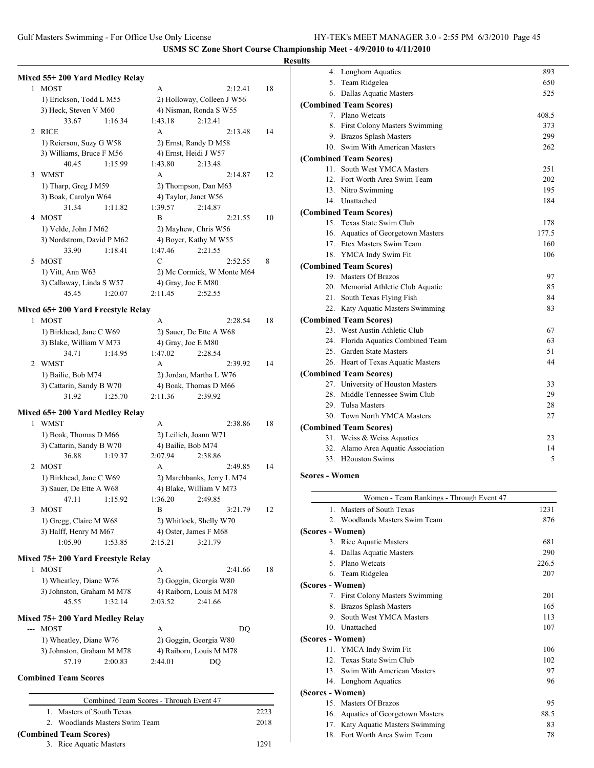### **Results**

|              | Mixed 55+200 Yard Medley Relay              |         |                                         |                            |         |      |
|--------------|---------------------------------------------|---------|-----------------------------------------|----------------------------|---------|------|
| 1            | <b>MOST</b>                                 |         | A                                       |                            | 2:12.41 | 18   |
|              | 1) Erickson, Todd L M55                     |         |                                         | 2) Holloway, Colleen J W56 |         |      |
|              | 3) Heck, Steven V M60                       |         |                                         | 4) Nisman, Ronda S W55     |         |      |
|              | 33.67                                       | 1:16.34 | 1:43.18                                 | 2:12.41                    |         |      |
| 2            | <b>RICE</b>                                 |         | A                                       |                            | 2:13.48 | 14   |
|              | 1) Reierson, Suzy G W58                     |         |                                         | 2) Ernst, Randy D M58      |         |      |
|              | 3) Williams, Bruce F M56                    |         |                                         | 4) Ernst, Heidi J W57      |         |      |
|              | 40.45                                       | 1:15.99 | 1:43.80                                 | 2:13.48                    |         |      |
| 3            | <b>WMST</b>                                 |         | A                                       |                            | 2:14.87 | 12   |
|              | 1) Tharp, Greg J M59                        |         |                                         | 2) Thompson, Dan M63       |         |      |
|              | 3) Boak, Carolyn W64                        |         |                                         | 4) Taylor, Janet W56       |         |      |
|              | 31.34                                       | 1:11.82 | 1:39.57                                 | 2:14.87                    |         |      |
| 4            | MOST                                        |         | B                                       |                            | 2:21.55 | 10   |
|              | 1) Velde, John J M62                        |         |                                         |                            |         |      |
|              |                                             |         |                                         | 2) Mayhew, Chris W56       |         |      |
|              | 3) Nordstrom, David P M62                   |         |                                         | 4) Boyer, Kathy M W55      |         |      |
|              | 33.90                                       | 1:18.41 | 1:47.46                                 | 2:21.55                    |         |      |
| 5            | <b>MOST</b>                                 |         | C                                       |                            | 2:52.55 | 8    |
|              | 1) Vitt, Ann W63                            |         |                                         | 2) Mc Cormick, W Monte M64 |         |      |
|              | 3) Callaway, Linda S W57                    |         | 4) Gray, Joe E M80                      |                            |         |      |
|              | 45.45                                       | 1:20.07 | 2:11.45                                 | 2:52.55                    |         |      |
|              | Mixed 65+200 Yard Freestyle Relay           |         |                                         |                            |         |      |
|              | 1 MOST                                      |         | A                                       |                            | 2:28.54 | 18   |
|              | 1) Birkhead, Jane C W69                     |         |                                         | 2) Sauer, De Ette A W68    |         |      |
|              | 3) Blake, William V M73                     |         | 4) Gray, Joe E M80                      |                            |         |      |
|              | 34.71                                       | 1:14.95 | 1:47.02                                 | 2:28.54                    |         |      |
| 2            | <b>WMST</b>                                 |         | A                                       |                            | 2:39.92 | 14   |
|              |                                             |         |                                         |                            |         |      |
|              | 1) Bailie, Bob M74                          |         |                                         | 2) Jordan, Martha L W76    |         |      |
|              | 3) Cattarin, Sandy B W70                    |         |                                         | 4) Boak, Thomas D M66      |         |      |
|              | 31.92                                       | 1:25.70 | 2:11.36                                 | 2:39.92                    |         |      |
|              | Mixed 65+200 Yard Medley Relay              |         |                                         |                            |         |      |
| $\mathbf{1}$ | <b>WMST</b>                                 |         | А                                       |                            | 2:38.86 | 18   |
|              | 1) Boak, Thomas D M66                       |         |                                         | 2) Leilich, Joann W71      |         |      |
|              | 3) Cattarin, Sandy B W70                    |         | 4) Bailie, Bob M74                      |                            |         |      |
|              | 36.88                                       | 1:19.37 | 2:07.94                                 | 2:38.86                    |         |      |
| 2            | <b>MOST</b>                                 |         | A                                       |                            | 2:49.85 | 14   |
|              | 1) Birkhead, Jane C W69                     |         |                                         | 2) Marchbanks, Jerry L M74 |         |      |
|              | 3) Sauer, De Ette A W68                     |         |                                         | 4) Blake, William V M73    |         |      |
|              | 47.11                                       | 1:15.92 | 1:36.20                                 | 2:49.85                    |         |      |
| 3            | <b>MOST</b>                                 |         | В                                       |                            | 3:21.79 | 12   |
|              | 1) Gregg, Claire M W68                      |         |                                         | 2) Whitlock, Shelly W70    |         |      |
|              | 3) Halff, Henry M M67                       |         |                                         | 4) Oster, James F M68      |         |      |
|              | 1:05.90                                     | 1:53.85 | 2:15.21                                 | 3:21.79                    |         |      |
|              |                                             |         |                                         |                            |         |      |
|              | Mixed 75+ 200 Yard Freestyle Relay          |         |                                         |                            |         |      |
| 1            | <b>MOST</b>                                 |         | А                                       |                            | 2:41.66 | 18   |
|              | 1) Wheatley, Diane W76                      |         |                                         | 2) Goggin, Georgia W80     |         |      |
|              | 3) Johnston, Graham M M78                   |         |                                         | 4) Raiborn, Louis M M78    |         |      |
|              | 45.55                                       | 1:32.14 | 2:03.52                                 | 2:41.66                    |         |      |
|              |                                             |         |                                         |                            |         |      |
|              | Mixed 75+ 200 Yard Medley Relay<br>--- MOST |         | А                                       |                            | DQ      |      |
|              |                                             |         |                                         |                            |         |      |
|              | 1) Wheatley, Diane W76                      |         |                                         | 2) Goggin, Georgia W80     |         |      |
|              | 3) Johnston, Graham M M78                   |         |                                         | 4) Raiborn, Louis M M78    |         |      |
|              | 57.19                                       | 2:00.83 | 2:44.01                                 | DQ                         |         |      |
|              | <b>Combined Team Scores</b>                 |         |                                         |                            |         |      |
|              |                                             |         |                                         |                            |         |      |
|              |                                             |         | Combined Team Scores - Through Event 47 |                            |         |      |
|              | 1. Masters of South Texas                   |         |                                         |                            |         | 2223 |

2. Woodlands Masters Swim Team 2018

| แเร |                                    |       |
|-----|------------------------------------|-------|
|     | 4. Longhorn Aquatics               | 893   |
|     | 5. Team Ridgelea                   | 650   |
|     | 6. Dallas Aquatic Masters          | 525   |
|     | (Combined Team Scores)             |       |
|     | 7. Plano Wetcats                   | 408.5 |
|     | 8. First Colony Masters Swimming   | 373   |
|     | 9. Brazos Splash Masters           | 299   |
|     | 10. Swim With American Masters     | 262   |
|     | (Combined Team Scores)             |       |
|     | 11. South West YMCA Masters        | 251   |
|     | 12. Fort Worth Area Swim Team      | 202   |
|     | 13. Nitro Swimming                 | 195   |
|     | 14. Unattached                     | 184   |
|     | (Combined Team Scores)             |       |
|     | 15. Texas State Swim Club          | 178   |
|     | 16. Aquatics of Georgetown Masters | 177.5 |
|     | 17. Etex Masters Swim Team         | 160   |
|     | 18. YMCA Indy Swim Fit             | 106   |
|     | (Combined Team Scores)             |       |
|     | 19. Masters Of Brazos              | 97    |
|     | 20. Memorial Athletic Club Aquatic | 85    |
|     | 21. South Texas Flying Fish        | 84    |
|     | 22. Katy Aquatic Masters Swimming  | 83    |
|     | (Combined Team Scores)             |       |
|     | 23. West Austin Athletic Club      | 67    |
|     | 24. Florida Aquatics Combined Team | 63    |
|     | 25. Garden State Masters           | 51    |
|     | 26. Heart of Texas Aquatic Masters | 44    |
|     | (Combined Team Scores)             |       |
|     | 27. University of Houston Masters  | 33    |
|     | 28. Middle Tennessee Swim Club     | 29    |
|     | 29. Tulsa Masters                  | 28    |
|     | 30. Town North YMCA Masters        | 27    |
|     | (Combined Team Scores)             |       |
|     | 31. Weiss & Weiss Aquatics         | 23    |
|     | 32. Alamo Area Aquatic Association | 14    |
|     | 33. H <sub>2</sub> ouston Swims    | 5     |
|     |                                    |       |

## **Scores - Women**

|                  | Women - Team Rankings - Through Event 47 |       |
|------------------|------------------------------------------|-------|
| $\mathbf{1}$     | Masters of South Texas                   | 1231  |
|                  | 2. Woodlands Masters Swim Team           | 876   |
| (Scores - Women) |                                          |       |
|                  | 3. Rice Aquatic Masters                  | 681   |
| 4.               | Dallas Aquatic Masters                   | 290   |
|                  | 5. Plano Wetcats                         | 226.5 |
|                  | 6. Team Ridgelea                         | 207   |
| (Scores - Women) |                                          |       |
|                  | 7. First Colony Masters Swimming         | 201   |
| 8.               | Brazos Splash Masters                    | 165   |
| 9.               | South West YMCA Masters                  | 113   |
|                  | 10. Unattached                           | 107   |
| (Scores - Women) |                                          |       |
|                  | 11. YMCA Indy Swim Fit                   | 106   |
|                  | 12. Texas State Swim Club                | 102   |
| 13               | Swim With American Masters               | 97    |
|                  | 14. Longhorn Aquatics                    | 96    |
| (Scores - Women) |                                          |       |
|                  | 15. Masters Of Brazos                    | 95    |
| 16.              | Aquatics of Georgetown Masters           | 88.5  |
| 17.              | Katy Aquatic Masters Swimming            | 83    |
| 18.              | Fort Worth Area Swim Team                | 78    |

**(Combined Team Scores)** 3. Rice Aquatic Masters 1291